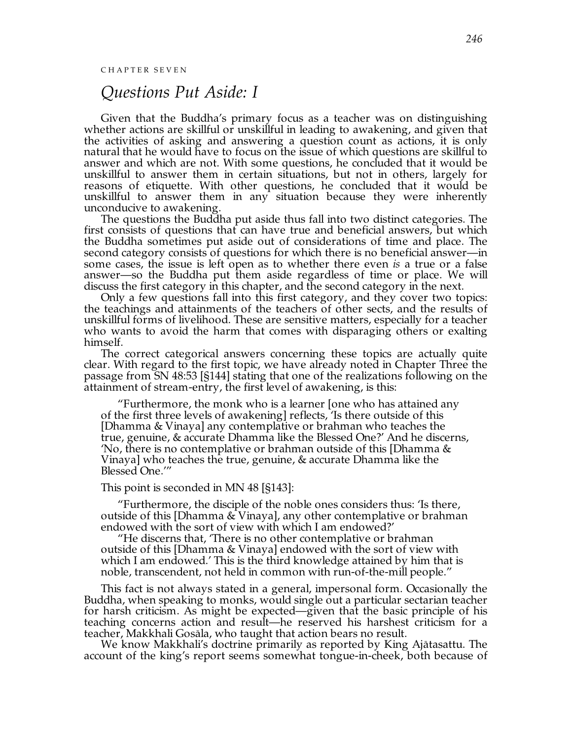# *Questions Put Aside: I*

Given that the Buddha's primary focus as a teacher was on distinguishing whether actions are skillful or unskillful in leading to awakening, and given that the activities of asking and answering a question count as actions, it is only natural that he would have to focus on the issue of which questions are skillful to answer and which are not. With some questions, he concluded that it would be unskillful to answer them in certain situations, but not in others, largely for reasons of etiquette. With other questions, he concluded that it would be unskillful to answer them in any situation because they were inherently unconducive to awakening.

The questions the Buddha put aside thus fall into two distinct categories. The first consists of questions that can have true and beneficial answers, but which the Buddha sometimes put aside out of considerations of time and place. The second category consists of questions for which there is no beneficial answer—in some cases, the issue is left open as to whether there even *is* a true or a false answer—so the Buddha put them aside regardless of time or place. We will discuss the first category in this chapter, and the second category in the next.

Only a few questions fall into this first category, and they cover two topics: the teachings and attainments of the teachers of other sects, and the results of unskillful forms of livelihood. These are sensitive matters, especially for a teacher who wants to avoid the harm that comes with disparaging others or exalting himself.

The correct categorical answers concerning these topics are actually quite clear. With regard to the first topic, we have already noted in Chapter Three the passage from SN 48:53 [§144] stating that one of the realizations following on the attainment of stream-entry, the first level of awakening, is this:

"Furthermore, the monk who is a learner [one who has attained any of the first three levels of awakening] reflects, 'Is there outside of this [Dhamma & Vinaya] any contemplative or brahman who teaches the true, genuine, & accurate Dhamma like the Blessed One?' And he discerns, 'No, there is no contemplative or brahman outside of this [Dhamma & Vinaya] who teaches the true, genuine, & accurate Dhamma like the Blessed One.'"

This point is seconded in MN 48 [§143]:

"Furthermore, the disciple of the noble ones considers thus: 'Is there, outside of this [Dhamma & Vinaya], any other contemplative or brahman endowed with the sort of view with which I am endowed?'

"He discerns that, 'There is no other contemplative or brahman outside of this [Dhamma & Vinaya] endowed with the sort of view with which I am endowed.' This is the third knowledge attained by him that is noble, transcendent, not held in common with run-of-the-mill people."

This fact is not always stated in a general, impersonal form. Occasionally the Buddha, when speaking to monks, would single out a particular sectarian teacher for harsh criticism. As might be expected—given that the basic principle of his teaching concerns action and result—he reserved his harshest criticism for a teacher, Makkhali Gosala, who taught that action bears no result.

We know Makkhali's doctrine primarily as reported by King Ajātasattu. The account of the king's report seems somewhat tongue-in-cheek, both because of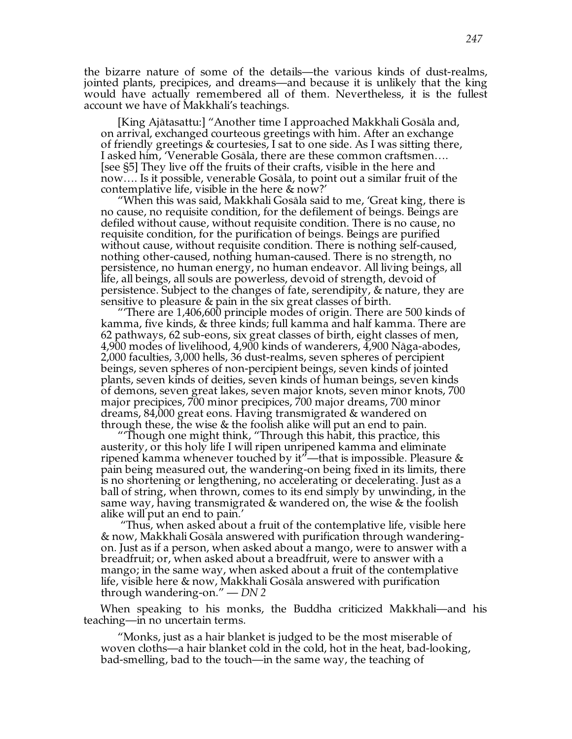the bizarre nature of some of the details—the various kinds of dust-realms, jointed plants, precipices, and dreams—and because it is unlikely that the king would have actually remembered all of them. Nevertheless, it is the fullest account we have of Makkhali's teachings.

[King Ajātasattu:] "Another time I approached Makkhali Gosāla and, on arrival, exchanged courteous greetings with him. After an exchange of friendly greetings & courtesies, I sat to one side. As I was sitting there, I asked him, 'Venerable Gosala, there are these common craftsmen.... [see §5] They live off the fruits of their crafts, visible in the here and now.... Is it possible, venerable Gosala, to point out a similar fruit of the contemplative life, visible in the here & now?'

"When this was said, Makkhali Gosala said to me, 'Great king, there is no cause, no requisite condition, for the defilement of beings. Beings are defiled without cause, without requisite condition. There is no cause, no requisite condition, for the purification of beings. Beings are purified without cause, without requisite condition. There is nothing self-caused, nothing other-caused, nothing human-caused. There is no strength, no persistence, no human energy, no human endeavor. All living beings, all life, all beings, all souls are powerless, devoid of strength, devoid of persistence. Subject to the changes of fate, serendipity, & nature, they are sensitive to pleasure & pain in the six great classes of birth.

"'There are 1,406,600 principle modes of origin. There are 500 kinds of kamma, five kinds, & three kinds; full kamma and half kamma. There are 62 pathways, 62 sub-eons, six great classes of birth, eight classes of men, 4,900 modes of livelihood, 4,900 kinds of wanderers, 4,900 Nāga-abodes, 2,000 faculties, 3,000 hells, 36 dust-realms, seven spheres of percipient beings, seven spheres of non-percipient beings, seven kinds of jointed plants, seven kinds of deities, seven kinds of human beings, seven kinds of demons, seven great lakes, seven major knots, seven minor knots, 700 major precipices, 700 minor precipices, 700 major dreams, 700 minor dreams, 84,000 great eons. Having transmigrated & wandered on through these, the wise & the foolish alike will put an end to pain.

"'Though one might think, "Through this habit, this practice, this austerity, or this holy life I will ripen unripened kamma and eliminate ripened kamma whenever touched by it"—that is impossible. Pleasure  $\&$ pain being measured out, the wandering-on being fixed in its limits, there is no shortening or lengthening, no accelerating or decelerating. Just as a ball of string, when thrown, comes to its end simply by unwinding, in the same way, having transmigrated & wandered on, the wise & the foolish alike will put an end to pain.'

 "Thus, when asked about a fruit of the contemplative life, visible here & now, Makkhali Gosala answered with purification through wanderingon. Just as if a person, when asked about a mango, were to answer with a breadfruit; or, when asked about a breadfruit, were to answer with a mango; in the same way, when asked about a fruit of the contemplative life, visible here  $\&$  now, Makkhali Gosala answered with purification through wandering-on." — *DN 2* 

When speaking to his monks, the Buddha criticized Makkhali—and his teaching—in no uncertain terms.

"Monks, just as a hair blanket is judged to be the most miserable of woven cloths—a hair blanket cold in the cold, hot in the heat, bad-looking, bad-smelling, bad to the touch—in the same way, the teaching of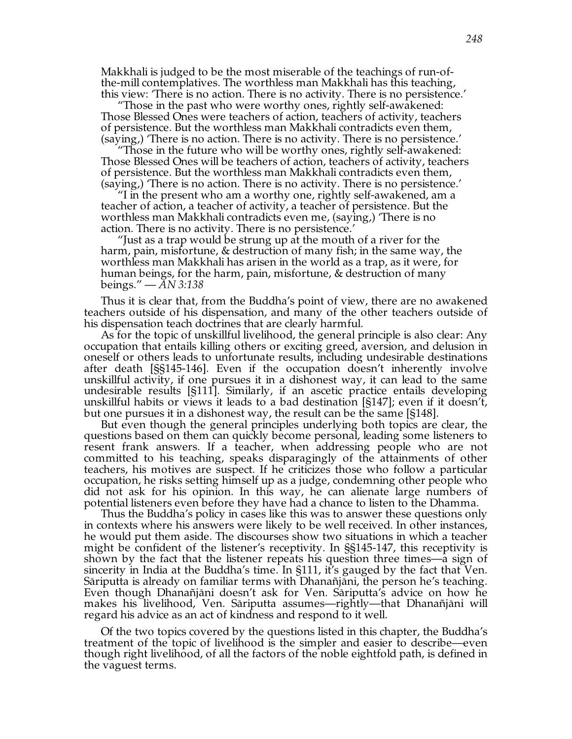Makkhali is judged to be the most miserable of the teachings of run-of- the-mill contemplatives. The worthless man Makkhali has this teaching, this view: 'There is no action. There is no activity. There is no persistence.' "Those in the past who were worthy ones, rightly self-awakened:

Those Blessed Ones were teachers of action, teachers of activity, teachers of persistence. But the worthless man Makkhali contradicts even them,

(saying,) 'There is no action. There is no activity. There is no persistence.' "Those in the future who will be worthy ones, rightly self-awakened: Those Blessed Ones will be teachers of action, teachers of activity, teachers of persistence. But the worthless man Makkhali contradicts even them,

(saying,) 'There is no action. There is no activity. There is no persistence.' "I in the present who am a worthy one, rightly self-awakened, am a teacher of action, a teacher of activity, a teacher of persistence. But the worthless man Makkhali contradicts even me, (saying,) 'There is no action. There is no activity. There is no persistence.' "Just as a trap would be strung up at the mouth of a river for the

harm, pain, misfortune, & destruction of many fish; in the same way, the worthless man Makkhali has arisen in the world as a trap, as it were, for human beings, for the harm, pain, misfortune, & destruction of many beings." — *AN 3:138* 

Thus it is clear that, from the Buddha's point of view, there are no awakened teachers outside of his dispensation, and many of the other teachers outside of his dispensation teach doctrines that are clearly harmful.

As for the topic of unskillful livelihood, the general principle is also clear: Any occupation that entails killing others or exciting greed, aversion, and delusion in oneself or others leads to unfortunate results, including undesirable destinations after death [§§145-146]. Even if the occupation doesn't inherently involve unskillful activity, if one pursues it in a dishonest way, it can lead to the same undesirable results [§111]. Similarly, if an ascetic practice entails developing unskillful habits or views it leads to a bad destination [§147]; even if it doesn't, but one pursues it in a dishonest way, the result can be the same [§148].

But even though the general principles underlying both topics are clear, the questions based on them can quickly become personal, leading some listeners to resent frank answers. If a teacher, when addressing people who are not committed to his teaching, speaks disparagingly of the attainments of other teachers, his motives are suspect. If he criticizes those who follow a particular occupation, he risks setting himself up as a judge, condemning other people who did not ask for his opinion. In this way, he can alienate large numbers of potential listeners even before they have had a chance to listen to the Dhamma.

Thus the Buddha's policy in cases like this was to answer these questions only in contexts where his answers were likely to be well received. In other instances, he would put them aside. The discourses show two situations in which a teacher might be confident of the listener's receptivity. In §§145-147, this receptivity is shown by the fact that the listener repeats his question three times—a sign of sincerity in India at the Buddha's time. In §111, it's gauged by the fact that Ven. Sariputta is already on familiar terms with Dhanañjani, the person he's teaching. Even though Dhanañjāni doesn't ask for Ven. Sāriputta's advice on how he makes his livelihood, Ven. Sāriputta assumes—rightly—that Dhanañjāni will regard his advice as an act of kindness and respond to it well.

Of the two topics covered by the questions listed in this chapter, the Buddha's treatment of the topic of livelihood is the simpler and easier to describe—even though right livelihood, of all the factors of the noble eightfold path, is defined in the vaguest terms.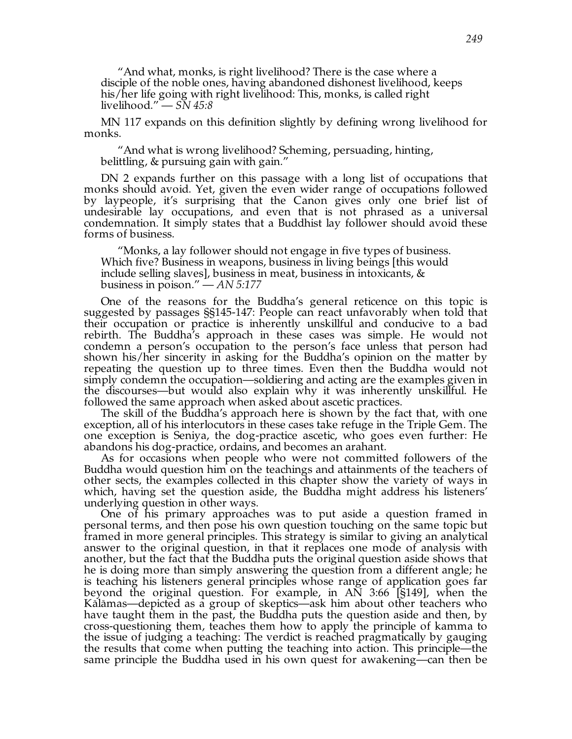"And what, monks, is right livelihood? There is the case where a disciple of the noble ones, having abandoned dishonest livelihood, keeps his/her life going with right livelihood: This, monks, is called right livelihood." — *SN 45:8*

MN 117 expands on this definition slightly by defining wrong livelihood for monks.

"And what is wrong livelihood? Scheming, persuading, hinting, belittling, & pursuing gain with gain."

DN 2 expands further on this passage with a long list of occupations that monks should avoid. Yet, given the even wider range of occupations followed by laypeople, it's surprising that the Canon gives only one brief list of undesirable lay occupations, and even that is not phrased as a universal condemnation. It simply states that a Buddhist lay follower should avoid these forms of business.

"Monks, a lay follower should not engage in five types of business. Which five? Business in weapons, business in living beings [this would include selling slaves], business in meat, business in intoxicants, & business in poison." — *AN 5:177* 

One of the reasons for the Buddha's general reticence on this topic is suggested by passages §§145-147: People can react unfavorably when told that their occupation or practice is inherently unskillful and conducive to a bad rebirth. The Buddha's approach in these cases was simple. He would not condemn a person's occupation to the person's face unless that person had shown his/her sincerity in asking for the Buddha's opinion on the matter by repeating the question up to three times. Even then the Buddha would not simply condemn the occupation—soldiering and acting are the examples given in the discourses—but would also explain why it was inherently unskillful. He followed the same approach when asked about ascetic practices.

The skill of the Buddha's approach here is shown by the fact that, with one exception, all of his interlocutors in these cases take refuge in the Triple Gem. The one exception is Seniya, the dog-practice ascetic, who goes even further: He abandons his dog-practice, ordains, and becomes an arahant.

As for occasions when people who were not committed followers of the Buddha would question him on the teachings and attainments of the teachers of other sects, the examples collected in this chapter show the variety of ways in which, having set the question aside, the Buddha might address his listeners' underlying question in other ways.

One of his primary approaches was to put aside a question framed in personal terms, and then pose his own question touching on the same topic but framed in more general principles. This strategy is similar to giving an analytical answer to the original question, in that it replaces one mode of analysis with another, but the fact that the Buddha puts the original question aside shows that he is doing more than simply answering the question from a different angle; he is teaching his listeners general principles whose range of application goes far beyond the original question. For example, in AN 3:66 [§149], when the Kalamas—depicted as a group of skeptics—ask him about other teachers who have taught them in the past, the Buddha puts the question aside and then, by cross-questioning them, teaches them how to apply the principle of kamma to the issue of judging a teaching: The verdict is reached pragmatically by gauging the results that come when putting the teaching into action. This principle—the same principle the Buddha used in his own quest for awakening—can then be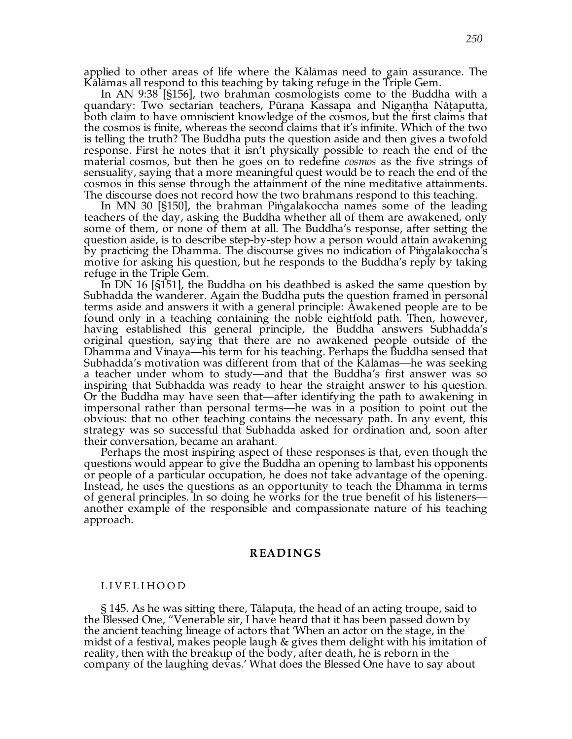applied to other areas of life where the Kalamas need to gain assurance. The Kalamas all respond to this teaching by taking refuge in the Triple Gem.

In AN 9:38 [§156], two brahman cosmologists come to the Buddha with a quandary: Two sectarian teachers, Pūrana Kassapa and Nigantha Nātaputta, both claim to have omniscient knowledge of the cosmos, but the first claims that the cosmos is finite, whereas the second claims that it's infinite. Which of the two is telling the truth? The Buddha puts the question aside and then gives a twofold response. First he notes that it isn't physically possible to reach the end of the material cosmos, but then he goes on to redefine *cosmos* as the five strings of sensuality, saying that a more meaningful quest would be to reach the end of the cosmos in this sense through the attainment of the nine meditative attainments. The discourse does not record how the two brahmans respond to this teaching.

In MN 30 [§150], the brahman Pingalakoccha names some of the leading teachers of the day, asking the Buddha whether all of them are awakened, only some of them, or none of them at all. The Buddha's response, after setting the question aside, is to describe step-by-step how a person would attain awakening by practicing the Dhamma. The discourse gives no indication of Pingalakoccha's motive for asking his question, but he responds to the Buddha's reply by taking refuge in the Triple Gem.

In DN 16 [§151], the Buddha on his deathbed is asked the same question by Subhadda the wanderer. Again the Buddha puts the question framed in personal terms aside and answers it with a general principle: Awakened people are to be found only in a teaching containing the noble eightfold path. Then, however, having established this general principle, the Buddha answers Subhadda's original question, saying that there are no awakened people outside of the Dhamma and Vinaya—his term for his teaching. Perhaps the Buddha sensed that Subhadda's motivation was different from that of the Kālāmas—he was seeking a teacher under whom to study—and that the Buddha's first answer was so inspiring that Subhadda was ready to hear the straight answer to his question. Or the Buddha may have seen that—after identifying the path to awakening in impersonal rather than personal terms—he was in a position to point out the obvious: that no other teaching contains the necessary path. In any event, this strategy was so successful that Subhadda asked for ordination and, soon after their conversation, became an arahant.

Perhaps the most inspiring aspect of these responses is that, even though the questions would appear to give the Buddha an opening to lambast his opponents or people of a particular occupation, he does not take advantage of the opening. Instead, he uses the questions as an opportunity to teach the Dhamma in terms of general principles. In so doing he works for the true benefit of his listeners another example of the responsible and compassionate nature of his teaching approach.

## **READINGS**

### LIVELIHOOD

 $\S$  145. As he was sitting there, Talapuṭa, the head of an acting troupe, said to the Blessed One, "Venerable sir, I have heard that it has been passed down by the ancient teaching lineage of actors that 'When an actor on the stage, in the midst of a festival, makes people laugh & gives them delight with his imitation of reality, then with the breakup of the body, after death, he is reborn in the company of the laughing devas.' What does the Blessed One have to say about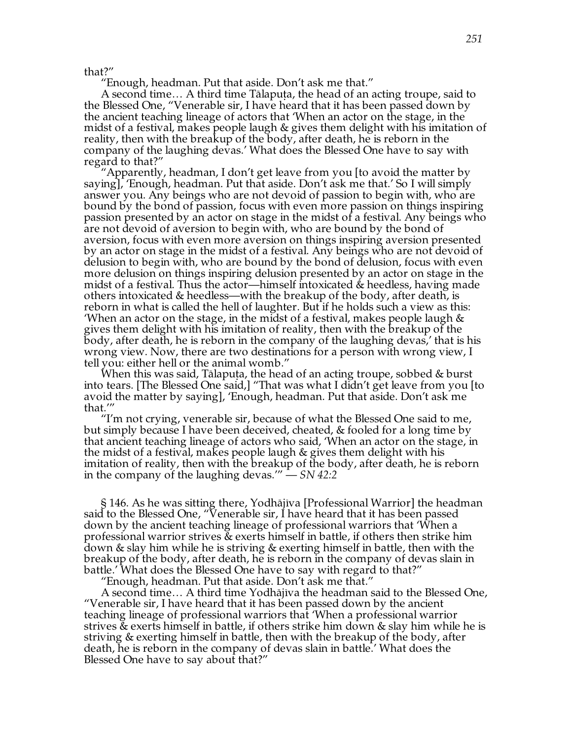that?"

"Enough, headman. Put that aside. Don't ask me that."

A second time... A third time Talaputa, the head of an acting troupe, said to the Blessed One, "Venerable sir, I have heard that it has been passed down by the ancient teaching lineage of actors that 'When an actor on the stage, in the midst of a festival, makes people laugh & gives them delight with his imitation of reality, then with the breakup of the body, after death, he is reborn in the company of the laughing devas.' What does the Blessed One have to say with regard to that?"

"Apparently, headman, I don't get leave from you [to avoid the matter by saying], 'Enough, headman. Put that aside. Don't ask me that.' So I will simply answer you. Any beings who are not devoid of passion to begin with, who are bound by the bond of passion, focus with even more passion on things inspiring passion presented by an actor on stage in the midst of a festival. Any beings who are not devoid of aversion to begin with, who are bound by the bond of aversion, focus with even more aversion on things inspiring aversion presented by an actor on stage in the midst of a festival. Any beings who are not devoid of delusion to begin with, who are bound by the bond of delusion, focus with even more delusion on things inspiring delusion presented by an actor on stage in the midst of a festival. Thus the actor—himself intoxicated & heedless, having made others intoxicated & heedless—with the breakup of the body, after death, is reborn in what is called the hell of laughter. But if he holds such a view as this: 'When an actor on the stage, in the midst of a festival, makes people laugh & gives them delight with his imitation of reality, then with the breakup of the body, after death, he is reborn in the company of the laughing devas,' that is his wrong view. Now, there are two destinations for a person with wrong view, I tell you: either hell or the animal womb."

When this was said, Talaputa, the head of an acting troupe, sobbed & burst into tears. [The Blessed One said,] "That was what I didn't get leave from you [to avoid the matter by saying], 'Enough, headman. Put that aside. Don't ask me that.'"

"I'm not crying, venerable sir, because of what the Blessed One said to me, but simply because I have been deceived, cheated, & fooled for a long time by that ancient teaching lineage of actors who said, 'When an actor on the stage, in the midst of a festival, makes people laugh & gives them delight with his imitation of reality, then with the breakup of the body, after death, he is reborn in the company of the laughing devas.'" — *SN 42:2*

§ 146. As he was sitting there, Yodhājīva [Professional Warrior] the headman said to the Blessed One, "Venerable sir, I have heard that it has been passed down by the ancient teaching lineage of professional warriors that 'When a professional warrior strives & exerts himself in battle, if others then strike him down & slay him while he is striving & exerting himself in battle, then with the breakup of the body, after death, he is reborn in the company of devas slain in battle.' What does the Blessed One have to say with regard to that?"

"Enough, headman. Put that aside. Don't ask me that."

A second time... A third time Yodhājīva the headman said to the Blessed One, "Venerable sir, I have heard that it has been passed down by the ancient teaching lineage of professional warriors that 'When a professional warrior strives & exerts himself in battle, if others strike him down & slay him while he is striving & exerting himself in battle, then with the breakup of the body, after death, he is reborn in the company of devas slain in battle.' What does the Blessed One have to say about that?"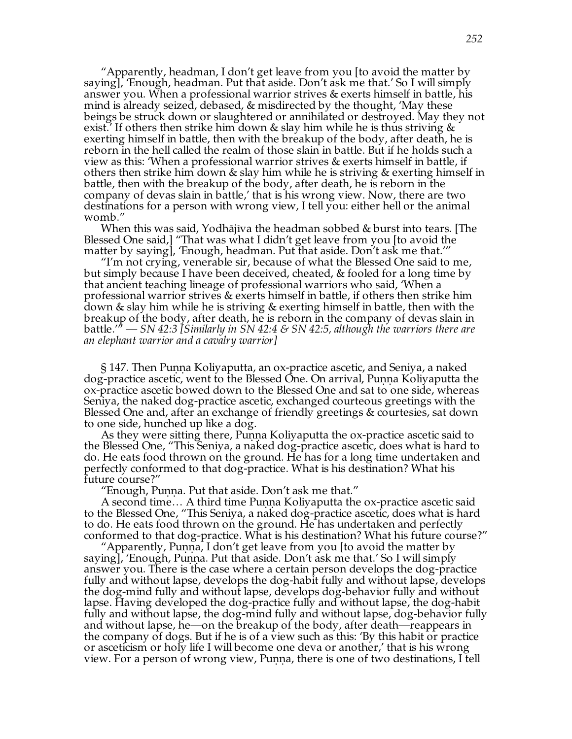"Apparently, headman, I don't get leave from you [to avoid the matter by saying], 'Enough, headman. Put that aside. Don't ask me that.' So I will simply answer you. When a professional warrior strives & exerts himself in battle, his mind is already seized, debased, & misdirected by the thought, 'May these beings be struck down or slaughtered or annihilated or destroyed. May they not exist.' If others then strike him down & slay him while he is thus striving  $\&$ exerting himself in battle, then with the breakup of the body, after death, he is reborn in the hell called the realm of those slain in battle. But if he holds such a view as this: 'When a professional warrior strives & exerts himself in battle, if others then strike him down & slay him while he is striving & exerting himself in battle, then with the breakup of the body, after death, he is reborn in the company of devas slain in battle,' that is his wrong view. Now, there are two destinations for a person with wrong view, I tell you: either hell or the animal womb."

When this was said, Yodhājīva the headman sobbed & burst into tears. [The Blessed One said,] "That was what I didn't get leave from you [to avoid the matter by saying], 'Enough, headman. Put that aside. Don't ask me that.'"

"I'm not crying, venerable sir, because of what the Blessed One said to me, but simply because I have been deceived, cheated, & fooled for a long time by that ancient teaching lineage of professional warriors who said, 'When a professional warrior strives & exerts himself in battle, if others then strike him down & slay him while he is striving & exerting himself in battle, then with the breakup of the body, after death, he is reborn in the company of devas slain in battle.'" — *SN 42:3 [Similarly in SN 42:4 & SN 42:5, although the warriors there are an elephant warrior and a cavalry warrior]*

§ 147. Then Puṇṇa Koliyaputta, an ox-practice ascetic, and Seniya, a naked dog-practice ascetic, went to the Blessed One. On arrival, Punna Koliyaputta the ox-practice ascetic bowed down to the Blessed One and sat to one side, whereas Seniya, the naked dog-practice ascetic, exchanged courteous greetings with the Blessed One and, after an exchange of friendly greetings & courtesies, sat down to one side, hunched up like a dog.

As they were sitting there, Punna Koliyaputta the ox-practice ascetic said to the Blessed One, "This Seniya, a naked dog-practice ascetic, does what is hard to do. He eats food thrown on the ground. He has for a long time undertaken and perfectly conformed to that dog-practice. What is his destination? What his future course?"

"Enough, Puṇṇa. Put that aside. Don't ask me that."

A second time... A third time Puṇṇa Koliyaputta the ox-practice ascetic said to the Blessed One, "This Seniya, a naked dog-practice ascetic, does what is hard to do. He eats food thrown on the ground. He has undertaken and perfectly conformed to that dog-practice. What is his destination? What his future course?"

"Apparently, Puṇṇa, I don't get leave from you [to avoid the matter by saying], 'Enough, Punna. Put that aside. Don't ask me that.' So I will simply answer you. There is the case where a certain person develops the dog-practice fully and without lapse, develops the dog-habit fully and without lapse, develops the dog-mind fully and without lapse, develops dog-behavior fully and without lapse. Having developed the dog-practice fully and without lapse, the dog-habit fully and without lapse, the dog-mind fully and without lapse, dog-behavior fully and without lapse, he—on the breakup of the body, after death—reappears in the company of dogs. But if he is of a view such as this: 'By this habit or practice or asceticism or holy life I will become one deva or another,' that is his wrong view. For a person of wrong view, Punna, there is one of two destinations, I tell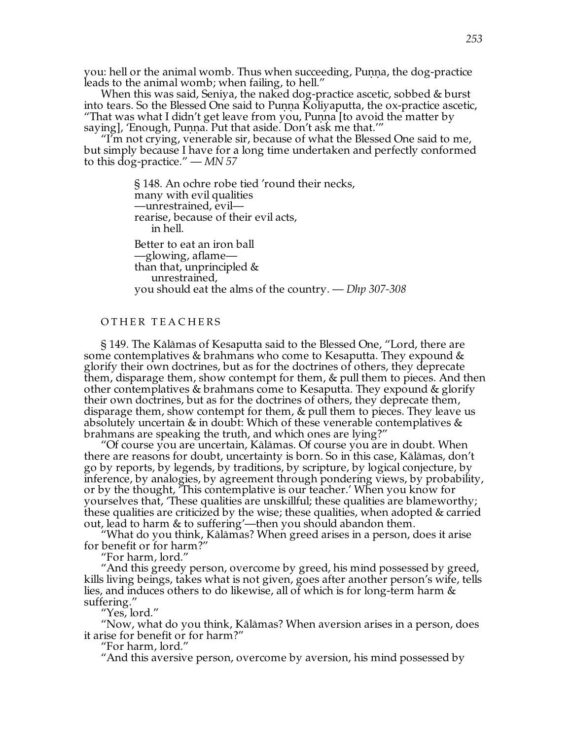you: hell or the animal womb. Thus when succeeding, Punna, the dog-practice leads to the animal womb; when failing, to hell."

When this was said, Seniya, the naked dog-practice ascetic, sobbed & burst into tears. So the Blessed One said to Punna Koliyaputta, the ox-practice ascetic, "That was what I didn't get leave from you, Punna  $\lceil$  to avoid the matter by saying], 'Enough, Punna. Put that aside. Don't ask me that.'"

"I'm not crying, venerable sir, because of what the Blessed One said to me, but simply because I have for a long time undertaken and perfectly conformed to this dog-practice." — *MN 57* 

> § 148. An ochre robe tied 'round their necks, many with evil qualities —unrestrained, evil— rearise, because of their evil acts, in hell. Better to eat an iron ball —glowing, aflame than that, unprincipled & unrestrained, you should eat the alms of the country. — *Dhp 307-308*

## OTHER TEACHERS

§ 149. The Kālāmas of Kesaputta said to the Blessed One, "Lord, there are some contemplatives & brahmans who come to Kesaputta. They expound  $\&$ glorify their own doctrines, but as for the doctrines of others, they deprecate them, disparage them, show contempt for them, & pull them to pieces. And then other contemplatives & brahmans come to Kesaputta. They expound & glorify their own doctrines, but as for the doctrines of others, they deprecate them, disparage them, show contempt for them, & pull them to pieces. They leave us absolutely uncertain  $\&$  in doubt: Which of these venerable contemplatives  $\&$ brahmans are speaking the truth, and which ones are lying?"

"Of course you are uncertain, Kalamas. Of course you are in doubt. When there are reasons for doubt, uncertainty is born. So in this case, Kalamas, don't go by reports, by legends, by traditions, by scripture, by logical conjecture, by inference, by analogies, by agreement through pondering views, by probability, or by the thought, 'This contemplative is our teacher.' When you know for yourselves that, 'These qualities are unskillful; these qualities are blameworthy; these qualities are criticized by the wise; these qualities, when adopted & carried out, lead to harm & to suffering'—then you should abandon them.

"What do you think, Kālāmas? When greed arises in a person, does it arise for benefit or for harm?"

"For harm, lord."

"And this greedy person, overcome by greed, his mind possessed by greed, kills living beings, takes what is not given, goes after another person's wife, tells lies, and induces others to do likewise, all of which is for long-term harm & suffering."

"Yes, lord."

"Now, what do you think, Kalāmas? When aversion arises in a person, does it arise for benefit or for harm?"

"For harm, lord."

"And this aversive person, overcome by aversion, his mind possessed by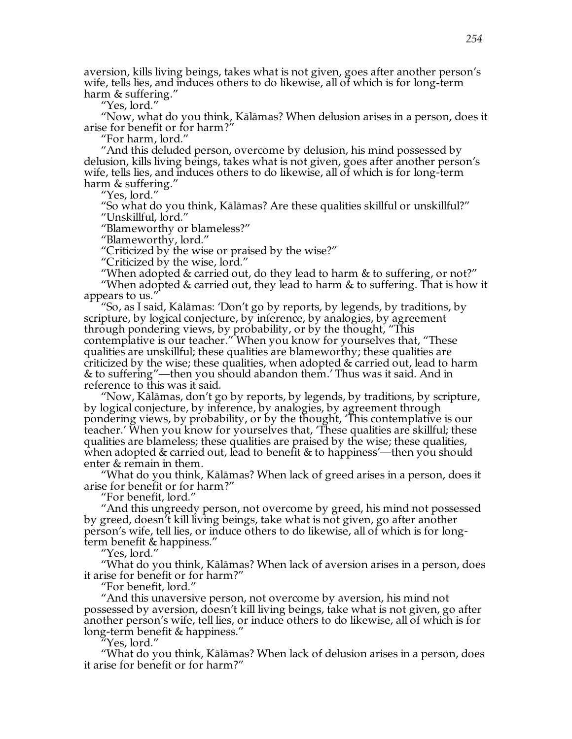aversion, kills living beings, takes what is not given, goes after another person's wife, tells lies, and induces others to do likewise, all of which is for long-term harm & suffering."

"Yes, lord."

"Now, what do you think, Kālāmas? When delusion arises in a person, does it arise for benefit or for harm?"

"For harm, lord."

"And this deluded person, overcome by delusion, his mind possessed by delusion, kills living beings, takes what is not given, goes after another person's wife, tells lies, and induces others to do likewise, all of which is for long-term harm & suffering."

"Yes, lord."

"So what do you think, Kālāmas? Are these qualities skillful or unskillful?" "Unskillful, lord."

"Blameworthy or blameless?"

"Blameworthy, lord."

"Criticized by the wise or praised by the wise?"

"Criticized by the wise, lord."

"When adopted & carried out, do they lead to harm & to suffering, or not?" "When adopted  $&$  carried out, they lead to harm  $&$  to suffering. That is how it appears to us."

"So, as I said, Kālāmas: 'Don't go by reports, by legends, by traditions, by scripture, by logical conjecture, by inference, by analogies, by agreement through pondering views, by probability, or by the thought, "This contemplative is our teacher." When you know for yourselves that, "These qualities are unskillful; these qualities are blameworthy; these qualities are criticized by the wise; these qualities, when adopted & carried out, lead to harm & to suffering"—then you should abandon them.' Thus was it said. And in reference to this was it said.

"Now, Kalamas, don't go by reports, by legends, by traditions, by scripture, by logical conjecture, by inference, by analogies, by agreement through pondering views, by probability, or by the thought, 'This contemplative is our teacher.' When you know for yourselves that, 'These qualities are skillful; these qualities are blameless; these qualities are praised by the wise; these qualities, when adopted & carried out, lead to benefit & to happiness'—then you should enter & remain in them.

"What do you think, Kālāmas? When lack of greed arises in a person, does it arise for benefit or for harm?"

"For benefit, lord."

"And this ungreedy person, not overcome by greed, his mind not possessed by greed, doesn't kill living beings, take what is not given, go after another person's wife, tell lies, or induce others to do likewise, all of which is for longterm benefit & happiness."

"Yes, lord."

"What do you think, Kālāmas? When lack of aversion arises in a person, does it arise for benefit or for harm?"

"For benefit, lord."

"And this unaversive person, not overcome by aversion, his mind not possessed by aversion, doesn't kill living beings, take what is not given, go after another person's wife, tell lies, or induce others to do likewise, all of which is for long-term benefit & happiness."

"Yes, lord."

"What do you think, Kālāmas? When lack of delusion arises in a person, does it arise for benefit or for harm?"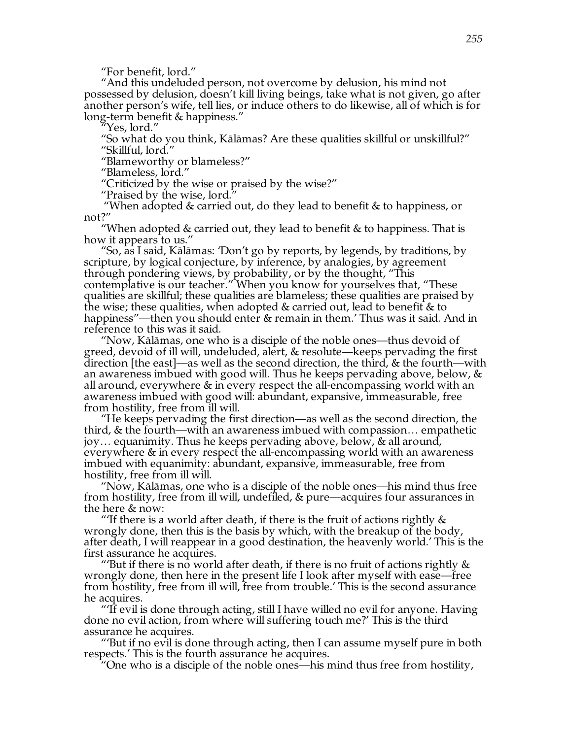"For benefit, lord."

"And this undeluded person, not overcome by delusion, his mind not possessed by delusion, doesn't kill living beings, take what is not given, go after another person's wife, tell lies, or induce others to do likewise, all of which is for long-term benefit & happiness."

"Yes, lord."

"So what do you think, Kālāmas? Are these qualities skillful or unskillful?" "Skillful, lord."

"Blameworthy or blameless?"

"Blameless, lord."

"Criticized by the wise or praised by the wise?"

"Praised by the wise, lord."

 "When adopted & carried out, do they lead to benefit & to happiness, or not?"

"When adopted & carried out, they lead to benefit & to happiness. That is how it appears to us."

"So, as I said, Kalāmas: 'Don't go by reports, by legends, by traditions, by scripture, by logical conjecture, by inference, by analogies, by agreement through pondering views, by probability, or by the thought, "This contemplative is our teacher." When you know for yourselves that, "These qualities are skillful; these qualities are blameless; these qualities are praised by the wise; these qualities, when adopted & carried out, lead to benefit & to happiness"—then you should enter & remain in them.' Thus was it said. And in reference to this was it said.

"Now, Kalamas, one who is a disciple of the noble ones—thus devoid of greed, devoid of ill will, undeluded, alert, & resolute—keeps pervading the first direction [the east]—as well as the second direction, the third, & the fourth—with an awareness imbued with good will. Thus he keeps pervading above, below, & all around, everywhere & in every respect the all-encompassing world with an awareness imbued with good will: abundant, expansive, immeasurable, free from hostility, free from ill will.

"He keeps pervading the first direction—as well as the second direction, the third, & the fourth—with an awareness imbued with compassion… empathetic joy… equanimity. Thus he keeps pervading above, below, & all around, everywhere & in every respect the all-encompassing world with an awareness imbued with equanimity: abundant, expansive, immeasurable, free from hostility, free from ill will.

"Now, K $\tilde{a}$ lamas, one who is a disciple of the noble ones—his mind thus free from hostility, free from ill will, undefiled, & pure—acquires four assurances in the here & now:

"If there is a world after death, if there is the fruit of actions rightly  $\&$ wrongly done, then this is the basis by which, with the breakup of the body, after death, I will reappear in a good destination, the heavenly world.' This is the first assurance he acquires.

"But if there is no world after death, if there is no fruit of actions rightly  $\&$ wrongly done, then here in the present life I look after myself with ease—free from hostility, free from ill will, free from trouble.' This is the second assurance he acquires.

"'If evil is done through acting, still I have willed no evil for anyone. Having done no evil action, from where will suffering touch me?' This is the third assurance he acquires.

"'But if no evil is done through acting, then I can assume myself pure in both respects.' This is the fourth assurance he acquires.

"One who is a disciple of the noble ones—his mind thus free from hostility,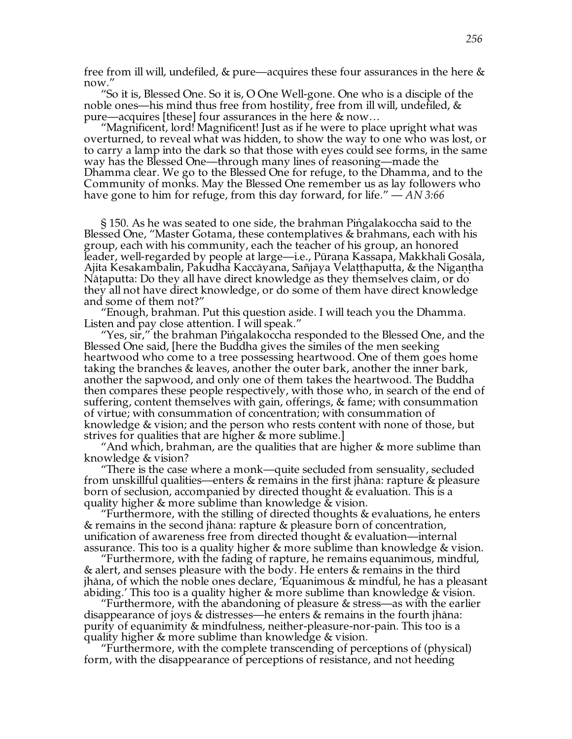free from ill will, undefiled,  $\&$  pure—acquires these four assurances in the here  $\&$ now."

"So it is, Blessed One. So it is, O One Well-gone. One who is a disciple of the noble ones—his mind thus free from hostility, free from ill will, undefiled, & pure—acquires [these] four assurances in the here & now…

"Magnificent, lord! Magnificent! Just as if he were to place upright what was overturned, to reveal what was hidden, to show the way to one who was lost, or to carry a lamp into the dark so that those with eyes could see forms, in the same way has the Blessed One—through many lines of reasoning—made the Dhamma clear. We go to the Blessed One for refuge, to the Dhamma, and to the Community of monks. May the Blessed One remember us as lay followers who have gone to him for refuge, from this day forward, for life." — *AN 3:66*

§ 150. As he was seated to one side, the brahman Pingalakoccha said to the Blessed One, "Master Gotama, these contemplatives & brahmans, each with his group, each with his community, each the teacher of his group, an honored leader, well-regarded by people at large—i.e., Pūrana Kassapa, Makkhali Gosāla, Ajita Kesakambalin, Pakudha Kaccāyana, Sañjaya Velatthaputta, & the Nigantha Nātaputta: Do they all have direct knowledge as they themselves claim, or do they all not have direct knowledge, or do some of them have direct knowledge and some of them not?"

"Enough, brahman. Put this question aside. I will teach you the Dhamma. Listen and pay close attention. I will speak."

"Yes,  $\sin$ ," the brahman Pingalakoccha responded to the Blessed One, and the Blessed One said, [here the Buddha gives the similes of the men seeking heartwood who come to a tree possessing heartwood. One of them goes home taking the branches & leaves, another the outer bark, another the inner bark, another the sapwood, and only one of them takes the heartwood. The Buddha then compares these people respectively, with those who, in search of the end of suffering, content themselves with gain, offerings, & fame; with consummation of virtue; with consummation of concentration; with consummation of knowledge & vision; and the person who rests content with none of those, but strives for qualities that are higher & more sublime.]

"And which, brahman, are the qualities that are higher & more sublime than knowledge & vision?

"There is the case where a monk—quite secluded from sensuality, secluded from unskillful qualities—enters & remains in the first jhāna: rapture & pleasure born of seclusion, accompanied by directed thought & evaluation. This is a quality higher & more sublime than knowledge & vision.

"Furthermore, with the stilling of directed thoughts & evaluations, he enters & remains in the second jhana: rapture & pleasure born of concentration, unification of awareness free from directed thought & evaluation—internal assurance. This too is a quality higher & more sublime than knowledge & vision.

"Furthermore, with the fading of rapture, he remains equanimous, mindful, & alert, and senses pleasure with the body. He enters & remains in the third jhāna, of which the noble ones declare, 'Equanimous & mindful, he has a pleasant abiding.' This too is a quality higher & more sublime than knowledge & vision.

"Furthermore, with the abandoning of pleasure  $&$  stress—as with the earlier disappearance of joys & distresses—he enters  $\&$  remains in the fourth jhāna: purity of equanimity & mindfulness, neither-pleasure-nor-pain. This too is a quality higher & more sublime than knowledge & vision.

"Furthermore, with the complete transcending of perceptions of (physical) form, with the disappearance of perceptions of resistance, and not heeding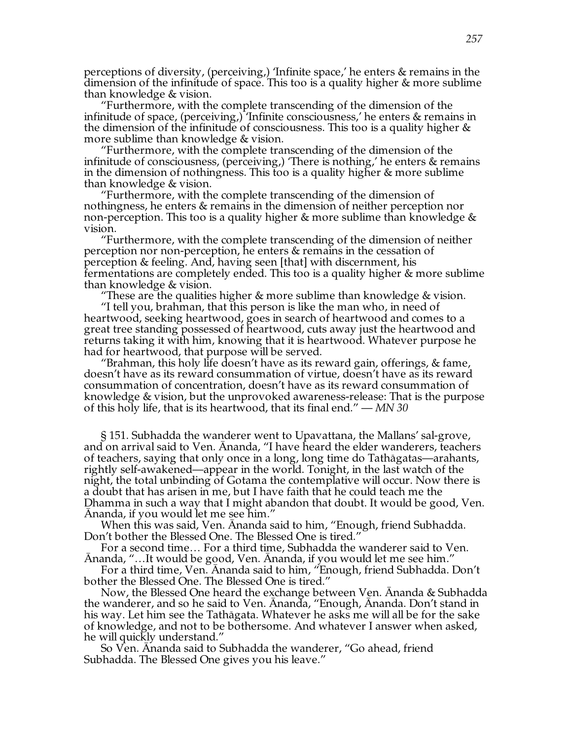perceptions of diversity, (perceiving,) 'Infinite space,' he enters & remains in the dimension of the infinitude of space. This too is a quality higher & more sublime than knowledge & vision.

"Furthermore, with the complete transcending of the dimension of the infinitude of space, (perceiving,) 'Infinite consciousness,' he enters & remains in the dimension of the infinitude of consciousness. This too is a quality higher  $\&$ more sublime than knowledge & vision.

"Furthermore, with the complete transcending of the dimension of the infinitude of consciousness, (perceiving,) 'There is nothing,' he enters & remains in the dimension of nothingness. This too is a quality higher & more sublime than knowledge & vision.

"Furthermore, with the complete transcending of the dimension of nothingness, he enters & remains in the dimension of neither perception nor non-perception. This too is a quality higher & more sublime than knowledge  $\&$ vision.

"Furthermore, with the complete transcending of the dimension of neither perception nor non-perception, he enters & remains in the cessation of perception & feeling. And, having seen [that] with discernment, his fermentations are completely ended. This too is a quality higher & more sublime than knowledge & vision.

"These are the qualities higher & more sublime than knowledge & vision.

"I tell you, brahman, that this person is like the man who, in need of heartwood, seeking heartwood, goes in search of heartwood and comes to a great tree standing possessed of heartwood, cuts away just the heartwood and returns taking it with him, knowing that it is heartwood. Whatever purpose he had for heartwood, that purpose will be served. "Brahman, this holy life doesn't have as its reward gain, offerings, & fame,

doesn't have as its reward consummation of virtue, doesn't have as its reward consummation of concentration, doesn't have as its reward consummation of knowledge & vision, but the unprovoked awareness-release: That is the purpose of this holy life, that is its heartwood, that its final end." — *MN 30*

§ 151. Subhadda the wanderer went to Upavattana, the Mallans' sal-grove, and on arrival said to Ven. Ananda, "I have heard the elder wanderers, teachers of teachers, saying that only once in a long, long time do Tathagatas—arahants, rightly self-awakened—appear in the world. Tonight, in the last watch of the night, the total unbinding of Gotama the contemplative will occur. Now there is a doubt that has arisen in me, but I have faith that he could teach me the Dhamma in such a way that I might abandon that doubt. It would be good, Ven. Ananda, if you would let me see him."

When this was said, Ven. Ananda said to him, "Enough, friend Subhadda. Don't bother the Blessed One. The Blessed One is tired."

For a second time… For a third time, Subhadda the wanderer said to Ven. Ananda, "...It would be good, Ven. Ananda, if you would let me see him."

For a third time, Ven. Ananda said to him, "Enough, friend Subhadda. Don't bother the Blessed One. The Blessed One is tired."

Now, the Blessed One heard the exchange between Ven. Ananda & Subhadda the wanderer, and so he said to Ven. Ananda, "Enough, Ananda. Don't stand in his way. Let him see the Tathāgata. Whatever he asks me will all be for the sake of knowledge, and not to be bothersome. And whatever I answer when asked,

he will quickly understand."<br>So Ven. Ānanda said to Subhadda the wanderer, "Go ahead, friend Subhadda. The Blessed One gives you his leave."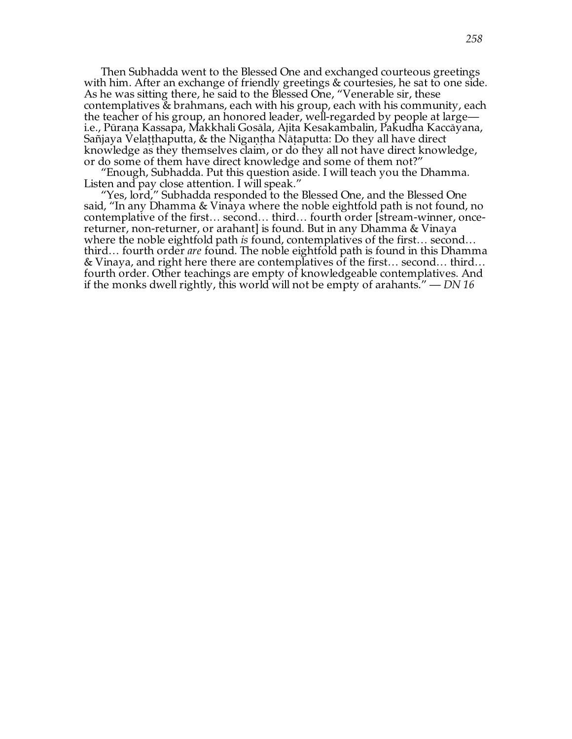Then Subhadda went to the Blessed One and exchanged courteous greetings with him. After an exchange of friendly greetings & courtesies, he sat to one side. As he was sitting there, he said to the Blessed One, "Venerable sir, these contemplatives & brahmans, each with his group, each with his community, each the teacher of his group, an honored leader, well-regarded by people at large—<br>i.e., Pūraṇa Kassapa, Makkhali Gosāla, Ajita Kesakambalin, Pakudha Kaccāyana, Sañjaya Velatthaputta, & the Nigantha Nātaputta: Do they all have direct knowledge as they themselves claim, or do they all not have direct knowledge, or do some of them have direct knowledge and some of them not?"

"Enough, Subhadda. Put this question aside. I will teach you the Dhamma. Listen and pay close attention. I will speak."

"Yes, lord," Subhadda responded to the Blessed One, and the Blessed One said, "In any Dhamma & Vinaya where the noble eightfold path is not found, no contemplative of the first… second… third… fourth order [stream-winner, once- returner, non-returner, or arahant] is found. But in any Dhamma & Vinaya where the noble eightfold path *is* found, contemplatives of the first… second… third… fourth order *are* found. The noble eightfold path is found in this Dhamma & Vinaya, and right here there are contemplatives of the first… second… third… fourth order. Other teachings are empty of knowledgeable contemplatives. And if the monks dwell rightly, this world will not be empty of arahants." — *DN 16*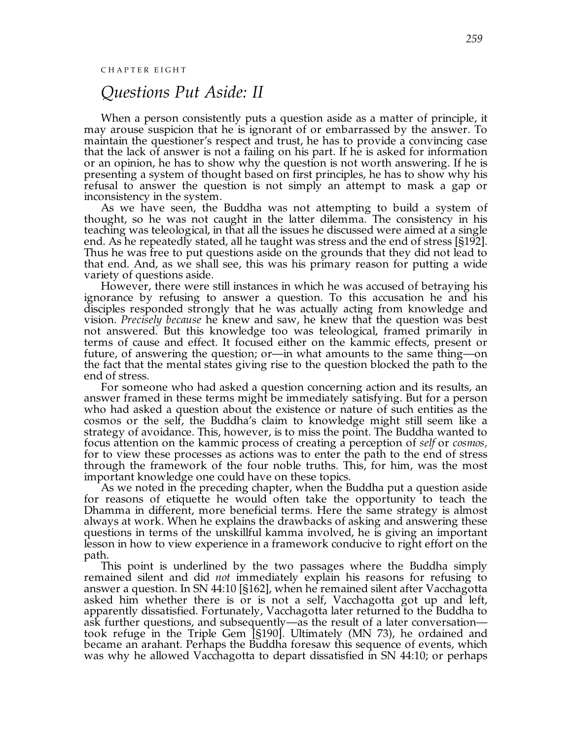# *Questions Put Aside: II*

When a person consistently puts a question aside as a matter of principle, it may arouse suspicion that he is ignorant of or embarrassed by the answer. To maintain the questioner's respect and trust, he has to provide a convincing case that the lack of answer is not a failing on his part. If he is asked for information or an opinion, he has to show why the question is not worth answering. If he is presenting a system of thought based on first principles, he has to show why his refusal to answer the question is not simply an attempt to mask a gap or inconsistency in the system.

As we have seen, the Buddha was not attempting to build a system of thought, so he was not caught in the latter dilemma. The consistency in his teaching was teleological, in that all the issues he discussed were aimed at a single end. As he repeatedly stated, all he taught was stress and the end of stress [§192]. Thus he was free to put questions aside on the grounds that they did not lead to that end. And, as we shall see, this was his primary reason for putting a wide variety of questions aside.

However, there were still instances in which he was accused of betraying his ignorance by refusing to answer a question. To this accusation he and his disciples responded strongly that he was actually acting from knowledge and vision. *Precisely because* he knew and saw, he knew that the question was best not answered. But this knowledge too was teleological, framed primarily in terms of cause and effect. It focused either on the kammic effects, present or future, of answering the question; or—in what amounts to the same thing—on the fact that the mental states giving rise to the question blocked the path to the end of stress.

For someone who had asked a question concerning action and its results, an answer framed in these terms might be immediately satisfying. But for a person who had asked a question about the existence or nature of such entities as the cosmos or the self, the Buddha's claim to knowledge might still seem like a strategy of avoidance. This, however, is to miss the point. The Buddha wanted to focus attention on the kammic process of creating a perception of *self* or *cosmos,* for to view these processes as actions was to enter the path to the end of stress through the framework of the four noble truths. This, for him, was the most important knowledge one could have on these topics.

As we noted in the preceding chapter, when the Buddha put a question aside for reasons of etiquette he would often take the opportunity to teach the Dhamma in different, more beneficial terms. Here the same strategy is almost always at work. When he explains the drawbacks of asking and answering these questions in terms of the unskillful kamma involved, he is giving an important lesson in how to view experience in a framework conducive to right effort on the path.

This point is underlined by the two passages where the Buddha simply remained silent and did *not* immediately explain his reasons for refusing to answer a question. In SN 44:10 [§162], when he remained silent after Vacchagotta asked him whether there is or is not a self, Vacchagotta got up and left, apparently dissatisfied. Fortunately, Vacchagotta later returned to the Buddha to ask further questions, and subsequently—as the result of a later conversation— took refuge in the Triple Gem [§190]. Ultimately (MN 73), he ordained and became an arahant. Perhaps the Buddha foresaw this sequence of events, which was why he allowed Vacchagotta to depart dissatisfied in SN 44:10; or perhaps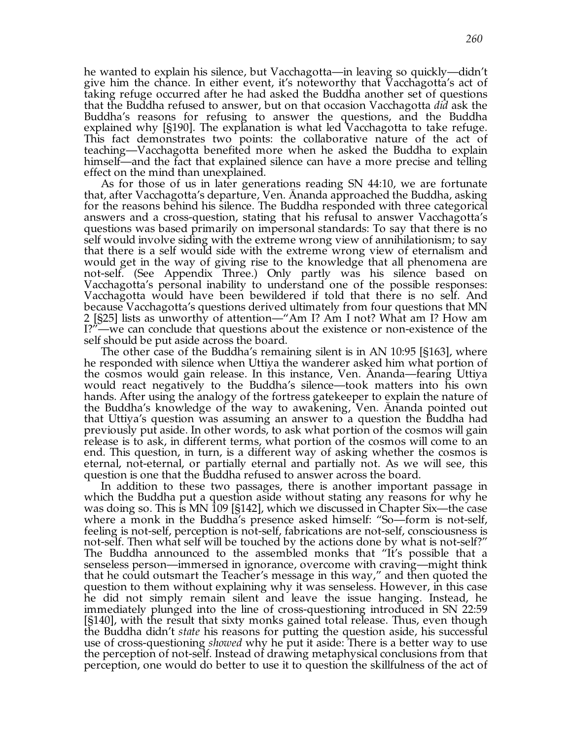he wanted to explain his silence, but Vacchagotta—in leaving so quickly—didn't give him the chance. In either event, it's noteworthy that Vacchagotta's act of taking refuge occurred after he had asked the Buddha another set of questions that the Buddha refused to answer, but on that occasion Vacchagotta *did* ask the Buddha's reasons for refusing to answer the questions, and the Buddha explained why [§190]. The explanation is what led Vacchagotta to take refuge. This fact demonstrates two points: the collaborative nature of the act of teaching—Vacchagotta benefited more when he asked the Buddha to explain himself—and the fact that explained silence can have a more precise and telling effect on the mind than unexplained.

As for those of us in later generations reading SN 44:10, we are fortunate that, after Vacchagotta's departure, Ven. Ananda approached the Buddha, asking for the reasons behind his silence. The Buddha responded with three categorical answers and a cross-question, stating that his refusal to answer Vacchagotta's questions was based primarily on impersonal standards: To say that there is no self would involve siding with the extreme wrong view of annihilationism; to say that there is a self would side with the extreme wrong view of eternalism and would get in the way of giving rise to the knowledge that all phenomena are not-self. (See Appendix Three.) Only partly was his silence based on Vacchagotta's personal inability to understand one of the possible responses: Vacchagotta would have been bewildered if told that there is no self. And because Vacchagotta's questions derived ultimately from four questions that MN 2 [§25] lists as unworthy of attention—"Am I? Am I not? What am I? How am I?"—we can conclude that questions about the existence or non-existence of the self should be put aside across the board.

The other case of the Buddha's remaining silent is in AN 10:95 [§163], where he responded with silence when Uttiya the wanderer asked him what portion of the cosmos would gain release. In this instance, Ven. Ananda—fearing Uttiya would react negatively to the Buddha's silence—took matters into his own hands. After using the analogy of the fortress gatekeeper to explain the nature of the Buddha's knowledge of the way to awakening, Ven. Ananda pointed out that Uttiya's question was assuming an answer to a question the Buddha had previously put aside. In other words, to ask what portion of the cosmos will gain release is to ask, in different terms, what portion of the cosmos will come to an end. This question, in turn, is a different way of asking whether the cosmos is eternal, not-eternal, or partially eternal and partially not. As we will see, this question is one that the Buddha refused to answer across the board.

In addition to these two passages, there is another important passage in which the Buddha put a question aside without stating any reasons for why he was doing so. This is MN 109 [§142], which we discussed in Chapter Six—the case where a monk in the Buddha's presence asked himself: "So—form is not-self, feeling is not-self, perception is not-self, fabrications are not-self, consciousness is not-self. Then what self will be touched by the actions done by what is not-self?" The Buddha announced to the assembled monks that "It's possible that a senseless person—immersed in ignorance, overcome with craving—might think that he could outsmart the Teacher's message in this way," and then quoted the question to them without explaining why it was senseless. However, in this case he did not simply remain silent and leave the issue hanging. Instead, he immediately plunged into the line of cross-questioning introduced in SN 22:59 [§140], with the result that sixty monks gained total release. Thus, even though the Buddha didn't *state* his reasons for putting the question aside, his successful use of cross-questioning *showed* why he put it aside: There is a better way to use the perception of not-self. Instead of drawing metaphysical conclusions from that perception, one would do better to use it to question the skillfulness of the act of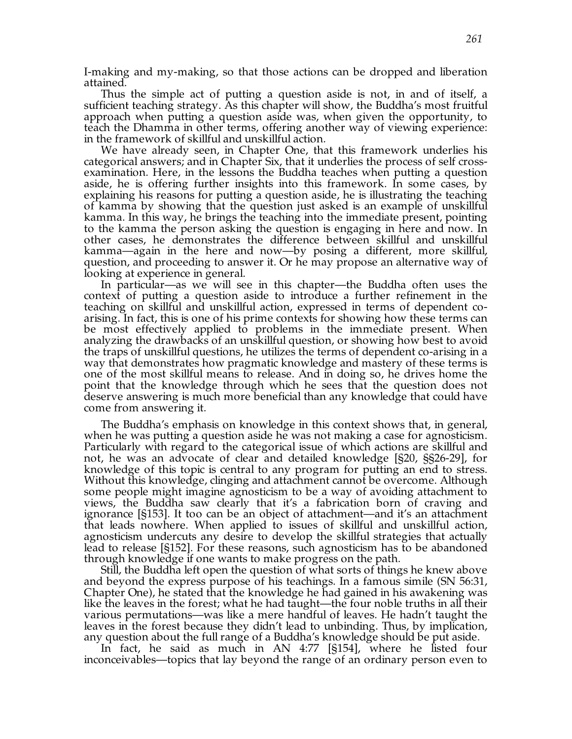I-making and my-making, so that those actions can be dropped and liberation attained.

Thus the simple act of putting a question aside is not, in and of itself, a sufficient teaching strategy. As this chapter will show, the Buddha's most fruitful approach when putting a question aside was, when given the opportunity, to teach the Dhamma in other terms, offering another way of viewing experience: in the framework of skillful and unskillful action.

We have already seen, in Chapter One, that this framework underlies his categorical answers; and in Chapter Six, that it underlies the process of self cross- examination. Here, in the lessons the Buddha teaches when putting a question aside, he is offering further insights into this framework. In some cases, by explaining his reasons for putting a question aside, he is illustrating the teaching of kamma by showing that the question just asked is an example of unskillful kamma. In this way, he brings the teaching into the immediate present, pointing to the kamma the person asking the question is engaging in here and now. In other cases, he demonstrates the difference between skillful and unskillful kamma—again in the here and now—by posing a different, more skillful, question, and proceeding to answer it. Or he may propose an alternative way of looking at experience in general.

In particular—as we will see in this chapter—the Buddha often uses the context of putting a question aside to introduce a further refinement in the teaching on skillful and unskillful action, expressed in terms of dependent co- arising. In fact, this is one of his prime contexts for showing how these terms can be most effectively applied to problems in the immediate present. When analyzing the drawbacks of an unskillful question, or showing how best to avoid the traps of unskillful questions, he utilizes the terms of dependent co-arising in a way that demonstrates how pragmatic knowledge and mastery of these terms is one of the most skillful means to release. And in doing so, he drives home the point that the knowledge through which he sees that the question does not deserve answering is much more beneficial than any knowledge that could have come from answering it.

The Buddha's emphasis on knowledge in this context shows that, in general, when he was putting a question aside he was not making a case for agnosticism. Particularly with regard to the categorical issue of which actions are skillful and not, he was an advocate of clear and detailed knowledge [§20, §§26-29], for knowledge of this topic is central to any program for putting an end to stress. Without this knowledge, clinging and attachment cannot be overcome. Although some people might imagine agnosticism to be a way of avoiding attachment to views, the Buddha saw clearly that it's a fabrication born of craving and ignorance [§153]. It too can be an object of attachment—and it's an attachment that leads nowhere. When applied to issues of skillful and unskillful action, agnosticism undercuts any desire to develop the skillful strategies that actually lead to release [§152]. For these reasons, such agnosticism has to be abandoned through knowledge if one wants to make progress on the path.

Still, the Buddha left open the question of what sorts of things he knew above and beyond the express purpose of his teachings. In a famous simile (SN 56:31, Chapter One), he stated that the knowledge he had gained in his awakening was like the leaves in the forest; what he had taught—the four noble truths in all their various permutations—was like a mere handful of leaves. He hadn't taught the leaves in the forest because they didn't lead to unbinding. Thus, by implication, any question about the full range of a Buddha's knowledge should be put aside.

In fact, he said as much in AN 4:77 [§154], where he listed four inconceivables—topics that lay beyond the range of an ordinary person even to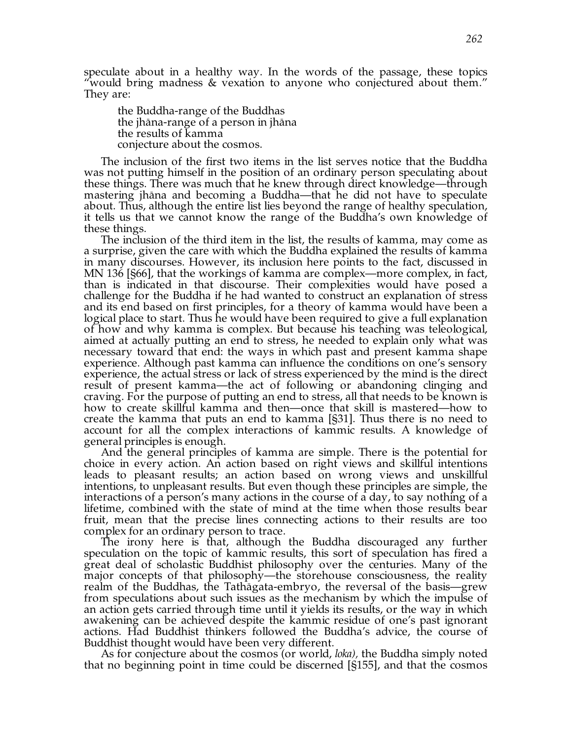speculate about in a healthy way. In the words of the passage, these topics "would bring madness & vexation to anyone who conjectured about them." They are:

the Buddha-range of the Buddhas the jhāna-range of a person in jhāna the results of kamma conjecture about the cosmos.

The inclusion of the first two items in the list serves notice that the Buddha was not putting himself in the position of an ordinary person speculating about these things. There was much that he knew through direct knowledge—through mastering jhāna and becoming a Buddha—that he did not have to speculate about. Thus, although the entire list lies beyond the range of healthy speculation, it tells us that we cannot know the range of the Buddha's own knowledge of these things.

The inclusion of the third item in the list, the results of kamma, may come as a surprise, given the care with which the Buddha explained the results of kamma in many discourses. However, its inclusion here points to the fact, discussed in MN 136 [§66], that the workings of kamma are complex—more complex, in fact, than is indicated in that discourse. Their complexities would have posed a challenge for the Buddha if he had wanted to construct an explanation of stress and its end based on first principles, for a theory of kamma would have been a logical place to start. Thus he would have been required to give a full explanation of how and why kamma is complex. But because his teaching was teleological, aimed at actually putting an end to stress, he needed to explain only what was necessary toward that end: the ways in which past and present kamma shape experience. Although past kamma can influence the conditions on one's sensory experience, the actual stress or lack of stress experienced by the mind is the direct result of present kamma—the act of following or abandoning clinging and craving. For the purpose of putting an end to stress, all that needs to be known is how to create skillful kamma and then—once that skill is mastered—how to create the kamma that puts an end to kamma [§31]. Thus there is no need to account for all the complex interactions of kammic results. A knowledge of general principles is enough.

And the general principles of kamma are simple. There is the potential for choice in every action. An action based on right views and skillful intentions leads to pleasant results; an action based on wrong views and unskillful intentions, to unpleasant results. But even though these principles are simple, the interactions of a person's many actions in the course of a day, to say nothing of a lifetime, combined with the state of mind at the time when those results bear fruit, mean that the precise lines connecting actions to their results are too complex for an ordinary person to trace.

The irony here is that, although the Buddha discouraged any further speculation on the topic of kammic results, this sort of speculation has fired a great deal of scholastic Buddhist philosophy over the centuries. Many of the major concepts of that philosophy—the storehouse consciousness, the reality realm of the Buddhas, the Tathagata-embryo, the reversal of the basis—grew from speculations about such issues as the mechanism by which the impulse of an action gets carried through time until it yields its results, or the way in which awakening can be achieved despite the kammic residue of one's past ignorant actions. Had Buddhist thinkers followed the Buddha's advice, the course of Buddhist thought would have been very different.

As for conjecture about the cosmos (or world, *loka),* the Buddha simply noted that no beginning point in time could be discerned [§155], and that the cosmos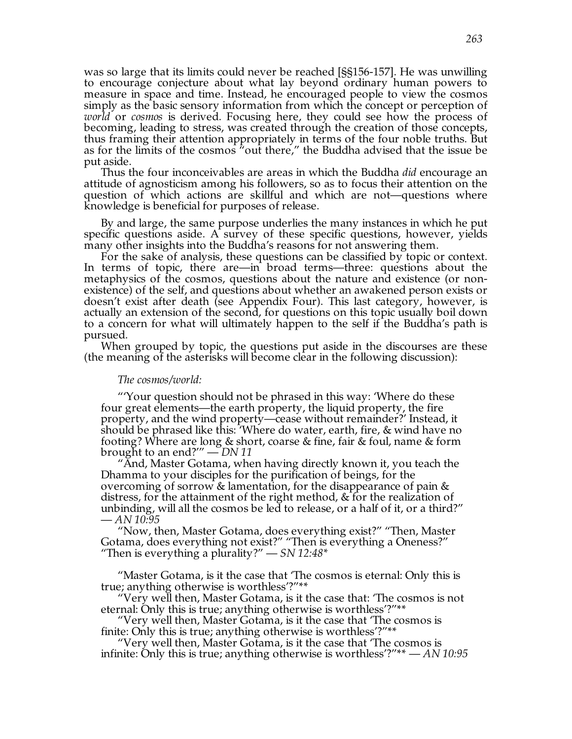was so large that its limits could never be reached [§§156-157]. He was unwilling to encourage conjecture about what lay beyond ordinary human powers to measure in space and time. Instead, he encouraged people to view the cosmos simply as the basic sensory information from which the concept or perception of *world* or *cosmos* is derived. Focusing here, they could see how the process of becoming, leading to stress, was created through the creation of those concepts, thus framing their attention appropriately in terms of the four noble truths. But as for the limits of the cosmos "out there," the Buddha advised that the issue be put aside.

Thus the four inconceivables are areas in which the Buddha *did* encourage an attitude of agnosticism among his followers, so as to focus their attention on the question of which actions are skillful and which are not—questions where knowledge is beneficial for purposes of release.

By and large, the same purpose underlies the many instances in which he put specific questions aside. A survey of these specific questions, however, yields many other insights into the Buddha's reasons for not answering them.

For the sake of analysis, these questions can be classified by topic or context. In terms of topic, there are—in broad terms—three: questions about the metaphysics of the cosmos, questions about the nature and existence (or non- existence) of the self, and questions about whether an awakened person exists or doesn't exist after death (see Appendix Four). This last category, however, is actually an extension of the second, for questions on this topic usually boil down to a concern for what will ultimately happen to the self if the Buddha's path is pursued.

When grouped by topic, the questions put aside in the discourses are these (the meaning of the asterisks will become clear in the following discussion):

#### *The cosmos/world:*

"'Your question should not be phrased in this way: 'Where do these four great elements—the earth property, the liquid property, the fire property, and the wind property—cease without remainder?' Instead, it should be phrased like this: 'Where do water, earth, fire, & wind have no footing? Where are long & short, coarse & fine, fair & foul, name & form brought to an end?'" — *DN 11*

"And, Master Gotama, when having directly known it, you teach the Dhamma to your disciples for the purification of beings, for the overcoming of sorrow & lamentation, for the disappearance of pain & distress, for the attainment of the right method, & for the realization of unbinding, will all the cosmos be led to release, or a half of it, or a third?" — *AN 10:95*

"Now, then, Master Gotama, does everything exist?" "Then, Master Gotama, does everything not exist?" "Then is everything a Oneness?" "Then is everything a plurality?" — *SN 12:48\**

"Master Gotama, is it the case that 'The cosmos is eternal: Only this is true; anything otherwise is worthless'?"\*\*

"Very well then, Master Gotama, is it the case that: 'The cosmos is not eternal: Only this is true; anything otherwise is worthless'?"\*\*

"Very well then, Master Gotama, is it the case that 'The cosmos is finite: Only this is true; anything otherwise is worthless'?"\*\*

"Very well then, Master Gotama, is it the case that 'The cosmos is infinite: Only this is true; anything otherwise is worthless'?"\*\* — *AN 10:95*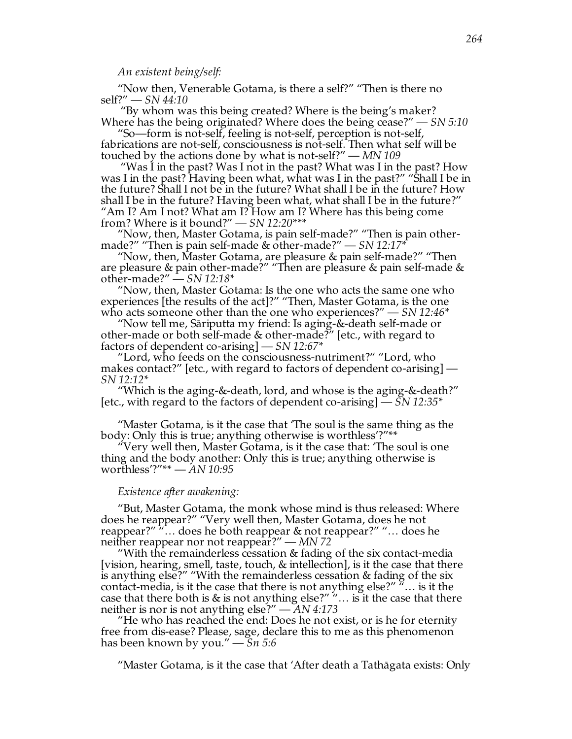*An existent being/self:*

"Now then, Venerable Gotama, is there a self?" "Then is there no self?" — *SN 44:10*

 "By whom was this being created? Where is the being's maker? Where has the being originated? Where does the being cease?" — *SN 5:10*

"So—form is not-self, feeling is not-self, perception is not-self, fabrications are not-self, consciousness is not-self. Then what self will be touched by the actions done by what is not-self?" — *MN 109*

 "Was I in the past? Was I not in the past? What was I in the past? How was I in the past? Having been what, what was I in the past?" "Shall I be in the future? Shall I not be in the future? What shall I be in the future? How shall I be in the future? Having been what, what shall I be in the future?" "Am I? Am I not? What am I? How am I? Where has this being come from? Where is it bound?" — *SN 12:20\*\*\**

"Now, then, Master Gotama, is pain self-made?" "Then is pain other- made?" "Then is pain self-made & other-made?" — *SN 12:17\**

"Now, then, Master Gotama, are pleasure & pain self-made?" "Then are pleasure & pain other-made?" "Then are pleasure & pain self-made  $\&$ other-made?" — *SN 12:18\** 

"Now, then, Master Gotama: Is the one who acts the same one who experiences [the results of the act]?" "Then, Master Gotama, is the one who acts someone other than the one who experiences?" — *SN 12:46\**

"Now tell me, Sariputta my friend: Is aging-&-death self-made or other-made or both self-made & other-made?" [etc., with regard to factors of dependent co-arising] — *SN 12:67\**

"Lord, who feeds on the consciousness-nutriment?" "Lord, who makes contact?" [etc., with regard to factors of dependent co-arising] — *SN 12:12\**

"Which is the aging-&-death, lord, and whose is the aging-&-death?" [etc., with regard to the factors of dependent co-arising] — *SN 12:35\**

"Master Gotama, is it the case that 'The soul is the same thing as the body: Only this is true; anything otherwise is worthless'?"\*\*

"Very well then, Master Gotama, is it the case that: 'The soul is one thing and the body another: Only this is true; anything otherwise is worthless'?"\*\* — *AN 10:95*

### *Existence after awakening:*

"But, Master Gotama, the monk whose mind is thus released: Where does he reappear?" "Very well then, Master Gotama, does he not reappear?" "… does he both reappear & not reappear?" "… does he neither reappear nor not reappear?" — *MN 72*

"With the remainderless cessation & fading of the six contact-media [vision, hearing, smell, taste, touch, & intellection], is it the case that there is anything else?" "With the remainderless cessation & fading of the six contact-media, is it the case that there is not anything else?"  $\overline{N}$ ... is it the case that there both is  $\&$  is not anything else?" "... is it the case that there neither is nor is not anything else?" — *AN 4:173*

"He who has reached the end: Does he not exist, or is he for eternity free from dis-ease? Please, sage, declare this to me as this phenomenon has been known by you." — *Sn 5:6*

"Master Gotama, is it the case that 'After death a Tath $a$ gata exists: Only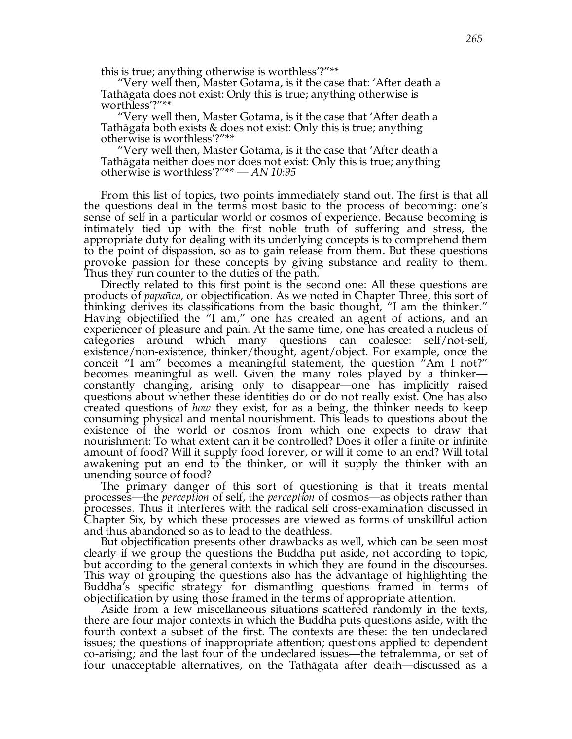this is true; anything otherwise is worthless'?"\*\*

"Very well then, Master Gotama, is it the case that: 'After death a Tathāgata does not exist: Only this is true; anything otherwise is worthless'?"\*\*

"Very well then, Master Gotama, is it the case that 'After death a Tathāgata both exists  $\&$  does not exist: Only this is true; anything otherwise is worthless'?"\*\*

"Very well then, Master Gotama, is it the case that 'After death a Tathāgata neither does nor does not exist: Only this is true; anything otherwise is worthless'?"\*\* — *AN 10:95*

From this list of topics, two points immediately stand out. The first is that all the questions deal in the terms most basic to the process of becoming: one's sense of self in a particular world or cosmos of experience. Because becoming is intimately tied up with the first noble truth of suffering and stress, the appropriate duty for dealing with its underlying concepts is to comprehend them to the point of dispassion, so as to gain release from them. But these questions provoke passion for these concepts by giving substance and reality to them. Thus they run counter to the duties of the path.

Directly related to this first point is the second one: All these questions are products of *papañca,* or objectification. As we noted in Chapter Three, this sort of thinking derives its classifications from the basic thought, "I am the thinker." Having objectified the "I am," one has created an agent of actions, and an experiencer of pleasure and pain. At the same time, one has created a nucleus of categories around which many questions can coalesce: self/not-self, existence/non-existence, thinker/thought, agent/object. For example, once the conceit "I am" becomes a meaningful statement, the question "Am I not?" becomes meaningful as well. Given the many roles played by a thinker— constantly changing, arising only to disappear—one has implicitly raised questions about whether these identities do or do not really exist. One has also created questions of *how* they exist, for as a being, the thinker needs to keep consuming physical and mental nourishment. This leads to questions about the existence of the world or cosmos from which one expects to draw that nourishment: To what extent can it be controlled? Does it offer a finite or infinite amount of food? Will it supply food forever, or will it come to an end? Will total awakening put an end to the thinker, or will it supply the thinker with an unending source of food?

The primary danger of this sort of questioning is that it treats mental processes—the *perception* of self, the *perception* of cosmos—as objects rather than processes. Thus it interferes with the radical self cross-examination discussed in Chapter Six, by which these processes are viewed as forms of unskillful action and thus abandoned so as to lead to the deathless.

But objectification presents other drawbacks as well, which can be seen most clearly if we group the questions the Buddha put aside, not according to topic, but according to the general contexts in which they are found in the discourses. This way of grouping the questions also has the advantage of highlighting the Buddha's specific strategy for dismantling questions framed in terms of objectification by using those framed in the terms of appropriate attention.

Aside from a few miscellaneous situations scattered randomly in the texts, there are four major contexts in which the Buddha puts questions aside, with the fourth context a subset of the first. The contexts are these: the ten undeclared issues; the questions of inappropriate attention; questions applied to dependent co-arising; and the last four of the undeclared issues—the tetralemma, or set of four unacceptable alternatives, on the Tathagata after death—discussed as a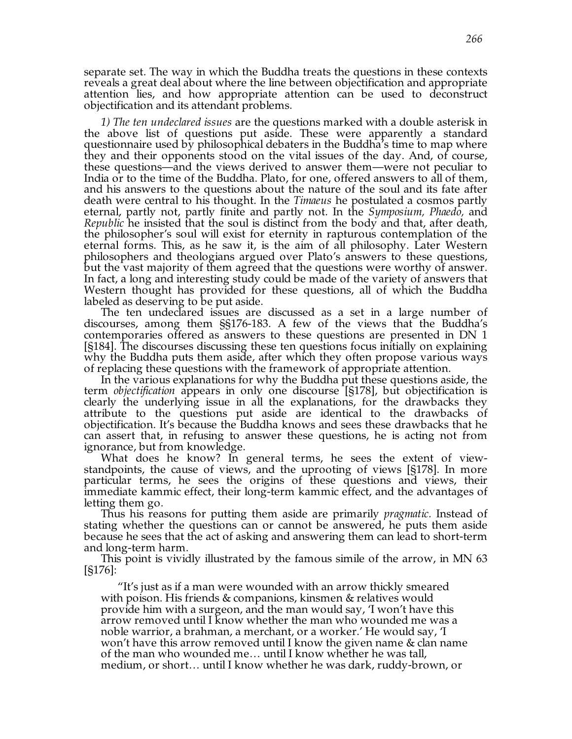separate set. The way in which the Buddha treats the questions in these contexts reveals a great deal about where the line between objectification and appropriate attention lies, and how appropriate attention can be used to deconstruct objectification and its attendant problems.

*1) The ten undeclared issues* are the questions marked with a double asterisk in the above list of questions put aside. These were apparently a standard questionnaire used by philosophical debaters in the Buddha's time to map where they and their opponents stood on the vital issues of the day. And, of course, these questions—and the views derived to answer them—were not peculiar to India or to the time of the Buddha. Plato, for one, offered answers to all of them, and his answers to the questions about the nature of the soul and its fate after death were central to his thought. In the *Timaeus* he postulated a cosmos partly eternal, partly not, partly finite and partly not. In the *Symposium, Phaedo,* and *Republic* he insisted that the soul is distinct from the body and that, after death, the philosopher's soul will exist for eternity in rapturous contemplation of the eternal forms. This, as he saw it, is the aim of all philosophy. Later Western philosophers and theologians argued over Plato's answers to these questions, but the vast majority of them agreed that the questions were worthy of answer. In fact, a long and interesting study could be made of the variety of answers that Western thought has provided for these questions, all of which the Buddha labeled as deserving to be put aside.

The ten undeclared issues are discussed as a set in a large number of discourses, among them §§176-183. A few of the views that the Buddha's contemporaries offered as answers to these questions are presented in DN 1 [§184]. The discourses discussing these ten questions focus initially on explaining why the Buddha puts them aside, after which they often propose various ways of replacing these questions with the framework of appropriate attention.

In the various explanations for why the Buddha put these questions aside, the term *objectification* appears in only one discourse [§178], but objectification is clearly the underlying issue in all the explanations, for the drawbacks they attribute to the questions put aside are identical to the drawbacks of objectification. It's because the Buddha knows and sees these drawbacks that he can assert that, in refusing to answer these questions, he is acting not from ignorance, but from knowledge.

What does he know? In general terms, he sees the extent of viewstandpoints, the cause of views, and the uprooting of views [§178]. In more particular terms, he sees the origins of these questions and views, their immediate kammic effect, their long-term kammic effect, and the advantages of letting them go.

Thus his reasons for putting them aside are primarily *pragmatic.* Instead of stating whether the questions can or cannot be answered, he puts them aside because he sees that the act of asking and answering them can lead to short-term and long-term harm.

This point is vividly illustrated by the famous simile of the arrow, in MN 63 [§176]:

"It's just as if a man were wounded with an arrow thickly smeared with poison. His friends & companions, kinsmen & relatives would provide him with a surgeon, and the man would say, 'I won't have this arrow removed until I know whether the man who wounded me was a noble warrior, a brahman, a merchant, or a worker.' He would say, 'I won't have this arrow removed until I know the given name & clan name of the man who wounded me… until I know whether he was tall, medium, or short… until I know whether he was dark, ruddy-brown, or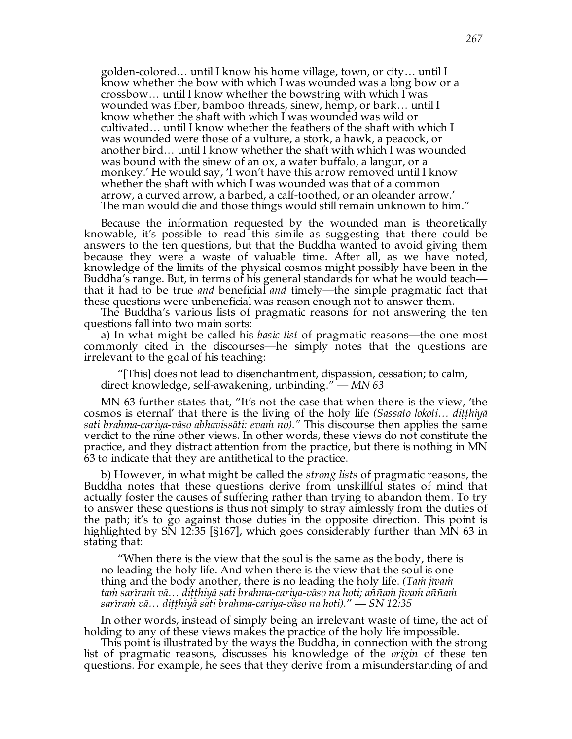golden-colored… until I know his home village, town, or city… until I know whether the bow with which I was wounded was a long bow or a crossbow… until I know whether the bowstring with which I was wounded was fiber, bamboo threads, sinew, hemp, or bark… until I know whether the shaft with which I was wounded was wild or cultivated… until I know whether the feathers of the shaft with which I was wounded were those of a vulture, a stork, a hawk, a peacock, or another bird… until I know whether the shaft with which I was wounded was bound with the sinew of an ox, a water buffalo, a langur, or a monkey.' He would say, 'I won't have this arrow removed until I know whether the shaft with which I was wounded was that of a common arrow, a curved arrow, a barbed, a calf-toothed, or an oleander arrow.' The man would die and those things would still remain unknown to him."

Because the information requested by the wounded man is theoretically knowable, it's possible to read this simile as suggesting that there could be answers to the ten questions, but that the Buddha wanted to avoid giving them because they were a waste of valuable time. After all, as we have noted, knowledge of the limits of the physical cosmos might possibly have been in the Buddha's range. But, in terms of his general standards for what he would teach— that it had to be true *and* beneficial *and* timely—the simple pragmatic fact that these questions were unbeneficial was reason enough not to answer them. The Buddha's various lists of pragmatic reasons for not answering the ten

questions fall into two main sorts:

a) In what might be called his *basic list* of pragmatic reasons—the one most commonly cited in the discourses—he simply notes that the questions are irrelevant to the goal of his teaching:

"[This] does not lead to disenchantment, dispassion, cessation; to calm, direct knowledge, self-awakening, unbinding." — *MN 63*

MN 63 further states that, "It's not the case that when there is the view, 'the cosmos is eternal' that there is the living of the holy life *(Sassato lokoti... di*tthiya sati brahma-cariya-vāso abhavissāti: evam no)." This discourse then applies the same verdict to the nine other views. In other words, these views do not constitute the practice, and they distract attention from the practice, but there is nothing in MN 63 to indicate that they are antithetical to the practice.

b) However, in what might be called the *strong lists* of pragmatic reasons, the Buddha notes that these questions derive from unskillful states of mind that actually foster the causes of suffering rather than trying to abandon them. To try to answer these questions is thus not simply to stray aimlessly from the duties of the path; it's to go against those duties in the opposite direction. This point is highlighted by SN 12:35 [§167], which goes considerably further than MN 63 in stating that:

"When there is the view that the soul is the same as the body, there is no leading the holy life. And when there is the view that the soul is one thing and the body another, there is no leading the holy life. *(Tam jivam taª sarıraª v›… di˛˛hiy› sati brahma-cariya-v›so na hoti; aññaª jıvaª aññaª sarıraª v›… di˛˛hiy› sati brahma-cariya-v›so na hoti).*" — *SN 12:35*

In other words, instead of simply being an irrelevant waste of time, the act of holding to any of these views makes the practice of the holy life impossible.

This point is illustrated by the ways the Buddha, in connection with the strong list of pragmatic reasons, discusses his knowledge of the *origin* of these ten questions. For example, he sees that they derive from a misunderstanding of and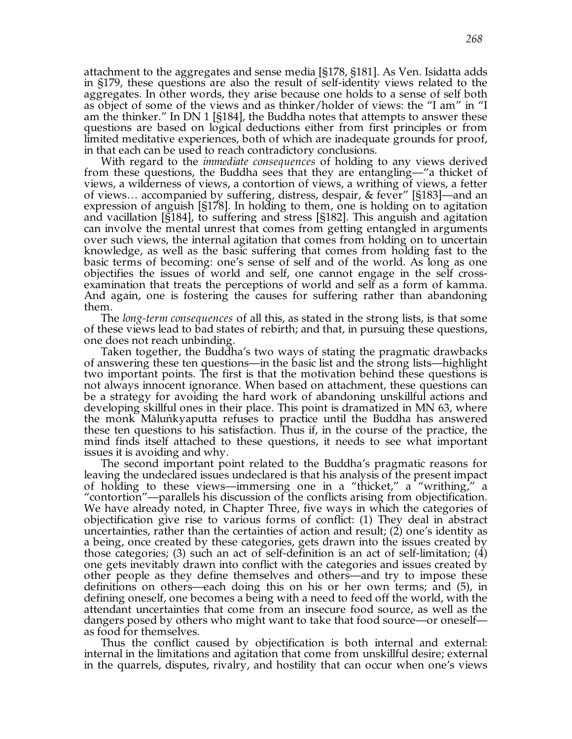attachment to the aggregates and sense media [§178, §181]. As Ven. Isidatta adds in §179, these questions are also the result of self-identity views related to the aggregates. In other words, they arise because one holds to a sense of self both as object of some of the views and as thinker/holder of views: the "I am" in "I am the thinker." In DN 1 [§184], the Buddha notes that attempts to answer these questions are based on logical deductions either from first principles or from limited meditative experiences, both of which are inadequate grounds for proof, in that each can be used to reach contradictory conclusions.

With regard to the *immediate consequences* of holding to any views derived from these questions, the Buddha sees that they are entangling—"a thicket of views, a wilderness of views, a contortion of views, a writhing of views, a fetter of views… accompanied by suffering, distress, despair, & fever" [§183]—and an expression of anguish [§178]. In holding to them, one is holding on to agitation and vacillation [§184], to suffering and stress [§182]. This anguish and agitation can involve the mental unrest that comes from getting entangled in arguments over such views, the internal agitation that comes from holding on to uncertain knowledge, as well as the basic suffering that comes from holding fast to the basic terms of becoming: one's sense of self and of the world. As long as one objectifies the issues of world and self, one cannot engage in the self cross- examination that treats the perceptions of world and self as a form of kamma. And again, one is fostering the causes for suffering rather than abandoning them.

The *long-term consequences* of all this, as stated in the strong lists, is that some of these views lead to bad states of rebirth; and that, in pursuing these questions, one does not reach unbinding. Taken together, the Buddha's two ways of stating the pragmatic drawbacks

of answering these ten questions—in the basic list and the strong lists—highlight two important points. The first is that the motivation behind these questions is not always innocent ignorance. When based on attachment, these questions can be a strategy for avoiding the hard work of abandoning unskillful actions and developing skillful ones in their place. This point is dramatized in MN 63, where the monk Malunkyaputta refuses to practice until the Buddha has answered these ten questions to his satisfaction. Thus if, in the course of the practice, the mind finds itself attached to these questions, it needs to see what important issues it is avoiding and why.

The second important point related to the Buddha's pragmatic reasons for leaving the undeclared issues undeclared is that his analysis of the present impact of holding to these views—immersing one in a "thicket," a "writhing," a "contortion"—parallels his discussion of the conflicts arising from objectification. We have already noted, in Chapter Three, five ways in which the categories of objectification give rise to various forms of conflict: (1) They deal in abstract uncertainties, rather than the certainties of action and result; (2) one's identity as a being, once created by these categories, gets drawn into the issues created by those categories; (3) such an act of self-definition is an act of self-limitation; (4) one gets inevitably drawn into conflict with the categories and issues created by other people as they define themselves and others—and try to impose these definitions on others—each doing this on his or her own terms; and (5), in defining oneself, one becomes a being with a need to feed off the world, with the attendant uncertainties that come from an insecure food source, as well as the dangers posed by others who might want to take that food source—or oneself— as food for themselves.

Thus the conflict caused by objectification is both internal and external: internal in the limitations and agitation that come from unskillful desire; external in the quarrels, disputes, rivalry, and hostility that can occur when one's views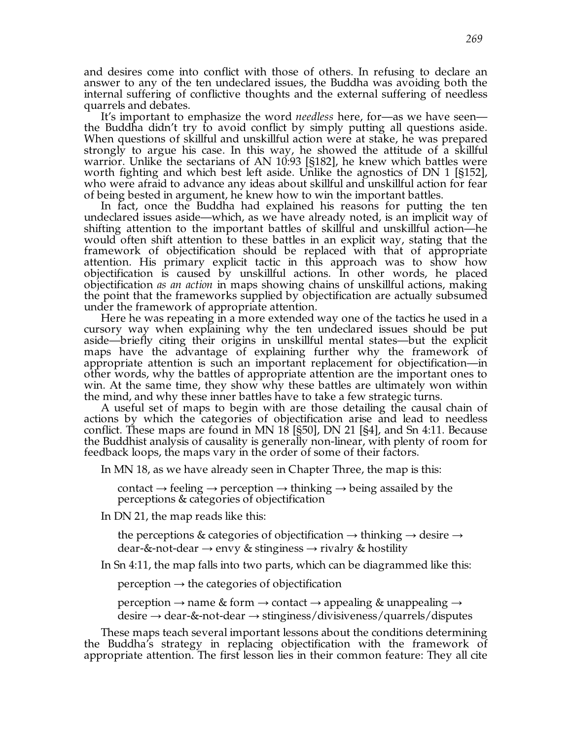and desires come into conflict with those of others. In refusing to declare an answer to any of the ten undeclared issues, the Buddha was avoiding both the internal suffering of conflictive thoughts and the external suffering of needless quarrels and debates.

It's important to emphasize the word *needless* here, for—as we have seen— the Buddha didn't try to avoid conflict by simply putting all questions aside. When questions of skillful and unskillful action were at stake, he was prepared strongly to argue his case. In this way, he showed the attitude of a skillful warrior. Unlike the sectarians of AN 10:93 [§182], he knew which battles were worth fighting and which best left aside. Unlike the agnostics of DN 1 [§152], who were afraid to advance any ideas about skillful and unskillful action for fear of being bested in argument, he knew how to win the important battles.

In fact, once the Buddha had explained his reasons for putting the ten undeclared issues aside—which, as we have already noted, is an implicit way of shifting attention to the important battles of skillful and unskillful action—he would often shift attention to these battles in an explicit way, stating that the framework of objectification should be replaced with that of appropriate attention. His primary explicit tactic in this approach was to show how objectification is caused by unskillful actions. In other words, he placed objectification *as an action* in maps showing chains of unskillful actions, making the point that the frameworks supplied by objectification are actually subsumed under the framework of appropriate attention.

Here he was repeating in a more extended way one of the tactics he used in a cursory way when explaining why the ten undeclared issues should be put aside—briefly citing their origins in unskillful mental states—but the explicit maps have the advantage of explaining further why the framework of appropriate attention is such an important replacement for objectification—in other words, why the battles of appropriate attention are the important ones to win. At the same time, they show why these battles are ultimately won within the mind, and why these inner battles have to take a few strategic turns.

A useful set of maps to begin with are those detailing the causal chain of actions by which the categories of objectification arise and lead to needless conflict. These maps are found in MN 18 [§50], DN 21 [§4], and Sn 4:11. Because the Buddhist analysis of causality is generally non-linear, with plenty of room for feedback loops, the maps vary in the order of some of their factors.

In MN 18, as we have already seen in Chapter Three, the map is this:

contact  $\rightarrow$  feeling  $\rightarrow$  perception  $\rightarrow$  thinking  $\rightarrow$  being assailed by the perceptions & categories of objectification

In DN 21, the map reads like this:

the perceptions & categories of objectification  $\rightarrow$  thinking  $\rightarrow$  desire  $\rightarrow$ dear-&-not-dear  $\rightarrow$  envy & stinginess  $\rightarrow$  rivalry & hostility

In Sn 4:11, the map falls into two parts, which can be diagrammed like this:

 $perception \rightarrow the categories of objectification$ 

perception  $\rightarrow$  name & form  $\rightarrow$  contact  $\rightarrow$  appealing & unappealing  $\rightarrow$ desire → dear-&-not-dear → stinginess/divisiveness/quarrels/disputes

These maps teach several important lessons about the conditions determining the Buddha's strategy in replacing objectification with the framework of appropriate attention. The first lesson lies in their common feature: They all cite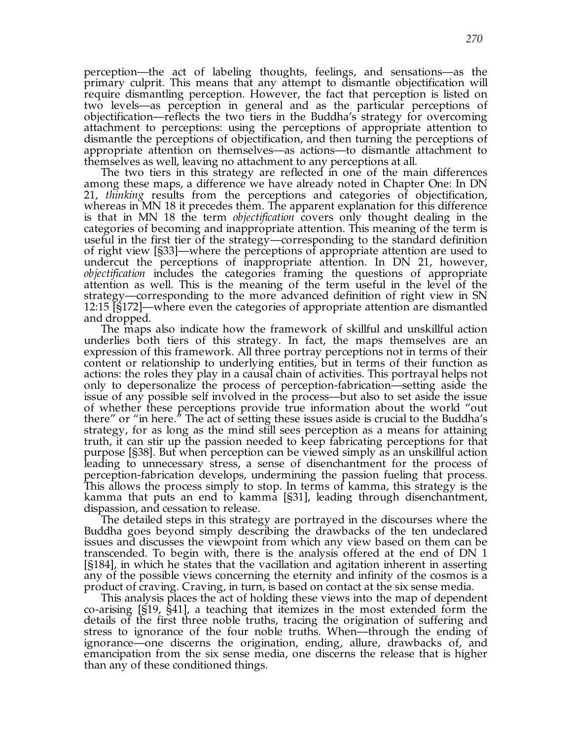perception—the act of labeling thoughts, feelings, and sensations—as the primary culprit. This means that any attempt to dismantle objectification will require dismantling perception. However, the fact that perception is listed on two levels—as perception in general and as the particular perceptions of objectification—reflects the two tiers in the Buddha's strategy for overcoming attachment to perceptions: using the perceptions of appropriate attention to dismantle the perceptions of objectification, and then turning the perceptions of appropriate attention on themselves—as actions—to dismantle attachment to themselves as well, leaving no attachment to any perceptions at all.

The two tiers in this strategy are reflected in one of the main differences among these maps, a difference we have already noted in Chapter One: In DN 21, *thinking* results from the perceptions and categories of objectification, whereas in MN 18 it precedes them. The apparent explanation for this difference is that in MN 18 the term *objectification* covers only thought dealing in the categories of becoming and inappropriate attention. This meaning of the term is useful in the first tier of the strategy—corresponding to the standard definition of right view [§33]—where the perceptions of appropriate attention are used to undercut the perceptions of inappropriate attention. In DN 21, however, *objectification* includes the categories framing the questions of appropriate attention as well. This is the meaning of the term useful in the level of the strategy—corresponding to the more advanced definition of right view in SN 12:15 [§172]—where even the categories of appropriate attention are dismantled and dropped.

The maps also indicate how the framework of skillful and unskillful action underlies both tiers of this strategy. In fact, the maps themselves are an expression of this framework. All three portray perceptions not in terms of their content or relationship to underlying entities, but in terms of their function as actions: the roles they play in a causal chain of activities. This portrayal helps not only to depersonalize the process of perception-fabrication—setting aside the issue of any possible self involved in the process—but also to set aside the issue of whether these perceptions provide true information about the world "out there" or "in here." The act of setting these issues aside is crucial to the Buddha's strategy, for as long as the mind still sees perception as a means for attaining truth, it can stir up the passion needed to keep fabricating perceptions for that purpose [§38]. But when perception can be viewed simply as an unskillful action leading to unnecessary stress, a sense of disenchantment for the process of perception-fabrication develops, undermining the passion fueling that process. This allows the process simply to stop. In terms of kamma, this strategy is the kamma that puts an end to kamma [§31], leading through disenchantment, dispassion, and cessation to release.

The detailed steps in this strategy are portrayed in the discourses where the Buddha goes beyond simply describing the drawbacks of the ten undeclared issues and discusses the viewpoint from which any view based on them can be transcended. To begin with, there is the analysis offered at the end of DN 1 [§184], in which he states that the vacillation and agitation inherent in asserting any of the possible views concerning the eternity and infinity of the cosmos is a product of craving. Craving, in turn, is based on contact at the six sense media.

This analysis places the act of holding these views into the map of dependent co-arising [§19, §41], a teaching that itemizes in the most extended form the details of the first three noble truths, tracing the origination of suffering and stress to ignorance of the four noble truths. When—through the ending of ignorance—one discerns the origination, ending, allure, drawbacks of, and emancipation from the six sense media, one discerns the release that is higher than any of these conditioned things.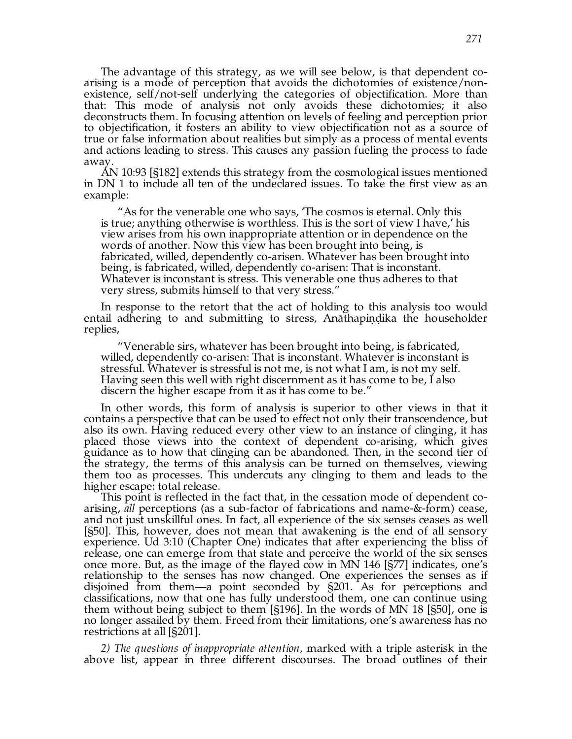The advantage of this strategy, as we will see below, is that dependent coarising is a mode of perception that avoids the dichotomies of existence/non-existence, self/not-self underlying the categories of objectification. that: This mode of analysis not only avoids these dichotomies; it also deconstructs them. In focusing attention on levels of feeling and perception prior to objectification, it fosters an ability to view objectification not as a source of true or false information about realities but simply as a process of mental events and actions leading to stress. This causes any passion fueling the process to fade away.

AN 10:93 [§182] extends this strategy from the cosmological issues mentioned in DN 1 to include all ten of the undeclared issues. To take the first view as an example:

"As for the venerable one who says, 'The cosmos is eternal. Only this is true; anything otherwise is worthless. This is the sort of view I have,' his view arises from his own inappropriate attention or in dependence on the words of another. Now this view has been brought into being, is fabricated, willed, dependently co-arisen. Whatever has been brought into being, is fabricated, willed, dependently co-arisen: That is inconstant. Whatever is inconstant is stress. This venerable one thus adheres to that very stress, submits himself to that very stress."

In response to the retort that the act of holding to this analysis too would entail adhering to and submitting to stress, Anāthapindika the householder replies,

"Venerable sirs, whatever has been brought into being, is fabricated, willed, dependently co-arisen: That is inconstant. Whatever is inconstant is stressful. Whatever is stressful is not me, is not what I am, is not my self. Having seen this well with right discernment as it has come to be, I also discern the higher escape from it as it has come to be."

In other words, this form of analysis is superior to other views in that it contains a perspective that can be used to effect not only their transcendence, but also its own. Having reduced every other view to an instance of clinging, it has placed those views into the context of dependent co-arising, which gives guidance as to how that clinging can be abandoned. Then, in the second tier of the strategy, the terms of this analysis can be turned on themselves, viewing them too as processes. This undercuts any clinging to them and leads to the higher escape: total release.

This point is reflected in the fact that, in the cessation mode of dependent coarising, *all* perceptions (as a sub-factor of fabrications and name-&-form) cease, and not just unskillful ones. In fact, all experience of the six senses ceases as well [§50]. This, however, does not mean that awakening is the end of all sensory experience. Ud 3:10 (Chapter One) indicates that after experiencing the bliss of release, one can emerge from that state and perceive the world of the six senses once more. But, as the image of the flayed cow in MN 146 [§77] indicates, one's relationship to the senses has now changed. One experiences the senses as if disjoined from them—a point seconded by §201. As for perceptions and classifications, now that one has fully understood them, one can continue using them without being subject to them [§196]. In the words of MN 18 [§50], one is no longer assailed by them. Freed from their limitations, one's awareness has no restrictions at all [§201].

*2) The questions of inappropriate attention,* marked with a triple asterisk in the above list, appear in three different discourses. The broad outlines of their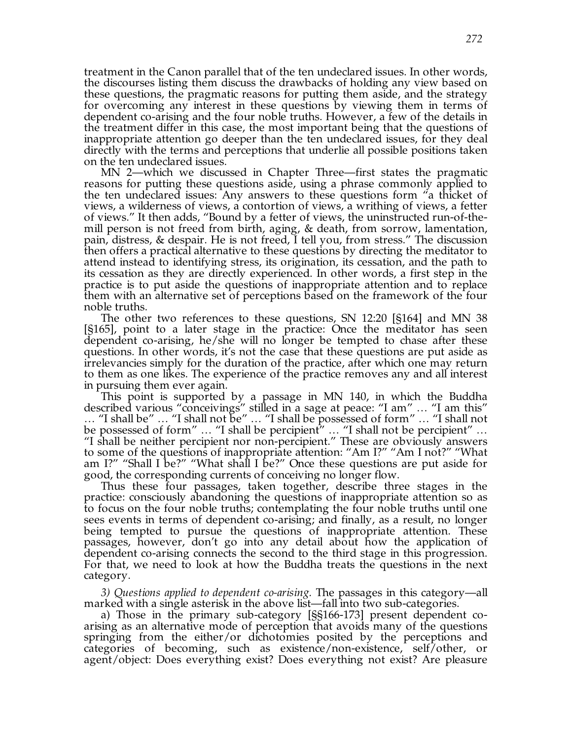treatment in the Canon parallel that of the ten undeclared issues. In other words, the discourses listing them discuss the drawbacks of holding any view based on these questions, the pragmatic reasons for putting them aside, and the strategy for overcoming any interest in these questions by viewing them in terms of dependent co-arising and the four noble truths. However, a few of the details in the treatment differ in this case, the most important being that the questions of inappropriate attention go deeper than the ten undeclared issues, for they deal directly with the terms and perceptions that underlie all possible positions taken on the ten undeclared issues.

MN 2—which we discussed in Chapter Three—first states the pragmatic reasons for putting these questions aside, using a phrase commonly applied to the ten undeclared issues: Any answers to these questions form "a thicket of views, a wilderness of views, a contortion of views, a writhing of views, a fetter mill person is not freed from birth, aging, & death, from sorrow, lamentation, pain, distress, & despair. He is not freed, I tell you, from stress." The discussion then offers a practical alternative to these questions by directing the meditator to attend instead to identifying stress, its origination, its cessation, and the path to its cessation as they are directly experienced. In other words, a first step in the practice is to put aside the questions of inappropriate attention and to replace them with an alternative set of perceptions based on the framework of the four noble truths.

The other two references to these questions, SN 12:20 [§164] and MN 38 [§165], point to a later stage in the practice: Once the meditator has seen dependent co-arising, he/she will no longer be tempted to chase after these questions. In other words, it's not the case that these questions are put aside as irrelevancies simply for the duration of the practice, after which one may return to them as one likes. The experience of the practice removes any and all interest in pursuing them ever again.

This point is supported by a passage in MN 140, in which the Buddha described various "conceivings" stilled in a sage at peace: "I am" … "I am this" … "I shall be" … "I shall not be" … "I shall be possessed of form" … "I shall not be possessed of form" … "I shall be percipient" … "I shall not be percipient" … "I shall be neither percipient nor non-percipient." These are obviously answers to some of the questions of inappropriate attention: "Am I?" "Am I not?" "What am I?" "Shall I be?" "What shall I be?" Once these questions are put aside for good, the corresponding currents of conceiving no longer flow.

Thus these four passages, taken together, describe three stages in the practice: consciously abandoning the questions of inappropriate attention so as to focus on the four noble truths; contemplating the four noble truths until one sees events in terms of dependent co-arising; and finally, as a result, no longer being tempted to pursue the questions of inappropriate attention. These passages, however, don't go into any detail about how the application of dependent co-arising connects the second to the third stage in this progression. For that, we need to look at how the Buddha treats the questions in the next category.

*3) Questions applied to dependent co-arising.* The passages in this category—all marked with a single asterisk in the above list—fall into two sub-categories.

a) Those in the primary sub-category [§§166-173] present dependent coarising as an alternative mode of perception that avoids many of the questions springing from the either/or dichotomies posited by the perceptions and categories of becoming, such as existence/non-existence, self/other, or agent/object: Does everything exist? Does everything not exist? Are pleasure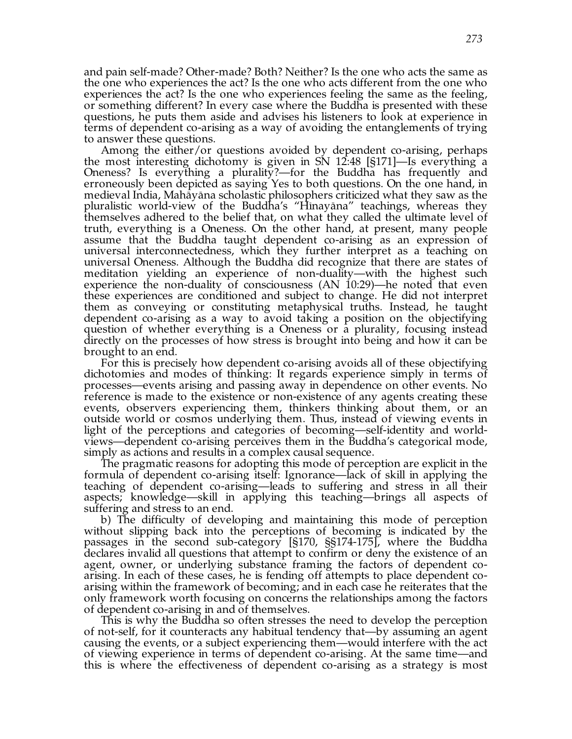and pain self-made? Other-made? Both? Neither? Is the one who acts the same as the one who experiences the act? Is the one who acts different from the one who experiences the act? Is the one who experiences feeling the same as the feeling, or something different? In every case where the Buddha is presented with these questions, he puts them aside and advises his listeners to look at experience in terms of dependent co-arising as a way of avoiding the entanglements of trying to answer these questions.

Among the either/or questions avoided by dependent co-arising, perhaps the most interesting dichotomy is given in SN 12:48 [§171]—Is everything a Oneness? Is everything a plurality?—for the Buddha has frequently and erroneously been depicted as saying Yes to both questions. On the one hand, in medieval India, Mahāyāna scholastic philosophers criticized what they saw as the pluralistic world-view of the Buddha's "Hinayāna" teachings, whereas they themselves adhered to the belief that, on what they called the ultimate level of truth, everything is a Oneness. On the other hand, at present, many people assume that the Buddha taught dependent co-arising as an expression of universal interconnectedness, which they further interpret as a teaching on universal Oneness. Although the Buddha did recognize that there are states of meditation yielding an experience of non-duality—with the highest such experience the non-duality of consciousness (AN 10:29)—he noted that even these experiences are conditioned and subject to change. He did not interpret them as conveying or constituting metaphysical truths. Instead, he taught dependent co-arising as a way to avoid taking a position on the objectifying question of whether everything is a Oneness or a plurality, focusing instead directly on the processes of how stress is brought into being and how it can be brought to an end.

For this is precisely how dependent co-arising avoids all of these objectifying dichotomies and modes of thinking: It regards experience simply in terms of processes—events arising and passing away in dependence on other events. No reference is made to the existence or non-existence of any agents creating these events, observers experiencing them, thinkers thinking about them, or an outside world or cosmos underlying them. Thus, instead of viewing events in light of the perceptions and categories of becoming—self-identity and worldviews—dependent co-arising perceives them in the Buddha's categorical mode, simply as actions and results in a complex causal sequence.

The pragmatic reasons for adopting this mode of perception are explicit in the formula of dependent co-arising itself: Ignorance—lack of skill in applying the teaching of dependent co-arising—leads to suffering and stress in all their aspects; knowledge—skill in applying this teaching—brings all aspects of suffering and stress to an end.

b) The difficulty of developing and maintaining this mode of perception without slipping back into the perceptions of becoming is indicated by the passages in the second sub-category [§170, §§174-175], where the Buddha declares invalid all questions that attempt to confirm or deny the existence of an agent, owner, or underlying substance framing the factors of dependent coarising. In each of these cases, he is fending off attempts to place dependent coarising within the framework of becoming; and in each case he reiterates that the only framework worth focusing on concerns the relationships among the factors of dependent co-arising in and of themselves.

This is why the Buddha so often stresses the need to develop the perception of not-self, for it counteracts any habitual tendency that—by assuming an agent causing the events, or a subject experiencing them—would interfere with the act of viewing experience in terms of dependent co-arising. At the same time—and this is where the effectiveness of dependent co-arising as a strategy is most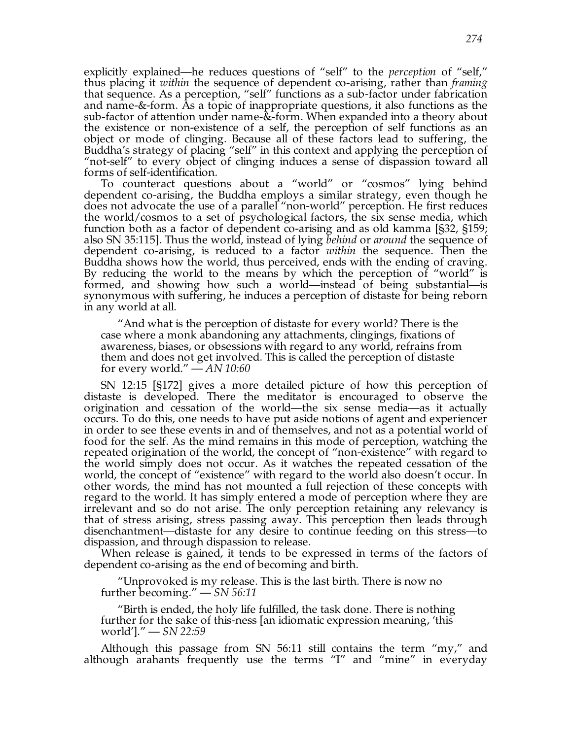explicitly explained—he reduces questions of "self" to the *perception* of "self," thus placing it *within* the sequence of dependent co-arising, rather than *framing* that sequence. As a perception, "self" functions as a sub-factor under fabrication and name-&-form. As a topic of inappropriate questions, it also functions as the sub-factor of attention under name-&-form. When expanded into a theory about the existence or non-existence of a self, the perception of self functions as an object or mode of clinging. Because all of these factors lead to suffering, the Buddha's strategy of placing "self" in this context and applying the perception of "not-self" to every object of clinging induces a sense of dispassion toward all forms of self-identification.

To counteract questions about a "world" or "cosmos" lying behind dependent co-arising, the Buddha employs a similar strategy, even though he does not advocate the use of a parallel "non-world" perception. He first reduces the world/cosmos to a set of psychological factors, the six sense media, which function both as a factor of dependent co-arising and as old kamma [§32, §159; also SN 35:115]. Thus the world, instead of lying *behind* or *around* the sequence of dependent co-arising, is reduced to a factor *within* the sequence. Then the Buddha shows how the world, thus perceived, ends with the ending of craving. By reducing the world to the means by which the perception of "world" is formed, and showing how such a world—instead of being substantial—is synonymous with suffering, he induces a perception of distaste for being reborn in any world at all.

"And what is the perception of distaste for every world? There is the case where a monk abandoning any attachments, clingings, fixations of awareness, biases, or obsessions with regard to any world, refrains from them and does not get involved. This is called the perception of distaste for every world." — *AN 10:60*

SN 12:15 [§172] gives a more detailed picture of how this perception of distaste is developed. There the meditator is encouraged to observe the origination and cessation of the world—the six sense media—as it actually occurs. To do this, one needs to have put aside notions of agent and experiencer in order to see these events in and of themselves, and not as a potential world of food for the self. As the mind remains in this mode of perception, watching the repeated origination of the world, the concept of "non-existence" with regard to the world simply does not occur. As it watches the repeated cessation of the world, the concept of "existence" with regard to the world also doesn't occur. In other words, the mind has not mounted a full rejection of these concepts with regard to the world. It has simply entered a mode of perception where they are irrelevant and so do not arise. The only perception retaining any relevancy is that of stress arising, stress passing away. This perception then leads through disenchantment—distaste for any desire to continue feeding on this stress—to dispassion, and through dispassion to release.

When release is gained, it tends to be expressed in terms of the factors of dependent co-arising as the end of becoming and birth.

"Unprovoked is my release. This is the last birth. There is now no further becoming." — *SN 56:11*

"Birth is ended, the holy life fulfilled, the task done. There is nothing further for the sake of this-ness [an idiomatic expression meaning, 'this world']." — *SN 22:59*

Although this passage from SN 56:11 still contains the term "my," and although arahants frequently use the terms "I" and "mine" in everyday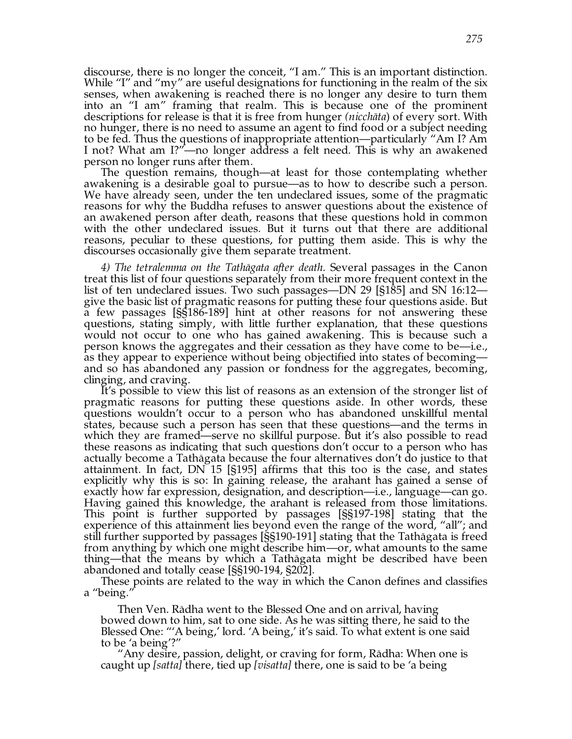discourse, there is no longer the conceit, "I am." This is an important distinction. While "I" and "my" are useful designations for functioning in the realm of the six senses, when awakening is reached there is no longer any desire to turn them into an "I am" framing that realm. This is because one of the prominent descriptions for release is that it is free from hunger *(nicchata)* of every sort. With no hunger, there is no need to assume an agent to find food or a subject needing to be fed. Thus the questions of inappropriate attention—particularly "Am I? Am I not? What am I?"—no longer address a felt need. This is why an awakened person no longer runs after them.

The question remains, though—at least for those contemplating whether awakening is a desirable goal to pursue—as to how to describe such a person. We have already seen, under the ten undeclared issues, some of the pragmatic reasons for why the Buddha refuses to answer questions about the existence of an awakened person after death, reasons that these questions hold in common with the other undeclared issues. But it turns out that there are additional reasons, peculiar to these questions, for putting them aside. This is why the discourses occasionally give them separate treatment.

4) The tetralemma on the Tath*āgata after death.* Several passages in the Canon treat this list of four questions separately from their more frequent context in the list of ten undeclared issues. Two such passages—DN 29 [§185] and SN 16:12— give the basic list of pragmatic reasons for putting these four questions aside. But a few passages [§§186-189] hint at other reasons for not answering these questions, stating simply, with little further explanation, that these questions would not occur to one who has gained awakening. This is because such a person knows the aggregates and their cessation as they have come to be—i.e., as they appear to experience without being objectified into states of becoming— and so has abandoned any passion or fondness for the aggregates, becoming, clinging, and craving.

It's possible to view this list of reasons as an extension of the stronger list of pragmatic reasons for putting these questions aside. In other words, these questions wouldn't occur to a person who has abandoned unskillful mental states, because such a person has seen that these questions—and the terms in which they are framed—serve no skillful purpose. But it's also possible to read these reasons as indicating that such questions don't occur to a person who has actually become a Tathāgata because the four alternatives don't do justice to that attainment. In fact, DN 15 [§195] affirms that this too is the case, and states explicitly why this is so: In gaining release, the arahant has gained a sense of exactly how far expression, designation, and description—i.e., language—can go. Having gained this knowledge, the arahant is released from those limitations. This point is further supported by passages [§§197-198] stating that the experience of this attainment lies beyond even the range of the word, "all"; and still further supported by passages [SS190-191] stating that the Tathāgata is freed from anything by which one might describe him—or, what amounts to the same thing—that the means by which a Tathagata might be described have been abandoned and totally cease [§§190-194, §202].

These points are related to the way in which the Canon defines and classifies a "being."

Then Ven. Rādha went to the Blessed One and on arrival, having bowed down to him, sat to one side. As he was sitting there, he said to the Blessed One: "'A being,' lord. 'A being,' it's said. To what extent is one said to be 'a being'?"

"Any desire, passion, delight, or craving for form, R $\bar{\alpha}$ dha: When one is caught up *[satta]* there, tied up *[visatta]* there, one is said to be 'a being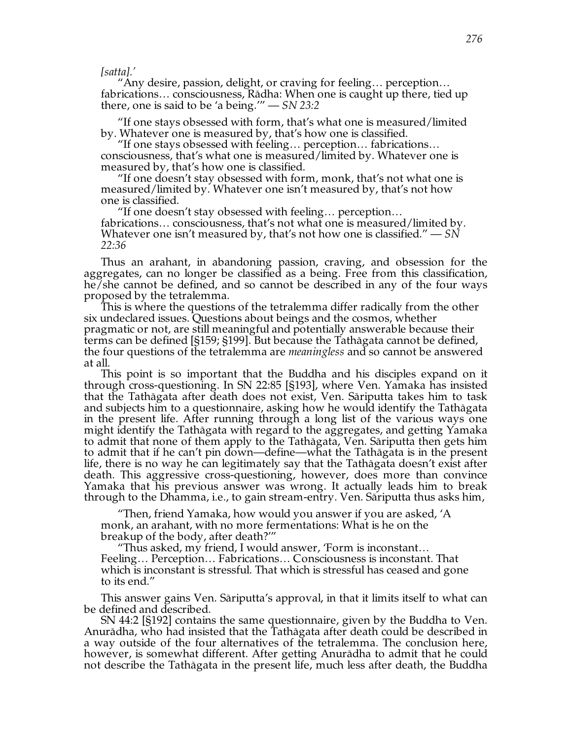## *[satta].'*

"Any desire, passion, delight, or craving for feeling… perception… fabrications... consciousness, Rādha: When one is caught up there, tied up there, one is said to be 'a being.'" — *SN 23:2* 

"If one stays obsessed with form, that's what one is measured/limited by. Whatever one is measured by, that's how one is classified.

"If one stays obsessed with feeling… perception… fabrications… consciousness, that's what one is measured/limited by. Whatever one is measured by, that's how one is classified.

"If one doesn't stay obsessed with form, monk, that's not what one is measured/limited by. Whatever one isn't measured by, that's not how

one is classified.<br>"If one doesn't stay obsessed with feeling... perception... fabrications… consciousness, that's not what one is measured/limited by. Whatever one isn't measured by, that's not how one is classified." — *SN 22:36*

Thus an arahant, in abandoning passion, craving, and obsession for the aggregates, can no longer be classified as a being. Free from this classification, he/she cannot be defined, and so cannot be described in any of the four ways proposed by the tetralemma.

This is where the questions of the tetralemma differ radically from the other six undeclared issues. Questions about beings and the cosmos, whether pragmatic or not, are still meaningful and potentially answerable because their terms can be defined  $\left[ \frac{5159}{5199} \right]$ . But because the Tath $\bar{a}$ gata cannot be defined, the four questions of the tetralemma are *meaningless* and so cannot be answered at all.

This point is so important that the Buddha and his disciples expand on it through cross-questioning. In SN 22:85 [§193], where Ven. Yamaka has insisted that the Tathāgata after death does not exist, Ven. Sāriputta takes him to task and subjects him to a questionnaire, asking how he would identify the Tathagata in the present life. After running through a long list of the various ways one might identify the Tathāgata with regard to the aggregates, and getting Yamaka to admit that none of them apply to the Tathagata, Ven. Sariputta then gets him to admit that if he can't pin down—define—what the Tathagata is in the present life, there is no way he can legitimately say that the Tathagata doesn't exist after death. This aggressive cross-questioning, however, does more than convince Yamaka that his previous answer was wrong. It actually leads him to break through to the Dhamma, i.e., to gain stream-entry. Ven. Sariputta thus asks him,

"Then, friend Yamaka, how would you answer if you are asked, 'A monk, an arahant, with no more fermentations: What is he on the breakup of the body, after death?'"

"Thus asked, my friend, I would answer, 'Form is inconstant… Feeling… Perception… Fabrications… Consciousness is inconstant. That which is inconstant is stressful. That which is stressful has ceased and gone to its end."

This answer gains Ven. Sariputta's approval, in that it limits itself to what can be defined and described.

SN 44:2 [§192] contains the same questionnaire, given by the Buddha to Ven. Anurādha, who had insisted that the Tathāgata after death could be described in a way outside of the four alternatives of the tetralemma. The conclusion here, however, is somewhat different. After getting Anurādha to admit that he could not describe the Tathāgata in the present life, much less after death, the Buddha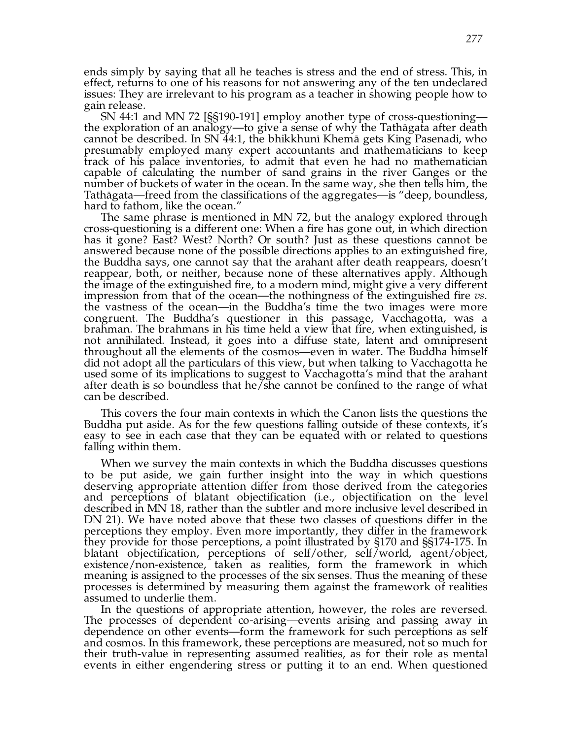ends simply by saying that all he teaches is stress and the end of stress. This, in effect, returns to one of his reasons for not answering any of the ten undeclared issues: They are irrelevant to his program as a teacher in showing people how to gain release.

SN 44:1 and MN 72 [§§190-191] employ another type of cross-questioning—<br>the exploration of an analogy—to give a sense of why the Tathagata after death cannot be described. In SN 44:1, the bhikkhuni Khema gets King Pasenadi, who presumably employed many expert accountants and mathematicians to keep track of his palace inventories, to admit that even he had no mathematician capable of calculating the number of sand grains in the river Ganges or the number of buckets of water in the ocean. In the same way, she then tells him, the Tathāgata—freed from the classifications of the aggregates—is "deep, boundless, hard to fathom, like the ocean."

The same phrase is mentioned in MN 72, but the analogy explored through cross-questioning is a different one: When a fire has gone out, in which direction has it gone? East? West? North? Or south? Just as these questions cannot be answered because none of the possible directions applies to an extinguished fire, the Buddha says, one cannot say that the arahant after death reappears, doesn't reappear, both, or neither, because none of these alternatives apply. Although the image of the extinguished fire, to a modern mind, might give a very different impression from that of the ocean—the nothingness of the extinguished fire *vs.* the vastness of the ocean—in the Buddha's time the two images were more congruent. The Buddha's questioner in this passage, Vacchagotta, was a brahman. The brahmans in his time held a view that fire, when extinguished, is not annihilated. Instead, it goes into a diffuse state, latent and omnipresent throughout all the elements of the cosmos—even in water. The Buddha himself did not adopt all the particulars of this view, but when talking to Vacchagotta he used some of its implications to suggest to Vacchagotta's mind that the arahant after death is so boundless that he/she cannot be confined to the range of what can be described.

This covers the four main contexts in which the Canon lists the questions the Buddha put aside. As for the few questions falling outside of these contexts, it's easy to see in each case that they can be equated with or related to questions falling within them.

When we survey the main contexts in which the Buddha discusses questions to be put aside, we gain further insight into the way in which questions deserving appropriate attention differ from those derived from the categories and perceptions of blatant objectification (i.e., objectification on the level described in MN 18, rather than the subtler and more inclusive level described in DN 21). We have noted above that these two classes of questions differ in the perceptions they employ. Even more importantly, they differ in the framework they provide for those perceptions, a point illustrated by §170 and §§174-175. In blatant objectification, perceptions of self/other, self/world, agent/object, existence/non-existence, taken as realities, form the framework in which meaning is assigned to the processes of the six senses. Thus the meaning of these processes is determined by measuring them against the framework of realities assumed to underlie them.

In the questions of appropriate attention, however, the roles are reversed. The processes of dependent co-arising—events arising and passing away in dependence on other events—form the framework for such perceptions as self and cosmos. In this framework, these perceptions are measured, not so much for their truth-value in representing assumed realities, as for their role as mental events in either engendering stress or putting it to an end. When questioned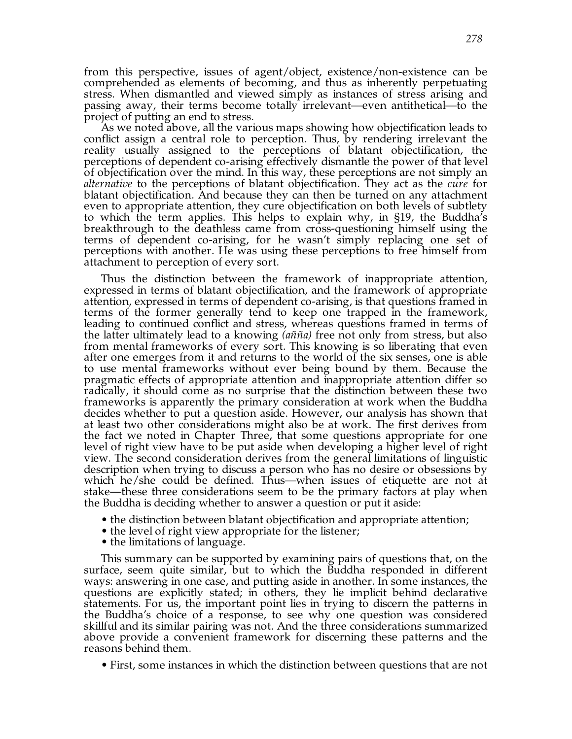from this perspective, issues of agent/object, existence/non-existence can be comprehended as elements of becoming, and thus as inherently perpetuating stress. When dismantled and viewed simply as instances of stress arising and passing away, their terms become totally irrelevant—even antithetical—to the project of putting an end to stress. As we noted above, all the various maps showing how objectification leads to

conflict assign a central role to perception. Thus, by rendering irrelevant the reality usually assigned to the perceptions of blatant objectification, the perceptions of dependent co-arising effectively dismantle the power of that level of objectification over the mind. In this way, these perceptions are not simply an *alternative* to the perceptions of blatant objectification. They act as the *cure* for blatant objectification. And because they can then be turned on any attachment even to appropriate attention, they cure objectification on both levels of subtlety to which the term applies. This helps to explain why, in §19, the Buddha's breakthrough to the deathless came from cross-questioning himself using the terms of dependent co-arising, for he wasn't simply replacing one set of perceptions with another. He was using these perceptions to free himself from attachment to perception of every sort.

Thus the distinction between the framework of inappropriate attention, expressed in terms of blatant objectification, and the framework of appropriate attention, expressed in terms of dependent co-arising, is that questions framed in terms of the former generally tend to keep one trapped in the framework, leading to continued conflict and stress, whereas questions framed in terms of the latter ultimately lead to a knowing *(añña)* free not only from stress, but also from mental frameworks of every sort. This knowing is so liberating that even after one emerges from it and returns to the world of the six senses, one is able to use mental frameworks without ever being bound by them. Because the pragmatic effects of appropriate attention and inappropriate attention differ so radically, it should come as no surprise that the distinction between these two frameworks is apparently the primary consideration at work when the Buddha decides whether to put a question aside. However, our analysis has shown that at least two other considerations might also be at work. The first derives from the fact we noted in Chapter Three, that some questions appropriate for one level of right view have to be put aside when developing a higher level of right view. The second consideration derives from the general limitations of linguistic description when trying to discuss a person who has no desire or obsessions by which he/she could be defined. Thus—when issues of etiquette are not at stake—these three considerations seem to be the primary factors at play when the Buddha is deciding whether to answer a question or put it aside:

- the distinction between blatant objectification and appropriate attention;
- the level of right view appropriate for the listener;
- the limitations of language.

This summary can be supported by examining pairs of questions that, on the surface, seem quite similar, but to which the Buddha responded in different ways: answering in one case, and putting aside in another. In some instances, the questions are explicitly stated; in others, they lie implicit behind declarative statements. For us, the important point lies in trying to discern the patterns in the Buddha's choice of a response, to see why one question was considered skillful and its similar pairing was not. And the three considerations summarized above provide a convenient framework for discerning these patterns and the reasons behind them.

• First, some instances in which the distinction between questions that are not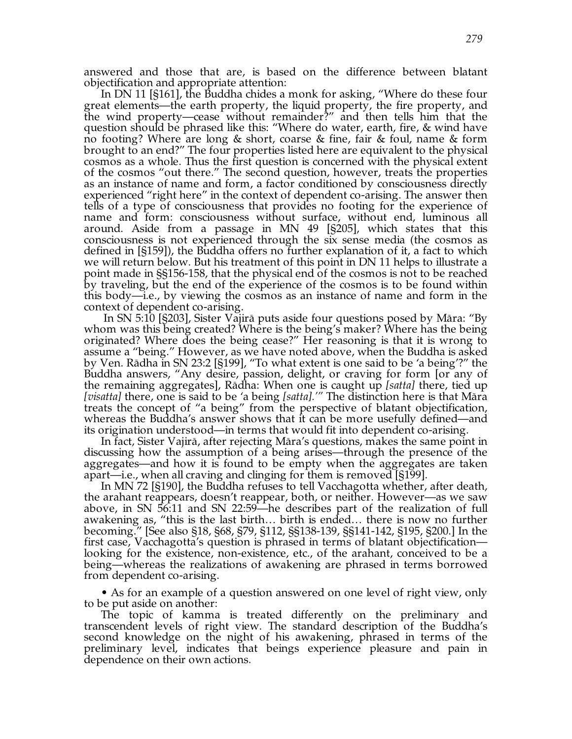answered and those that are, is based on the difference between blatant objectification and appropriate attention:

In DN 11 [§161], the Buddha chides a monk for asking, "Where do these four great elements—the earth property, the liquid property, the fire property, and the wind property—cease without remainder?" and then tells him that the question should be phrased like this: "Where do water, earth, fire, & wind have no footing? Where are long & short, coarse & fine, fair & foul, name & form brought to an end?" The four properties listed here are equivalent to the physical cosmos as a whole. Thus the first question is concerned with the physical extent of the cosmos "out there." The second question, however, treats the properties as an instance of name and form, a factor conditioned by consciousness directly experienced "right here" in the context of dependent co-arising. The answer then tells of a type of consciousness that provides no footing for the experience of name and form: consciousness without surface, without end, luminous all around. Aside from a passage in MN 49 [§205], which states that this consciousness is not experienced through the six sense media (the cosmos as defined in [§159]), the Buddha offers no further explanation of it, a fact to which we will return below. But his treatment of this point in DN 11 helps to illustrate a point made in §§156-158, that the physical end of the cosmos is not to be reached by traveling, but the end of the experience of the cosmos is to be found within this body—i.e., by viewing the cosmos as an instance of name and form in the context of dependent co-arising.

In SN 5:10 [§203], Sister Vajira puts aside four questions posed by Mara: "By whom was this being created? Where is the being's maker? Where has the being originated? Where does the being cease?" Her reasoning is that it is wrong to assume a "being." However, as we have noted above, when the Buddha is asked by Ven. Rādha in SN 23:2 [§199], "To what extent is one said to be 'a being'?" the Buddha answers, "Any desire, passion, delight, or craving for form [or any of the remaining aggregates], Rādha: When one is caught up *[satta]* there, tied up *[visatta]* there, one is said to be 'a being *[satta].'*" The distinction here is that Māra treats the concept of "a being" from the perspective of blatant objectification, whereas the Buddha's answer shows that it can be more usefully defined—and its origination understood—in terms that would fit into dependent co-arising.

In fact, Sister Vajirā, after rejecting Māra's questions, makes the same point in discussing how the assumption of a being arises—through the presence of the aggregates—and how it is found to be empty when the aggregates are taken apart—i.e., when all craving and clinging for them is removed [§199].

In MN 72 [§190], the Buddha refuses to tell Vacchagotta whether, after death, the arahant reappears, doesn't reappear, both, or neither. However—as we saw above, in SN 56:11 and SN 22:59—he describes part of the realization of full awakening as, "this is the last birth… birth is ended… there is now no further becoming." [See also §18, §68, §79, §112, §§138-139, §§141-142, §195, §200.] In the first case, Vacchagotta's question is phrased in terms of blatant objectification looking for the existence, non-existence, etc., of the arahant, conceived to be a being—whereas the realizations of awakening are phrased in terms borrowed from dependent co-arising.

• As for an example of a question answered on one level of right view, only to be put aside on another:

The topic of kamma is treated differently on the preliminary and transcendent levels of right view. The standard description of the Buddha's second knowledge on the night of his awakening, phrased in terms of the preliminary level, indicates that beings experience pleasure and pain in dependence on their own actions.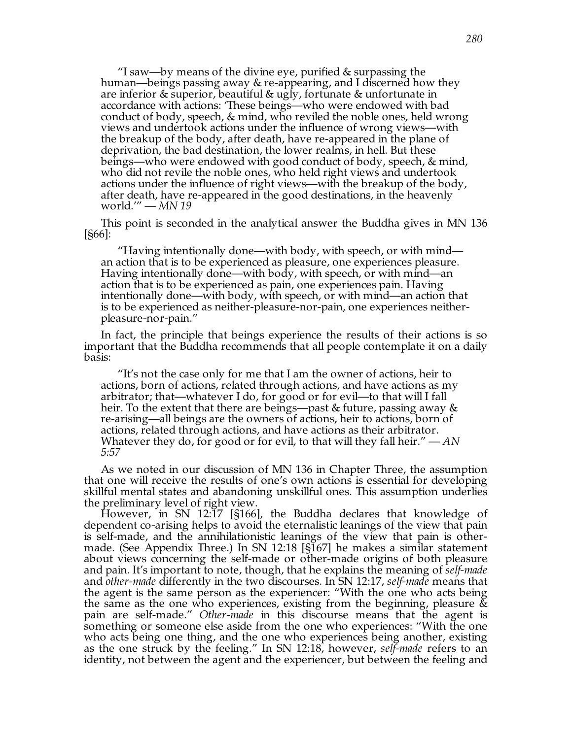"I saw—by means of the divine eye, purified & surpassing the human—beings passing away & re-appearing, and I discerned how they are inferior & superior, beautiful & ugly, fortunate & unfortunate in accordance with actions: 'These beings—who were endowed with bad conduct of body, speech, & mind, who reviled the noble ones, held wrong views and undertook actions under the influence of wrong views—with the breakup of the body, after death, have re-appeared in the plane of deprivation, the bad destination, the lower realms, in hell. But these beings—who were endowed with good conduct of body, speech, & mind, who did not revile the noble ones, who held right views and undertook actions under the influence of right views—with the breakup of the body, after death, have re-appeared in the good destinations, in the heavenly world.'" — *MN 19*

This point is seconded in the analytical answer the Buddha gives in MN 136 [§66]:

"Having intentionally done—with body, with speech, or with mind— an action that is to be experienced as pleasure, one experiences pleasure. Having intentionally done—with body, with speech, or with mind—an action that is to be experienced as pain, one experiences pain. Having intentionally done—with body, with speech, or with mind—an action that is to be experienced as neither-pleasure-nor-pain, one experiences neither- pleasure-nor-pain."

In fact, the principle that beings experience the results of their actions is so important that the Buddha recommends that all people contemplate it on a daily basis:

"It's not the case only for me that I am the owner of actions, heir to actions, born of actions, related through actions, and have actions as my arbitrator; that—whatever I do, for good or for evil—to that will I fall heir. To the extent that there are beings—past & future, passing away & re-arising—all beings are the owners of actions, heir to actions, born of actions, related through actions, and have actions as their arbitrator. Whatever they do, for good or for evil, to that will they fall heir." — *AN 5:57*

As we noted in our discussion of MN 136 in Chapter Three, the assumption that one will receive the results of one's own actions is essential for developing skillful mental states and abandoning unskillful ones. This assumption underlies the preliminary level of right view.

However, in SN 12:17 [§166], the Buddha declares that knowledge of dependent co-arising helps to avoid the eternalistic leanings of the view that pain is self-made, and the annihilationistic leanings of the view that pain is othermade. (See Appendix Three.) In SN 12:18 [§167] he makes a similar statement about views concerning the self-made or other-made origins of both pleasure and pain. It's important to note, though, that he explains the meaning of *self-made* and *other-made* differently in the two discourses. In SN 12:17, *self-made* means that the agent is the same person as the experiencer: "With the one who acts being the same as the one who experiences, existing from the beginning, pleasure  $\&$ pain are self-made." *Other-made* in this discourse means that the agent is something or someone else aside from the one who experiences: "With the one who acts being one thing, and the one who experiences being another, existing as the one struck by the feeling." In SN 12:18, however, *self-made* refers to an identity, not between the agent and the experiencer, but between the feeling and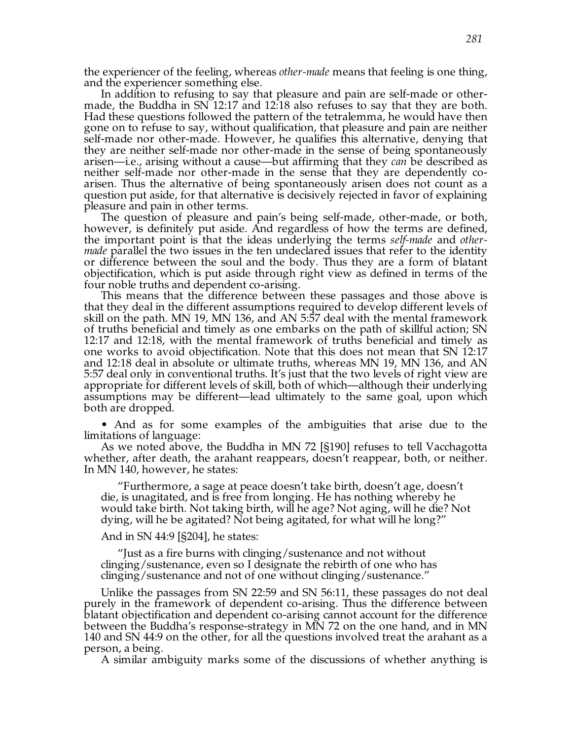the experiencer of the feeling, whereas *other-made* means that feeling is one thing, and the experiencer something else.

In addition to refusing to say that pleasure and pain are self-made or other- made, the Buddha in SN 12:17 and 12:18 also refuses to say that they are both. Had these questions followed the pattern of the tetralemma, he would have then gone on to refuse to say, without qualification, that pleasure and pain are neither self-made nor other-made. However, he qualifies this alternative, denying that they are neither self-made nor other-made in the sense of being spontaneously arisen—i.e., arising without a cause—but affirming that they *can* be described as neither self-made nor other-made in the sense that they are dependently co- arisen. Thus the alternative of being spontaneously arisen does not count as a question put aside, for that alternative is decisively rejected in favor of explaining pleasure and pain in other terms.

The question of pleasure and pain's being self-made, other-made, or both, however, is definitely put aside. And regardless of how the terms are defined, the important point is that the ideas underlying the terms *self-made* and *other- made* parallel the two issues in the ten undeclared issues that refer to the identity or difference between the soul and the body. Thus they are a form of blatant objectification, which is put aside through right view as defined in terms of the four noble truths and dependent co-arising.

This means that the difference between these passages and those above is that they deal in the different assumptions required to develop different levels of skill on the path. MN 19, MN 136, and AN 5:57 deal with the mental framework of truths beneficial and timely as one embarks on the path of skillful action; SN 12:17 and 12:18, with the mental framework of truths beneficial and timely as one works to avoid objectification. Note that this does not mean that SN 12:17 and 12:18 deal in absolute or ultimate truths, whereas MN 19, MN 136, and AN 5:57 deal only in conventional truths. It's just that the two levels of right view are appropriate for different levels of skill, both of which—although their underlying assumptions may be different—lead ultimately to the same goal, upon which both are dropped.

• And as for some examples of the ambiguities that arise due to the limitations of language:

As we noted above, the Buddha in MN 72 [§190] refuses to tell Vacchagotta whether, after death, the arahant reappears, doesn't reappear, both, or neither. In MN 140, however, he states:

"Furthermore, a sage at peace doesn't take birth, doesn't age, doesn't die, is unagitated, and is free from longing. He has nothing whereby he would take birth. Not taking birth, will he age? Not aging, will he die? Not dying, will he be agitated? Not being agitated, for what will he long?"

#### And in SN 44:9 [§204], he states:

"Just as a fire burns with clinging/sustenance and not without clinging/sustenance, even so I designate the rebirth of one who has clinging/sustenance and not of one without clinging/sustenance."

Unlike the passages from SN 22:59 and SN 56:11, these passages do not deal purely in the framework of dependent co-arising. Thus the difference between blatant objectification and dependent co-arising cannot account for the difference between the Buddha's response-strategy in MN 72 on the one hand, and in MN 140 and SN 44:9 on the other, for all the questions involved treat the arahant as a person, a being.

A similar ambiguity marks some of the discussions of whether anything is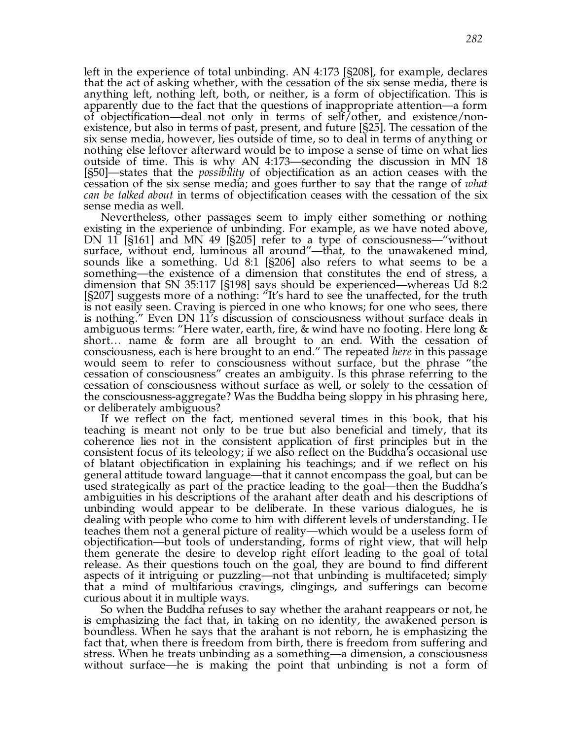left in the experience of total unbinding. AN 4:173 [§208], for example, declares that the act of asking whether, with the cessation of the six sense media, there is anything left, nothing left, both, or neither, is a form of objectification. This is apparently due to the fact that the questions of inappropriate attention—a form of objectification—deal not only in terms of self/other, and existence/non- existence, but also in terms of past, present, and future [§25]. The cessation of the six sense media, however, lies outside of time, so to deal in terms of anything or nothing else leftover afterward would be to impose a sense of time on what lies outside of time. This is why AN 4:173—seconding the discussion in MN 18 [§50]—states that the *possibility* of objectification as an action ceases with the cessation of the six sense media; and goes further to say that the range of *what can be talked about* in terms of objectification ceases with the cessation of the six sense media as well.

Nevertheless, other passages seem to imply either something or nothing existing in the experience of unbinding. For example, as we have noted above, DN 11 [§161] and MN 49 [§205] refer to a type of consciousness—"without surface, without end, luminous all around"—that, to the unawakened mind, sounds like a something. Ud 8:1 [§206] also refers to what seems to be a something—the existence of a dimension that constitutes the end of stress, a dimension that SN 35:117 [§198] says should be experienced—whereas Ud 8:2 [§207] suggests more of a nothing: "It's hard to see the unaffected, for the truth is not easily seen. Craving is pierced in one who knows; for one who sees, there is nothing." Even DN 11's discussion of consciousness without surface deals in ambiguous terms: "Here water, earth, fire, & wind have no footing. Here long & short… name & form are all brought to an end. With the cessation of consciousness, each is here brought to an end." The repeated *here* in this passage would seem to refer to consciousness without surface, but the phrase "the cessation of consciousness" creates an ambiguity. Is this phrase referring to the cessation of consciousness without surface as well, or solely to the cessation of the consciousness-aggregate? Was the Buddha being sloppy in his phrasing here, or deliberately ambiguous?

If we reflect on the fact, mentioned several times in this book, that his teaching is meant not only to be true but also beneficial and timely, that its coherence lies not in the consistent application of first principles but in the consistent focus of its teleology; if we also reflect on the Buddha's occasional use of blatant objectification in explaining his teachings; and if we reflect on his general attitude toward language—that it cannot encompass the goal, but can be used strategically as part of the practice leading to the goal—then the Buddha's ambiguities in his descriptions of the arahant after death and his descriptions of unbinding would appear to be deliberate. In these various dialogues, he is dealing with people who come to him with different levels of understanding. He teaches them not a general picture of reality—which would be a useless form of objectification—but tools of understanding, forms of right view, that will help them generate the desire to develop right effort leading to the goal of total release. As their questions touch on the goal, they are bound to find different aspects of it intriguing or puzzling—not that unbinding is multifaceted; simply that a mind of multifarious cravings, clingings, and sufferings can become curious about it in multiple ways.

So when the Buddha refuses to say whether the arahant reappears or not, he is emphasizing the fact that, in taking on no identity, the awakened person is boundless. When he says that the arahant is not reborn, he is emphasizing the fact that, when there is freedom from birth, there is freedom from suffering and stress. When he treats unbinding as a something—a dimension, a consciousness without surface—he is making the point that unbinding is not a form of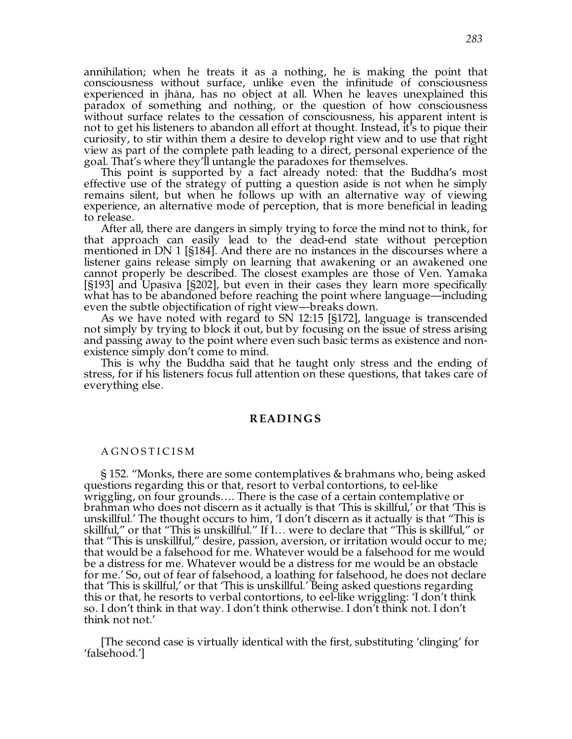annihilation; when he treats it as a nothing, he is making the point that consciousness without surface, unlike even the infinitude of consciousness experienced in jhāna, has no object at all. When he leaves unexplained this paradox of something and nothing, or the question of how consciousness without surface relates to the cessation of consciousness, his apparent intent is not to get his listeners to abandon all effort at thought. Instead, it's to pique their curiosity, to stir within them a desire to develop right view and to use that right view as part of the complete path leading to a direct, personal experience of the goal. That's where they'll untangle the paradoxes for themselves.

This point is supported by a fact already noted: that the Buddha's most effective use of the strategy of putting a question aside is not when he simply remains silent, but when he follows up with an alternative way of viewing experience, an alternative mode of perception, that is more beneficial in leading to release.

After all, there are dangers in simply trying to force the mind not to think, for that approach can easily lead to the dead-end state without perception mentioned in DN 1 [§184]. And there are no instances in the discourses where a listener gains release simply on learning that awakening or an awakened one cannot properly be described. The closest examples are those of Ven. Yamaka [§193] and Upasıva [§202], but even in their cases they learn more specifically what has to be abandoned before reaching the point where language—including even the subtle objectification of right view—breaks down.

As we have noted with regard to SN 12:15 [§172], language is transcended not simply by trying to block it out, but by focusing on the issue of stress arising and passing away to the point where even such basic terms as existence and non- existence simply don't come to mind.

This is why the Buddha said that he taught only stress and the ending of stress, for if his listeners focus full attention on these questions, that takes care of everything else.

## **READINGS**

### AGNOSTICISM

§ 152. "Monks, there are some contemplatives & brahmans who, being asked questions regarding this or that, resort to verbal contortions, to eel-like wriggling, on four grounds…. There is the case of a certain contemplative or brahman who does not discern as it actually is that 'This is skillful,' or that 'This is unskillful.' The thought occurs to him, 'I don't discern as it actually is that "This is skillful," or that "This is unskillful." If I… were to declare that "This is skillful," or that "This is unskillful," desire, passion, aversion, or irritation would occur to me; that would be a falsehood for me. Whatever would be a falsehood for me would be a distress for me. Whatever would be a distress for me would be an obstacle for me.' So, out of fear of falsehood, a loathing for falsehood, he does not declare that 'This is skillful,' or that 'This is unskillful.' Being asked questions regarding this or that, he resorts to verbal contortions, to eel-like wriggling: 'I don't think so. I don't think in that way. I don't think otherwise. I don't think not. I don't think not not.'

[The second case is virtually identical with the first, substituting 'clinging' for 'falsehood.']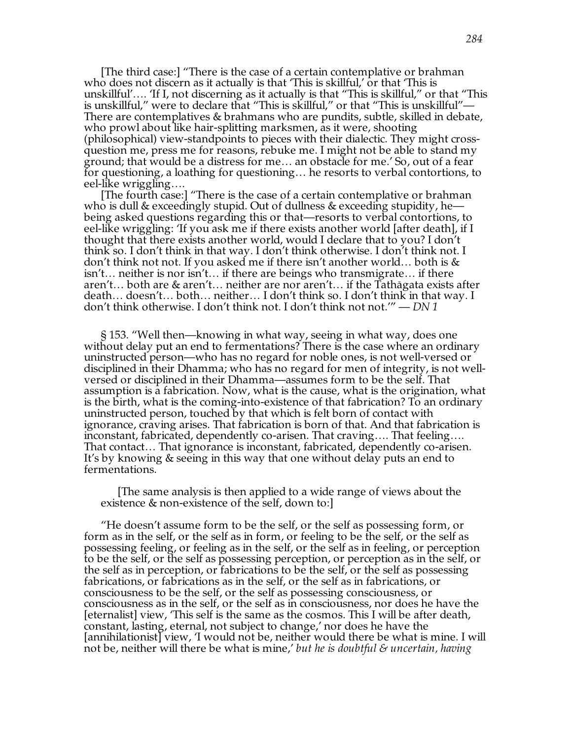[The third case:] "There is the case of a certain contemplative or brahman who does not discern as it actually is that 'This is skillful,' or that 'This is unskillful'…. 'If I, not discerning as it actually is that "This is skillful," or that "This is unskillful," were to declare that "This is skillful," or that "This is unskillful"—<br>There are contemplatives & brahmans who are pundits, subtle, skilled in debate, who prowl about like hair-splitting marksmen, as it were, shooting<br>(philosophical) view-standpoints to pieces with their dialectic. They might crossquestion me, press me for reasons, rebuke me. I might not be able to stand my ground; that would be a distress for me… an obstacle for me.' So, out of a fear for questioning, a loathing for questioning… he resorts to verbal contortions, to eel-like wriggling….

[The fourth case:] "There is the case of a certain contemplative or brahman who is dull & exceedingly stupid. Out of dullness & exceeding stupidity, he—<br>being asked questions regarding this or that—resorts to verbal contortions, to eel-like wriggling: 'If you ask me if there exists another world [after death], if I thought that there exists another world, would I declare that to you? I don't think so. I don't think in that way. I don't think otherwise. I don't think not. I don't think not not. If you asked me if there isn't another world… both is & isn't… neither is nor isn't… if there are beings who transmigrate… if there aren't... both are & aren't... neither are nor aren't... if the Tathagata exists after death… doesn't… both… neither… I don't think so. I don't think in that way. I don't think otherwise. I don't think not. I don't think not not.'" — *DN 1*

§ 153. "Well then—knowing in what way, seeing in what way, does one without delay put an end to fermentations? There is the case where an ordinary uninstructed person—who has no regard for noble ones, is not well-versed or disciplined in their Dhamma; who has no regard for men of integrity, is not well- versed or disciplined in their Dhamma—assumes form to be the self. That assumption is a fabrication. Now, what is the cause, what is the origination, what is the birth, what is the coming-into-existence of that fabrication? To an ordinary uninstructed person, touched by that which is felt born of contact with ignorance, craving arises. That fabrication is born of that. And that fabrication is inconstant, fabricated, dependently co-arisen. That craving…. That feeling…. That contact… That ignorance is inconstant, fabricated, dependently co-arisen. It's by knowing & seeing in this way that one without delay puts an end to fermentations.

[The same analysis is then applied to a wide range of views about the existence & non-existence of the self, down to:]

"He doesn't assume form to be the self, or the self as possessing form, or form as in the self, or the self as in form, or feeling to be the self, or the self as possessing feeling, or feeling as in the self, or the self as in feeling, or perception to be the self, or the self as possessing perception, or perception as in the self, or the self as in perception, or fabrications to be the self, or the self as possessing fabrications, or fabrications as in the self, or the self as in fabrications, or consciousness to be the self, or the self as possessing consciousness, or consciousness as in the self, or the self as in consciousness, nor does he have the [eternalist] view, 'This self is the same as the cosmos. This I will be after death, constant, lasting, eternal, not subject to change,' nor does he have the [annihilationist] view, 'I would not be, neither would there be what is mine. I will not be, neither will there be what is mine,' *but he is doubtful & uncertain, having*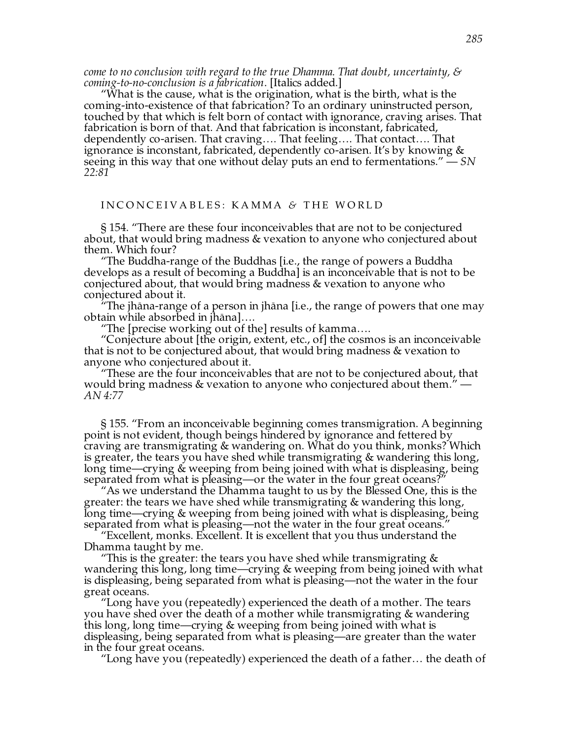*come to no conclusion with regard to the true Dhamma. That doubt, uncertainty, & coming-to-no-conclusion is a fabrication*. [Italics added.]

"What is the cause, what is the origination, what is the birth, what is the coming-into-existence of that fabrication? To an ordinary uninstructed person, touched by that which is felt born of contact with ignorance, craving arises. That fabrication is born of that. And that fabrication is inconstant, fabricated, dependently co-arisen. That craving…. That feeling…. That contact…. That ignorance is inconstant, fabricated, dependently co-arisen. It's by knowing & seeing in this way that one without delay puts an end to fermentations." — *SN 22:81*

## INCONCEIVABLES: KAMMA *&* THE WORLD

§ 154. "There are these four inconceivables that are not to be conjectured about, that would bring madness & vexation to anyone who conjectured about them. Which four?

"The Buddha-range of the Buddhas [i.e., the range of powers a Buddha develops as a result of becoming a Buddha] is an inconceivable that is not to be conjectured about, that would bring madness & vexation to anyone who conjectured about it.

"The jhāna-range of a person in jhāna [i.e., the range of powers that one may obtain while absorbed in jhāna]….

"The [precise working out of the] results of kamma….

"Conjecture about [the origin, extent, etc., of] the cosmos is an inconceivable that is not to be conjectured about, that would bring madness & vexation to anyone who conjectured about it.

"These are the four inconceivables that are not to be conjectured about, that would bring madness & vexation to anyone who conjectured about them." — *AN 4:77*

§ 155. "From an inconceivable beginning comes transmigration. A beginning point is not evident, though beings hindered by ignorance and fettered by craving are transmigrating & wandering on. What do you think, monks? Which is greater, the tears you have shed while transmigrating & wandering this long, long time—crying & weeping from being joined with what is displeasing, being separated from what is pleasing—or the water in the four great oceans?"

"As we understand the Dhamma taught to us by the Blessed One, this is the greater: the tears we have shed while transmigrating & wandering this long, long time—crying & weeping from being joined with what is displeasing, being separated from what is pleasing—not the water in the four great oceans."

"Excellent, monks. Excellent. It is excellent that you thus understand the Dhamma taught by me.

"This is the greater: the tears you have shed while transmigrating  $\&$ wandering this long, long time—crying & weeping from being joined with what is displeasing, being separated from what is pleasing—not the water in the four great oceans.

"Long have you (repeatedly) experienced the death of a mother. The tears you have shed over the death of a mother while transmigrating & wandering this long, long time—crying & weeping from being joined with what is displeasing, being separated from what is pleasing—are greater than the water in the four great oceans.

"Long have you (repeatedly) experienced the death of a father… the death of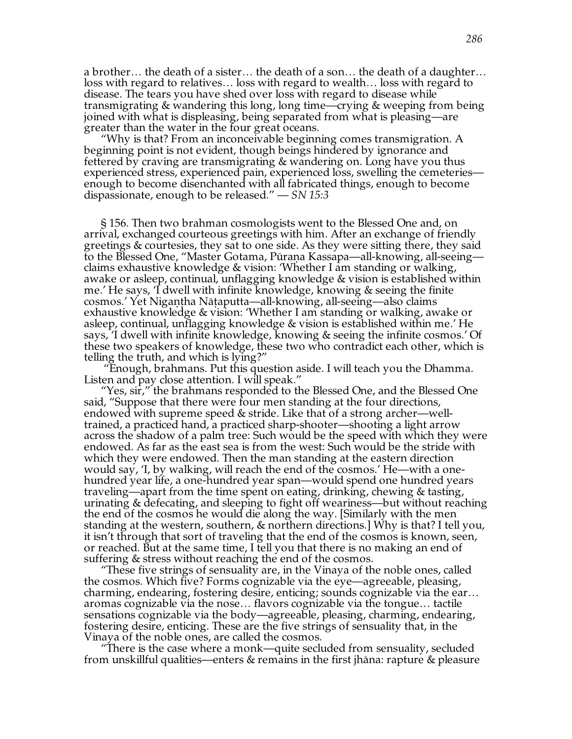a brother… the death of a sister… the death of a son… the death of a daughter… loss with regard to relatives… loss with regard to wealth… loss with regard to disease. The tears you have shed over loss with regard to disease while transmigrating & wandering this long, long time—crying & weeping from being joined with what is displeasing, being separated from what is pleasing—are greater than the water in the four great oceans.

"Why is that? From an inconceivable beginning comes transmigration. A beginning point is not evident, though beings hindered by ignorance and fettered by craving are transmigrating & wandering on. Long have you thus experienced stress, experienced pain, experienced loss, swelling the cemeteries—<br>enough to become disenchanted with all fabricated things, enough to become dispassionate, enough to be released." — *SN 15:3*

§ 156. Then two brahman cosmologists went to the Blessed One and, on arrival, exchanged courteous greetings with him. After an exchange of friendly greetings & courtesies, they sat to one side. As they were sitting there, they said to the Blessed One, "Master Gotama, Pūraṇa Kassapa—all-knowing, all-seeing—<br>claims exhaustive knowledge & vision: 'Whether I am standing or walking, awake or asleep, continual, unflagging knowledge & vision is established within me.' He says, 'I dwell with infinite knowledge, knowing & seeing the finite cosmos.' Yet Nigantha Nātaputta—all-knowing, all-seeing—also claims exhaustive knowledge & vision: 'Whether I am standing or walking, awake or asleep, continual, unflagging knowledge & vision is established within me.' He says, 'I dwell with infinite knowledge, knowing & seeing the infinite cosmos.' Of these two speakers of knowledge, these two who contradict each other, which is telling the truth, and which is lying?"

 "Enough, brahmans. Put this question aside. I will teach you the Dhamma. Listen and pay close attention. I will speak."

"Yes, sir," the brahmans responded to the Blessed One, and the Blessed One said, "Suppose that there were four men standing at the four directions, endowed with supreme speed & stride. Like that of a strong archer—welltrained, a practiced hand, a practiced sharp-shooter—shooting a light arrow across the shadow of a palm tree: Such would be the speed with which they were endowed. As far as the east sea is from the west: Such would be the stride with which they were endowed. Then the man standing at the eastern direction would say, 'I, by walking, will reach the end of the cosmos.' He—with a onehundred year life, a one-hundred year span—would spend one hundred years traveling—apart from the time spent on eating, drinking, chewing & tasting, urinating & defecating, and sleeping to fight off weariness—but without reaching the end of the cosmos he would die along the way. [Similarly with the men standing at the western, southern, & northern directions.] Why is that? I tell you, it isn't through that sort of traveling that the end of the cosmos is known, seen, or reached. But at the same time, I tell you that there is no making an end of suffering & stress without reaching the end of the cosmos.

"These five strings of sensuality are, in the Vinaya of the noble ones, called the cosmos. Which five? Forms cognizable via the eye—agreeable, pleasing, charming, endearing, fostering desire, enticing; sounds cognizable via the ear… aromas cognizable via the nose… flavors cognizable via the tongue… tactile sensations cognizable via the body—agreeable, pleasing, charming, endearing, fostering desire, enticing. These are the five strings of sensuality that, in the Vinaya of the noble ones, are called the cosmos.

"There is the case where a monk—quite secluded from sensuality, secluded from unskillful qualities—enters & remains in the first jhāna: rapture & pleasure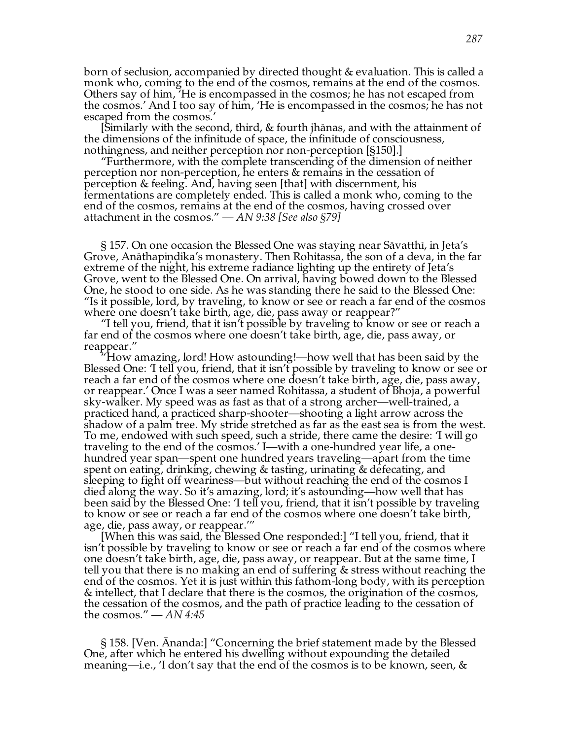born of seclusion, accompanied by directed thought & evaluation. This is called a monk who, coming to the end of the cosmos, remains at the end of the cosmos. Others say of him, 'He is encompassed in the cosmos; he has not escaped from the cosmos.' And I too say of him, 'He is encompassed in the cosmos; he has not escaped from the cosmos.'

[Similarly with the second, third,  $\&$  fourth jhanas, and with the attainment of the dimensions of the infinitude of space, the infinitude of consciousness, nothingness, and neither perception nor non-perception [§150].]

"Furthermore, with the complete transcending of the dimension of neither perception nor non-perception, he enters & remains in the cessation of perception & feeling. And, having seen [that] with discernment, his fermentations are completely ended. This is called a monk who, coming to the end of the cosmos, remains at the end of the cosmos, having crossed over attachment in the cosmos." — *AN 9:38 [See also §79]*

§ 157. On one occasion the Blessed One was staying near Sāvatthī, in Jeta's Grove, Anāthapindika's monastery. Then Rohitassa, the son of a deva, in the far extreme of the night, his extreme radiance lighting up the entirety of Jeta's Grove, went to the Blessed One. On arrival, having bowed down to the Blessed One, he stood to one side. As he was standing there he said to the Blessed One: "Is it possible, lord, by traveling, to know or see or reach a far end of the cosmos where one doesn't take birth, age, die, pass away or reappear?"

"I tell you, friend, that it isn't possible by traveling to know or see or reach a far end of the cosmos where one doesn't take birth, age, die, pass away, or reappear."

"How amazing, lord! How astounding!—how well that has been said by the Blessed One: 'I tell you, friend, that it isn't possible by traveling to know or see or reach a far end of the cosmos where one doesn't take birth, age, die, pass away, or reappear.' Once I was a seer named Rohitassa, a student of Bhoja, a powerful sky-walker. My speed was as fast as that of a strong archer—well-trained, a practiced hand, a practiced sharp-shooter—shooting a light arrow across the shadow of a palm tree. My stride stretched as far as the east sea is from the west. To me, endowed with such speed, such a stride, there came the desire: 'I will go traveling to the end of the cosmos.' I—with a one-hundred year life, a onehundred year span—spent one hundred years traveling—apart from the time spent on eating, drinking, chewing & tasting, urinating & defecating, and sleeping to fight off weariness—but without reaching the end of the cosmos I died along the way. So it's amazing, lord; it's astounding—how well that has been said by the Blessed One: 'I tell you, friend, that it isn't possible by traveling to know or see or reach a far end of the cosmos where one doesn't take birth, age, die, pass away, or reappear.'"

[When this was said, the Blessed One responded:] "I tell you, friend, that it isn't possible by traveling to know or see or reach a far end of the cosmos where one doesn't take birth, age, die, pass away, or reappear. But at the same time, I tell you that there is no making an end of suffering & stress without reaching the end of the cosmos. Yet it is just within this fathom-long body, with its perception & intellect, that I declare that there is the cosmos, the origination of the cosmos, the cessation of the cosmos, and the path of practice leading to the cessation of the cosmos." — *AN 4:45*

§ 158. [Ven. finanda:] "Concerning the brief statement made by the Blessed One, after which he entered his dwelling without expounding the detailed meaning—i.e., 'I don't say that the end of the cosmos is to be known, seen, &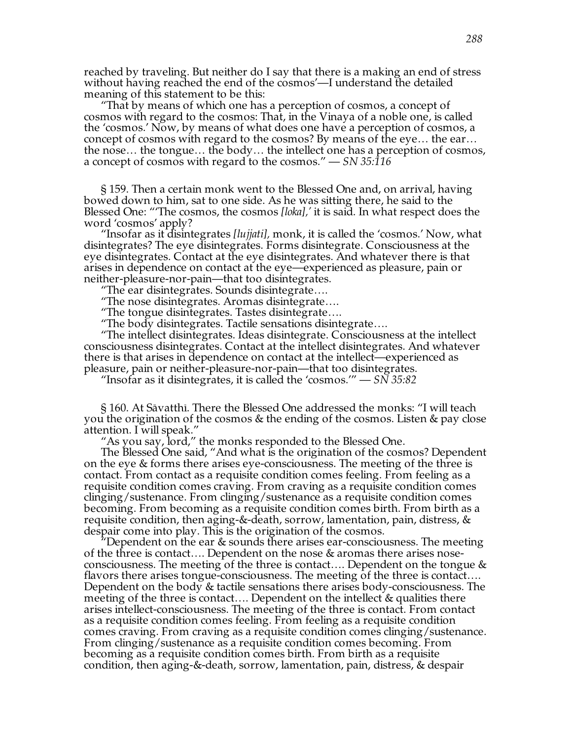reached by traveling. But neither do I say that there is a making an end of stress without having reached the end of the cosmos'—I understand the detailed meaning of this statement to be this:

"That by means of which one has a perception of cosmos, a concept of cosmos with regard to the cosmos: That, in the Vinaya of a noble one, is called the 'cosmos.' Now, by means of what does one have a perception of cosmos, a concept of cosmos with regard to the cosmos? By means of the eye… the ear… the nose… the tongue… the body… the intellect one has a perception of cosmos, a concept of cosmos with regard to the cosmos." — *SN 35:116*

§ 159. Then a certain monk went to the Blessed One and, on arrival, having bowed down to him, sat to one side. As he was sitting there, he said to the Blessed One: "'The cosmos, the cosmos *[loka],'* it is said. In what respect does the word 'cosmos' apply?

"Insofar as it disintegrates *[lujjati],* monk, it is called the 'cosmos.' Now, what disintegrates? The eye disintegrates. Forms disintegrate. Consciousness at the eye disintegrates. Contact at the eye disintegrates. And whatever there is that arises in dependence on contact at the eye—experienced as pleasure, pain or neither-pleasure-nor-pain—that too disintegrates.

"The ear disintegrates. Sounds disintegrate….

"The nose disintegrates. Aromas disintegrate….

"The tongue disintegrates. Tastes disintegrate….

"The body disintegrates. Tactile sensations disintegrate….

"The intellect disintegrates. Ideas disintegrate. Consciousness at the intellect consciousness disintegrates. Contact at the intellect disintegrates. And whatever there is that arises in dependence on contact at the intellect—experienced as pleasure, pain or neither-pleasure-nor-pain—that too disintegrates.

"Insofar as it disintegrates, it is called the 'cosmos.'" — *SN 35:82*

§ 160. At Sāvatthī. There the Blessed One addressed the monks: "I will teach you the origination of the cosmos & the ending of the cosmos. Listen & pay close attention. I will speak."

"As you say, lord," the monks responded to the Blessed One.

The Blessed One said, "And what is the origination of the cosmos? Dependent on the eye & forms there arises eye-consciousness. The meeting of the three is contact. From contact as a requisite condition comes feeling. From feeling as a requisite condition comes craving. From craving as a requisite condition comes clinging/sustenance. From clinging/sustenance as a requisite condition comes becoming. From becoming as a requisite condition comes birth. From birth as a requisite condition, then aging-&-death, sorrow, lamentation, pain, distress, & despair come into play. This is the origination of the cosmos.

"Dependent on the ear & sounds there arises ear-consciousness. The meeting of the three is contact…. Dependent on the nose & aromas there arises noseconsciousness. The meeting of the three is contact…. Dependent on the tongue & flavors there arises tongue-consciousness. The meeting of the three is contact…. Dependent on the body & tactile sensations there arises body-consciousness. The meeting of the three is contact…. Dependent on the intellect & qualities there arises intellect-consciousness. The meeting of the three is contact. From contact as a requisite condition comes feeling. From feeling as a requisite condition comes craving. From craving as a requisite condition comes clinging/sustenance. From clinging/sustenance as a requisite condition comes becoming. From becoming as a requisite condition comes birth. From birth as a requisite condition, then aging-&-death, sorrow, lamentation, pain, distress, & despair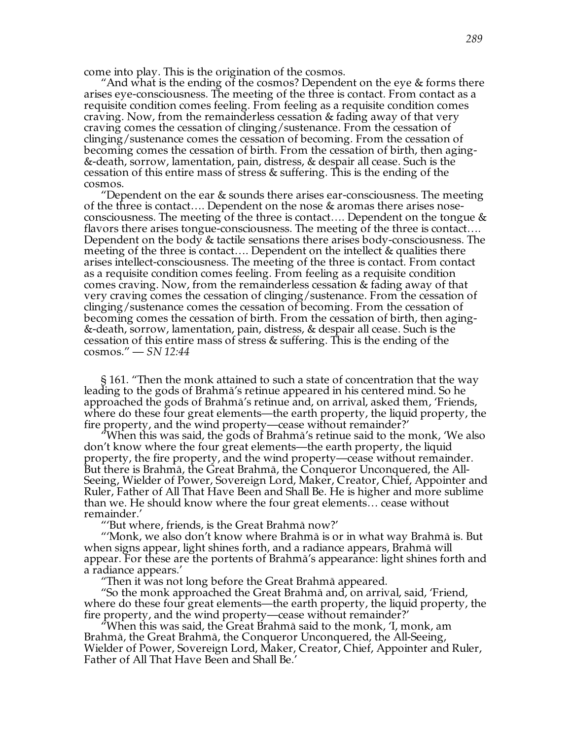come into play. This is the origination of the cosmos.

"And what is the ending of the cosmos? Dependent on the eye  $&$  forms there arises eye-consciousness. The meeting of the three is contact. From contact as a requisite condition comes feeling. From feeling as a requisite condition comes craving. Now, from the remainderless cessation & fading away of that very craving comes the cessation of clinging/sustenance. From the cessation of clinging/sustenance comes the cessation of becoming. From the cessation of becoming comes the cessation of birth. From the cessation of birth, then aging- &-death, sorrow, lamentation, pain, distress, & despair all cease. Such is the cessation of this entire mass of stress & suffering. This is the ending of the cosmos.

"Dependent on the ear  $\&$  sounds there arises ear-consciousness. The meeting of the three is contact…. Dependent on the nose & aromas there arises nose- consciousness. The meeting of the three is contact…. Dependent on the tongue & flavors there arises tongue-consciousness. The meeting of the three is contact…. Dependent on the body & tactile sensations there arises body-consciousness. The meeting of the three is contact…. Dependent on the intellect & qualities there arises intellect-consciousness. The meeting of the three is contact. From contact as a requisite condition comes feeling. From feeling as a requisite condition comes craving. Now, from the remainderless cessation & fading away of that very craving comes the cessation of clinging/sustenance. From the cessation of clinging/sustenance comes the cessation of becoming. From the cessation of becoming comes the cessation of birth. From the cessation of birth, then aging- &-death, sorrow, lamentation, pain, distress, & despair all cease. Such is the cessation of this entire mass of stress & suffering. This is the ending of the cosmos." — *SN 12:44*

§ 161. "Then the monk attained to such a state of concentration that the way leading to the gods of Brahma's retinue appeared in his centered mind. So he approached the gods of Brahma's retinue and, on arrival, asked them, 'Friends, where do these four great elements—the earth property, the liquid property, the fire property, and the wind property—cease without remainder?'

"When this was said, the gods of Brahmā's retinue said to the monk, 'We also don't know where the four great elements—the earth property, the liquid property, the fire property, and the wind property—cease without remainder. But there is Brahma, the Great Brahma, the Conqueror Unconquered, the All-Seeing, Wielder of Power, Sovereign Lord, Maker, Creator, Chief, Appointer and Ruler, Father of All That Have Been and Shall Be. He is higher and more sublime than we. He should know where the four great elements… cease without remainder.'

"'But where, friends, is the Great Brahma now?'

"'Monk, we also don't know where Brahma is or in what way Brahma is. But when signs appear, light shines forth, and a radiance appears, Brahmā will appear. For these are the portents of Brahma's appearance: light shines forth and a radiance appears.'

"Then it was not long before the Great Brahma appeared.

"So the monk approached the Great Brahma and, on arrival, said, 'Friend, where do these four great elements—the earth property, the liquid property, the fire property, and the wind property—cease without remainder?'

"When this was said, the Great Brahma said to the monk,  $I$ , monk, am Brahmā, the Great Brahmā, the Conqueror Unconquered, the All-Seeing, Wielder of Power, Sovereign Lord, Maker, Creator, Chief, Appointer and Ruler, Father of All That Have Been and Shall Be.'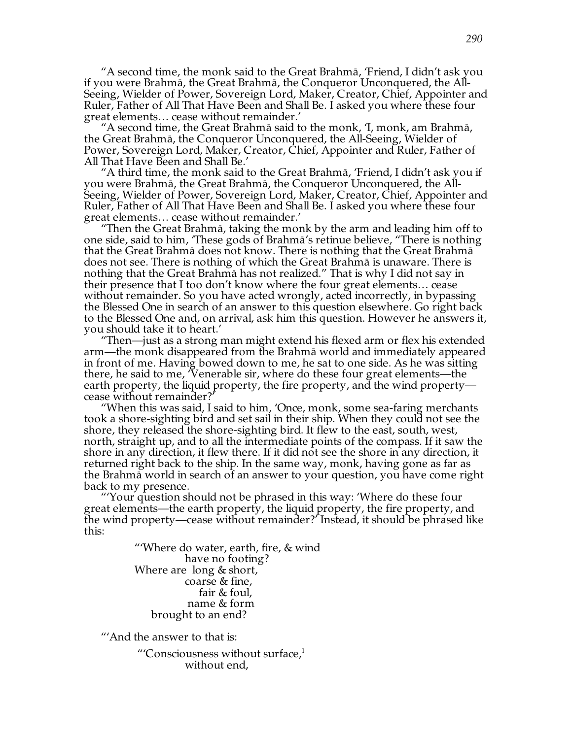"A second time, the monk said to the Great Brahmā, 'Friend, I didn't ask you if you were Brahmā, the Great Brahmā, the Conqueror Unconquered, the All-<br>Seeing, Wielder of Power, Sovereign Lord, Maker, Creator, Chief, Appointer and Ruler, Father of All That Have Been and Shall Be. I asked you where these four great elements… cease without remainder.'

"A second time, the Great Brahma said to the monk,  $\mathcal I$ , monk, am Brahma, the Great Brahma, the Conqueror Unconquered, the All-Seeing, Wielder of Power, Sovereign Lord, Maker, Creator, Chief, Appointer and Ruler, Father of All That Have Been and Shall Be.'

 $\mathrm{``A}$  third time, the monk said to the Great Brahmā, 'Friend, I didn't ask you if you were Brahmā, the Great Brahmā, the Conqueror Unconquered, the All-<br>Seeing, Wielder of Power, Sovereign Lord, Maker, Creator, Chief, Appointer and Ruler, Father of All That Have Been and Shall Be. I asked you where these four great elements… cease without remainder.'

"Then the Great Brahma, taking the monk by the arm and leading him off to one side, said to him, 'These gods of Brahma's retinue believe, "There is nothing that the Great Brahma does not know. There is nothing that the Great Brahma does not see. There is nothing of which the Great Brahma is unaware. There is nothing that the Great Brahmā has not realized." That is why I did not say in their presence that I too don't know where the four great elements… cease without remainder. So you have acted wrongly, acted incorrectly, in bypassing the Blessed One in search of an answer to this question elsewhere. Go right back to the Blessed One and, on arrival, ask him this question. However he answers it, you should take it to heart.'

"Then—just as a strong man might extend his flexed arm or flex his extended arm—the monk disappeared from the Brahma world and immediately appeared in front of me. Having bowed down to me, he sat to one side. As he was sitting there, he said to me, 'Venerable sir, where do these four great elements—the earth property, the liquid property, the fire property, and the wind property cease without remainder?'

"When this was said, I said to him, 'Once, monk, some sea-faring merchants took a shore-sighting bird and set sail in their ship. When they could not see the shore, they released the shore-sighting bird. It flew to the east, south, west, north, straight up, and to all the intermediate points of the compass. If it saw the shore in any direction, it flew there. If it did not see the shore in any direction, it returned right back to the ship. In the same way, monk, having gone as far as the Brahma world in search of an answer to your question, you have come right back to my presence.

"'Your question should not be phrased in this way: 'Where do these four great elements—the earth property, the liquid property, the fire property, and the wind property—cease without remainder?' Instead, it should be phrased like this:

> "'Where do water, earth, fire, & wind have no footing? Where are long & short, coarse & fine, fair & foul, name & form brought to an end?

"'And the answer to that is:

"'Consciousness without surface,<sup>1</sup> without end,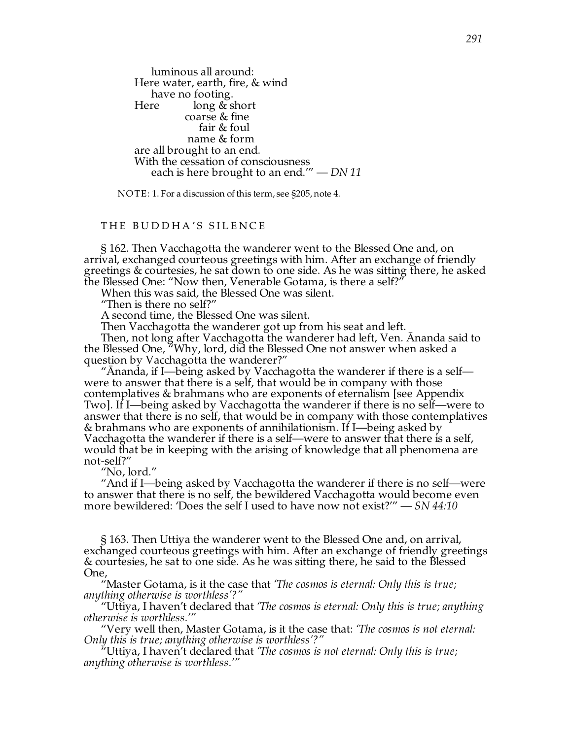luminous all around: Here water, earth, fire, & wind have no footing. Here long & short coarse & fine fair & foul name & form are all brought to an end. With the cessation of consciousness each is here brought to an end.'" — *DN 11*

NOTE: 1. For a discussion of this term, see §205, note 4.

## THE BUDDHA'S SILENCE

§ 162. Then Vacchagotta the wanderer went to the Blessed One and, on arrival, exchanged courteous greetings with him. After an exchange of friendly greetings & courtesies, he sat down to one side. As he was sitting there, he asked the Blessed One: "Now then, Venerable Gotama, is there a self?"

When this was said, the Blessed One was silent.

"Then is there no self?"

A second time, the Blessed One was silent.

Then Vacchagotta the wanderer got up from his seat and left.

Then, not long after Vacchagotta the wanderer had left, Ven. Ananda said to the Blessed One, "Why, lord, did the Blessed One not answer when asked a question by Vacchagotta the wanderer?"

"Ananda, if I—being asked by Vacchagotta the wanderer if there is a self were to answer that there is a self, that would be in company with those contemplatives & brahmans who are exponents of eternalism [see Appendix Two]. If I—being asked by Vacchagotta the wanderer if there is no self—were to answer that there is no self, that would be in company with those contemplatives & brahmans who are exponents of annihilationism. If I—being asked by Vacchagotta the wanderer if there is a self—were to answer that there is a self, would that be in keeping with the arising of knowledge that all phenomena are not-self?"

"No, lord."

"And if I—being asked by Vacchagotta the wanderer if there is no self—were to answer that there is no self, the bewildered Vacchagotta would become even more bewildered: 'Does the self I used to have now not exist?'" — *SN 44:10*

§ 163. Then Uttiya the wanderer went to the Blessed One and, on arrival, exchanged courteous greetings with him. After an exchange of friendly greetings & courtesies, he sat to one side. As he was sitting there, he said to the Blessed One,

"Master Gotama, is it the case that *'The cosmos is eternal: Only this is true; anything otherwise is worthless'?"*

"Uttiya, I haven't declared that *'The cosmos is eternal: Only this is true; anything otherwise is worthless.'"*

"Very well then, Master Gotama, is it the case that: *'The cosmos is not eternal: Only this is true; anything otherwise is worthless'?"* "Uttiya, I haven't declared that *'The cosmos is not eternal: Only this is true;* 

*anything otherwise is worthless.'"*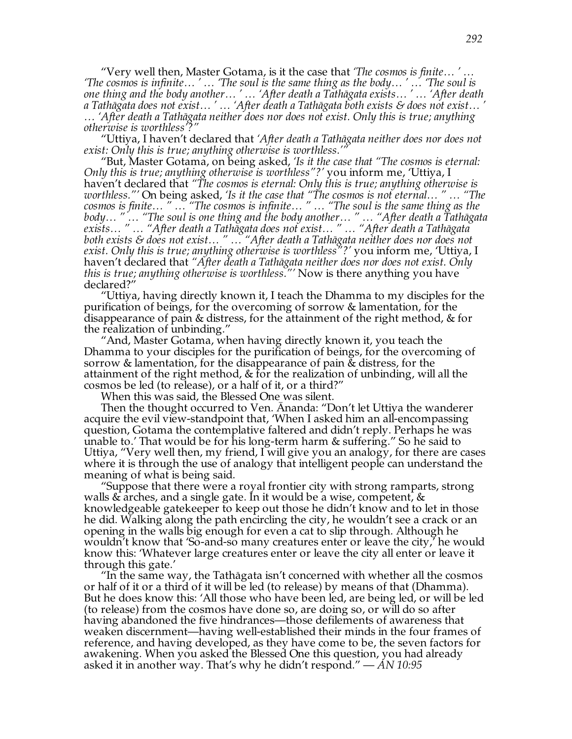"Very well then, Master Gotama, is it the case that *'The cosmos is finite… ' … 'The cosmos is infinite… ' … 'The soul is the same thing as the body… ' … 'The soul is one thing and the body another… ' … 'After death a Tathāgata exists… ' … 'After death* a Tathāgata does not exist… ' … 'After death a Tathāgata both exists & does not exist… ' ... 'After death a Tathāgata neither does nor does not exist. Only this is true; anything *otherwise is worthless'?"*

"Uttiya, I haven't declared that '*After death a Tathāgata neither does nor does not* exist: Only this is true; anything otherwise is worthless.'"

"But, Master Gotama, on being asked, *'Is it the case that "The cosmos is eternal: Only this is true; anything otherwise is worthless"?'* you inform me, 'Uttiya, I haven't declared that *"The cosmos is eternal: Only this is true; anything otherwise is worthless."'* On being asked, *'Is it the case that "The cosmos is not eternal… " … "The cosmos is finite… " … "The cosmos is infinite… " … "The soul is the same thing as the*  body… " <sup>"</sup>… "The soul is one thing and the body another… " … "After death a Tathāgata exists… " … "After death a Tathāgata does not exist… " … "After death a Tathāgata *both exists & does not exist..."* ... "After death a Tathagata neither does nor does not exist. Only this is true; anything otherwise is worthless"?' you inform me, 'Uttiya, I haven't declared that "After death a Tathagat *this is true; anything otherwise is worthless."'* Now is there anything you have declared?"

"Uttiya, having directly known it, I teach the Dhamma to my disciples for the purification of beings, for the overcoming of sorrow & lamentation, for the disappearance of pain & distress, for the attainment of the right method, & for the realization of unbinding."

"And, Master Gotama, when having directly known it, you teach the Dhamma to your disciples for the purification of beings, for the overcoming of sorrow & lamentation, for the disappearance of pain & distress, for the attainment of the right method, & for the realization of unbinding, will all the cosmos be led (to release), or a half of it, or a third?"

When this was said, the Blessed One was silent.

Then the thought occurred to Ven. Ananda: "Don't let Uttiya the wanderer acquire the evil view-standpoint that, 'When I asked him an all-encompassing question, Gotama the contemplative faltered and didn't reply. Perhaps he was unable to.' That would be for his long-term harm & suffering." So he said to Uttiya, "Very well then, my friend, I will give you an analogy, for there are cases where it is through the use of analogy that intelligent people can understand the meaning of what is being said.

"Suppose that there were a royal frontier city with strong ramparts, strong walls & arches, and a single gate. In it would be a wise, competent, & knowledgeable gatekeeper to keep out those he didn't know and to let in those he did. Walking along the path encircling the city, he wouldn't see a crack or an opening in the walls big enough for even a cat to slip through. Although he wouldn't know that 'So-and-so many creatures enter or leave the city,' he would know this: 'Whatever large creatures enter or leave the city all enter or leave it through this gate.'

"In the same way, the Tath $\bar{a}$ gata isn't concerned with whether all the cosmos or half of it or a third of it will be led (to release) by means of that (Dhamma). But he does know this: 'All those who have been led, are being led, or will be led (to release) from the cosmos have done so, are doing so, or will do so after having abandoned the five hindrances—those defilements of awareness that weaken discernment—having well-established their minds in the four frames of reference, and having developed, as they have come to be, the seven factors for awakening. When you asked the Blessed One this question, you had already asked it in another way. That's why he didn't respond." — *AN 10:95*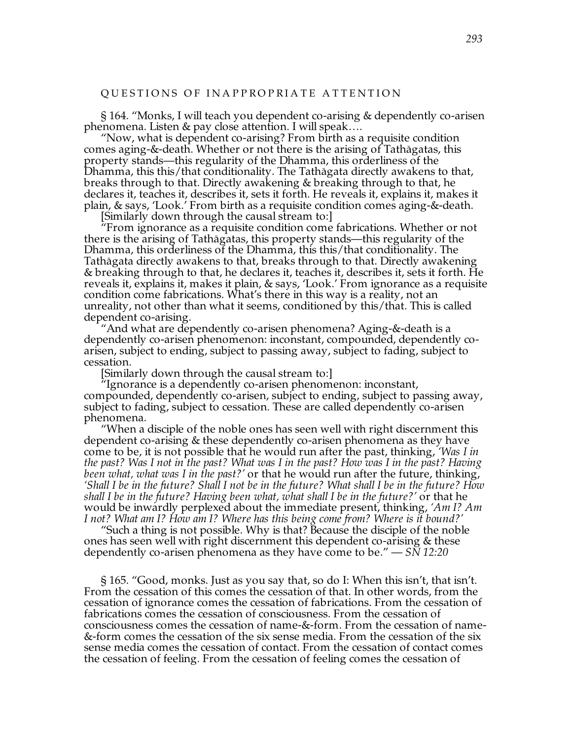## QUESTIONS OF INAPPROPRIATE ATTENTION

§ 164. "Monks, I will teach you dependent co-arising & dependently co-arisen phenomena. Listen & pay close attention. I will speak…. "Now, what is dependent co-arising? From birth as a requisite condition

comes aging-&-death. Whether or not there is the arising of Tathāgatas, this property stands—this regularity of the Dhamma, this orderliness of the Dhamma, this this/that conditionality. The Tathagata directly awakens to that, breaks through to that. Directly awakening & breaking through to that, he declares it, teaches it, describes it, sets it forth. He reveals it, explains it, makes it plain, & says, 'Look.' From birth as a requisite condition comes aging-&-death. [Similarly down through the causal stream to:]

"From ignorance as a requisite condition come fabrications. Whether or not there is the arising of Tathagatas, this property stands—this regularity of the Dhamma, this orderliness of the Dhamma, this this/that conditionality. The Tathāgata directly awakens to that, breaks through to that. Directly awakening & breaking through to that, he declares it, teaches it, describes it, sets it forth. He reveals it, explains it, makes it plain, & says, 'Look.' From ignorance as a requisite condition come fabrications. What's there in this way is a reality, not an unreality, not other than what it seems, conditioned by this/that. This is called dependent co-arising.

"And what are dependently co-arisen phenomena? Aging-&-death is a dependently co-arisen phenomenon: inconstant, compounded, dependently coarisen, subject to ending, subject to passing away, subject to fading, subject to cessation.

[Similarly down through the causal stream to:]

"Ignorance is a dependently co-arisen phenomenon: inconstant, compounded, dependently co-arisen, subject to ending, subject to passing away, subject to fading, subject to cessation. These are called dependently co-arisen phenomena.

"When a disciple of the noble ones has seen well with right discernment this dependent co-arising & these dependently co-arisen phenomena as they have come to be, it is not possible that he would run after the past, thinking, *'Was I in the past? Was I not in the past? What was I in the past? How was I in the past? Having been what, what was I in the past?'* or that he would run after the future, thinking, *'Shall I be in the future? Shall I not be in the future? What shall I be in the future? How shall I be in the future? Having been what, what shall I be in the future?'* or that he would be inwardly perplexed about the immediate present, thinking, *'Am I? Am I not? What am I? How am I? Where has this being come from? Where is it bound?'* 

"Such a thing is not possible. Why is that? Because the disciple of the noble ones has seen well with right discernment this dependent co-arising & these dependently co-arisen phenomena as they have come to be." — *SN 12:20*

§ 165. "Good, monks. Just as you say that, so do I: When this isn't, that isn't. From the cessation of this comes the cessation of that. In other words, from the cessation of ignorance comes the cessation of fabrications. From the cessation of fabrications comes the cessation of consciousness. From the cessation of consciousness comes the cessation of name-&-form. From the cessation of name- &-form comes the cessation of the six sense media. From the cessation of the six sense media comes the cessation of contact. From the cessation of contact comes the cessation of feeling. From the cessation of feeling comes the cessation of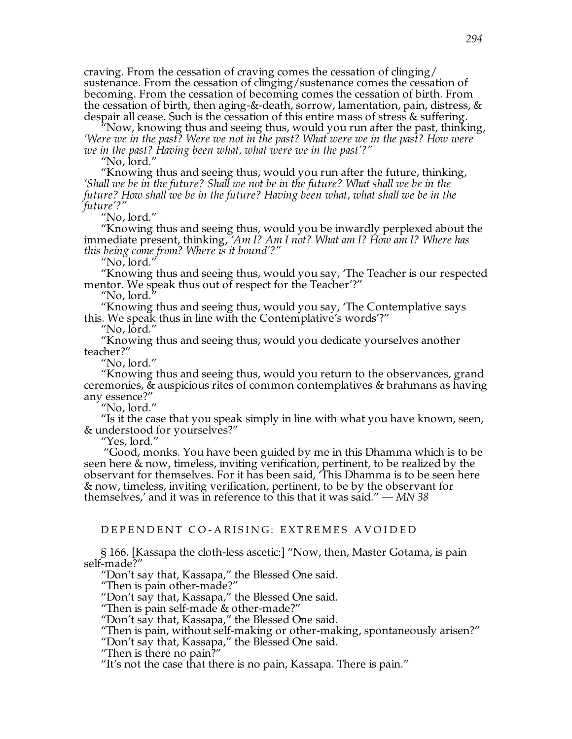craving. From the cessation of craving comes the cessation of clinging/ sustenance. From the cessation of clinging/sustenance comes the cessation of becoming. From the cessation of becoming comes the cessation of birth. From the cessation of birth, then aging-&-death, sorrow, lamentation, pain, distress, & despair all cease. Such is the cessation of this entire mass of stress & suffering.

"Now, knowing thus and seeing thus, would you run after the past, thinking, *'Were we in the past? Were we not in the past? What were we in the past? How were we in the past? Having been what, what were we in the past'?"*

"No, lord."

"Knowing thus and seeing thus, would you run after the future, thinking, *'Shall we be in the future? Shall we not be in the future? What shall we be in the future? How shall we be in the future? Having been what, what shall we be in the future'?"*

"No, lord."

"Knowing thus and seeing thus, would you be inwardly perplexed about the immediate present, thinking, *'Am I? Am I not? What am I? How am I? Where has this being come from? Where is it bound'?"*

"No, lord."

"Knowing thus and seeing thus, would you say, 'The Teacher is our respected mentor. We speak thus out of respect for the Teacher'?"

"No, lord."

"Knowing thus and seeing thus, would you say, 'The Contemplative says this. We speak thus in line with the Contemplative's words'?"

"No, lord."

"Knowing thus and seeing thus, would you dedicate yourselves another teacher?"

"No, lord."

"Knowing thus and seeing thus, would you return to the observances, grand ceremonies, & auspicious rites of common contemplatives & brahmans as having any essence?"

"No, lord."

"Is it the case that you speak simply in line with what you have known, seen, & understood for yourselves?"

"Yes, lord."

 "Good, monks. You have been guided by me in this Dhamma which is to be seen here & now, timeless, inviting verification, pertinent, to be realized by the observant for themselves. For it has been said, 'This Dhamma is to be seen here & now, timeless, inviting verification, pertinent, to be by the observant for themselves,' and it was in reference to this that it was said." — *MN 38*

#### DEPENDENT CO - ARISING: EXTREMES AV OIDE D

§ 166. [Kassapa the cloth-less ascetic:] "Now, then, Master Gotama, is pain self-made?"

"Don't say that, Kassapa," the Blessed One said.

"Then is pain other-made?"

"Don't say that, Kassapa," the Blessed One said.

"Then is pain self-made & other-made?"

"Don't say that, Kassapa," the Blessed One said.

"Then is pain, without self-making or other-making, spontaneously arisen?"

"Don't say that, Kassapa," the Blessed One said.

"Then is there no pain?"

"It's not the case that there is no pain, Kassapa. There is pain."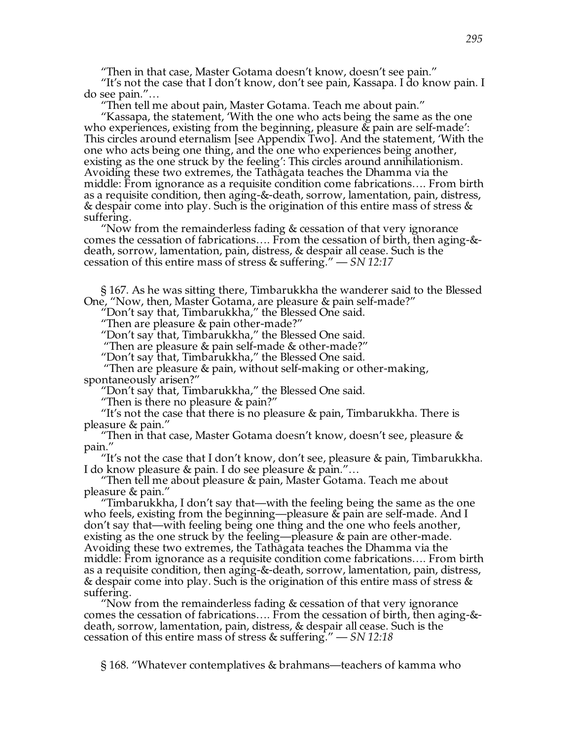"Then in that case, Master Gotama doesn't know, doesn't see pain."

"It's not the case that I don't know, don't see pain, Kassapa. I do know pain. I do see pain."…

"Then tell me about pain, Master Gotama. Teach me about pain."

"Kassapa, the statement, 'With the one who acts being the same as the one who experiences, existing from the beginning, pleasure & pain are self-made': This circles around eternalism [see Appendix Two]. And the statement, 'With the one who acts being one thing, and the one who experiences being another, existing as the one struck by the feeling': This circles around annihilationism. Avoiding these two extremes, the Tathāgata teaches the Dhamma via the middle: From ignorance as a requisite condition come fabrications…. From birth as a requisite condition, then aging-&-death, sorrow, lamentation, pain, distress, & despair come into play. Such is the origination of this entire mass of stress & suffering.

"Now from the remainderless fading & cessation of that very ignorance comes the cessation of fabrications…. From the cessation of birth, then aging-&- death, sorrow, lamentation, pain, distress, & despair all cease. Such is the cessation of this entire mass of stress & suffering." — *SN 12:17*

§ 167. As he was sitting there, Timbarukkha the wanderer said to the Blessed One, "Now, then, Master Gotama, are pleasure & pain self-made?"

"Don't say that, Timbarukkha," the Blessed One said.

"Then are pleasure & pain other-made?"

"Don't say that, Timbarukkha," the Blessed One said.

"Then are pleasure & pain self-made & other-made?"

"Don't say that, Timbarukkha," the Blessed One said.

 "Then are pleasure & pain, without self-making or other-making, spontaneously arisen?"

"Don't say that, Timbarukkha," the Blessed One said.

"Then is there no pleasure & pain?"

"It's not the case that there is no pleasure  $\&$  pain, Timbarukkha. There is pleasure & pain."

"Then in that case, Master Gotama doesn't know, doesn't see, pleasure  $\&$ pain."

"It's not the case that I don't know, don't see, pleasure & pain, Timbarukkha. I do know pleasure & pain. I do see pleasure & pain."…

"Then tell me about pleasure & pain, Master Gotama. Teach me about pleasure & pain."

"Timbarukkha, I don't say that—with the feeling being the same as the one who feels, existing from the beginning—pleasure & pain are self-made. And I don't say that—with feeling being one thing and the one who feels another, existing as the one struck by the feeling—pleasure & pain are other-made. Avoiding these two extremes, the Tathāgata teaches the Dhamma via the middle: From ignorance as a requisite condition come fabrications…. From birth as a requisite condition, then aging-&-death, sorrow, lamentation, pain, distress, & despair come into play. Such is the origination of this entire mass of stress & suffering.

"Now from the remainderless fading  $&\&$  cessation of that very ignorance comes the cessation of fabrications…. From the cessation of birth, then aging-& death, sorrow, lamentation, pain, distress, & despair all cease. Such is the cessation of this entire mass of stress & suffering." — *SN 12:18*

§ 168. "Whatever contemplatives & brahmans—teachers of kamma who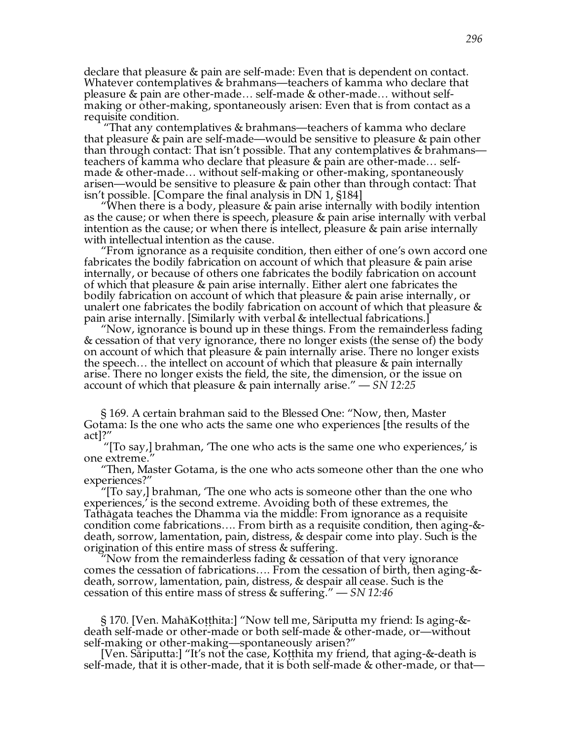declare that pleasure & pain are self-made: Even that is dependent on contact. Whatever contemplatives & brahmans—teachers of kamma who declare that pleasure & pain are other-made… self-made & other-made… without self-<br>making or other-making, spontaneously arisen: Even that is from contact as a requisite condition.

 "That any contemplatives & brahmans—teachers of kamma who declare that pleasure & pain are self-made—would be sensitive to pleasure & pain other than through contact: That isn't possible. That any contemplatives & brahmans— teachers of kamma who declare that pleasure & pain are other-made… self- made & other-made… without self-making or other-making, spontaneously arisen—would be sensitive to pleasure & pain other than through contact: That isn't possible. [Compare the final analysis in DN 1, §184]

"When there is a body, pleasure  $\&$  pain arise internally with bodily intention as the cause; or when there is speech, pleasure & pain arise internally with verbal intention as the cause; or when there is intellect, pleasure & pain arise internally with intellectual intention as the cause.

"From ignorance as a requisite condition, then either of one's own accord one fabricates the bodily fabrication on account of which that pleasure & pain arise internally, or because of others one fabricates the bodily fabrication on account of which that pleasure & pain arise internally. Either alert one fabricates the bodily fabrication on account of which that pleasure & pain arise internally, or unalert one fabricates the bodily fabrication on account of which that pleasure & pain arise internally. [Similarly with verbal & intellectual fabrications.]

"Now, ignorance is bound up in these things. From the remainderless fading & cessation of that very ignorance, there no longer exists (the sense of) the body on account of which that pleasure & pain internally arise. There no longer exists the speech… the intellect on account of which that pleasure & pain internally arise. There no longer exists the field, the site, the dimension, or the issue on account of which that pleasure & pain internally arise." — *SN 12:25*

§ 169. A certain brahman said to the Blessed One: "Now, then, Master Gotama: Is the one who acts the same one who experiences [the results of the act]?"

 "[To say,] brahman, 'The one who acts is the same one who experiences,' is one extreme."

"Then, Master Gotama, is the one who acts someone other than the one who experiences?"

"[To say,] brahman, 'The one who acts is someone other than the one who experiences,' is the second extreme. Avoiding both of these extremes, the Tathāgata teaches the Dhamma via the middle: From ignorance as a requisite condition come fabrications…. From birth as a requisite condition, then aging-& death, sorrow, lamentation, pain, distress, & despair come into play. Such is the origination of this entire mass of stress & suffering.

"Now from the remainderless fading & cessation of that very ignorance comes the cessation of fabrications…. From the cessation of birth, then aging-& death, sorrow, lamentation, pain, distress, & despair all cease. Such is the cessation of this entire mass of stress & suffering." — *SN 12:46*

§ 170. [Ven. MahāKoṭṭhita:] "Now tell me, Sāriputta my friend: Is aging-&-<br>death self-made or other-made or both self-made & other-made, or—without self-making or other-making—spontaneously arisen?"

[Ven. Sāriputta:] "It's not the case, Kotthita my friend, that aging-&-death is self-made, that it is other-made, that it is both self-made & other-made, or that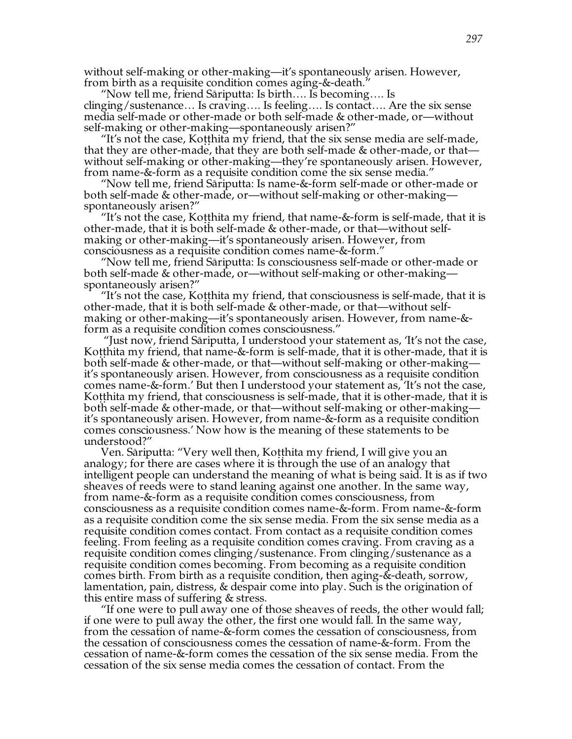without self-making or other-making—it's spontaneously arisen. However, from birth as a requisite condition comes aging-&-death."

"Now tell me, friend Sāriputta: Is birth.... Is becoming.... Is clinging/sustenance… Is craving…. Is feeling…. Is contact…. Are the six sense media self-made or other-made or both self-made & other-made, or—without self-making or other-making—spontaneously arisen?"

"It's not the case, Kotthita my friend, that the six sense media are self-made, that they are other-made, that they are both self-made & other-made, or that—<br>without self-making or other-making—they're spontaneously arisen. However, from name-&-form as a requisite condition come the six sense media."

"Now tell me, friend Sāriputta: Is name-&-form self-made or other-made or both self-made & other-made, or—without self-making or other-making— spontaneously arisen?"

"It's not the case, Kotthita my friend, that name-&-form is self-made, that it is other-made, that it is both self-made & other-made, or that—without self- making or other-making—it's spontaneously arisen. However, from consciousness as a requisite condition comes name-&-form."

"Now tell me, friend Sāriputta: Is consciousness self-made or other-made or both self-made & other-made, or—without self-making or other-making—<br>spontaneously arisen?"

"It's not the case, Kotthita my friend, that consciousness is self-made, that it is other-made, that it is both self-made & other-made, or that—without self-<br>making or other-making—it's spontaneously arisen. However, from name-&-<br>form as a requisite condition comes consciousness."

"Just now, friend Sāriputta, I understood your statement as, 'It's not the case, Kotthita my friend, that name-&-form is self-made, that it is other-made, that it is both self-made & other-made, or that—without self-making or other-making— it's spontaneously arisen. However, from consciousness as a requisite condition comes name-&-form.' But then I understood your statement as, 'It's not the case, Kotthita my friend, that consciousness is self-made, that it is other-made, that it is both self-made & other-made, or that—without self-making or other-making it's spontaneously arisen. However, from name-&-form as a requisite condition comes consciousness.' Now how is the meaning of these statements to be understood?"

Ven. Sāriputta: "Very well then, Koṭṭhita my friend, I will give you an analogy; for there are cases where it is through the use of an analogy that intelligent people can understand the meaning of what is being said. It is as if two sheaves of reeds were to stand leaning against one another. In the same way, from name-&-form as a requisite condition comes consciousness, from consciousness as a requisite condition comes name-&-form. From name-&-form as a requisite condition come the six sense media. From the six sense media as a requisite condition comes contact. From contact as a requisite condition comes feeling. From feeling as a requisite condition comes craving. From craving as a requisite condition comes clinging/sustenance. From clinging/sustenance as a requisite condition comes becoming. From becoming as a requisite condition comes birth. From birth as a requisite condition, then aging-&-death, sorrow, lamentation, pain, distress, & despair come into play. Such is the origination of this entire mass of suffering & stress.

"If one were to pull away one of those sheaves of reeds, the other would fall; if one were to pull away the other, the first one would fall. In the same way, from the cessation of name-&-form comes the cessation of consciousness, from the cessation of consciousness comes the cessation of name-&-form. From the cessation of name-&-form comes the cessation of the six sense media. From the cessation of the six sense media comes the cessation of contact. From the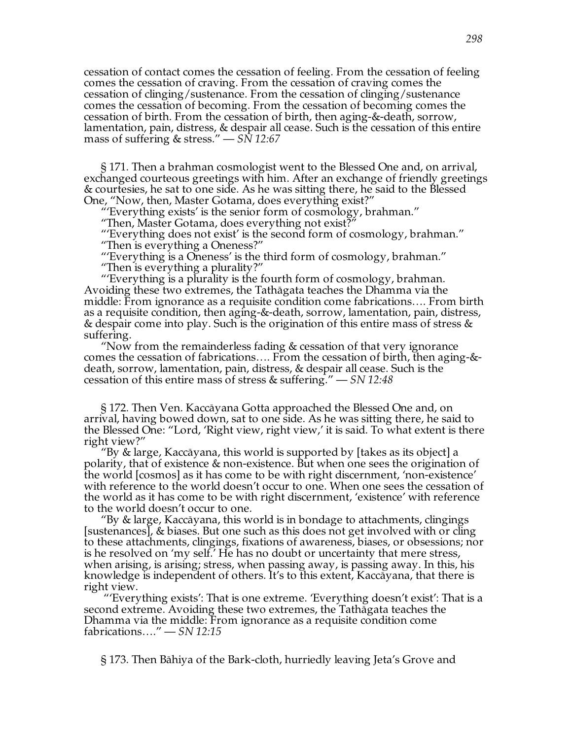cessation of contact comes the cessation of feeling. From the cessation of feeling comes the cessation of craving. From the cessation of craving comes the cessation of clinging/sustenance. From the cessation of clinging/sustenance comes the cessation of becoming. From the cessation of becoming comes the cessation of birth. From the cessation of birth, then aging-&-death, sorrow, lamentation, pain, distress, & despair all cease. Such is the cessation of this entire mass of suffering & stress." — *SN 12:67*

§ 171. Then a brahman cosmologist went to the Blessed One and, on arrival, exchanged courteous greetings with him. After an exchange of friendly greetings & courtesies, he sat to one side. As he was sitting there, he said to the Blessed One, "Now, then, Master Gotama, does everything exist?"

"'Everything exists' is the senior form of cosmology, brahman."

"Then, Master Gotama, does everything not exist?"

"'Everything does not exist' is the second form of cosmology, brahman."

"Then is everything a Oneness?"

"'Everything is a Oneness' is the third form of cosmology, brahman."

"Then is everything a plurality?"

"'Everything is a plurality is the fourth form of cosmology, brahman.<br>Avoiding these two extremes, the Tathagata teaches the Dhamma via the middle: From ignorance as a requisite condition come fabrications…. From birth as a requisite condition, then aging-&-death, sorrow, lamentation, pain, distress, & despair come into play. Such is the origination of this entire mass of stress & suffering.

"Now from the remainderless fading & cessation of that very ignorance comes the cessation of fabrications…. From the cessation of birth, then aging-&- death, sorrow, lamentation, pain, distress, & despair all cease. Such is the cessation of this entire mass of stress & suffering." — *SN 12:48*

§ 172. Then Ven. Kaccāyana Gotta approached the Blessed One and, on arrival, having bowed down, sat to one side. As he was sitting there, he said to the Blessed One: "Lord, 'Right view, right view,' it is said. To what extent is there right view?"

"By & large, Kaccāyana, this world is supported by [takes as its object] a polarity, that of existence & non-existence. But when one sees the origination of the world [cosmos] as it has come to be with right discernment, 'non-existence' with reference to the world doesn't occur to one. When one sees the cessation of the world as it has come to be with right discernment, 'existence' with reference to the world doesn't occur to one.

"By  $\&$  large, Kaccāyana, this world is in bondage to attachments, clingings [sustenances], & biases. But one such as this does not get involved with or cling to these attachments, clingings, fixations of awareness, biases, or obsessions; nor is he resolved on 'my self.' He has no doubt or uncertainty that mere stress, when arising, is arising; stress, when passing away, is passing away. In this, his knowledge is independent of others. It's to this extent, Kaccayana, that there is right view.

 "'Everything exists': That is one extreme. 'Everything doesn't exist': That is a second extreme. Avoiding these two extremes, the Tathagata teaches the Dhamma via the middle: From ignorance as a requisite condition come fabrications…." — *SN 12:15*

§ 173. Then Bāhiya of the Bark-cloth, hurriedly leaving Jeta's Grove and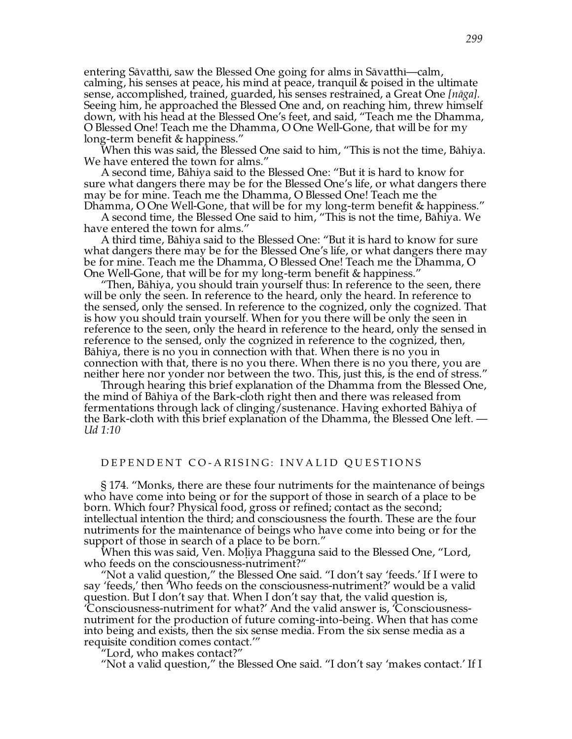entering Sāvatthī, saw the Blessed One going for alms in Sāvatthī—calm, calming, his senses at peace, his mind at peace, tranquil & poised in the ultimate sense, accomplished, trained, guarded, his senses restrained, a Great One [*nāga*]. Seeing him, he approached the Blessed One and, on reaching him, threw himself down, with his head at the Blessed One's feet, and said, "Teach me the Dhamma, O Blessed One! Teach me the Dhamma, O One Well-Gone, that will be for my long-term benefit & happiness."

When this was said, the Blessed One said to him, "This is not the time, Bāhiya. We have entered the town for alms."

A second time, Bahiya said to the Blessed One: "But it is hard to know for sure what dangers there may be for the Blessed One's life, or what dangers there may be for mine. Teach me the Dhamma, O Blessed One! Teach me the Dhamma, O One Well-Gone, that will be for my long-term benefit & happiness."

A second time, the Blessed One said to him, "This is not the time, Bahiya. We have entered the town for alms."

A third time, Bahiya said to the Blessed One: "But it is hard to know for sure what dangers there may be for the Blessed One's life, or what dangers there may be for mine. Teach me the Dhamma, O Blessed One! Teach me the Dhamma, O One Well-Gone, that will be for my long-term benefit & happiness."

"Then, Bahiya, you should train yourself thus: In reference to the seen, there will be only the seen. In reference to the heard, only the heard. In reference to the sensed, only the sensed. In reference to the cognized, only the cognized. That is how you should train yourself. When for you there will be only the seen in reference to the seen, only the heard in reference to the heard, only the sensed in reference to the sensed, only the cognized in reference to the cognized, then, Bahiya, there is no you in connection with that. When there is no you in connection with that, there is no you there. When there is no you there, you are neither here nor yonder nor between the two. This, just this, is the end of stress."

Through hearing this brief explanation of the Dhamma from the Blessed One, the mind of Bāhiya of the Bark-cloth right then and there was released from fermentations through lack of clinging/sustenance. Having exhorted Bāhiya of the Bark-cloth with this brief explanation of the Dhamma, the Blessed One left. — *Ud 1:10*

#### DEPENDENT CO - ARISING: INVALID QUESTIONS

§ 174. "Monks, there are these four nutriments for the maintenance of beings who have come into being or for the support of those in search of a place to be born. Which four? Physical food, gross or refined; contact as the second; intellectual intention the third; and consciousness the fourth. These are the four nutriments for the maintenance of beings who have come into being or for the support of those in search of a place to be born."

When this was said, Ven. Moliya Phagguna said to the Blessed One, "Lord, who feeds on the consciousness-nutriment?"

"Not a valid question," the Blessed One said. "I don't say 'feeds.' If I were to say 'feeds,' then 'Who feeds on the consciousness-nutriment?' would be a valid question. But I don't say that. When I don't say that, the valid question is, 'Consciousness-nutriment for what?' And the valid answer is, 'Consciousnessnutriment for the production of future coming-into-being. When that has come into being and exists, then the six sense media. From the six sense media as a requisite condition comes contact.'"

"Lord, who makes contact?"

"Not a valid question," the Blessed One said. "I don't say 'makes contact.' If I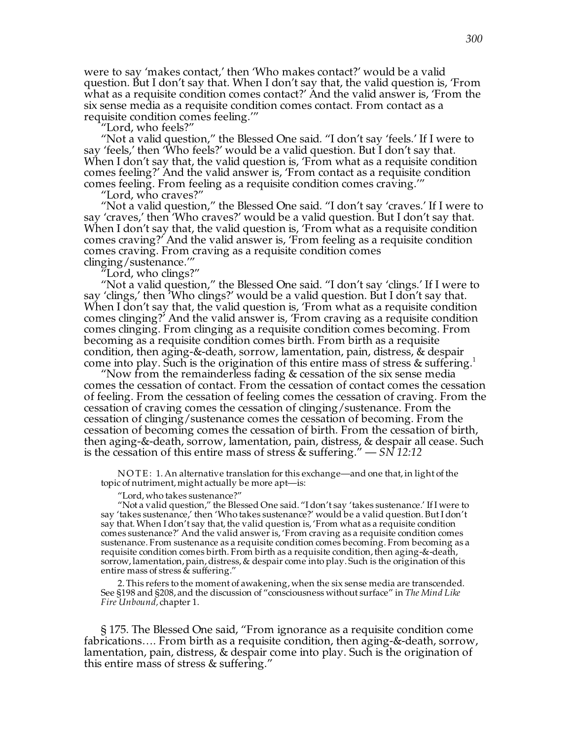were to say 'makes contact,' then 'Who makes contact?' would be a valid question. But I don't say that. When I don't say that, the valid question is, 'From what as a requisite condition comes contact?' And the valid answer is, 'From the six sense media as a requisite condition comes contact. From contact as a requisite condition comes feeling.'"

"Lord, who feels?"

"Not a valid question," the Blessed One said. "I don't say 'feels.' If I were to say 'feels,' then 'Who feels?' would be a valid question. But I don't say that. When I don't say that, the valid question is, 'From what as a requisite condition comes feeling?' And the valid answer is, 'From contact as a requisite condition comes feeling. From feeling as a requisite condition comes craving.'"

"Lord, who craves?"

"Not a valid question," the Blessed One said. "I don't say 'craves.' If I were to say 'craves,' then 'Who craves?' would be a valid question. But I don't say that. When I don't say that, the valid question is, 'From what as a requisite condition comes craving?' And the valid answer is, 'From feeling as a requisite condition comes craving. From craving as a requisite condition comes clinging/sustenance.'"

"Lord, who clings?"

"Not a valid question," the Blessed One said. "I don't say 'clings.' If I were to say 'clings,' then 'Who clings?' would be a valid question. But I don't say that. When I don't say that, the valid question is, 'From what as a requisite condition comes clinging?' And the valid answer is, 'From craving as a requisite condition comes clinging. From clinging as a requisite condition comes becoming. From becoming as a requisite condition comes birth. From birth as a requisite condition, then aging-&-death, sorrow, lamentation, pain, distress, & despair come into play. Such is the origination of this entire mass of stress  $\&$  suffering.<sup>1</sup>

"Now from the remainderless fading  $\&$  cessation of the six sense media comes the cessation of contact. From the cessation of contact comes the cessation of feeling. From the cessation of feeling comes the cessation of craving. From the cessation of craving comes the cessation of clinging/sustenance. From the cessation of clinging/sustenance comes the cessation of becoming. From the cessation of becoming comes the cessation of birth. From the cessation of birth, then aging-&-death, sorrow, lamentation, pain, distress, & despair all cease. Such is the cessation of this entire mass of stress & suffering." — *SN 12:12*

NOTE: 1. An alternative translation for this exchange—and one that, in light of the topic of nutriment, might actually be more apt—is:

"Lord, who takes sustenance?"

"Not a valid question," the Blessed One said. "I don't say 'takes sustenance.' If I were to say 'takes sustenance,' then 'Who takes sustenance?' would be a valid question. But I don't say that. When I don't say that, the valid question is, 'From what as a requisite condition comes sustenance?' And the valid answer is, 'From craving as a requisite condition comes sustenance. From sustenance as a requisite condition comes becoming. From becoming as a requisite condition comes birth. From birth as a requisite condition, then aging-&-death, sorrow, lamentation, pain, distress, & despair come into play. Such is the origination of this entire mass of stress & suffering."

2. This refers to the moment of awakening, when the six sense media are transcended. See §198 and §208, and the discussion of "consciousness without surface" in *The Mind Like Fire Unbound,* chapter 1.

§ 175. The Blessed One said, "From ignorance as a requisite condition come fabrications…. From birth as a requisite condition, then aging-&-death, sorrow, lamentation, pain, distress, & despair come into play. Such is the origination of this entire mass of stress & suffering."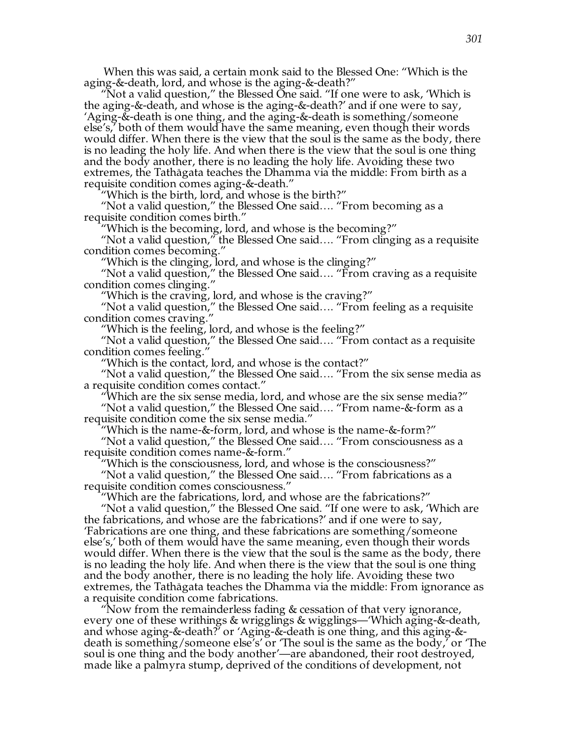When this was said, a certain monk said to the Blessed One: "Which is the aging-&-death, lord, and whose is the aging-&-death?"

"Not a valid question," the Blessed One said. "If one were to ask, 'Which is the aging-&-death, and whose is the aging-&-death?' and if one were to say, 'Aging-&-death is one thing, and the aging-&-death is something/someone else's,' both of them would have the same meaning, even though their words would differ. When there is the view that the soul is the same as the body, there is no leading the holy life. And when there is the view that the soul is one thing and the body another, there is no leading the holy life. Avoiding these two extremes, the Tathāgata teaches the Dhamma via the middle: From birth as a requisite condition comes aging-&-death."

"Which is the birth, lord, and whose is the birth?"

"Not a valid question," the Blessed One said…. "From becoming as a requisite condition comes birth."

"Which is the becoming, lord, and whose is the becoming?"

"Not a valid question," the Blessed One said…. "From clinging as a requisite condition comes becoming."

"Which is the clinging, lord, and whose is the clinging?"

"Not a valid question," the Blessed One said…. "From craving as a requisite condition comes clinging.

"Which is the craving, lord, and whose is the craving?"

"Not a valid question," the Blessed One said…. "From feeling as a requisite condition comes craving."

"Which is the feeling, lord, and whose is the feeling?"

"Not a valid question," the Blessed One said…. "From contact as a requisite condition comes feeling."

"Which is the contact, lord, and whose is the contact?"

"Not a valid question," the Blessed One said…. "From the six sense media as a requisite condition comes contact."

"Which are the six sense media, lord, and whose are the six sense media?" "Not a valid question," the Blessed One said…. "From name-&-form as a requisite condition come the six sense media."

"Which is the name-&-form, lord, and whose is the name-&-form?"

"Not a valid question," the Blessed One said…. "From consciousness as a requisite condition comes name-&-form."

"Which is the consciousness, lord, and whose is the consciousness?"

"Not a valid question," the Blessed One said…. "From fabrications as a requisite condition comes consciousness."

"Which are the fabrications, lord, and whose are the fabrications?"

"Not a valid question," the Blessed One said. "If one were to ask, 'Which are the fabrications, and whose are the fabrications?' and if one were to say, 'Fabrications are one thing, and these fabrications are something/someone else's,' both of them would have the same meaning, even though their words would differ. When there is the view that the soul is the same as the body, there is no leading the holy life. And when there is the view that the soul is one thing and the body another, there is no leading the holy life. Avoiding these two extremes, the Tathāgata teaches the Dhamma via the middle: From ignorance as a requisite condition come fabrications.

"Now from the remainderless fading & cessation of that very ignorance, every one of these writhings & wrigglings & wigglings—'Which aging-&-death,<br>and whose aging-&-death?' or 'Aging-&-death is one thing, and this aging-&death is something/someone else's' or 'The soul is the same as the body,' or 'The soul is one thing and the body another'—are abandoned, their root destroyed, made like a palmyra stump, deprived of the conditions of development, not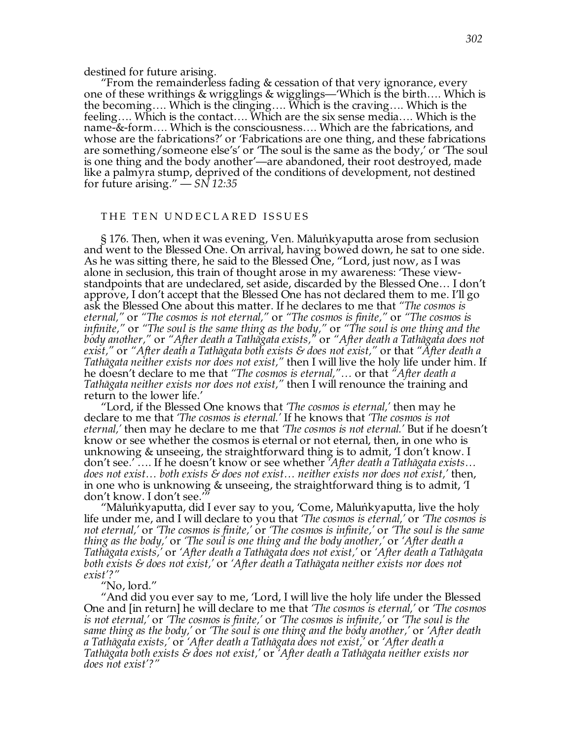destined for future arising.

"From the remainderless fading & cessation of that very ignorance, every one of these writhings & wrigglings & wigglings—'Which is the birth…. Which is the becoming…. Which is the clinging…. Which is the craving…. Which is the feeling…. Which is the contact…. Which are the six sense media…. Which is the name-&-form…. Which is the consciousness…. Which are the fabrications, and whose are the fabrications?' or 'Fabrications are one thing, and these fabrications are something/someone else's' or 'The soul is the same as the body,' or 'The soul is one thing and the body another'—are abandoned, their root destroyed, made like a palmyra stump, deprived of the conditions of development, not destined for future arising." — *SN 12:35*

## THE TEN UNDECLARED ISSUES

 $\S 176$ . Then, when it was evening, Ven. Malunkyaputta arose from seclusion and went to the Blessed One. On arrival, having bowed down, he sat to one side. As he was sitting there, he said to the Blessed One, "Lord, just now, as I was alone in seclusion, this train of thought arose in my awareness: 'These viewstandpoints that are undeclared, set aside, discarded by the Blessed One… I don't approve, I don't accept that the Blessed One has not declared them to me. I'll go ask the Blessed One about this matter. If he declares to me that *"The cosmos is eternal,"* or *"The cosmos is not eternal,"* or *"The cosmos is finite,"* or *"The cosmos is infinite,"* or *"The soul is the same thing as the body,"* or *"The soul is one thing and the body another,"* or "After death a Tathagata exists," or "After death a Tathagata does not *exist,"* or "After death a Tathāgata both exists & does not exist," or that "After death a *Tathāgata neither exists nor does not exist,*" then I will live the holy life under him. If he doesn't declare to me that *"The cosmos is eternal,"…* or that *"After death a*  Tathāgata neither exists nor does not exist," then I will renounce the training and return to the lower life.'

"Lord, if the Blessed One knows that *'The cosmos is eternal,'* then may he declare to me that *'The cosmos is eternal.'* If he knows that *'The cosmos is not eternal,'* then may he declare to me that *'The cosmos is not eternal.'* But if he doesn't know or see whether the cosmos is eternal or not eternal, then, in one who is unknowing & unseeing, the straightforward thing is to admit, 'I don't know. I don't see.' .... If he doesn't know or see whether *'After death a Tathāgata exists*... *does not exist… both exists & does not exist… neither exists nor does not exist,'* then, in one who is unknowing & unseeing, the straightforward thing is to admit, 'I don't know. I don't see.'"

"Mālunkyaputta, did I ever say to you, 'Come, Mālunkyaputta, live the holy life under me, and I will declare to you that *'The cosmos is eternal,'* or *'The cosmos is not eternal,'* or *'The cosmos is finite,'* or *'The cosmos is infinite,'* or *'The soul is the same thing as the body,'* or *'The soul is one thing and the body another,'* or *'After death a Tath›gata exists,'* or *'After death a Tath›gata does not exist,'* or *'After death a Tath›gata both exists & does not exist,' or 'After death a Tathāgata neither exists nor does not exist'?"*

"No, lord."

"And did you ever say to me, 'Lord, I will live the holy life under the Blessed One and [in return] he will declare to me that *'The cosmos is eternal,'* or *'The cosmos is not eternal,'* or *'The cosmos is finite,'* or *'The cosmos is infinite,'* or *'The soul is the same thing as the body,'* or *'The soul is one thing and the body another,'* or *'After death*  a Tathāgata exists,' 0r 'After death a Tathāgata does not exist,' 0r 'After death a<br>Tathāgata both exists & does not exist,' 0r 'After death a Tathāgata neither exists nor *does not exist'?"*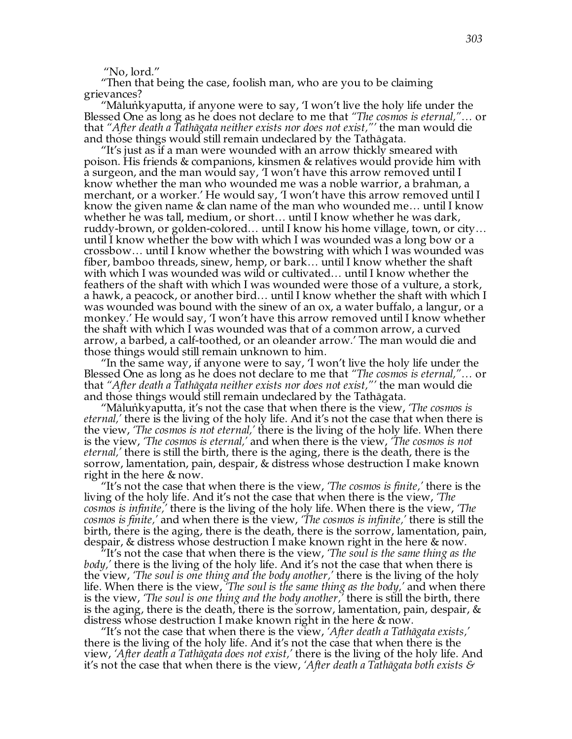"No, lord." "Then that being the case, foolish man, who are you to be claiming grievances?

"Mālunkyaputta, if anyone were to say, 'I won't live the holy life under the Blessed One as long as he does not declare to me that *"The cosmos is eternal,"…* or that "After death a Tathāgata neither exists nor does not exist,"' the man would die and those things would still remain undeclared by the Tathagata.

"It's just as if a man were wounded with an arrow thickly smeared with poison. His friends & companions, kinsmen & relatives would provide him with a surgeon, and the man would say, 'I won't have this arrow removed until I know whether the man who wounded me was a noble warrior, a brahman, a merchant, or a worker.' He would say, 'I won't have this arrow removed until I know the given name & clan name of the man who wounded me… until I know whether he was tall, medium, or short… until I know whether he was dark, ruddy-brown, or golden-colored… until I know his home village, town, or city… until I know whether the bow with which I was wounded was a long bow or a crossbow… until I know whether the bowstring with which I was wounded was fiber, bamboo threads, sinew, hemp, or bark… until I know whether the shaft with which I was wounded was wild or cultivated… until I know whether the feathers of the shaft with which I was wounded were those of a vulture, a stork, a hawk, a peacock, or another bird… until I know whether the shaft with which I was wounded was bound with the sinew of an ox, a water buffalo, a langur, or a monkey.' He would say, 'I won't have this arrow removed until I know whether the shaft with which I was wounded was that of a common arrow, a curved arrow, a barbed, a calf-toothed, or an oleander arrow.' The man would die and those things would still remain unknown to him.

"In the same way, if anyone were to say, 'I won't live the holy life under the Blessed One as long as he does not declare to me that *"The cosmos is eternal,"…* or that "After death a Tathāgata neither exists nor does not exist,"' the man would die and those things would still remain undeclared by the Tathagata.

"Mālunkyaputta, it's not the case that when there is the view, *'The cosmos is eternal,'* there is the living of the holy life. And it's not the case that when there is the view, *'The cosmos is not eternal,'* there is the living of the holy life. When there is the view, *'The cosmos is eternal,'* and when there is the view, *'The cosmos is not eternal,'* there is still the birth, there is the aging, there is the death, there is the sorrow, lamentation, pain, despair, & distress whose destruction I make known right in the here & now.

"It's not the case that when there is the view, *'The cosmos is finite,'* there is the living of the holy life. And it's not the case that when there is the view, *'The cosmos is infinite,'* there is the living of the holy life. When there is the view, *'The cosmos is finite,'* and when there is the view, *'The cosmos is infinite,'* there is still the birth, there is the aging, there is the death, there is the sorrow, lamentation, pain, despair, & distress whose destruction I make known right in the here & now.

"It's not the case that when there is the view, *'The soul is the same thing as the body,'* there is the living of the holy life. And it's not the case that when there is the view, *'The soul is one thing and the body another,'* there is the living of the holy life. When there is the view, *'The soul is the same thing as the body,'* and when there is the view, *'The soul is one thing and the body another,'* there is still the birth, there is the aging, there is the death, there is the sorrow, lamentation, pain, despair, & distress whose destruction I make known right in the here & now.<br>"It's not the case that when there is the view, 'After death a Tathāgata exists,'

there is the living of the holy life. And it's not the case that when there is the view, *'After death a Tathāgata does not exist*,' there is the living of the holy life. And it's not the case that when there is the view, *'After death a Tathagata both exists &*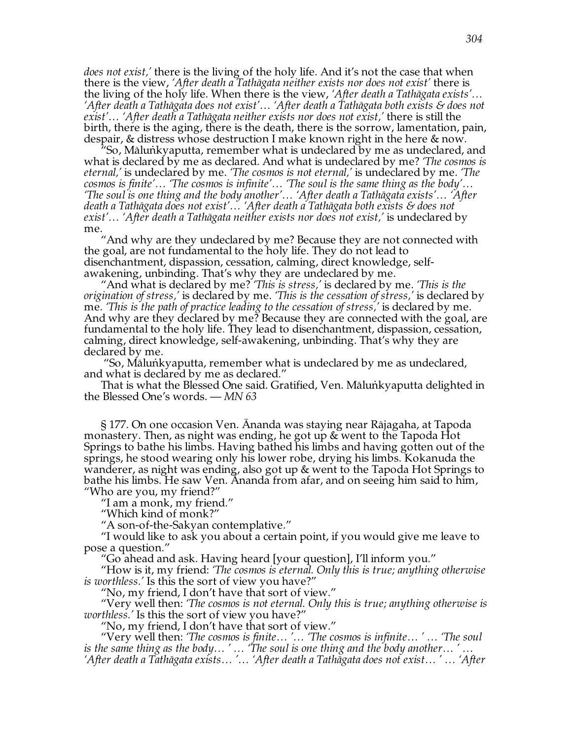*does not exist,'* there is the living of the holy life. And it's not the case that when there is the view, *'After death a Tathāgata neither exists nor does not exist'* there is the living of the holy life. When there is the view, *'After death a Tathāgata exists'*... 'After death a Tathāgata does not exist'... 'After death a Tathāgata both exists & does not<br>exist'... 'After death a Tathāgata neither exists nor does not exist,' there is still the birth, there is the aging, there is the death, there is the sorrow, lamentation, pain, despair, & distress whose destruction I make known right in the here & now.

'So, Māluṅkyaputta, remember what is undeclared by me as undeclared, and what is declared by me as declared. And what is undeclared by me? *'The cosmos is eternal,'* is undeclared by me. *'The cosmos is not eternal,'* is undeclared by me. *'The cosmos is finite'… 'The cosmos is infinite'… 'The soul is the same thing as the body'…*  'The soul is one thing and the body another'... 'After death a Tath*agata exists'...* 'After death a Tathāgata does not exist'… 'After death a Tathāgata both exists & does not '<br>exist'… 'After death a Tathāgata neither exists nor does not exist,' is undeclared by me.

"And why are they undeclared by me? Because they are not connected with the goal, are not fundamental to the holy life. They do not lead to disenchantment, dispassion, cessation, calming, direct knowledge, self- awakening, unbinding. That's why they are undeclared by me.

"And what is declared by me? *'This is stress,'* is declared by me. *'This is the origination of stress,'* is declared by me. *'This is the cessation of stress,'* is declared by me. *'This is the path of practice leading to the cessation of stress,'* is declared by me. And why are they declared by me? Because they are connected with the goal, are fundamental to the holy life. They lead to disenchantment, dispassion, cessation, calming, direct knowledge, self-awakening, unbinding. That's why they are declared by me.

"So, Mālunkyaputta, remember what is undeclared by me as undeclared, and what is declared by me as declared."

That is what the Blessed One said. Gratified, Ven. Mālunkyaputta delighted in the Blessed One's words. — *MN 63*

§ 177. On one occasion Ven. Ananda was staying near Rājagaha, at Tapoda monastery. Then, as night was ending, he got up & went to the Tapoda Hot Springs to bathe his limbs. Having bathed his limbs and having gotten out of the springs, he stood wearing only his lower robe, drying his limbs. Kokanuda the wanderer, as night was ending, also got up & went to the Tapoda Hot Springs to bathe his limbs. He saw Ven. Ananda from afar, and on seeing him said to him, "Who are you, my friend?"

"I am a monk, my friend."

"Which kind of monk?"

"A son-of-the-Sakyan contemplative."

"I would like to ask you about a certain point, if you would give me leave to pose a question."

"Go ahead and ask. Having heard [your question], I'll inform you."

"How is it, my friend: *'The cosmos is eternal. Only this is true; anything otherwise is worthless.'* Is this the sort of view you have?"

"No, my friend, I don't have that sort of view."

"Very well then: *'The cosmos is not eternal. Only this is true; anything otherwise is worthless.'* Is this the sort of view you have?"

"No, my friend, I don't have that sort of view."<br>"Very well then: 'The cosmos is finite...'... 'The cosmos is infinite...'... 'The soul is the same thing as the body...' ... 'The soul is one thing and the body another...' ... 'After death a Tathāgata exists... '... 'After death a Tathāgata does not exist... ' ... 'After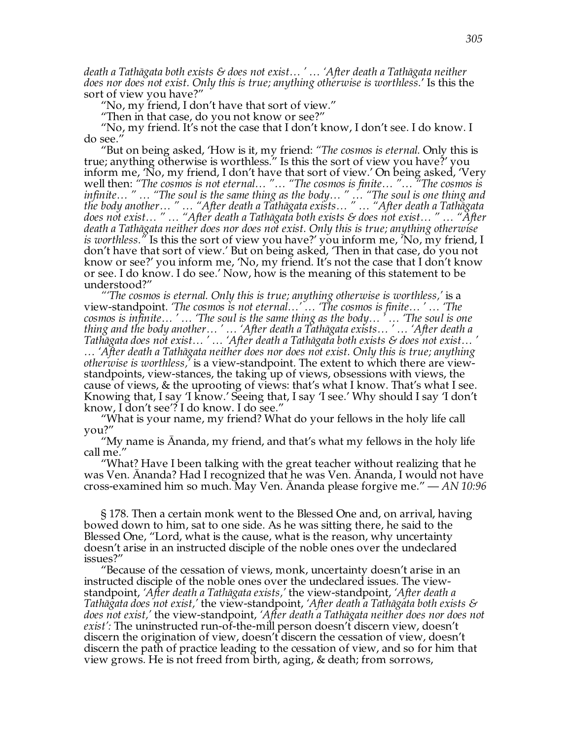death a Tathāgata both exists & does not exist… ' … 'After death a Tathāgata neither<br>does nor does not exist. Only this is true; anything otherwise is worthless.' Is this the sort of view you have?"

"No, my friend, I don't have that sort of view."

"Then in that case, do you not know or see?"

"No, my friend. It's not the case that I don't know, I don't see. I do know. I do see."

"But on being asked, 'How is it, my friend: *"The cosmos is eternal.* Only this is true; anything otherwise is worthless." Is this the sort of view you have?' you inform me, 'No, my friend, I don't have that sort of view.' On being asked, 'Very well then: *"The cosmos is not eternal… "… "The cosmos is finite… "… "The cosmos is infinite… " … "The soul is the same thing as the body… " … "The soul is one thing and*  the body another… *" … "After death a Tathāgata exists*… *" … "After death a Tathāgata* does not exist… " … "After death a Tathāgata both exists & does not exist… " … "Āfter<br>death a Tathāgata neither does nor does not exist. Only this is true; anything otherwise *is worthless."* Is this the sort of view you have?' you inform me, 'No, my friend, I don't have that sort of view.' But on being asked, 'Then in that case, do you not know or see?' you inform me, 'No, my friend. It's not the case that I don't know or see. I do know. I do see.' Now, how is the meaning of this statement to be understood?"

*"'The cosmos is eternal. Only this is true; anything otherwise is worthless,'* is a view-standpoint. *'The cosmos is not eternal…' … 'The cosmos is finite… ' … 'The cosmos is infinite… ' … 'The soul is the same thing as the body… ' … 'The soul is one*  thing and the body another… ' … 'After death a Tathāgata exists… ' … 'After death a Tathāgata does not exist… ' … 'After death a Tathāgata both exists & does not exist… ' ... 'After death a Tathāgata neither does nor does not exist. Only this is true; anything<br>otherwise is worthless,' is a view-standpoint. The extent to which there are view-<br>standpoints, view-stances, the taking up of views cause of views, & the uprooting of views: that's what I know. That's what I see. Knowing that, I say 'I know.' Seeing that, I say 'I see.' Why should I say 'I don't know, I don't see'? I do know. I do see."

"What is your name, my friend? What do your fellows in the holy life call you?"

"My name is Ananda, my friend, and that's what my fellows in the holy life call me."

"What? Have I been talking with the great teacher without realizing that he was Ven. Ananda? Had I recognized that he was Ven. Ananda, I would not have cross-examined him so much. May Ven. finanda please forgive me." — *AN 10:96*

§ 178. Then a certain monk went to the Blessed One and, on arrival, having bowed down to him, sat to one side. As he was sitting there, he said to the Blessed One, "Lord, what is the cause, what is the reason, why uncertainty doesn't arise in an instructed disciple of the noble ones over the undeclared issues?"

"Because of the cessation of views, monk, uncertainty doesn't arise in an instructed disciple of the noble ones over the undeclared issues. The viewstandpoint, *'After death a Tathāgata exists*,' the view-standpoint, *'After death a Tathāgata does not exist,'* the view-standpoint, *'After death a Tathāgata both exists & does not exist,'* the view-standpoint, 'After death a Tathagata neither does nor does not *exist':* The uninstructed run-of-the-mill person doesn't discern view, doesn't discern the origination of view, doesn't discern the cessation of view, doesn't discern the path of practice leading to the cessation of view, and so for him that view grows. He is not freed from birth, aging, & death; from sorrows,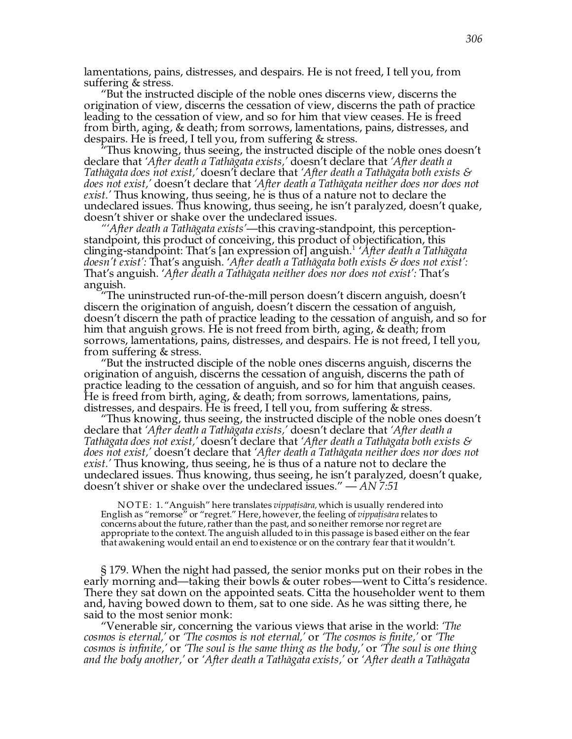lamentations, pains, distresses, and despairs. He is not freed, I tell you, from suffering & stress.

"But the instructed disciple of the noble ones discerns view, discerns the origination of view, discerns the cessation of view, discerns the path of practice leading to the cessation of view, and so for him that view ceases. He is freed from birth, aging, & death; from sorrows, lamentations, pains, distresses, and despairs. He is freed, I tell you, from suffering & stress.

"Thus knowing, thus seeing, the instructed disciple of the noble ones doesn't declare that *'After death a Tathāgata exists,'* doesn't declare that *'After death a<br>Tathāgata does not exist,'* doesn't declare that *'After death a Tathāgata both exists & does not exist,'* doesn't declare that '*After death a Tathāgata neither does nor does not*<br>*exist.'* Thus knowing, thus seeing, he is thus of a nature not to declare the undeclared issues. Thus knowing, thus seeing, he isn't paralyzed, doesn't quake, doesn't shiver or shake over the undeclared issues.

*"After death a Tathāgata exists'*—this craving-standpoint, this perceptionstandpoint, this product of conceiving, this product of objectification, this clinging-standpoint: That's [an expression of] anguish.<sup>1</sup> 'Áfter death a Tathāgata<br>doesn't exist': That's anguish. 'After death a Tathāgata both exists & does not exist': That's anguish. '*After death a Tathāgata neither does nor does not exist'*: That's anguish.

"The uninstructed run-of-the-mill person doesn't discern anguish, doesn't discern the origination of anguish, doesn't discern the cessation of anguish, doesn't discern the path of practice leading to the cessation of anguish, and so for him that anguish grows. He is not freed from birth, aging, & death; from sorrows, lamentations, pains, distresses, and despairs. He is not freed, I tell you, from suffering & stress.

"But the instructed disciple of the noble ones discerns anguish, discerns the origination of anguish, discerns the cessation of anguish, discerns the path of practice leading to the cessation of anguish, and so for him that anguish ceases. He is freed from birth, aging, & death; from sorrows, lamentations, pains, distresses, and despairs. He is freed, I tell you, from suffering & stress.

"Thus knowing, thus seeing, the instructed disciple of the noble ones doesn't declare that *'After death a Tathāgata exists,'* doesn't declare that *'After death a Tathāgata does not exist,'* doesn't declare that 'After death a Tathāgata both exists & does not exist,' doesn't declare that 'After death a Tath*agata neither does nor does not exist.'* Thus knowing, thus seeing, he is thus of a nature not to declare the undeclared issues. Thus knowing, thus seeing, he isn't paralyzed, doesn't quake, doesn't shiver or shake over the undeclared issues." — *AN 7:51*

NOTE: 1. "Anguish" here translates *vippa˛is›ra,* which is usually rendered into English as "remorse<sup>7</sup> or "regret." Here, however, the feeling of *vippatisara* relates to concerns about the future, rather than the past, and so neither remorse nor regret are appropriate to the context. The anguish alluded to in this passage is based either on the fear that awakening would entail an end to existence or on the contrary fear that it wouldn't.

§ 179. When the night had passed, the senior monks put on their robes in the early morning and—taking their bowls & outer robes—went to Citta's residence. There they sat down on the appointed seats. Citta the householder went to them and, having bowed down to them, sat to one side. As he was sitting there, he said to the most senior monk:

"Venerable sir, concerning the various views that arise in the world: *'The cosmos is eternal,'* or *'The cosmos is not eternal,'* or *'The cosmos is finite,'* or *'The cosmos is infinite,'* or *'The soul is the same thing as the body,'* or *'The soul is one thing and the body another,'* or *'After death a Tath›gata exists,'* or *'After death a Tath›gata*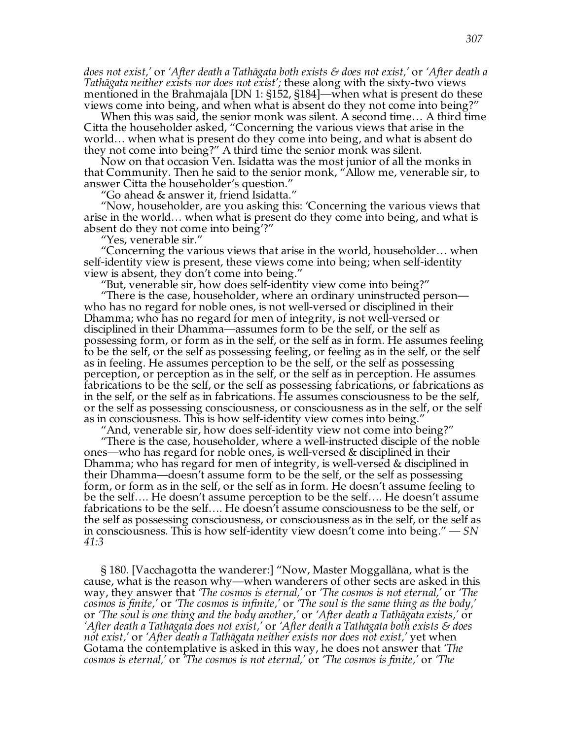*does not exist,' or 'After death a Tathāgata both exists & does not exist,' or 'After death a*<br>Tathāgata neither exists nor does not exist'; these along with the sixty-two views mentioned in the Brahmajāla [DN 1:  $\S152$ ,  $\S184$ ]—when what is present do these views come into being, and when what is absent do they not come into being?"

When this was said, the senior monk was silent. A second time… A third time Citta the householder asked, "Concerning the various views that arise in the world… when what is present do they come into being, and what is absent do they not come into being?" A third time the senior monk was silent.

Now on that occasion Ven. Isidatta was the most junior of all the monks in that Community. Then he said to the senior monk, "Allow me, venerable sir, to answer Citta the householder's question."

"Go ahead & answer it, friend Isidatta."

"Now, householder, are you asking this: 'Concerning the various views that arise in the world… when what is present do they come into being, and what is absent do they not come into being'?" "Yes, venerable sir."

"Concerning the various views that arise in the world, householder… when self-identity view is present, these views come into being; when self-identity view is absent, they don't come into being."

"But, venerable sir, how does self-identity view come into being?"

"There is the case, householder, where an ordinary uninstructed person— who has no regard for noble ones, is not well-versed or disciplined in their Dhamma; who has no regard for men of integrity, is not well-versed or disciplined in their Dhamma—assumes form to be the self, or the self as possessing form, or form as in the self, or the self as in form. He assumes feeling to be the self, or the self as possessing feeling, or feeling as in the self, or the self as in feeling. He assumes perception to be the self, or the self as possessing perception, or perception as in the self, or the self as in perception. He assumes fabrications to be the self, or the self as possessing fabrications, or fabrications as in the self, or the self as in fabrications. He assumes consciousness to be the self, or the self as possessing consciousness, or consciousness as in the self, or the self as in consciousness. This is how self-identity view comes into being."

"And, venerable sir, how does self-identity view not come into being?"

"There is the case, householder, where a well-instructed disciple of the noble ones—who has regard for noble ones, is well-versed & disciplined in their Dhamma; who has regard for men of integrity, is well-versed & disciplined in their Dhamma—doesn't assume form to be the self, or the self as possessing form, or form as in the self, or the self as in form. He doesn't assume feeling to be the self…. He doesn't assume perception to be the self…. He doesn't assume fabrications to be the self…. He doesn't assume consciousness to be the self, or the self as possessing consciousness, or consciousness as in the self, or the self as in consciousness. This is how self-identity view doesn't come into being." — *SN 41:3*

§ 180. [Vacchagotta the wanderer:] "Now, Master Moggallāna, what is the cause, what is the reason why—when wanderers of other sects are asked in this way, they answer that *'The cosmos is eternal,'* or *'The cosmos is not eternal,'* or *'The cosmos is finite,'* or *'The cosmos is infinite,'* or *'The soul is the same thing as the body,'*  or 'The soul is one thing and the body another,' or 'After death a Tathāgata exists,' or 'After death a Tathāgata does not exist,' or 'After death a Tathāgata both exists & does *not exist,'* or *'After death a Tathāgata neither exists nor does not exist,'* yet when Gotama the contemplative is asked in this way, he does not answer that *'The cosmos is eternal,'* or *'The cosmos is not eternal,'* or *'The cosmos is finite,'* or *'The*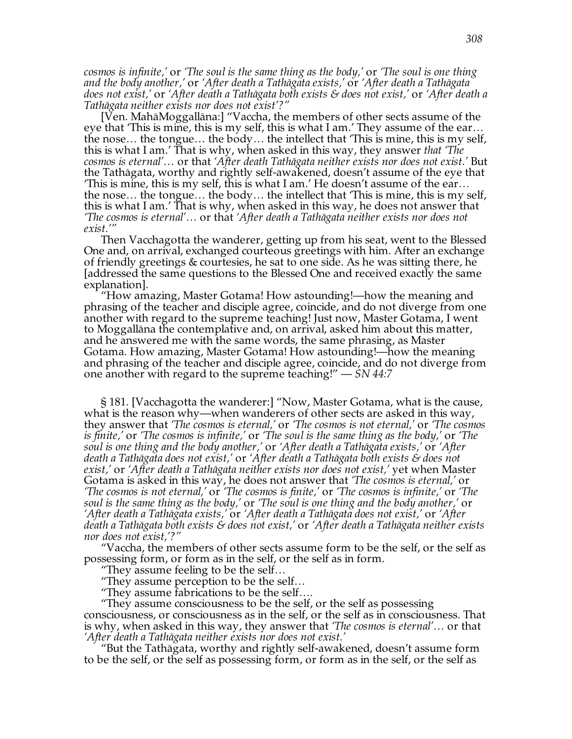*cosmos is infinite,'* or *'The soul is the same thing as the body,'* or *'The soul is one thing*  and the body another,' 0r 'After death a Tathāgāta exists,' 0r 'After death a Tathāgata ँ<br>does not exist,' 0r 'After death a Tathāgata both exists & does not exist,' 0r 'After death a<br>Tathāgata neither exists nor does not

[Ven. MahāMoggallāna:] "Vaccha, the members of other sects assume of the eye that 'This is mine, this is my self, this is what I am.' They assume of the ear… the nose… the tongue… the body… the intellect that 'This is mine, this is my self, this is what I am.' That is why, when asked in this way, they answer *that 'The cosmos is eternal'...* or that 'After death Tathagata neither exists nor does not exist.' But the Tathagata, worthy and rightly self-awakened, doesn't assume of the eye that 'This is mine, this is my self, this is what I am.' He doesn't assume of the ear… the nose… the tongue… the body… the intellect that 'This is mine, this is my self, this is what I am.' That is why, when asked in this way, he does not answer that *'The cosmos is eternal'*... or that *'After death a Tathāgata neither exists nor does not*<br>exist.'''

Then Vacchagotta the wanderer, getting up from his seat, went to the Blessed One and, on arrival, exchanged courteous greetings with him. After an exchange of friendly greetings & courtesies, he sat to one side. As he was sitting there, he [addressed the same questions to the Blessed One and received exactly the same explanation].

"How amazing, Master Gotama! How astounding!—how the meaning and phrasing of the teacher and disciple agree, coincide, and do not diverge from one another with regard to the supreme teaching! Just now, Master Gotama, I went to Moggallana the contemplative and, on arrival, asked him about this matter, and he answered me with the same words, the same phrasing, as Master Gotama. How amazing, Master Gotama! How astounding!—how the meaning and phrasing of the teacher and disciple agree, coincide, and do not diverge from one another with regard to the supreme teaching!" — *SN 44:7*

§ 181. [Vacchagotta the wanderer:] "Now, Master Gotama, what is the cause, what is the reason why—when wanderers of other sects are asked in this way, they answer that *'The cosmos is eternal,'* or *'The cosmos is not eternal,'* or *'The cosmos is finite,'* or *'The cosmos is infinite,'* or *'The soul is the same thing as the body,'* or *'The soul is one thing and the body another,'* or 'After death a Tathāgata exists,' or 'After death a Tathāgata does not exist,' or 'After death a Tathāgata both exists & does not *exist,'* or 'After death a Tathāgata neither exists nor does not exist,' yet when Master Gotama is asked in this way, he does not answer that *'The cosmos is eternal,'* or *'The cosmos is not eternal,'* or *'The cosmos is finite,'* or *'The cosmos is infinite,'* or *'The soul is the same thing as the body,'* or *'The soul is one thing and the body another,'* or *'After death a Tathāgata exists,' or 'After death a Tathāgata does not exist,' or 'After* death a Tathāgata both exists & does not exist,' or 'After death a Tathāgata neither exists *nor does not exist,'?"*

"Vaccha, the members of other sects assume form to be the self, or the self as possessing form, or form as in the self, or the self as in form.

"They assume feeling to be the self…

"They assume perception to be the self…

"They assume fabrications to be the self….

"They assume consciousness to be the self, or the self as possessing consciousness, or consciousness as in the self, or the self as in consciousness. That is why, when asked in this way, they answer that *'The cosmos is eternal'…* or that After death a Tath*agata neither exists nor does not exist.'*<br>But the Tathagata, worthy and rightly self-awakened, doesn't assume form"

to be the self, or the self as possessing form, or form as in the self, or the self as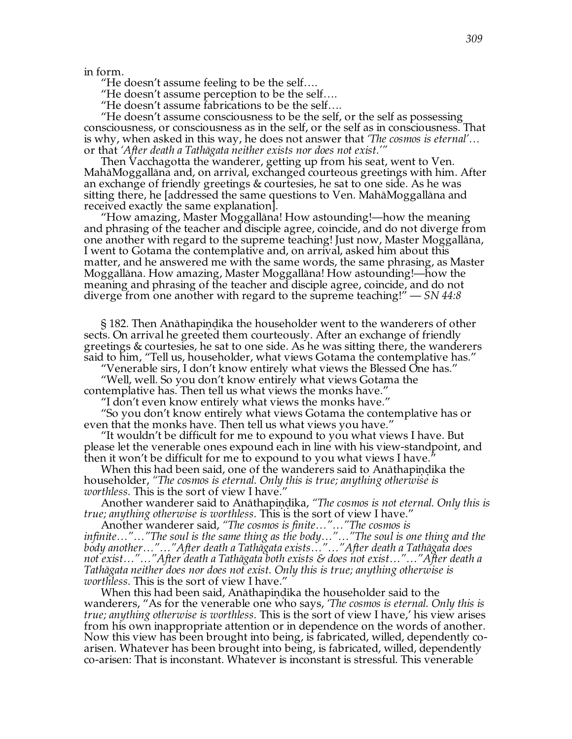in form.

"He doesn't assume feeling to be the self….

"He doesn't assume perception to be the self….

"He doesn't assume fabrications to be the self….

"He doesn't assume consciousness to be the self, or the self as possessing consciousness, or consciousness as in the self, or the self as in consciousness. That is why, when asked in this way, he does not answer that *'The cosmos is eternal'…* or that *'After death a Tathāgata neither exists nor does not exist.'"*<br>Then Vacchagotta the wanderer, getting up from his seat, went to Ven.

MahāMoggallāna and, on arrival, exchanged courteous greetings with him. After an exchange of friendly greetings & courtesies, he sat to one side. As he was sitting there, he [addressed the same questions to Ven. MahāMoggallāna and received exactly the same explanation].

"How amazing, Master Moggallana! How astounding!—how the meaning and phrasing of the teacher and disciple agree, coincide, and do not diverge from one another with regard to the supreme teaching! Just now, Master Moggallana, I went to Gotama the contemplative and, on arrival, asked him about this matter, and he answered me with the same words, the same phrasing, as Master Moggallāna. How amazing, Master Moggallāna! How astounding!—how the meaning and phrasing of the teacher and disciple agree, coincide, and do not diverge from one another with regard to the supreme teaching!" — *SN 44:8*

§ 182. Then Anāthapindika the householder went to the wanderers of other sects. On arrival he greeted them courteously. After an exchange of friendly greetings & courtesies, he sat to one side. As he was sitting there, the wanderers said to him, "Tell us, householder, what views Gotama the contemplative has."

"Venerable sirs, I don't know entirely what views the Blessed One has."

"Well, well. So you don't know entirely what views Gotama the contemplative has. Then tell us what views the monks have."

"I don't even know entirely what views the monks have."

"So you don't know entirely what views Gotama the contemplative has or even that the monks have. Then tell us what views you have."

"It wouldn't be difficult for me to expound to you what views I have. But please let the venerable ones expound each in line with his view-standpoint, and then it won't be difficult for me to expound to you what views I have."

When this had been said, one of the wanderers said to Anāthapiṇḍika the householder, *"The cosmos is eternal. Only this is true; anything otherwise is worthless.* This is the sort of view I have."

Another wanderer said to Anāthapindika, "The cosmos is not eternal. Only this is *true; anything otherwise is worthless.* This is the sort of view I have."

Another wanderer said, *"The cosmos is finite…"…"The cosmos is infinite…"…"The soul is the same thing as the body…"…"The soul is one thing and the*  body another…"…"After death a Tathāgata exists…"…"After death a Tathāgata does not exist..."..."After death a Tath*agata both exists & does not exist..."..."After death a Tathāgata neither does nor does not exist. Only this is true; anything otherwise is worthless.* This is the sort of view I have."

When this had been said, Anāthapindika the householder said to the wanderers, "As for the venerable one who says, *'The cosmos is eternal. Only this is true; anything otherwise is worthless.* This is the sort of view I have,' his view arises from his own inappropriate attention or in dependence on the words of another. Now this view has been brought into being, is fabricated, willed, dependently co-<br>arisen. Whatever has been brought into being, is fabricated, willed, dependently co-arisen: That is inconstant. Whatever is inconstant is stressful. This venerable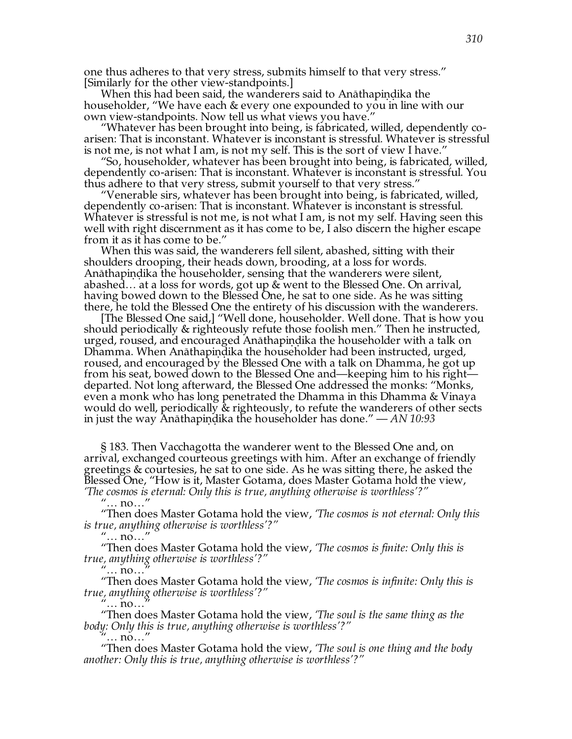one thus adheres to that very stress, submits himself to that very stress." [Similarly for the other view-standpoints.]

When this had been said, the wanderers said to Anāthapindika the householder, "We have each & every one expounded to you in line with our own view-standpoints. Now tell us what views you have."

"Whatever has been brought into being, is fabricated, willed, dependently co- arisen: That is inconstant. Whatever is inconstant is stressful. Whatever is stressful is not me, is not what I am, is not my self. This is the sort of view I have."

"So, householder, whatever has been brought into being, is fabricated, willed, dependently co-arisen: That is inconstant. Whatever is inconstant is stressful. You thus adhere to that very stress, submit yourself to that very stress."

"Venerable sirs, whatever has been brought into being, is fabricated, willed, dependently co-arisen: That is inconstant. Whatever is inconstant is stressful. Whatever is stressful is not me, is not what I am, is not my self. Having seen this well with right discernment as it has come to be, I also discern the higher escape from it as it has come to be."

When this was said, the wanderers fell silent, abashed, sitting with their shoulders drooping, their heads down, brooding, at a loss for words. Anathapindika the householder, sensing that the wanderers were silent, abashed… at a loss for words, got up & went to the Blessed One. On arrival, having bowed down to the Blessed One, he sat to one side. As he was sitting there, he told the Blessed One the entirety of his discussion with the wanderers.

[The Blessed One said,] "Well done, householder. Well done. That is how you should periodically & righteously refute those foolish men." Then he instructed, urged, roused, and encouraged Anāthapindika the householder with a talk on Dhamma. When Anāthapindika the householder had been instructed, urged, roused, and encouraged by the Blessed One with a talk on Dhamma, he got up from his seat, bowed down to the Blessed One and—keeping him to his right— departed. Not long afterward, the Blessed One addressed the monks: "Monks, even a monk who has long penetrated the Dhamma in this Dhamma & Vinaya would do well, periodically & righteously, to refute the wanderers of other sects in just the way Anāthapindika the householder has done." — *AN* 10:93

§ 183. Then Vacchagotta the wanderer went to the Blessed One and, on arrival, exchanged courteous greetings with him. After an exchange of friendly greetings & courtesies, he sat to one side. As he was sitting there, he asked the Blessed One, "How is it, Master Gotama, does Master Gotama hold the view, *'The cosmos is eternal: Only this is true, anything otherwise is worthless'?"*

"… no…"

"Then does Master Gotama hold the view, *'The cosmos is not eternal: Only this is true, anything otherwise is worthless'?"* 

"… no…"

"Then does Master Gotama hold the view, *'The cosmos is finite: Only this is true, anything otherwise is worthless'?"* 

 $"...$  no...

"Then does Master Gotama hold the view, *'The cosmos is infinite: Only this is true, anything otherwise is worthless'?"* 

"… no…"

"Then does Master Gotama hold the view, *'The soul is the same thing as the body: Only this is true, anything otherwise is worthless'?"*

"… no…"

"Then does Master Gotama hold the view, *'The soul is one thing and the body another: Only this is true, anything otherwise is worthless'?"*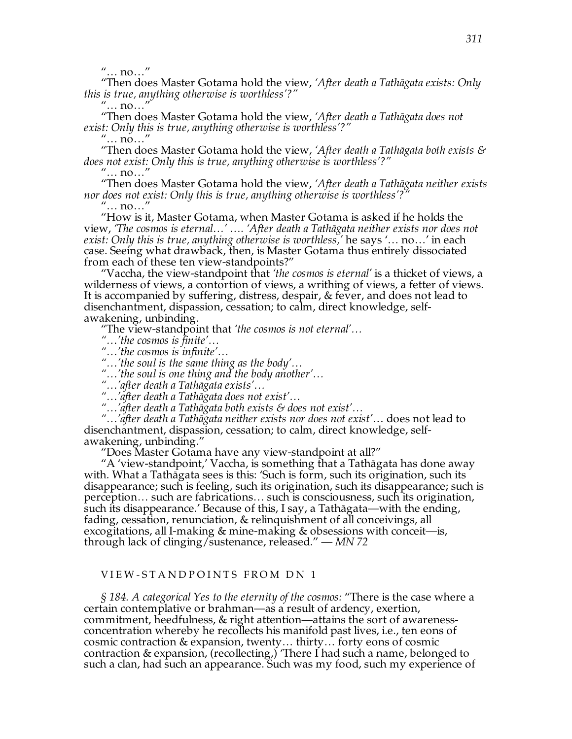"… no…"

"Then does Master Gotama hold the view, 'After death a Tathāgata exists: Only *this is true, anything otherwise is worthless'*?"

"… no…"

"Then does Master Gotama hold the view, 'After death a Tathagata does not *exist: Only this is true, anything otherwise is worthless'?"* 

"… no…"

"Then does Master Gotama hold the view, 'After death a Tathagata both exists & does not exist: Only this is true, anything otherwise is worthless'?"

"… no…"

"Then does Master Gotama hold the view, 'After death a Tathagata neither exists nor does not exist: Only this is true, anything otherwise is worthless'?"

"… no…"

"How is it, Master Gotama, when Master Gotama is asked if he holds the view, 'The cosmos is eternal...' .... 'After death a Tathāgata neither exists nor does not *exist: Only this is true, anything otherwise is worthless,'* he says '… no…' in each case. Seeing what drawback, then, is Master Gotama thus entirely dissociated from each of these ten view-standpoints?"

"Vaccha, the view-standpoint that *'the cosmos is eternal'* is a thicket of views, a wilderness of views, a contortion of views, a writhing of views, a fetter of views. It is accompanied by suffering, distress, despair, & fever, and does not lead to disenchantment, dispassion, cessation; to calm, direct knowledge, self-<br>awakening, unbinding.

"The view-standpoint that *'the cosmos is not eternal'…*

*"…'the cosmos is finite'…*

*"…'the cosmos is infinite'…*

*"…'the soul is the same thing as the body'…*

*"…'the soul is one thing and the body another'… "…'after death a Tath›gata exists'…*

"...'after death a Tathagata does not exist'...

"...'after death a Tath*āgata both exists & does not exist'*...

"...'after death a Tathagata neither exists nor does not exist'... does not lead to disenchantment, dispassion, cessation; to calm, direct knowledge, selfawakening, unbinding."

"Does Master Gotama have any view-standpoint at all?"

"A 'view-standpoint,' Vaccha, is something that a Tathagata has done away with. What a Tathagata sees is this: 'Such is form, such its origination, such its disappearance; such is feeling, such its origination, such its disappearance; such is perception… such are fabrications… such is consciousness, such its origination, such its disappearance.' Because of this, I say, a Tathagata—with the ending, fading, cessation, renunciation, & relinquishment of all conceivings, all excogitations, all I-making & mine-making & obsessions with conceit—is, through lack of clinging/sustenance, released." — *MN 72*

# VIEW - STANDP OINTS FROM DN 1

*§ 184. A categorical Yes to the eternity of the cosmos:* "There is the case where a certain contemplative or brahman—as a result of ardency, exertion, commitment, heedfulness, & right attention—attains the sort of awarenessconcentration whereby he recollects his manifold past lives, i.e., ten eons of cosmic contraction & expansion, twenty… thirty… forty eons of cosmic contraction & expansion, (recollecting,) 'There I had such a name, belonged to such a clan, had such an appearance. Such was my food, such my experience of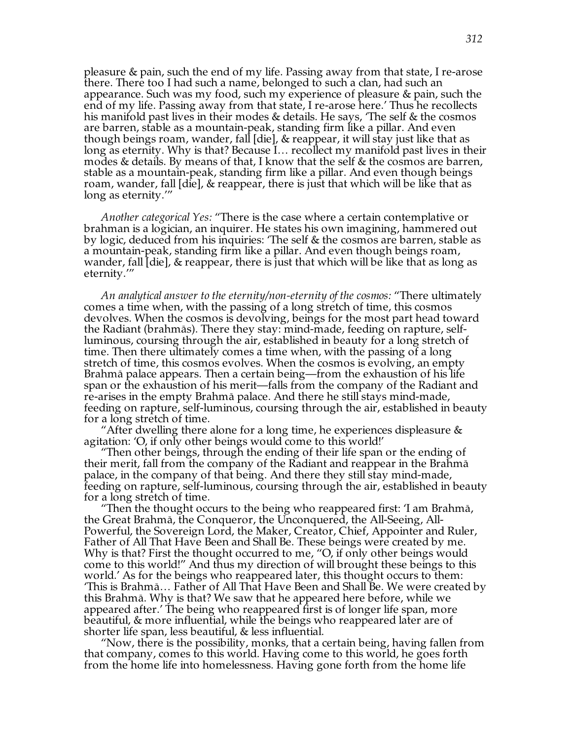pleasure & pain, such the end of my life. Passing away from that state, I re-arose there. There too I had such a name, belonged to such a clan, had such an appearance. Such was my food, such my experience of pleasure & pain, such the end of my life. Passing away from that state, I re-arose here.' Thus he recollects his manifold past lives in their modes & details. He says, 'The self & the cosmos are barren, stable as a mountain-peak, standing firm like a pillar. And even though beings roam, wander, fall [die], & reappear, it will stay just like that as long as eternity. Why is that? Because I… recollect my manifold past lives in their modes & details. By means of that, I know that the self & the cosmos are barren, stable as a mountain-peak, standing firm like a pillar. And even though beings roam, wander, fall [die], & reappear, there is just that which will be like that as long as eternity.'"

*Another categorical Yes:* "There is the case where a certain contemplative or brahman is a logician, an inquirer. He states his own imagining, hammered out by logic, deduced from his inquiries: 'The self & the cosmos are barren, stable as a mountain-peak, standing firm like a pillar. And even though beings roam, wander, fall [die], & reappear, there is just that which will be like that as long as eternity.'"

*An analytical answer to the eternity/non-eternity of the cosmos:* "There ultimately comes a time when, with the passing of a long stretch of time, this cosmos devolves. When the cosmos is devolving, beings for the most part head toward the Radiant (brahmās). There they stay: mind-made, feeding on rapture, self-<br>luminous, coursing through the air, established in beauty for a long stretch of time. Then there ultimately comes a time when, with the passing of a long stretch of time, this cosmos evolves. When the cosmos is evolving, an empty Brahmā palace appears. Then a certain being—from the exhaustion of his life span or the exhaustion of his merit—falls from the company of the Radiant and re-arises in the empty Brahma palace. And there he still stays mind-made, feeding on rapture, self-luminous, coursing through the air, established in beauty for a long stretch of time.

"After dwelling there alone for a long time, he experiences displeasure  $\&$ agitation: 'O, if only other beings would come to this world!'

"Then other beings, through the ending of their life span or the ending of their merit, fall from the company of the Radiant and reappear in the Brahma palace, in the company of that being. And there they still stay mind-made, feeding on rapture, self-luminous, coursing through the air, established in beauty for a long stretch of time.

"Then the thought occurs to the being who reappeared first:  $\mathbf I$  am Brahma, the Great Brahmā, the Conqueror, the Unconquered, the All-Seeing, All-Powerful, the Sovereign Lord, the Maker, Creator, Chief, Appointer and Ruler, Father of All That Have Been and Shall Be. These beings were created by me. Why is that? First the thought occurred to me, "O, if only other beings would come to this world!" And thus my direction of will brought these beings to this world.' As for the beings who reappeared later, this thought occurs to them: 'This is Brahmā... Father of All That Have Been and Shall Be. We were created by this Brahma. Why is that? We saw that he appeared here before, while we appeared after.' The being who reappeared first is of longer life span, more beautiful, & more influential, while the beings who reappeared later are of shorter life span, less beautiful, & less influential.

"Now, there is the possibility, monks, that a certain being, having fallen from that company, comes to this world. Having come to this world, he goes forth from the home life into homelessness. Having gone forth from the home life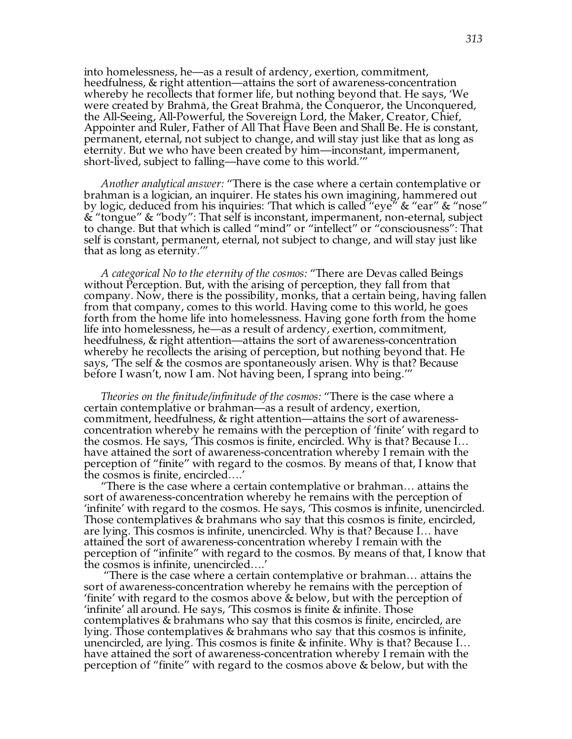into homelessness, he—as a result of ardency, exertion, commitment, heedfulness, & right attention—attains the sort of awareness-concentration whereby he recollects that former life, but nothing beyond that. He says, 'We were created by Brahmā, the Great Brahmā, the Conqueror, the Unconquered, the All-Seeing, All-Powerful, the Sovereign Lord, the Maker, Creator, Chief, Appointer and Ruler, Father of All That Have Been and Shall Be. He is constant, permanent, eternal, not subject to change, and will stay just like that as long as eternity. But we who have been created by him—inconstant, impermanent, short-lived, subject to falling—have come to this world.'"

*Another analytical answer:* "There is the case where a certain contemplative or brahman is a logician, an inquirer. He states his own imagining, hammered out by logic, deduced from his inquiries: 'That which is called<sup>-</sup>"eye<sup>"</sup> & "ear" & "nose" & "tongue" & "body": That self is inconstant, impermanent, non-eternal, subject to change. But that which is called "mind" or "intellect" or "consciousness": That self is constant, permanent, eternal, not subject to change, and will stay just like that as long as eternity.'"

*A categorical No to the eternity of the cosmos:* "There are Devas called Beings without Perception. But, with the arising of perception, they fall from that company. Now, there is the possibility, monks, that a certain being, having fallen from that company, comes to this world. Having come to this world, he goes forth from the home life into homelessness. Having gone forth from the home life into homelessness, he—as a result of ardency, exertion, commitment, heedfulness, & right attention—attains the sort of awareness-concentration whereby he recollects the arising of perception, but nothing beyond that. He says, 'The self & the cosmos are spontaneously arisen. Why is that? Because before I wasn't, now I am. Not having been, I sprang into being.'"

*Theories on the finitude/infinitude of the cosmos:* "There is the case where a certain contemplative or brahman—as a result of ardency, exertion, commitment, heedfulness, & right attention—attains the sort of awarenessconcentration whereby he remains with the perception of 'finite' with regard to the cosmos. He says, 'This cosmos is finite, encircled. Why is that? Because I… have attained the sort of awareness-concentration whereby I remain with the perception of "finite" with regard to the cosmos. By means of that, I know that the cosmos is finite, encircled….'

"There is the case where a certain contemplative or brahman… attains the sort of awareness-concentration whereby he remains with the perception of 'infinite' with regard to the cosmos. He says, 'This cosmos is infinite, unencircled. Those contemplatives & brahmans who say that this cosmos is finite, encircled, are lying. This cosmos is infinite, unencircled. Why is that? Because I… have attained the sort of awareness-concentration whereby I remain with the perception of "infinite" with regard to the cosmos. By means of that, I know that the cosmos is infinite, unencircled….'

 "There is the case where a certain contemplative or brahman… attains the sort of awareness-concentration whereby he remains with the perception of 'finite' with regard to the cosmos above & below, but with the perception of 'infinite' all around. He says, 'This cosmos is finite & infinite. Those contemplatives & brahmans who say that this cosmos is finite, encircled, are lying. Those contemplatives & brahmans who say that this cosmos is infinite, unencircled, are lying. This cosmos is finite & infinite. Why is that? Because I… have attained the sort of awareness-concentration whereby I remain with the perception of "finite" with regard to the cosmos above & below, but with the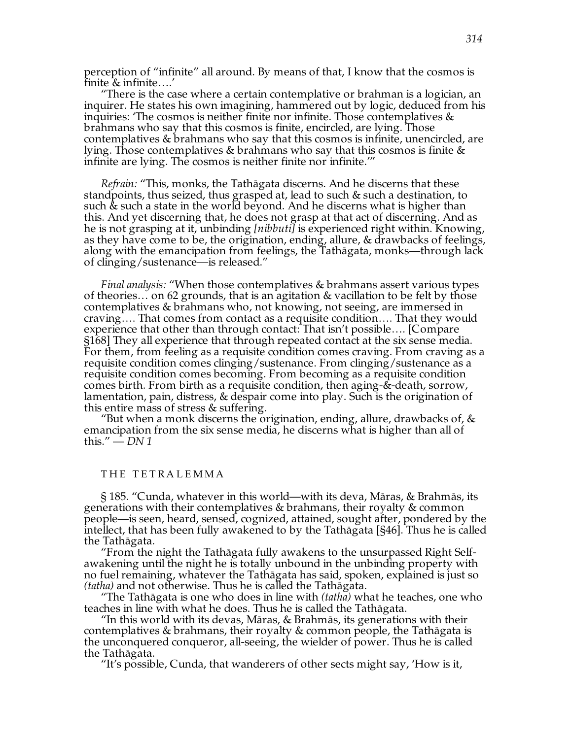perception of "infinite" all around. By means of that, I know that the cosmos is finite  $\&$  infinite....'

"There is the case where a certain contemplative or brahman is a logician, an inquirer. He states his own imagining, hammered out by logic, deduced from his inquiries: The cosmos is neither finite nor infinite. Those contemplatives  $\&$ brahmans who say that this cosmos is finite, encircled, are lying. Those contemplatives & brahmans who say that this cosmos is infinite, unencircled, are lying. Those contemplatives & brahmans who say that this cosmos is finite & infinite are lying. The cosmos is neither finite nor infinite.'"

*Refrain:* "This, monks, the Tathāgata discerns. And he discerns that these standpoints, thus seized, thus grasped at, lead to such & such a destination, to such & such a state in the world beyond. And he discerns what is higher than this. And yet discerning that, he does not grasp at that act of discerning. And as he is not grasping at it, unbinding *[nibbuti]* is experienced right within. Knowing, as they have come to be, the origination, ending, allure, & drawbacks of feelings, along with the emancipation from feelings, the Tathāgata, monks—through lack of clinging/sustenance—is released."

*Final analysis:* "When those contemplatives & brahmans assert various types of theories… on 62 grounds, that is an agitation & vacillation to be felt by those contemplatives & brahmans who, not knowing, not seeing, are immersed in craving…. That comes from contact as a requisite condition…. That they would experience that other than through contact: That isn't possible…. [Compare §168] They all experience that through repeated contact at the six sense media. For them, from feeling as a requisite condition comes craving. From craving as a requisite condition comes clinging/sustenance. From clinging/sustenance as a requisite condition comes becoming. From becoming as a requisite condition comes birth. From birth as a requisite condition, then aging-&-death, sorrow, lamentation, pain, distress, & despair come into play. Such is the origination of this entire mass of stress & suffering.

"But when a monk discerns the origination, ending, allure, drawbacks of,  $\&$ emancipation from the six sense media, he discerns what is higher than all of this." $\overline{-}$  *DN1* 

## THE TETRALEMMA

§ 185. "Cunda, whatever in this world—with its deva, Māras, & Brahmās, its generations with their contemplatives & brahmans, their royalty & common people—is seen, heard, sensed, cognized, attained, sought after, pondered by the intellect, that has been fully awakened to by the Tath $a$ gata [§46]. Thus he is called the Tathāgata.

"From the night the Tathāgata fully awakens to the unsurpassed Right Selfawakening until the night he is totally unbound in the unbinding property with no fuel remaining, whatever the Tathāgata has said, spoken, explained is just so *(tatha)* and not otherwise. Thus he is called the Tathāgata.

"The Tath<sub>agata</sub> is one who does in line with *(tatha)* what he teaches, one who teaches in line with what he does. Thus he is called the Tathāgata.

"In this world with its devas, Māras, & Brahmās, its generations with their contemplatives & brahmans, their royalty & common people, the Tathagata is the unconquered conqueror, all-seeing, the wielder of power. Thus he is called the Tathagata.

"It's possible, Cunda, that wanderers of other sects might say, 'How is it,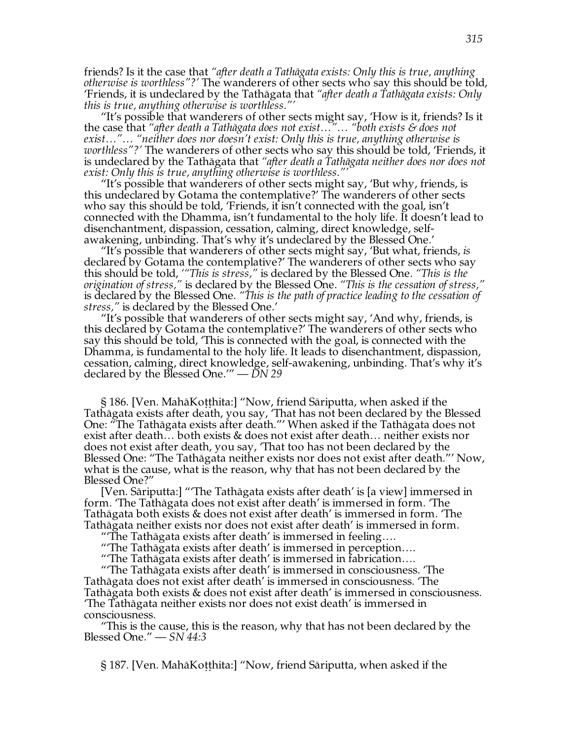friends? Is it the case that *"after death a Tathāgata exists: Only this is true, anything otherwise is worthless"?'* The wanderers of other sects who say this should be told, 'Friends, it is undeclared by the Tathāgata that "after death a Tathāgata exists: Only this is true, anything otherwise is worthless."'<br>"It's possible that wanderers of other sects might say, 'How is it, friends? Is it

the case that "after death a Tathāgata does not exist…"… "both exists & does not<br>exist…"… "neither does nor doesn't exist: Only this is true, anything otherwise is *worthless"?'* The wanderers of other sects who say this should be told, 'Friends, it is undeclared by the Tath*agata that "after death a Tathagata neither does nor does not exist: Only this is true, anything otherwise is worthless."'* 

"It's possible that wanderers of other sects might say, 'But why, friends, is this undeclared by Gotama the contemplative?' The wanderers of other sects who say this should be told, 'Friends, it isn't connected with the goal, isn't connected with the Dhamma, isn't fundamental to the holy life. It doesn't lead to disenchantment, dispassion, cessation, calming, direct knowledge, self- awakening, unbinding. That's why it's undeclared by the Blessed One.'

"It's possible that wanderers of other sects might say, 'But what, friends, *is* declared by Gotama the contemplative?' The wanderers of other sects who say this should be told, *'"This is stress,"* is declared by the Blessed One. *"This is the*  origination of stress," is declared by the Blessed One. "This is the cessation of stress,"<br>is declared by the Blessed One. "This is the path of practice leading to the cessation of<br>stress," is declared by the Blessed One.'

"It's possible that wanderers of other sects might say, 'And why, friends, is this declared by Gotama the contemplative?' The wanderers of other sects who say this should be told, 'This is connected with the goal, is connected with the Dhamma, is fundamental to the holy life. It leads to disenchantment, dispassion, cessation, calming, direct knowledge, self-awakening, unbinding. That's why it's declared by the Blessed One.'" — *DN 29*

§ 186. [Ven. MahāKoṭṭhita:] "Now, friend Sāriputta, when asked if the Tathagata exists after death, you say, 'That has not been declared by the Blessed One: "The Tathagata exists after death."' When asked if the Tathagata does not exist after death… both exists & does not exist after death… neither exists nor does not exist after death, you say, 'That too has not been declared by the Blessed One: "The Tathagata neither exists nor does not exist after death."' Now, what is the cause, what is the reason, why that has not been declared by the Blessed One?"

[Ven. Sariputta:] "The Tathagata exists after death' is [a view] immersed in form. 'The Tathāgata does not exist after death' is immersed in form. 'The Tathāgata both exists & does not exist after death' is immersed in form. 'The Tathāgata neither exists nor does not exist after death' is immersed in form.

"The Tathāgata exists after death' is immersed in feeling....

"The Tath $a\bar{g}$ ata exists after death' is immersed in perception....

"The Tath $\bar{a}$ gata exists after death' is immersed in fabrication....

"The Tathagata exists after death' is immersed in consciousness. 'The Tathāgata does not exist after death' is immersed in consciousness. The Tathāgata both exists & does not exist after death' is immersed in consciousness. The Tathagata neither exists nor does not exist death' is immersed in consciousness.

"This is the cause, this is the reason, why that has not been declared by the Blessed One." — *SN 44:3*

§ 187. [Ven. MahāKoṭṭhita:] "Now, friend Sāriputta, when asked if the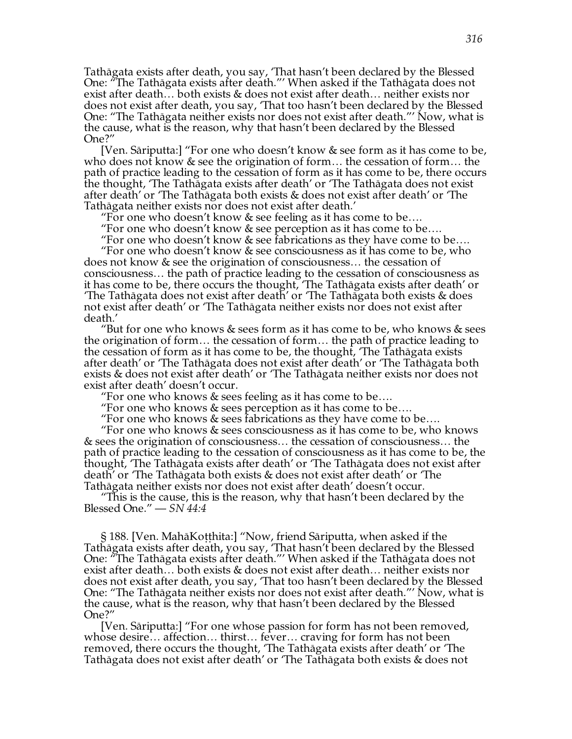Tathāgata exists after death, you say, 'That hasn't been declared by the Blessed One: "The Tathāgata exists after death."' When asked if the Tathāgata does not exist after death… both exists & does not exist after death… neither exists nor does not exist after death, you say, 'That too hasn't been declared by the Blessed One: "The Tathāgata neither exists nor does not exist after death."' Now, what is the cause, what is the reason, why that hasn't been declared by the Blessed One?"

[Ven. Sariputta:] "For one who doesn't know  $\&$  see form as it has come to be, who does not know & see the origination of form… the cessation of form… the path of practice leading to the cessation of form as it has come to be, there occurs the thought, 'The Tathāgata exists after death' or 'The Tathāgata does not exist after death' or 'The Tath $\bar{a}$ gata both exists  $\&$  does not exist after death' or 'The Tathāgata neither exists nor does not exist after death.'

"For one who doesn't know & see feeling as it has come to be….

"For one who doesn't know  $\&$  see perception as it has come to be....

"For one who doesn't know & see fabrications as they have come to be....

"For one who doesn't know & see consciousness as it has come to be, who does not know & see the origination of consciousness… the cessation of consciousness… the path of practice leading to the cessation of consciousness as it has come to be, there occurs the thought, 'The Tathagata exists after death' or 'The Tathāgata does not exist after death' or 'The Tathāgata both exists  $\&$  does not exist after death' or 'The Tathāgata neither exists nor does not exist after death.'

"But for one who knows & sees form as it has come to be, who knows  $\&$  sees the origination of form… the cessation of form… the path of practice leading to the cessation of form as it has come to be, the thought, 'The Tathagata exists after death' or 'The Tathāgata does not exist after death' or 'The Tathāgata both exists & does not exist after death' or 'The Tathāgata neither exists nor does not exist after death' doesn't occur.

"For one who knows  $&$  sees feeling as it has come to be....

"For one who knows  $\&$  sees perception as it has come to be....

"For one who knows  $\&$  sees fabrications as they have come to be....

"For one who knows & sees consciousness as it has come to be, who knows & sees the origination of consciousness… the cessation of consciousness… the path of practice leading to the cessation of consciousness as it has come to be, the thought, 'The Tathāgata exists after death' or 'The Tathāgata does not exist after death' or 'The Tathāgata both exists & does not exist after death' or 'The Tathāgata neither exists nor does not exist after death' doesn't occur.

"This is the cause, this is the reason, why that hasn't been declared by the Blessed One." — *SN 44:4*

§ 188. [Ven. MahāKoṭṭhita:] "Now, friend Sāriputta, when asked if the Tathāgata exists after death, you say, 'That hasn't been declared by the Blessed One: "The Tathagata exists after death."' When asked if the Tathagata does not exist after death… both exists & does not exist after death… neither exists nor does not exist after death, you say, 'That too hasn't been declared by the Blessed One: "The Tathāgata neither exists nor does not exist after death."' Now, what is the cause, what is the reason, why that hasn't been declared by the Blessed One?"

[Ven. Sāriputta:] "For one whose passion for form has not been removed, whose desire… affection… thirst… fever… craving for form has not been removed, there occurs the thought, 'The Tathagata exists after death' or 'The Tathāgata does not exist after death' or 'The Tathāgata both exists & does not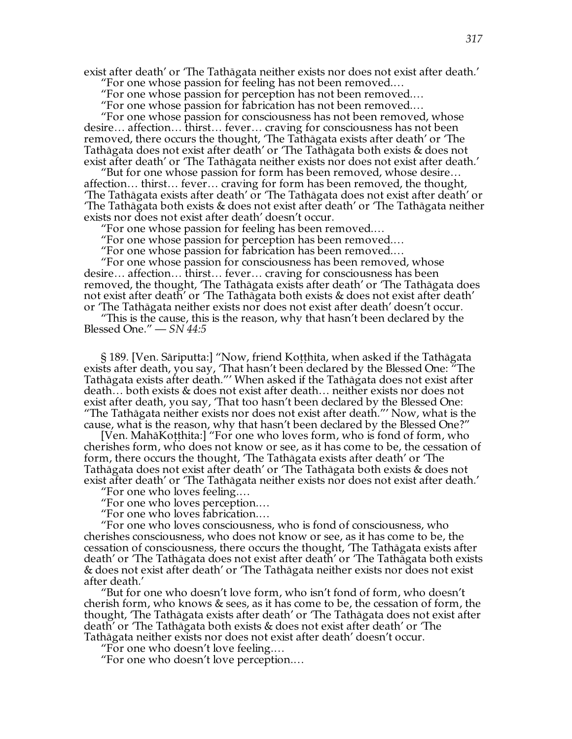exist after death' or 'The Tathāgata neither exists nor does not exist after death.' "For one whose passion for feeling has not been removed.…

"For one whose passion for perception has not been removed.…

"For one whose passion for fabrication has not been removed.…

"For one whose passion for consciousness has not been removed, whose desire… affection… thirst… fever… craving for consciousness has not been removed, there occurs the thought, 'The Tathagata exists after death' or 'The Tathāgata does not exist after death' or 'The Tathāgata both exists & does not exist after death' or 'The Tathāgata neither exists nor does not exist after death.'

"But for one whose passion for form has been removed, whose desire… affection… thirst… fever… craving for form has been removed, the thought, 'The Tathāgata exists after death' or 'The Tathāgata does not exist after death' or 'The Tathagata both exists  $&$  does not exist after death' or 'The Tathagata neither exists nor does not exist after death' doesn't occur.

"For one whose passion for feeling has been removed.…

"For one whose passion for perception has been removed.…

"For one whose passion for fabrication has been removed.…

"For one whose passion for consciousness has been removed, whose desire… affection… thirst… fever… craving for consciousness has been removed, the thought, 'The Tathāgata exists after death' or 'The Tathāgata does not exist after death' or 'The Tathāgata both exists  $\&$  does not exist after death' or 'The Tathāgata neither exists nor does not exist after death' doesn't occur.

"This is the cause, this is the reason, why that hasn't been declared by the Blessed One." — *SN 44:5*

§ 189. [Ven. Sāriputta:] "Now, friend Kotthita, when asked if the Tathāgata exists after death, you say, 'That hasn't been declared by the Blessed One: "The Tathāgata exists after death."' When asked if the Tathāgata does not exist after death… both exists & does not exist after death… neither exists nor does not exist after death, you say, 'That too hasn't been declared by the Blessed One: "The Tathagata neither exists nor does not exist after death."' Now, what is the cause, what is the reason, why that hasn't been declared by the Blessed One?"

[Ven. MahāKotthita:] "For one who loves form, who is fond of form, who cherishes form, who does not know or see, as it has come to be, the cessation of form, there occurs the thought, 'The Tathagata exists after death' or 'The Tathāgata does not exist after death' or 'The Tathāgata both exists & does not exist after death' or 'The Tathāgata neither exists nor does not exist after death.'

"For one who loves feeling.…

"For one who loves perception.…

"For one who loves fabrication.…

"For one who loves consciousness, who is fond of consciousness, who cherishes consciousness, who does not know or see, as it has come to be, the cessation of consciousness, there occurs the thought, The Tathagata exists after death' or 'The Tathāgata does not exist after death' or 'The Tathāgata both exists & does not exist after death' or 'The Tathagata neither exists nor does not exist after death.'

"But for one who doesn't love form, who isn't fond of form, who doesn't cherish form, who knows & sees, as it has come to be, the cessation of form, the thought, 'The Tathāgata exists after death' or 'The Tathāgata does not exist after death' or 'The Tathagata both exists  $\&$  does not exist after death' or 'The Tathāgata neither exists nor does not exist after death' doesn't occur.

"For one who doesn't love feeling.…

"For one who doesn't love perception.…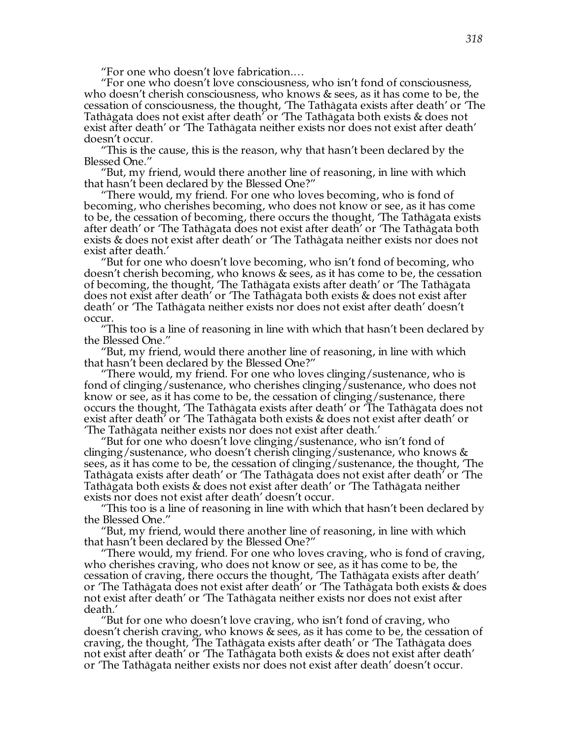"For one who doesn't love fabrication.…

"For one who doesn't love consciousness, who isn't fond of consciousness, who doesn't cherish consciousness, who knows & sees, as it has come to be, the cessation of consciousness, the thought, 'The Tathagata exists after death' or 'The Tathāgata does not exist after death<sup>7</sup> or 'The Tathāgata both exists & does not exist after death' or 'The Tathāgata neither exists nor does not exist after death' doesn't occur.

"This is the cause, this is the reason, why that hasn't been declared by the Blessed One."

"But, my friend, would there another line of reasoning, in line with which that hasn't been declared by the Blessed One?"

"There would, my friend. For one who loves becoming, who is fond of becoming, who cherishes becoming, who does not know or see, as it has come to be, the cessation of becoming, there occurs the thought, 'The Tathagata exists after death' or 'The Tathāgata does not exist after death' or 'The Tathāgata both exists & does not exist after death' or 'The Tathāgata neither exists nor does not exist after death.'

"But for one who doesn't love becoming, who isn't fond of becoming, who doesn't cherish becoming, who knows & sees, as it has come to be, the cessation of becoming, the thought, 'The Tathāgata exists after death' or 'The Tathāgata does not exist after death' or 'The Tathagata both exists & does not exist after death' or 'The Tathāgata neither exists nor does not exist after death' doesn't occur.

"This too is a line of reasoning in line with which that hasn't been declared by the Blessed One."

"But, my friend, would there another line of reasoning, in line with which that hasn't been declared by the Blessed One?"

"There would, my friend. For one who loves clinging/sustenance, who is fond of clinging/sustenance, who cherishes clinging/sustenance, who does not know or see, as it has come to be, the cessation of clinging/sustenance, there occurs the thought, 'The Tathāgata exists after death' or 'The Tathāgata does not exist after death' or 'The Tathāgata both exists & does not exist after death' or 'The Tathagata neither exists nor does not exist after death.'

"But for one who doesn't love clinging/sustenance, who isn't fond of clinging/sustenance, who doesn't cherish clinging/sustenance, who knows  $\&$ sees, as it has come to be, the cessation of clinging/sustenance, the thought, 'The Tathāgata exists after death' or 'The Tathāgata does not exist after death' or 'The Tath $\tilde{a}$ gata both exists & does not exist after death' or 'The Tath $\tilde{a}$ gata neither exists nor does not exist after death' doesn't occur.

"This too is a line of reasoning in line with which that hasn't been declared by the Blessed One."

"But, my friend, would there another line of reasoning, in line with which that hasn't been declared by the Blessed One?"

"There would, my friend. For one who loves craving, who is fond of craving, who cherishes craving, who does not know or see, as it has come to be, the cessation of craving, there occurs the thought, 'The Tathagata exists after death' or 'The Tath $a$ gata does not exist after death' or 'The Tath $a$ gata both exists & does not exist after death' or 'The Tathāgata neither exists nor does not exist after death.'

"But for one who doesn't love craving, who isn't fond of craving, who doesn't cherish craving, who knows & sees, as it has come to be, the cessation of craving, the thought, 'The Tathāgata exists after death' or 'The Tathāgata does not exist after death' or 'The Tathāgata both exists  $\&$  does not exist after death' or 'The Tathāgata neither exists nor does not exist after death' doesn't occur.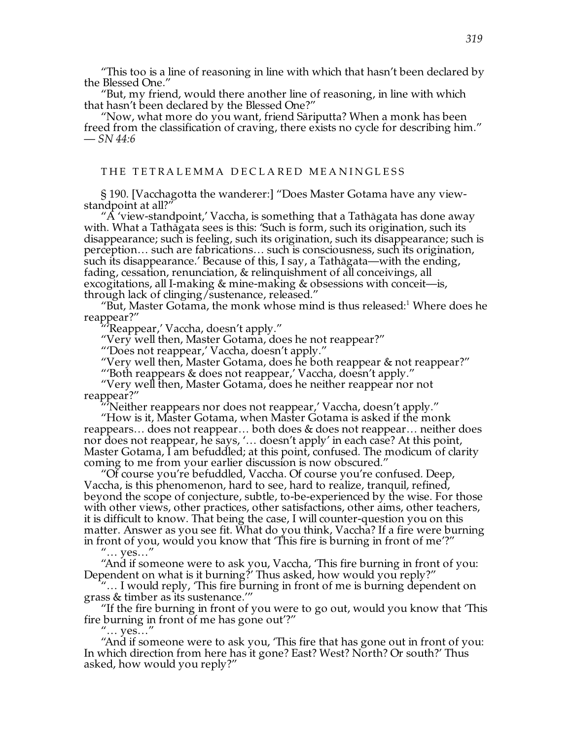"This too is a line of reasoning in line with which that hasn't been declared by the Blessed One."

"But, my friend, would there another line of reasoning, in line with which that hasn't been declared by the Blessed One?"

"Now, what more do you want, friend Sāriputta? When a monk has been freed from the classification of craving, there exists no cycle for describing him." — *SN 44:6*

### THE TETRALEMMA DECLA RED MEANINGLESS

§ 190. [Vacchagotta the wanderer:] "Does Master Gotama have any view- standpoint at all?"

"A 'view-standpoint,' Vaccha, is something that a Tathāgata has done away with. What a Tathāgata sees is this: 'Such is form, such its origination, such its disappearance; such is feeling, such its origination, such its disappearance; such is perception… such are fabrications… such is consciousness, such its origination, such its disappearance.' Because of this, I say, a Tathāgata—with the ending, fading, cessation, renunciation, & relinquishment of all conceivings, all excogitations, all I-making & mine-making & obsessions with conceit—is, through lack of clinging/sustenance, released."

"But, Master Gotama, the monk whose mind is thus released:<sup>1</sup> Where does he reappear?"

"'Reappear,' Vaccha, doesn't apply."

"Very well then, Master Gotama, does he not reappear?"

"'Does not reappear,' Vaccha, doesn't apply."

"Very well then, Master Gotama, does he both reappear & not reappear?"

"'Both reappears & does not reappear,' Vaccha, doesn't apply."

"Very well then, Master Gotama, does he neither reappear nor not reappear?"

"'Neither reappears nor does not reappear,' Vaccha, doesn't apply."

"How is it, Master Gotama, when Master Gotama is asked if the monk reappears… does not reappear… both does & does not reappear… neither does nor does not reappear, he says, '… doesn't apply' in each case? At this point, Master Gotama, I am befuddled; at this point, confused. The modicum of clarity coming to me from your earlier discussion is now obscured."

"Of course you're befuddled, Vaccha. Of course you're confused. Deep, Vaccha, is this phenomenon, hard to see, hard to realize, tranquil, refined, beyond the scope of conjecture, subtle, to-be-experienced by the wise. For those with other views, other practices, other satisfactions, other aims, other teachers, it is difficult to know. That being the case, I will counter-question you on this matter. Answer as you see fit. What do you think, Vaccha? If a fire were burning in front of you, would you know that 'This fire is burning in front of me'?"

"… yes…"

"And if someone were to ask you, Vaccha, 'This fire burning in front of you: Dependent on what is it burning?' Thus asked, how would you reply?"

"… I would reply, 'This fire burning in front of me is burning dependent on grass & timber as its sustenance.'"

"If the fire burning in front of you were to go out, would you know that 'This fire burning in front of me has gone out'?"

"… yes…"

"And if someone were to ask you, 'This fire that has gone out in front of you: In which direction from here has it gone? East? West? North? Or south?' Thus asked, how would you reply?"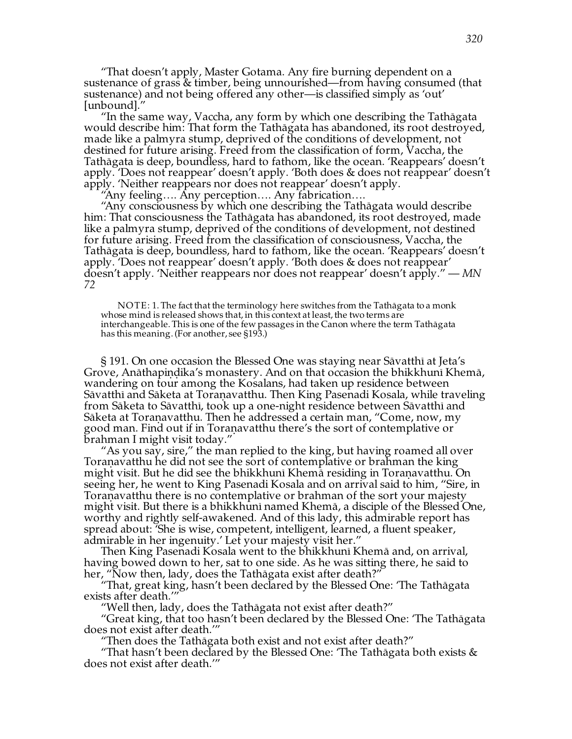"That doesn't apply, Master Gotama. Any fire burning dependent on a sustenance of grass & timber, being unnourished—from having consumed (that sustenance) and not being offered any other—is classified simply as 'out' [unbound]."

"In the same way, Vaccha, any form by which one describing the Tathāgata would describe him: That form the Tathagata has abandoned, its root destroyed, made like a palmyra stump, deprived of the conditions of development, not destined for future arising. Freed from the classification of form, Vaccha, the Tathāgata is deep, boundless, hard to fathom, like the ocean. 'Reappears' doesn't apply. 'Does not reappear' doesn't apply. 'Both does & does not reappear' doesn't apply. 'Neither reappears nor does not reappear' doesn't apply. "Any feeling…. Any perception…. Any fabrication….

"Any consciousness by which one describing the Tathagata would describe him: That consciousness the Tathāgata has abandoned, its root destroyed, made like a palmyra stump, deprived of the conditions of development, not destined for future arising. Freed from the classification of consciousness, Vaccha, the Tathāgata is deep, boundless, hard to fathom, like the ocean. 'Reappears' doesn't apply. 'Does not reappear' doesn't apply. 'Both does & does not reappear' doesn't apply. 'Neither reappears nor does not reappear' doesn't apply." — *MN 72* 

NOTE: 1. The fact that the terminology here switches from the Tathāgata to a monk whose mind is released shows that, in this context at least, the two terms are interchangeable. This is one of the few passages in the Canon where the term Tathāgata has this meaning. (For another, see §193.)

§ 191. On one occasion the Blessed One was staying near Savatthi at Jeta's Grove, Anāthapiṇḍika's monastery. And on that occasion the bhikkhunī Khemā, wandering on tour among the Kosalans, had taken up residence between Sāvatthī and Sāketa at Toraṇavatthu. Then King Pasenadi Kosala, while traveling from Sāketa to Sāvatthī, took up a one-night residence between Sāvatthī and Saketa at Toranavatthu. Then he addressed a certain man, "Come, now, my good man. Find out if in Toraṇavatthu there's the sort of contemplative or brahman I might visit today."

"As you say, sire," the man replied to the king, but having roamed all over Toranavatthu he did not see the sort of contemplative or brahman the king might visit. But he did see the bhikkhuni Khema residing in Toranavatthu. On seeing her, he went to King Pasenadi Kosala and on arrival said to him, "Sire, in Toranavatthu there is no contemplative or brahman of the sort your majesty might visit. But there is a bhikkhuni named Khema, a disciple of the Blessed One, worthy and rightly self-awakened. And of this lady, this admirable report has spread about: 'She is wise, competent, intelligent, learned, a fluent speaker, admirable in her ingenuity.' Let your majesty visit her."

Then King Pasenadi Kosala went to the bhikkhuni Khemā and, on arrival, having bowed down to her, sat to one side. As he was sitting there, he said to her, "Now then, lady, does the Tathāgata exist after death?"

"That, great king, hasn't been declared by the Blessed One: 'The Tathagata exists after death.'"

"Well then, lady, does the Tath $a$ gata not exist after death?"

"Great king, that too hasn't been declared by the Blessed One: 'The Tathagata does not exist after death.'"

"Then does the Tathāgata both exist and not exist after death?"

"That hasn't been declared by the Blessed One: The Tathagata both exists  $\&$ does not exist after death.'"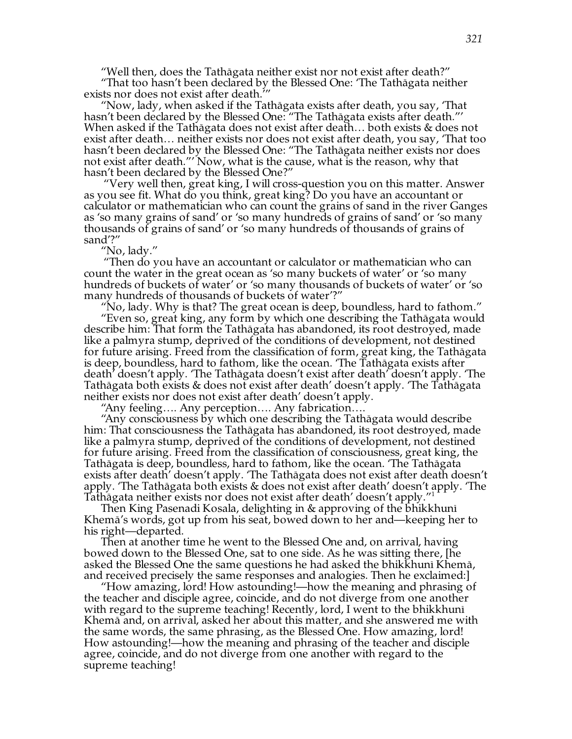"Well then, does the Tathagata neither exist nor not exist after death?"

"That too hasn't been declared by the Blessed One: 'The Tathāgata neither exists nor does not exist after death.'"

"Now, lady, when asked if the Tathāgata exists after death, you say, 'That hasn't been declared by the Blessed One: "The Tathāgata exists after death."' When asked if the Tathāgata does not exist after death... both exists  $\&$  does not exist after death… neither exists nor does not exist after death, you say, 'That too hasn't been declared by the Blessed One: "The Tathāgata neither exists nor does not exist after death."' Now, what is the cause, what is the reason, why that hasn't been declared by the Blessed One?"

 "Very well then, great king, I will cross-question you on this matter. Answer as you see fit. What do you think, great king? Do you have an accountant or calculator or mathematician who can count the grains of sand in the river Ganges as 'so many grains of sand' or 'so many hundreds of grains of sand' or 'so many thousands of grains of sand' or 'so many hundreds of thousands of grains of sand'?"

"No, lady."

 "Then do you have an accountant or calculator or mathematician who can count the water in the great ocean as 'so many buckets of water' or 'so many hundreds of buckets of water' or 'so many thousands of buckets of water' or 'so many hundreds of thousands of buckets of water'?"

"No, lady. Why is that? The great ocean is deep, boundless, hard to fathom."

"Even so, great king, any form by which one describing the Tathagata would describe him: That form the Tathāgata has abandoned, its root destroyed, made like a palmyra stump, deprived of the conditions of development, not destined for future arising. Freed from the classification of form, great king, the Tathāgata is deep, boundless, hard to fathom, like the ocean. 'The Tathāgata exists after death' doesn't apply. 'The Tathāgata doesn't exist after death' doesn't apply. 'The Tathāgata both exists & does not exist after death' doesn't apply. 'The Tathāgata neither exists nor does not exist after death' doesn't apply.

"Any feeling…. Any perception…. Any fabrication….

"Any consciousness by which one describing the Tathagata would describe him: That consciousness the Tathāgata has abandoned, its root destroyed, made like a palmyra stump, deprived of the conditions of development, not destined for future arising. Freed from the classification of consciousness, great king, the Tathāgata is deep, boundless, hard to fathom, like the ocean. 'The Tathāgata exists after death' doesn't apply. 'The Tathagata does not exist after death doesn't apply. The Tath $\bar{a}$ gata both exists & does not exist after death' doesn't apply. The Tathagata neither exists nor does not exist after death' doesn't apply."<sup>1</sup>

Then King Pasenadi Kosala, delighting in & approving of the bhikkhunı Khemā's words, got up from his seat, bowed down to her and—keeping her to his right—departed.

Then at another time he went to the Blessed One and, on arrival, having bowed down to the Blessed One, sat to one side. As he was sitting there, [he asked the Blessed One the same questions he had asked the bhikkhuni Khema, and received precisely the same responses and analogies. Then he exclaimed:]

"How amazing, lord! How astounding!—how the meaning and phrasing of the teacher and disciple agree, coincide, and do not diverge from one another with regard to the supreme teaching! Recently, lord, I went to the bhikkhunı Khemā and, on arrival, asked her about this matter, and she answered me with the same words, the same phrasing, as the Blessed One. How amazing, lord! How astounding!—how the meaning and phrasing of the teacher and disciple agree, coincide, and do not diverge from one another with regard to the supreme teaching!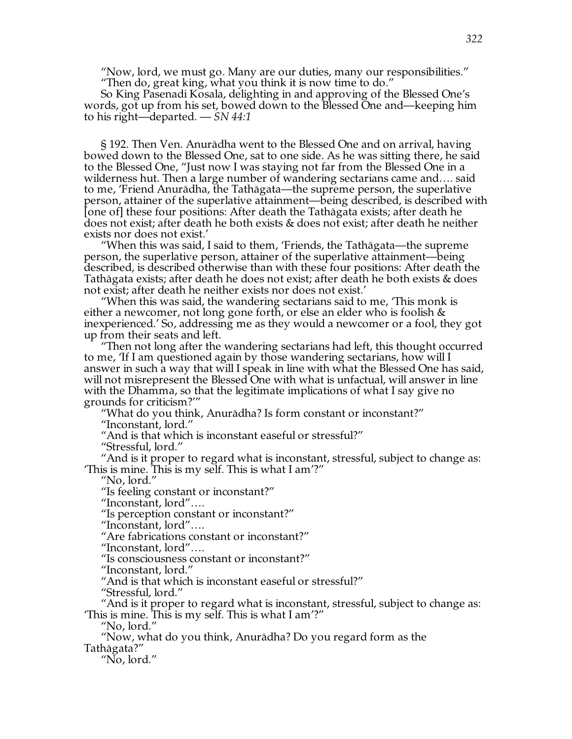"Now, lord, we must go. Many are our duties, many our responsibilities." "Then do, great king, what you think it is now time to do."

So King Pasenadi Kosala, delighting in and approving of the Blessed One's words, got up from his set, bowed down to the Blessed One and—keeping him to his right—departed. — *SN 44:1*

§ 192. Then Ven. Anurādha went to the Blessed One and on arrival, having bowed down to the Blessed One, sat to one side. As he was sitting there, he said to the Blessed One, "Just now I was staying not far from the Blessed One in a wilderness hut. Then a large number of wandering sectarians came and…. said to me, 'Friend Anurādha, the Tathāgata—the supreme person, the superlative person, attainer of the superlative attainment—being described, is described with [one of] these four positions: After death the Tathagata exists; after death he does not exist; after death he both exists & does not exist; after death he neither exists nor does not exist.'

"When this was said, I said to them, 'Friends, the Tath $a$ gata—the supreme person, the superlative person, attainer of the superlative attainment—being described, is described otherwise than with these four positions: After death the Tath $a$  at axists; after death he does not exist; after death he both exists  $\&$  does not exist; after death he neither exists nor does not exist.'

"When this was said, the wandering sectarians said to me, 'This monk is either a newcomer, not long gone forth, or else an elder who is foolish  $\&$ inexperienced.' So, addressing me as they would a newcomer or a fool, they got up from their seats and left.

"Then not long after the wandering sectarians had left, this thought occurred to me, 'If I am questioned again by those wandering sectarians, how will I answer in such a way that will I speak in line with what the Blessed One has said, will not misrepresent the Blessed One with what is unfactual, will answer in line with the Dhamma, so that the legitimate implications of what I say give no grounds for criticism?'"

"What do you think, Anurādha? Is form constant or inconstant?"

"Inconstant, lord."

"And is that which is inconstant easeful or stressful?"

"Stressful, lord."

"And is it proper to regard what is inconstant, stressful, subject to change as: 'This is mine. This is my self. This is what I am'?"

"No, lord."

"Is feeling constant or inconstant?"

"Inconstant, lord"….

"Is perception constant or inconstant?"

"Inconstant, lord"….

"Are fabrications constant or inconstant?"

"Inconstant, lord"….

"Is consciousness constant or inconstant?"

"Inconstant, lord."

"And is that which is inconstant easeful or stressful?"

"Stressful, lord."

"And is it proper to regard what is inconstant, stressful, subject to change as: 'This is mine. This is my self. This is what I am'?"

"No, lord."

"Now, what do you think, Anuradha? Do you regard form as the Tathāgata?"

"No, lord."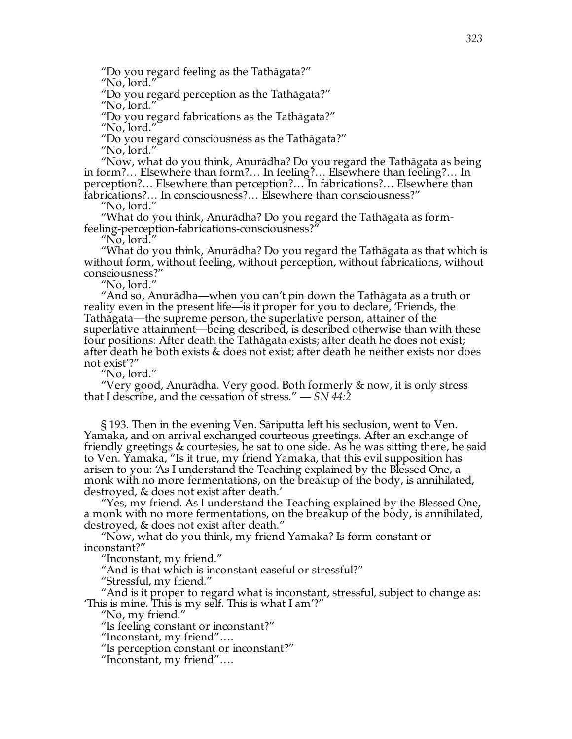"Do you regard feeling as the Tath $a$ gata?"

"No, lord."

"Do you regard perception as the Tath $a$ gata?"

"No, lord."

"Do you regard fabrications as the Tath $a$ gata?"

"No, lord."

"Do you regard consciousness as the Tathagata?"

"No, lord."

"Now, what do you think, Anurādha? Do you regard the Tath $\delta$ gata as being in form?… Elsewhere than form?… In feeling?… Elsewhere than feeling?… In perception?… Elsewhere than perception?… In fabrications?… Elsewhere than fabrications?… In consciousness?… Elsewhere than consciousness?"

"No, lord."

"What do you think, Anurādha? Do you regard the Tathāgata as form-<br>feeling-perception-fabrications-consciousness?"

"No, lord."

"What do you think, Anurādha? Do you regard the Tathāgata as that which is without form, without feeling, without perception, without fabrications, without consciousness?"

"No, lord."

"And so, Anur $\alpha$ dha—when you can't pin down the Tath $\alpha$ gata as a truth or reality even in the present life—is it proper for you to declare, 'Friends, the Tathagata—the supreme person, the superlative person, attainer of the superlative attainment—being described, is described otherwise than with these four positions: After death the Tathāgata exists; after death he does not exist; after death he both exists & does not exist; after death he neither exists nor does not exist'?"

"No, lord."

"Very good, Anurådha. Very good. Both formerly  $\&$  now, it is only stress that I describe, and the cessation of stress." — *SN 44:2*

§ 193. Then in the evening Ven. Sariputta left his seclusion, went to Ven. Yamaka, and on arrival exchanged courteous greetings. After an exchange of friendly greetings & courtesies, he sat to one side. As he was sitting there, he said to Ven. Yamaka, "Is it true, my friend Yamaka, that this evil supposition has arisen to you: 'As I understand the Teaching explained by the Blessed One, a monk with no more fermentations, on the breakup of the body, is annihilated, destroyed, & does not exist after death.'

"Yes, my friend. As I understand the Teaching explained by the Blessed One, a monk with no more fermentations, on the breakup of the body, is annihilated, destroyed, & does not exist after death."

"Now, what do you think, my friend Yamaka? Is form constant or inconstant?"

"Inconstant, my friend."

"And is that which is inconstant easeful or stressful?"

"Stressful, my friend."

"And is it proper to regard what is inconstant, stressful, subject to change as: 'This is mine. This is my self. This is what I am'?"

"No, my friend."

"Is feeling constant or inconstant?"

"Inconstant, my friend"….

"Is perception constant or inconstant?"

"Inconstant, my friend"….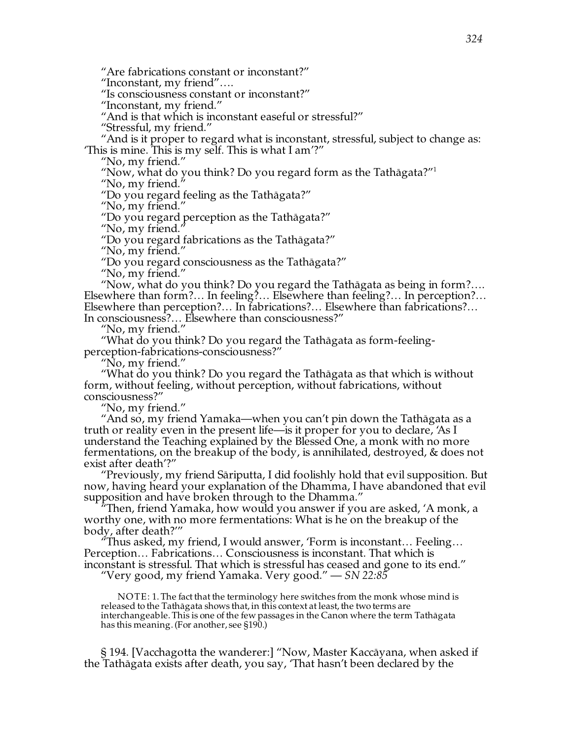"Are fabrications constant or inconstant?"

"Inconstant, my friend"….

"Is consciousness constant or inconstant?"

"Inconstant, my friend."

"And is that which is inconstant easeful or stressful?"

"Stressful, my friend."

"And is it proper to regard what is inconstant, stressful, subject to change as: 'This is mine. This is my self. This is what I am'?"

"No, my friend."

"Now, what do you think? Do you regard form as the Tathagata?" $1$ 

"No, my friend."

"Do you regard feeling as the Tath $a$ gata?"

"No, my friend."

"Do you regard perception as the Tathagata?"

"No, my friend."

"Do you regard fabrications as the Tath $a$ gata?"

"No, my friend."

"Do you regard consciousness as the Tathagata?"

"No, my friend."

"Now, what do you think? Do you regard the Tathagata as being in form?.... Elsewhere than form?… In feeling?… Elsewhere than feeling?… In perception?… Elsewhere than perception?… In fabrications?… Elsewhere than fabrications?… In consciousness?… Elsewhere than consciousness?"

"What do you think? Do you regard the Tathagata as form-feeling-<br>perception-fabrications-consciousness?"

"No, my friend."

"What do you think? Do you regard the Tathagata as that which is without form, without feeling, without perception, without fabrications, without consciousness?"

"No, my friend."

"And so, my friend Yamaka—when you can't pin down the Tath $a$ gata as a truth or reality even in the present life—is it proper for you to declare, 'As I understand the Teaching explained by the Blessed One, a monk with no more fermentations, on the breakup of the body, is annihilated, destroyed, & does not exist after death'?"

"Previously, my friend Sariputta, I did foolishly hold that evil supposition. But now, having heard your explanation of the Dhamma, I have abandoned that evil supposition and have broken through to the Dhamma."

 $^{\circ}$ Then, friend Yamaka, how would you answer if you are asked, 'A monk, a worthy one, with no more fermentations: What is he on the breakup of the body, after death?'"

"Thus asked, my friend, I would answer, 'Form is inconstant… Feeling… Perception… Fabrications… Consciousness is inconstant. That which is inconstant is stressful. That which is stressful has ceased and gone to its end."

"Very good, my friend Yamaka. Very good." — *SN 22:85*

NOTE: 1. The fact that the terminology here switches from the monk whose mind is released to the Tathāgata shows that, in this context at least, the two terms are interchangeable. This is one of the few passages in the Canon where the term Tathāgata has this meaning. (For another, see §190.)

§ 194. [Vacchagotta the wanderer:] "Now, Master Kaccāyana, when asked if the Tathāgata exists after death, you say, 'That hasn't been declared by the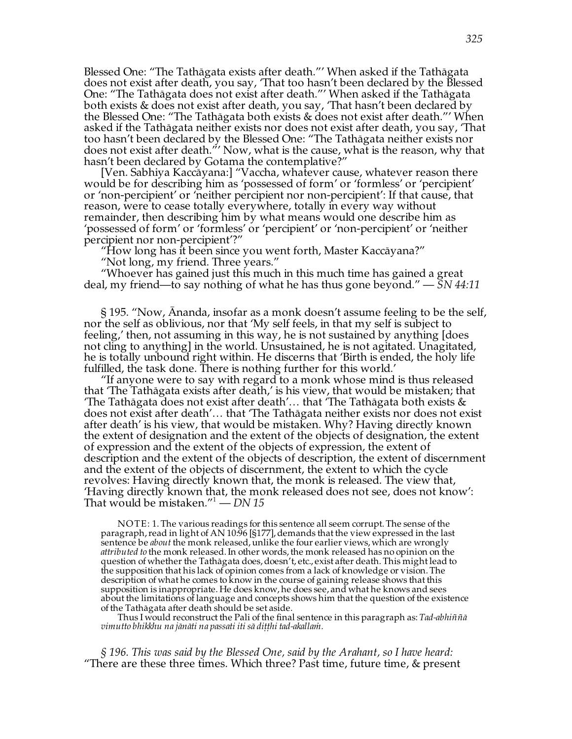Blessed One: "The Tathāgata exists after death."' When asked if the Tathāgata does not exist after death, you say, 'That too hasn't been declared by the Blessed One: "The Tathāgata does not exist after death."' When asked if the Tathāgata both exists & does not exist after death, you say, 'That hasn't been declared by the Blessed One: "The Tathagata both exists  $\&$  does not exist after death."' When asked if the Tathāgata neither exists nor does not exist after death, you say, 'That too hasn't been declared by the Blessed One: "The Tathagata neither exists nor does not exist after death."' Now, what is the cause, what is the reason, why that hasn't been declared by Gotama the contemplative?"

[Ven. Sabhiya Kaccāyana:] "Vaccha, whatever cause, whatever reason there would be for describing him as 'possessed of form' or 'formless' or 'percipient' or 'non-percipient' or 'neither percipient nor non-percipient': If that cause, that reason, were to cease totally everywhere, totally in every way without remainder, then describing him by what means would one describe him as 'possessed of form' or 'formless' or 'percipient' or 'non-percipient' or 'neither percipient nor non-percipient'?"

"How long has it been since you went forth, Master Kaccayana?"

"Not long, my friend. Three years."

"Whoever has gained just this much in this much time has gained a great deal, my friend—to say nothing of what he has thus gone beyond." — *SN 44:11*

§ 195. "Now, finanda, insofar as a monk doesn't assume feeling to be the self, nor the self as oblivious, nor that 'My self feels, in that my self is subject to feeling,' then, not assuming in this way, he is not sustained by anything [does not cling to anything] in the world. Unsustained, he is not agitated. Unagitated, he is totally unbound right within. He discerns that 'Birth is ended, the holy life fulfilled, the task done. There is nothing further for this world.'

"If anyone were to say with regard to a monk whose mind is thus released that 'The Tathāgata exists after death,' is his view, that would be mistaken; that The Tathāgata does not exist after death'... that 'The Tathāgata both exists  $\&$ does not exist after death'... that 'The Tathāgata neither exists nor does not exist after death' is his view, that would be mistaken. Why? Having directly known the extent of designation and the extent of the objects of designation, the extent of expression and the extent of the objects of expression, the extent of description and the extent of the objects of description, the extent of discernment and the extent of the objects of discernment, the extent to which the cycle revolves: Having directly known that, the monk is released. The view that, 'Having directly known that, the monk released does not see, does not know': That would be mistaken."1 — *DN 15*

NOTE: 1. The various readings for this sentence all seem corrupt. The sense of the paragraph, read in light of AN 10:96 [§177], demands that the view expressed in the last sentence be *about* the monk released, unlike the four earlier views, which are wrongly *attributed to* the monk released. In other words, the monk released has no opinion on the question of whether the Tathāgata does, doesn't, etc., exist after death. This might lead to the supposition that his lack of opinion comes from a lack of knowledge or vision. The description of what he comes to know in the course of gaining release shows that this supposition is inappropriate. He does know, he does see, and what he knows and sees about the limitations of language and concepts shows him that the question of the existence of the Tathāgata after death should be set aside.

Thus I would reconstruct the Pali of the final sentence in this paragraph as: *Tad-abhiññ› vimutto bhikkhu na j›n›ti na passati iti s› di˛˛hi tad-akallaª.* 

*§ 196. This was said by the Blessed One, said by the Arahant, so I have heard:* "There are these three times. Which three? Past time, future time, & present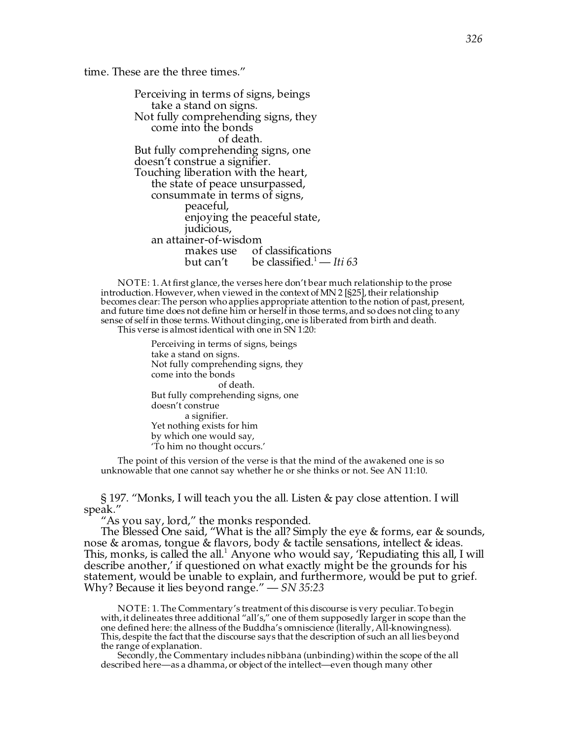time. These are the three times."

Perceiving in terms of signs, beings take a stand on signs. Not fully comprehending signs, they come into the bonds of death. But fully comprehending signs, one doesn't construe a signifier. Touching liberation with the heart, the state of peace unsurpassed, consummate in terms of signs, peaceful, enjoying the peaceful state, judicious, an attainer-of-wisdom makes use of classifications<br>but can't be classified.<sup>1</sup> be classified.<sup>1</sup> — *Iti* 63

NOTE: 1. At first glance, the verses here don't bear much relationship to the prose introduction. However, when viewed in the context of MN 2 [§25], their relationship becomes clear: The person who applies appropriate attention to the notion of past, present, and future time does not define him or herself in those terms, and so does not cling to any sense of self in those terms. Without clinging, one is liberated from birth and death. This verse is almost identical with one in SN 1:20:

> Perceiving in terms of signs, beings take a stand on signs. Not fully comprehending signs, they come into the bonds of death. But fully comprehending signs, one doesn't construe a signifier. Yet nothing exists for him by which one would say, 'To him no thought occurs.'

The point of this version of the verse is that the mind of the awakened one is so unknowable that one cannot say whether he or she thinks or not. See AN 11:10.

§ 197. "Monks, I will teach you the all. Listen & pay close attention. I will speak."

"As you say, lord," the monks responded.

The Blessed One said, "What is the all? Simply the eye & forms, ear & sounds, nose & aromas, tongue & flavors, body & tactile sensations, intellect & ideas. This, monks, is called the all.<sup>1</sup> Anyone who would say, 'Repudiating this all, I will describe another,' if questioned on what exactly might be the grounds for his statement, would be unable to explain, and furthermore, would be put to grief. Why? Because it lies beyond range." — *SN 35:23*

NOTE: 1. The Commentary's treatment of this discourse is very peculiar. To begin with, it delineates three additional "all's," one of them supposedly larger in scope than the one defined here: the allness of the Buddha's omniscience (literally, All-knowingness). This, despite the fact that the discourse says that the description of such an all lies beyond the range of explanation.

Secondly, the Commentary includes nibbāna (unbinding) within the scope of the all described here—as a dhamma, or object of the intellect—even though many other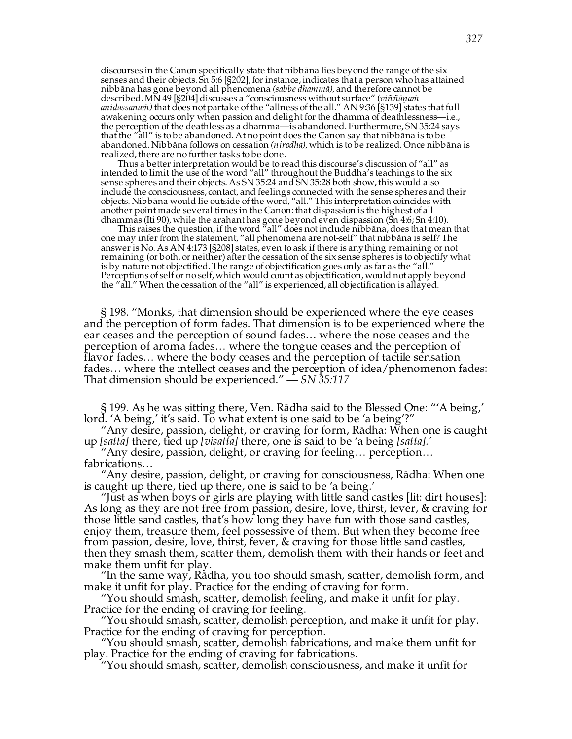discourses in the Canon specifically state that nibbana lies beyond the range of the six senses and their objects. Sn 5:6 [§202], for instance, indicates that a person who has attained nibbāna has gone beyond all phenomena *(sabbe dhammā)*, and therefore cannot be described. MN 49 [§204] discusses a "consciousness without surface" (*viññānam anidassanam*) that does not partake of the "allness of the all." AN 9:36 [§139] states that full awakening occurs only when passion and delight for the dhamma of deathlessness—i.e., the perception of the deathless as a dhamma—is abandoned. Furthermore, SN 35:24 says that the "all" is to be abandoned. At no point does the Canon say that nibbana is to be abandoned. Nibbāna follows on cessation *(nirodha)*, which is to be realized. Once nibbāna is realized, there are no further tasks to be done.

Thus a better interpretation would be to read this discourse's discussion of "all" as intended to limit the use of the word "all" throughout the Buddha's teachings to the six sense spheres and their objects. As SN 35:24 and SN 35:28 both show, this would also include the consciousness, contact, and feelings connected with the sense spheres and their objects. Nibbāna would lie outside of the word, "all." This interpretation coincides with another point made several times in the Canon: that dispassion is the highest of all dhammas (Iti 90), while the arahant has gone beyond even dispassion (Sn 4:6; Sn 4:10).

This raises the question, if the word  $\pi$  all" does not include nibbana, does that mean that one may infer from the statement, "all phenomena are not-self" that nibbana is self? The answer is No. As AN 4:173 [§208] states, even to ask if there is anything remaining or not remaining (or both, or neither) after the cessation of the six sense spheres is to objectify what is by nature not objectified. The range of objectification goes only as far as the "all." Perceptions of self or no self, which would count as objectification, would not apply beyond the "all." When the cessation of the "all" is experienced, all objectification is allayed.

§ 198. "Monks, that dimension should be experienced where the eye ceases and the perception of form fades. That dimension is to be experienced where the ear ceases and the perception of sound fades… where the nose ceases and the perception of aroma fades… where the tongue ceases and the perception of flavor fades… where the body ceases and the perception of tactile sensation fades… where the intellect ceases and the perception of idea/phenomenon fades: That dimension should be experienced." — *SN 35:117*

 $\S$  199. As he was sitting there, Ven. Rādha said to the Blessed One: "'A being,' lord. 'A being,' it's said. To what extent is one said to be 'a being'?"

"Any desire, passion, delight, or craving for form, R $\tilde{a}$ dha: When one is caught up *[satta]* there, tied up *[visatta]* there, one is said to be 'a being *[satta].'*

"Any desire, passion, delight, or craving for feeling… perception… fabrications…

"Any desire, passion, delight, or craving for consciousness, Radha: When one is caught up there, tied up there, one is said to be 'a being.'

"Just as when boys or girls are playing with little sand castles [lit: dirt houses]: As long as they are not free from passion, desire, love, thirst, fever, & craving for those little sand castles, that's how long they have fun with those sand castles, enjoy them, treasure them, feel possessive of them. But when they become free from passion, desire, love, thirst, fever, & craving for those little sand castles, then they smash them, scatter them, demolish them with their hands or feet and make them unfit for play.

"In the same way, R $\bar{\alpha}$ dha, you too should smash, scatter, demolish form, and make it unfit for play. Practice for the ending of craving for form.

"You should smash, scatter, demolish feeling, and make it unfit for play. Practice for the ending of craving for feeling.

"You should smash, scatter, demolish perception, and make it unfit for play. Practice for the ending of craving for perception.

"You should smash, scatter, demolish fabrications, and make them unfit for play. Practice for the ending of craving for fabrications.

"You should smash, scatter, demolish consciousness, and make it unfit for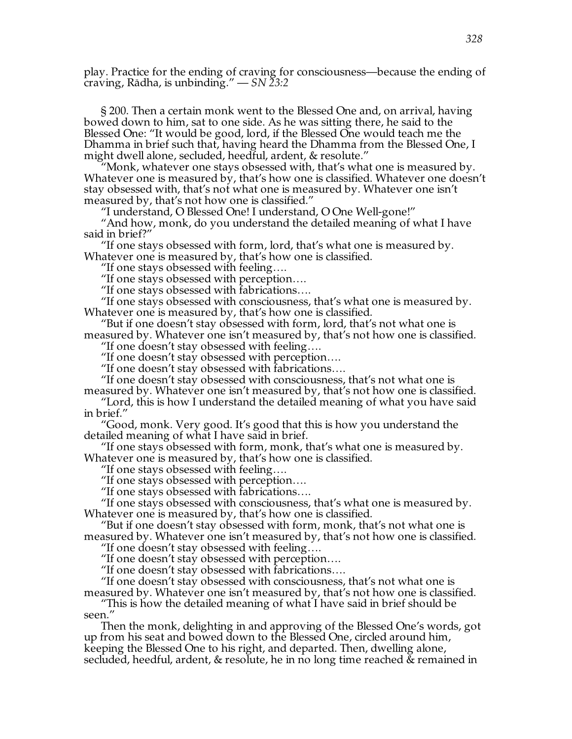play. Practice for the ending of craving for consciousness—because the ending of craving, Rādha, is unbinding." — *SN* 23:2

§ 200. Then a certain monk went to the Blessed One and, on arrival, having bowed down to him, sat to one side. As he was sitting there, he said to the Blessed One: "It would be good, lord, if the Blessed One would teach me the Dhamma in brief such that, having heard the Dhamma from the Blessed One, I might dwell alone, secluded, heedful, ardent, & resolute."

"Monk, whatever one stays obsessed with, that's what one is measured by. Whatever one is measured by, that's how one is classified. Whatever one doesn't stay obsessed with, that's not what one is measured by. Whatever one isn't measured by, that's not how one is classified."

"I understand, O Blessed One! I understand, O One Well-gone!"

"And how, monk, do you understand the detailed meaning of what I have said in brief?"

"If one stays obsessed with form, lord, that's what one is measured by. Whatever one is measured by, that's how one is classified.

"If one stays obsessed with feeling….

"If one stays obsessed with perception….

"If one stays obsessed with fabrications….

"If one stays obsessed with consciousness, that's what one is measured by. Whatever one is measured by, that's how one is classified.

"But if one doesn't stay obsessed with form, lord, that's not what one is measured by. Whatever one isn't measured by, that's not how one is classified.

"If one doesn't stay obsessed with feeling….

"If one doesn't stay obsessed with perception….

"If one doesn't stay obsessed with fabrications….

"If one doesn't stay obsessed with consciousness, that's not what one is

measured by. Whatever one isn't measured by, that's not how one is classified. "Lord, this is how I understand the detailed meaning of what you have said

in brief."

"Good, monk. Very good. It's good that this is how you understand the detailed meaning of what I have said in brief.

"If one stays obsessed with form, monk, that's what one is measured by. Whatever one is measured by, that's how one is classified.

"If one stays obsessed with feeling….

"If one stays obsessed with perception….

"If one stays obsessed with fabrications….

"If one stays obsessed with consciousness, that's what one is measured by. Whatever one is measured by, that's how one is classified.

"But if one doesn't stay obsessed with form, monk, that's not what one is measured by. Whatever one isn't measured by, that's not how one is classified.

"If one doesn't stay obsessed with feeling….

"If one doesn't stay obsessed with perception….

"If one doesn't stay obsessed with fabrications….

"If one doesn't stay obsessed with consciousness, that's not what one is measured by. Whatever one isn't measured by, that's not how one is classified.

"This is how the detailed meaning of what I have said in brief should be seen."

Then the monk, delighting in and approving of the Blessed One's words, got up from his seat and bowed down to the Blessed One, circled around him, keeping the Blessed One to his right, and departed. Then, dwelling alone, secluded, heedful, ardent, & resolute, he in no long time reached & remained in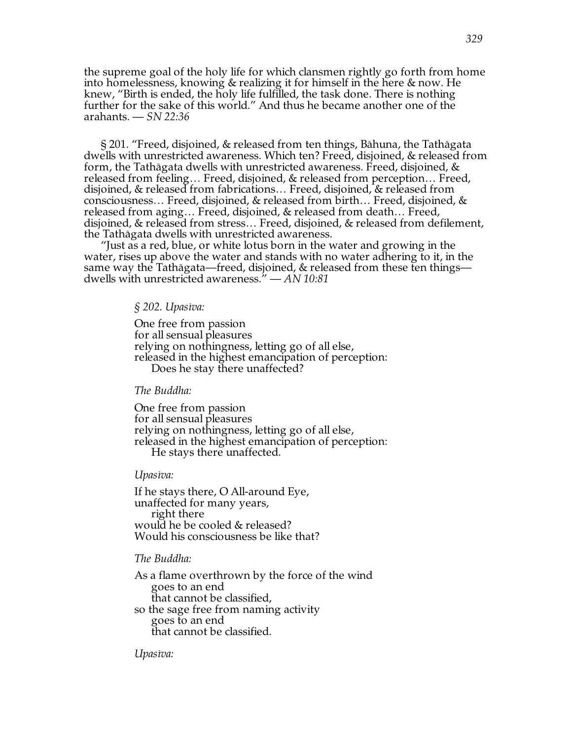the supreme goal of the holy life for which clansmen rightly go forth from home into homelessness, knowing & realizing it for himself in the here & now. He knew, "Birth is ended, the holy life fulfilled, the task done. There is nothing further for the sake of this world." And thus he became another one of the arahants. — *SN 22:36*

§ 201. "Freed, disjoined, & released from ten things, Bāhuna, the Tathāgata dwells with unrestricted awareness. Which ten? Freed, disjoined, & released from form, the Tathagata dwells with unrestricted awareness. Freed, disjoined,  $\&$ released from feeling… Freed, disjoined, & released from perception… Freed, disjoined, & released from fabrications… Freed, disjoined, & released from consciousness… Freed, disjoined, & released from birth… Freed, disjoined, & released from aging… Freed, disjoined, & released from death… Freed, disjoined, & released from stress… Freed, disjoined, & released from defilement, the Tathāgata dwells with unrestricted awareness.

"Just as a red, blue, or white lotus born in the water and growing in the water, rises up above the water and stands with no water adhering to it, in the same way the Tathāgata—freed, disjoined, & released from these ten things—<br>dwells with unrestricted awareness." — *AN 10:81* 

### *§ 202. Upasıva:*

One free from passion for all sensual pleasures relying on nothingness, letting go of all else, released in the highest emancipation of perception: Does he stay there unaffected?

### *The Buddha:*

One free from passion for all sensual pleasures relying on nothingness, letting go of all else, released in the highest emancipation of perception: He stays there unaffected.

### *Upasıva:*

If he stays there, O All-around Eye, unaffected for many years, right there would he be cooled & released? Would his consciousness be like that?

*The Buddha:*

As a flame overthrown by the force of the wind goes to an end that cannot be classified, so the sage free from naming activity goes to an end that cannot be classified.

### *Upasıva:*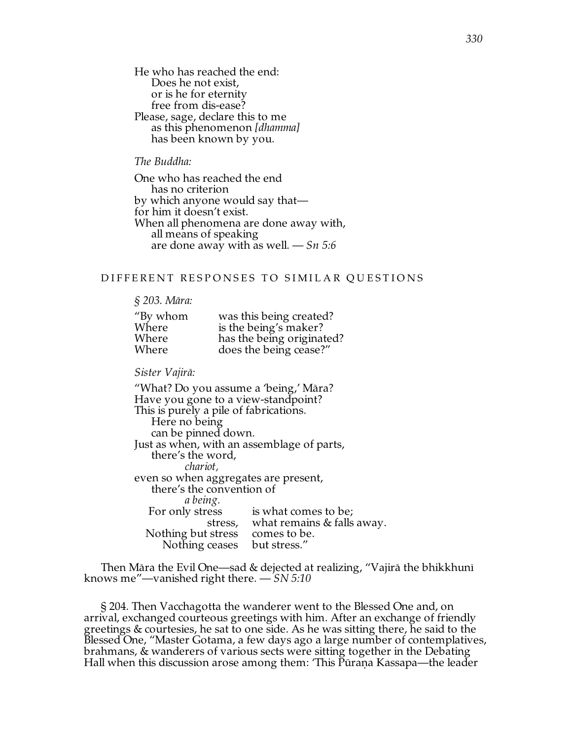He who has reached the end: Does he not exist, or is he for eternity free from dis-ease? Please, sage, declare this to me as this phenomenon *[dhamma]* has been known by you.

*The Buddha:*

One who has reached the end has no criterion by which anyone would say that— for him it doesn't exist. When all phenomena are done away with, all means of speaking are done away with as well. — *Sn 5:6*

### DIFFERENT RESPONSES TO SIMILAR QUESTIONS

*§ 203. Māra:* "By whom was this being created? Where is the being's maker?<br>Where has the being original Where has the being originated?<br>Where does the being cease?" does the being cease?"

*Sister Vajirā:* 

"What? Do you assume a 'being,' Māra? Have you gone to a view-standpoint? This is purely a pile of fabrications. Here no being can be pinned down. Just as when, with an assemblage of parts, there's the word, *chariot,* even so when aggregates are present, there's the convention of *a being.* For only stress is what comes to be; stress, what remains & falls away. Nothing but stress comes to be. Nothing ceases but stress."

Then Māra the Evil One—sad & dejected at realizing, "Vajirā the bhikkhunī knows me"—vanished right there. — *SN 5:10*

§ 204. Then Vacchagotta the wanderer went to the Blessed One and, on arrival, exchanged courteous greetings with him. After an exchange of friendly greetings & courtesies, he sat to one side. As he was sitting there, he said to the Blessed One, "Master Gotama, a few days ago a large number of contemplatives, brahmans, & wanderers of various sects were sitting together in the Debating Hall when this discussion arose among them: 'This Pūraṇa Kassapa—the leader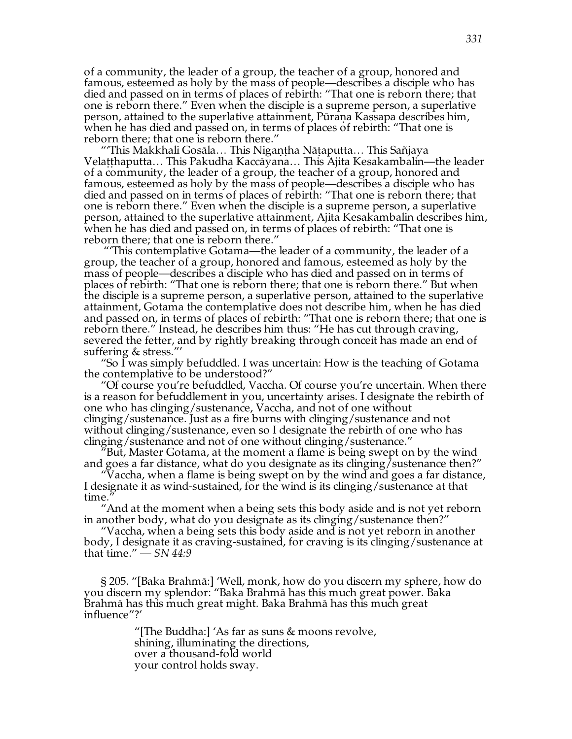of a community, the leader of a group, the teacher of a group, honored and famous, esteemed as holy by the mass of people—describes a disciple who has died and passed on in terms of places of rebirth: "That one is reborn there; that one is reborn there." Even when the disciple is a supreme person, a superlative person, attained to the superlative attainment, Pūraņa Kassapa describes him, when he has died and passed on, in terms of places of rebirth: "That one is reborn there; that one is reborn there."

"'This Makkhali Gosāla… This Nigantha Nāṭaputta… This Sañjaya Velatthaputta... This Pakudha Kaccāyana... This Ajita Kesakambalin—the leader of a community, the leader of a group, the teacher of a group, honored and famous, esteemed as holy by the mass of people—describes a disciple who has died and passed on in terms of places of rebirth: "That one is reborn there; that one is reborn there." Even when the disciple is a supreme person, a superlative person, attained to the superlative attainment, Ajita Kesakambalin describes him, when he has died and passed on, in terms of places of rebirth: "That one is reborn there; that one is reborn there."

 "'This contemplative Gotama—the leader of a community, the leader of a group, the teacher of a group, honored and famous, esteemed as holy by the mass of people—describes a disciple who has died and passed on in terms of places of rebirth: "That one is reborn there; that one is reborn there." But when the disciple is a supreme person, a superlative person, attained to the superlative attainment, Gotama the contemplative does not describe him, when he has died and passed on, in terms of places of rebirth: "That one is reborn there; that one is reborn there." Instead, he describes him thus: "He has cut through craving, severed the fetter, and by rightly breaking through conceit has made an end of suffering & stress."'

"So I was simply befuddled. I was uncertain: How is the teaching of Gotama the contemplative to be understood?"

"Of course you're befuddled, Vaccha. Of course you're uncertain. When there is a reason for befuddlement in you, uncertainty arises. I designate the rebirth of one who has clinging/sustenance, Vaccha, and not of one without clinging/sustenance. Just as a fire burns with clinging/sustenance and not without clinging/sustenance, even so I designate the rebirth of one who has clinging/sustenance and not of one without clinging/sustenance."

"But, Master Gotama, at the moment a flame is being swept on by the wind and goes a far distance, what do you designate as its clinging/sustenance then?"

"Vaccha, when a flame is being swept on by the wind and goes a far distance, I designate it as wind-sustained, for the wind is its clinging/sustenance at that time.

"And at the moment when a being sets this body aside and is not yet reborn in another body, what do you designate as its clinging/sustenance then?"

"Vaccha, when a being sets this body aside and is not yet reborn in another body, I designate it as craving-sustained, for craving is its clinging/sustenance at that time." — *SN 44:9*

§ 205. "[Baka Brahmā:] 'Well, monk, how do you discern my sphere, how do you discern my splendor: "Baka Brahmā has this much great power. Baka Brahmā has this much great might. Baka Brahmā has this much great influence"?'

> "[The Buddha:] 'As far as suns & moons revolve, shining, illuminating the directions, over a thousand-fold world your control holds sway.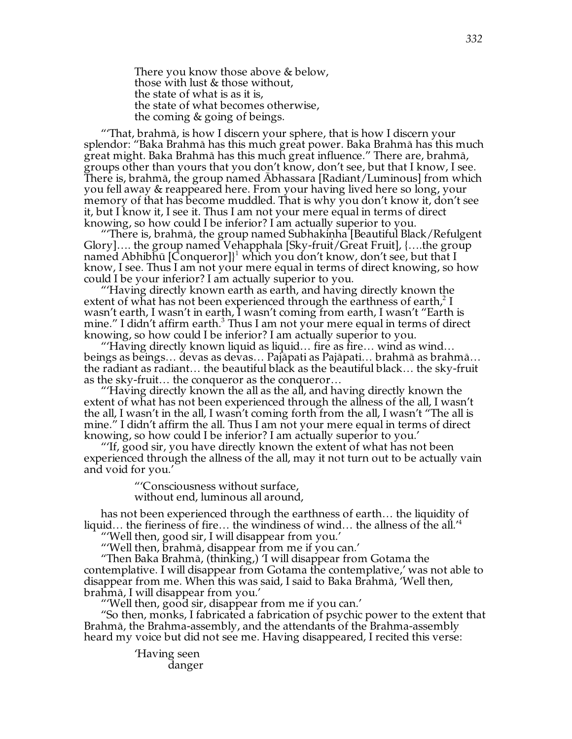There you know those above & below, those with lust & those without, the state of what is as it is, the state of what becomes otherwise, the coming & going of beings.

"That, brahm $\bar{a}$ , is how I discern your sphere, that is how I discern your splendor: "Baka Brahmā has this much great power. Baka Brahmā has this much<br>great might. Baka Brahmā has this much great influence." There are, brahmā, great might. Baka Brahmā has this much great influence." There are, brahmā,<br>groups other than yours that you don't know, don't see, but that I know, I see. There is, brahmā, the group named Ābhassara [Radiant/Luminous] from which you fell away & reappeared here. From your having lived here so long, your memory of that has become muddled. That is why you don't know it, don't see it, but I know it, I see it. Thus I am not your mere equal in terms of direct knowing, so how could I be inferior? I am actually superior to you.

"There is, brahmā, the group named Subhakinha [Beautiful Black/Refulgent] Glory]…. the group named Vehapphala [Sky-fruit/Great Fruit], {….the group named Abhibhū [Conqueror]}<sup>1</sup> which you don't know, don't see, but that I know, I see. Thus I am not your mere equal in terms of direct knowing, so how could I be your inferior? I am actually superior to you.

"'Having directly known earth as earth, and having directly known the extent of what has not been experienced through the earthness of earth, $2I$ wasn't earth, I wasn't in earth, I wasn't coming from earth, I wasn't "Earth is mine." I didn't affirm earth. $3$  Thus I am not your mere equal in terms of direct knowing, so how could I be inferior? I am actually superior to you.

"'Having directly known liquid as liquid… fire as fire… wind as wind… beings as beings… devas as devas… Pajāpati as Pajāpati… brahmā as brahmā…<br>the radiant as radiant… the beautiful black as the beautiful black… the sky-fruit as the sky-fruit… the conqueror as the conqueror…

"'Having directly known the all as the all, and having directly known the extent of what has not been experienced through the allness of the all, I wasn't the all, I wasn't in the all, I wasn't coming forth from the all, I wasn't "The all is mine." I didn't affirm the all. Thus I am not your mere equal in terms of direct knowing, so how could I be inferior? I am actually superior to you.'

"'If, good sir, you have directly known the extent of what has not been experienced through the allness of the all, may it not turn out to be actually vain and void for you.'

> "'Consciousness without surface, without end, luminous all around,

has not been experienced through the earthness of earth… the liquidity of liquid... the fieriness of fire... the windiness of wind... the allness of the all.<sup>4</sup>

"'Well then, good sir, I will disappear from you.'

"Well then, brahma, disappear from me if you can."

"Then Baka Brahmā, (thinking,) 'I will disappear from Gotama the contemplative. I will disappear from Gotama the contemplative,' was not able to disappear from me. When this was said, I said to Baka Brahma, 'Well then, brahmā, I will disappear from you.'

"'Well then, good sir, disappear from me if you can.'

"So then, monks, I fabricated a fabrication of psychic power to the extent that Brahmā, the Brahma-assembly, and the attendants of the Brahma-assembly heard my voice but did not see me. Having disappeared, I recited this verse:

> 'Having seen danger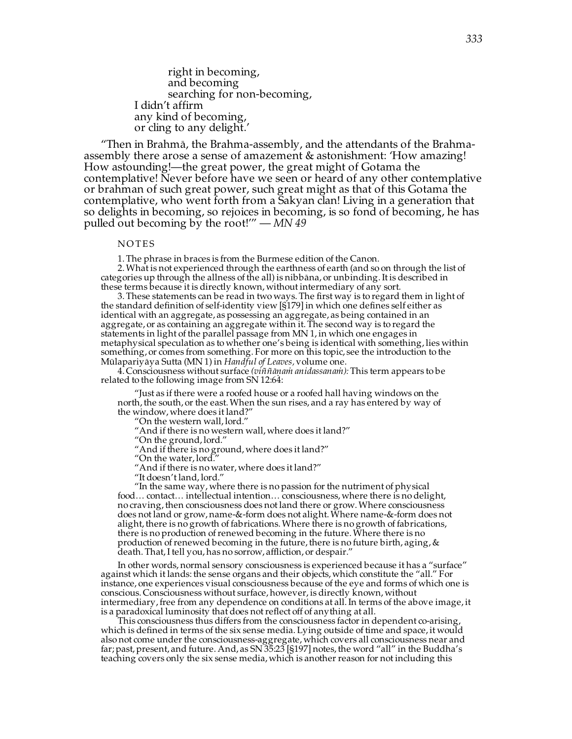right in becoming, and becoming searching for non-becoming, I didn't affirm any kind of becoming, or cling to any delight.'

"Then in Brahma, the Brahma-assembly, and the attendants of the Brahma-assembly there arose a sense of amazement & astonishment: 'How amazing! How astounding!—the great power, the great might of Gotama the contemplative! Never before have we seen or heard of any other contemplative or brahman of such great power, such great might as that of this Gotama the contemplative, who went forth from a Sakyan clan! Living in a generation that so delights in becoming, so rejoices in becoming, is so fond of becoming, he has pulled out becoming by the root!'" — *MN 49*

#### NOTES

1. The phrase in braces is from the Burmese edition of the Canon.

2. What is not experienced through the earthness of earth (and so on through the list of categories up through the allness of the all) is nibbana, or unbinding. It is described in these terms because it is directly known, without intermediary of any sort.

3. These statements can be read in two ways. The first way is to regard them in light of the standard definition of self-identity view [§179] in which one defines self either as identical with an aggregate, as possessing an aggregate, as being contained in an aggregate, or as containing an aggregate within it. The second way is to regard the statements in light of the parallel passage from MN 1, in which one engages in metaphysical speculation as to whether one's being is identical with something, lies within something, or comes from something. For more on this topic, see the introduction to the Mūlapariyāya Sutta (MN 1) in *Handful of Leaves*, volume one.

4. Consciousness without surface *(viññanam anidassanam)*: This term appears to be related to the following image from SN 12:64:

"Just as if there were a roofed house or a roofed hall having windows on the north, the south, or the east. When the sun rises, and a ray has entered by way of the window, where does it land?"

"On the western wall, lord."

"And if there is no western wall, where does it land?"

"On the ground, lord."

"And if there is no ground, where does it land?"

"On the water, lord."

"And if there is no water, where does it land?"

"It doesn't land, lord."

"In the same way, where there is no passion for the nutriment of physical food… contact… intellectual intention… consciousness, where there is no delight, no craving, then consciousness does not land there or grow. Where consciousness does not land or grow, name-&-form does not alight. Where name-&-form does not alight, there is no growth of fabrications. Where there is no growth of fabrications, there is no production of renewed becoming in the future. Where there is no production of renewed becoming in the future, there is no future birth, aging,  $\&$ death. That, I tell you, has no sorrow, affliction, or despair."

In other words, normal sensory consciousness is experienced because it has a "surface" against which it lands: the sense organs and their objects, which constitute the "all." For instance, one experiences visual consciousness because of the eye and forms of which one is conscious. Consciousness without surface, however, is directly known, without intermediary, free from any dependence on conditions at all. In terms of the above image, it is a paradoxical luminosity that does not reflect off of anything at all.

This consciousness thus differs from the consciousness factor in dependent co-arising, which is defined in terms of the six sense media. Lying outside of time and space, it would also not come under the consciousness-aggregate, which covers all consciousness near and far; past, present, and future. And, as SN 35:23 [§197] notes, the word "all" in the Buddha's teaching covers only the six sense media, which is another reason for not including this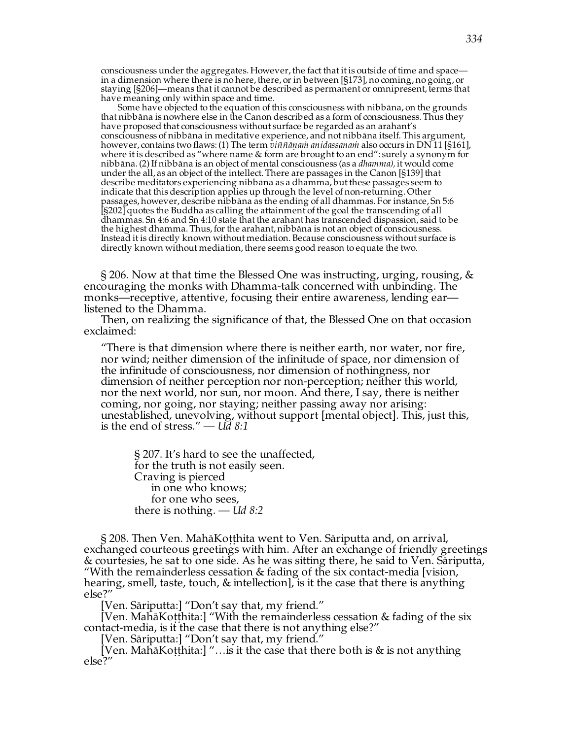consciousness under the aggregates. However, the fact that it is outside of time and space in a dimension where there is no here, there, or in between [§173], no coming, no going, or staying [§206]—means that it cannot be described as permanent or omnipresent, terms that have meaning only within space and time.

Some have objected to the equation of this consciousness with nibbana, on the grounds that nibbāna is nowhere else in the Canon described as a form of consciousness. Thus they have proposed that consciousness without surface be regarded as an arahant's consciousness of nibbana in meditative experience, and not nibbana itself. This argument, however, contains two flaws: (1) The term *viññanam anidassanam* also occurs in DN 11 [§161], where it is described as "where name & form are brought to an end": surely a synonym for nibbāna. (2) If nibbāna is an object of mental consciousness (as a *dhamma)*, it would come under the all, as an object of the intellect. There are passages in the Canon [§139] that describe meditators experiencing nibbāna as a dhamma, but these passages seem to indicate that this description applies up through the level of non-returning. Other passages, however, describe nibbāna as the ending of all dhammas. For instance, Sn 5:6  $\,$ [§202] quotes the Buddha as calling the attainment of the goal the transcending of all dhammas. Sn 4:6 and Sn 4:10 state that the arahant has transcended dispassion, said to be the highest dhamma. Thus, for the arahant, nibbana is not an object of consciousness. Instead it is directly known without mediation. Because consciousness without surface is directly known without mediation, there seems good reason to equate the two.

§ 206. Now at that time the Blessed One was instructing, urging, rousing, & encouraging the monks with Dhamma-talk concerned with unbinding. The monks—receptive, attentive, focusing their entire awareness, lending ear listened to the Dhamma.

Then, on realizing the significance of that, the Blessed One on that occasion exclaimed:

"There is that dimension where there is neither earth, nor water, nor fire, nor wind; neither dimension of the infinitude of space, nor dimension of the infinitude of consciousness, nor dimension of nothingness, nor dimension of neither perception nor non-perception; neither this world, nor the next world, nor sun, nor moon. And there, I say, there is neither coming, nor going, nor staying; neither passing away nor arising: unestablished, unevolving, without support [mental object]. This, just this, is the end of stress." —  $U\bar{d}$  8:1

§ 207. It's hard to see the unaffected, for the truth is not easily seen. Craving is pierced in one who knows; for one who sees, there is nothing. — *Ud 8:2*

§ 208. Then Ven. MahāKotthita went to Ven. Sāriputta and, on arrival, exchanged courteous greetings with him. After an exchange of friendly greetings  $\&$  courtesies, he sat to one side. As he was sitting there, he said to Ven. Sariputta, "With the remainderless cessation  $&$  fading of the six contact-media [vision] hearing, smell, taste, touch, & intellection], is it the case that there is anything else?"

[Ven. Sāriputta:] "Don't say that, my friend."

[Ven. Mah $\tilde{a}$ Kotthita:] "With the remainderless cessation & fading of the six contact-media, is it the case that there is not anything else?"

[Ven. Sāriputta:] "Don't say that, my friend."

[Ven. MahāKoṭṭhita:] "…is it the case that there both is & is not anything else?"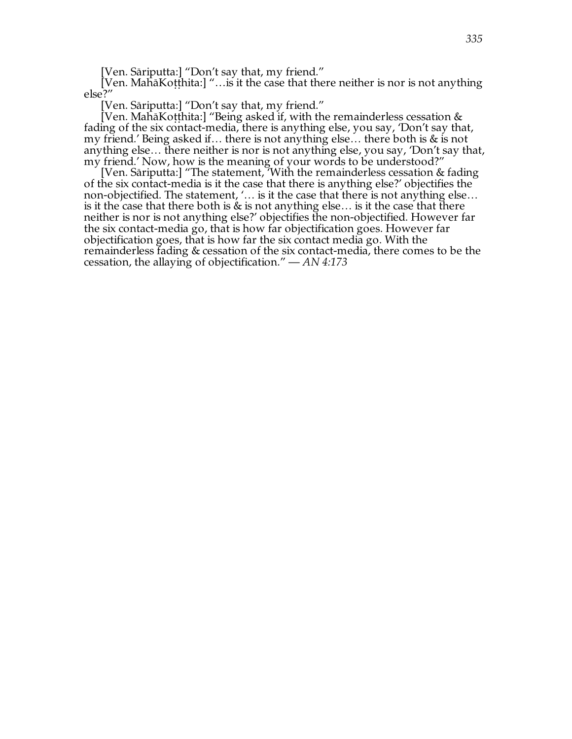[Ven. Sāriputta:] "Don't say that, my friend."

[Ven. Mah $\bar{a}$ Koṭṭhita:] "…is it the case that there neither is nor is not anything else?"

[Ven. Sāriputta:] "Don't say that, my friend."

[Ven. MahāKoṭṭhita:] "Being asked if, with the remainderless cessation & fading of the six contact-media, there is anything else, you say, 'Don't say that, my friend.' Being asked if… there is not anything else… there both is & is not anything else… there neither is nor is not anything else, you say, 'Don't say that, my friend.' Now, how is the meaning of your words to be understood?"

[Ven. Sāriputta:] "The statement, 'With the remainderless cessation & fading of the six contact-media is it the case that there is anything else?' objectifies the non-objectified. The statement, '… is it the case that there is not anything else… is it the case that there both is  $\&$  is not anything else... is it the case that there neither is nor is not anything else?' objectifies the non-objectified. However far the six contact-media go, that is how far objectification goes. However far objectification goes, that is how far the six contact media go. With the remainderless fading & cessation of the six contact-media, there comes to be the cessation, the allaying of objectification." — *AN 4:173*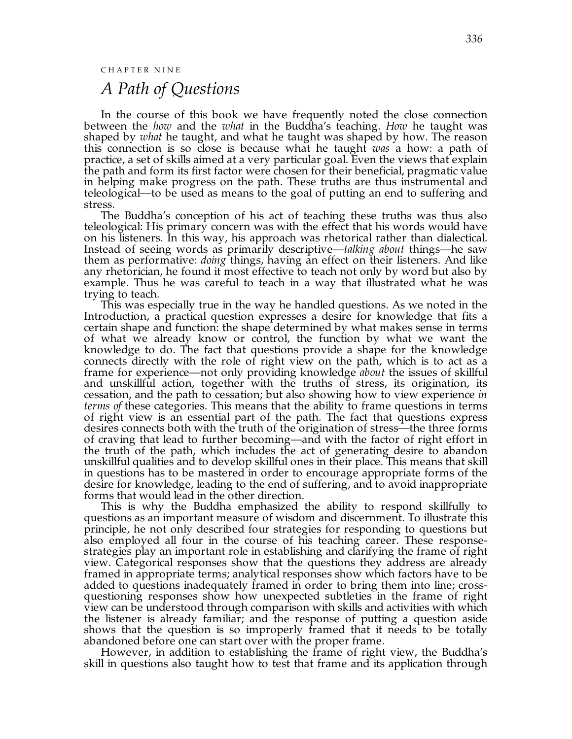# *A Path of Questions*

In the course of this book we have frequently noted the close connection between the *how* and the *what* in the Buddha's teaching. *How* he taught was shaped by *what* he taught, and what he taught was shaped by how. The reason this connection is so close is because what he taught *was* a how: a path of practice, a set of skills aimed at a very particular goal. Even the views that explain the path and form its first factor were chosen for their beneficial, pragmatic value in helping make progress on the path. These truths are thus instrumental and teleological—to be used as means to the goal of putting an end to suffering and stress.

The Buddha's conception of his act of teaching these truths was thus also teleological: His primary concern was with the effect that his words would have on his listeners. In this way, his approach was rhetorical rather than dialectical. Instead of seeing words as primarily descriptive—*talking about* things—he saw them as performative: *doing* things, having an effect on their listeners. And like any rhetorician, he found it most effective to teach not only by word but also by example. Thus he was careful to teach in a way that illustrated what he was trying to teach.

This was especially true in the way he handled questions. As we noted in the Introduction, a practical question expresses a desire for knowledge that fits a certain shape and function: the shape determined by what makes sense in terms of what we already know or control, the function by what we want the knowledge to do. The fact that questions provide a shape for the knowledge connects directly with the role of right view on the path, which is to act as a frame for experience—not only providing knowledge *about* the issues of skillful and unskillful action, together with the truths of stress, its origination, its cessation, and the path to cessation; but also showing how to view experience *in terms of* these categories. This means that the ability to frame questions in terms of right view is an essential part of the path. The fact that questions express desires connects both with the truth of the origination of stress—the three forms of craving that lead to further becoming—and with the factor of right effort in the truth of the path, which includes the act of generating desire to abandon unskillful qualities and to develop skillful ones in their place. This means that skill in questions has to be mastered in order to encourage appropriate forms of the desire for knowledge, leading to the end of suffering, and to avoid inappropriate forms that would lead in the other direction.

This is why the Buddha emphasized the ability to respond skillfully to questions as an important measure of wisdom and discernment. To illustrate this principle, he not only described four strategies for responding to questions but also employed all four in the course of his teaching career. These responsestrategies play an important role in establishing and clarifying the frame of right view. Categorical responses show that the questions they address are already framed in appropriate terms; analytical responses show which factors have to be added to questions inadequately framed in order to bring them into line; crossquestioning responses show how unexpected subtleties in the frame of right view can be understood through comparison with skills and activities with which the listener is already familiar; and the response of putting a question aside shows that the question is so improperly framed that it needs to be totally abandoned before one can start over with the proper frame.

However, in addition to establishing the frame of right view, the Buddha's skill in questions also taught how to test that frame and its application through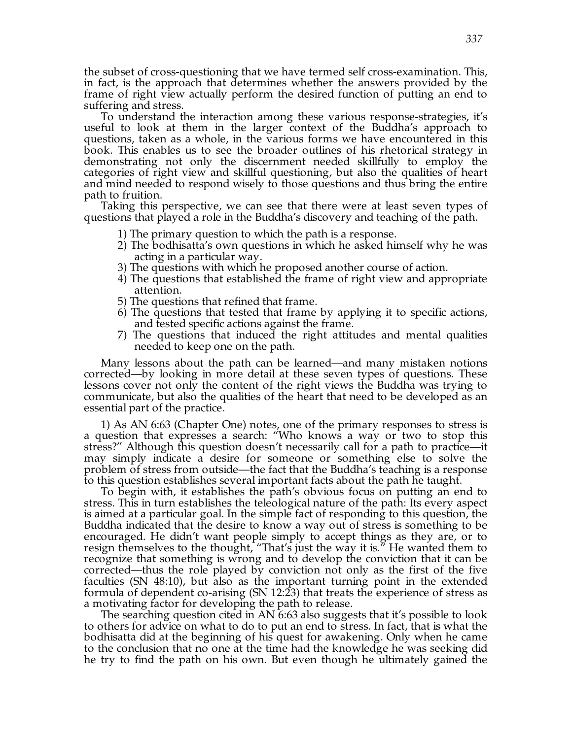the subset of cross-questioning that we have termed self cross-examination. This, in fact, is the approach that determines whether the answers provided by the frame of right view actually perform the desired function of putting an end to suffering and stress.

To understand the interaction among these various response-strategies, it's useful to look at them in the larger context of the Buddha's approach to questions, taken as a whole, in the various forms we have encountered in this book. This enables us to see the broader outlines of his rhetorical strategy in demonstrating not only the discernment needed skillfully to employ the categories of right view and skillful questioning, but also the qualities of heart and mind needed to respond wisely to those questions and thus bring the entire path to fruition.

Taking this perspective, we can see that there were at least seven types of questions that played a role in the Buddha's discovery and teaching of the path.

- 1) The primary question to which the path is a response.
- 2) The bodhisatta's own questions in which he asked himself why he was acting in a particular way.
- 3) The questions with which he proposed another course of action.
- 4) The questions that established the frame of right view and appropriate attention.
- 5) The questions that refined that frame.
- 6) The questions that tested that frame by applying it to specific actions, and tested specific actions against the frame.
- 7) The questions that induced the right attitudes and mental qualities needed to keep one on the path.

Many lessons about the path can be learned—and many mistaken notions corrected—by looking in more detail at these seven types of questions. These lessons cover not only the content of the right views the Buddha was trying to communicate, but also the qualities of the heart that need to be developed as an essential part of the practice.

1) As AN 6:63 (Chapter One) notes, one of the primary responses to stress is a question that expresses a search: "Who knows a way or two to stop this stress?" Although this question doesn't necessarily call for a path to practice—it may simply indicate a desire for someone or something else to solve the problem of stress from outside—the fact that the Buddha's teaching is a response to this question establishes several important facts about the path he taught.

To begin with, it establishes the path's obvious focus on putting an end to stress. This in turn establishes the teleological nature of the path: Its every aspect is aimed at a particular goal. In the simple fact of responding to this question, the Buddha indicated that the desire to know a way out of stress is something to be encouraged. He didn't want people simply to accept things as they are, or to resign themselves to the thought, "That's just the way it is." He wanted them to recognize that something is wrong and to develop the conviction that it can be corrected—thus the role played by conviction not only as the first of the five faculties (SN 48:10), but also as the important turning point in the extended formula of dependent co-arising (SN 12:23) that treats the experience of stress as a motivating factor for developing the path to release.

The searching question cited in AN 6:63 also suggests that it's possible to look to others for advice on what to do to put an end to stress. In fact, that is what the bodhisatta did at the beginning of his quest for awakening. Only when he came to the conclusion that no one at the time had the knowledge he was seeking did he try to find the path on his own. But even though he ultimately gained the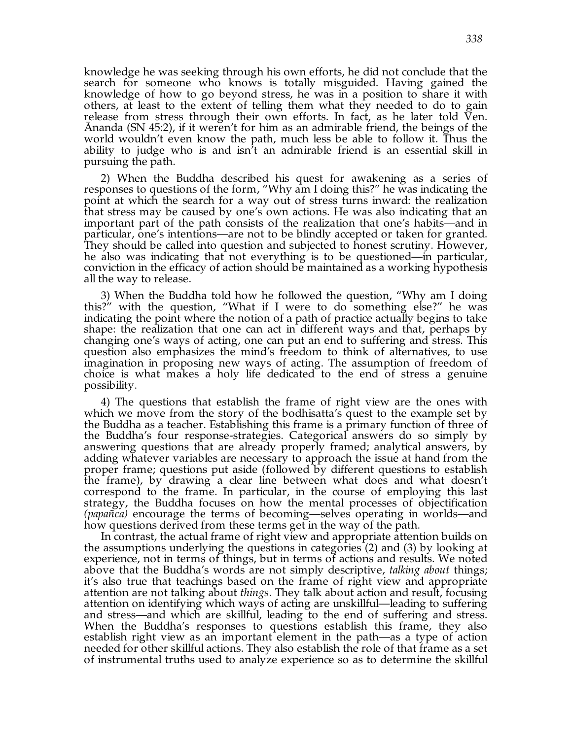knowledge he was seeking through his own efforts, he did not conclude that the search for someone who knows is totally misguided. Having gained the knowledge of how to go beyond stress, he was in a position to share it with others, at least to the extent of telling them what they needed to do to gain release from stress through their own efforts. In fact, as he later told Ven. Ananda (SN 45:2), if it weren't for him as an admirable friend, the beings of the world wouldn't even know the path, much less be able to follow it. Thus the ability to judge who is and isn't an admirable friend is an essential skill in pursuing the path.

2) When the Buddha described his quest for awakening as a series of responses to questions of the form, "Why am I doing this?" he was indicating the point at which the search for a way out of stress turns inward: the realization that stress may be caused by one's own actions. He was also indicating that an important part of the path consists of the realization that one's habits—and in particular, one's intentions—are not to be blindly accepted or taken for granted. They should be called into question and subjected to honest scrutiny. However, he also was indicating that not everything is to be questioned—in particular, conviction in the efficacy of action should be maintained as a working hypothesis all the way to release.

3) When the Buddha told how he followed the question, "Why am I doing this?" with the question, "What if I were to do something else?" he was indicating the point where the notion of a path of practice actually begins to take shape: the realization that one can act in different ways and that, perhaps by changing one's ways of acting, one can put an end to suffering and stress. This question also emphasizes the mind's freedom to think of alternatives, to use imagination in proposing new ways of acting. The assumption of freedom of choice is what makes a holy life dedicated to the end of stress a genuine possibility.

4) The questions that establish the frame of right view are the ones with which we move from the story of the bodhisatta's quest to the example set by the Buddha as a teacher. Establishing this frame is a primary function of three of the Buddha's four response-strategies. Categorical answers do so simply by answering questions that are already properly framed; analytical answers, by adding whatever variables are necessary to approach the issue at hand from the proper frame; questions put aside (followed by different questions to establish the frame), by drawing a clear line between what does and what doesn't correspond to the frame. In particular, in the course of employing this last strategy, the Buddha focuses on how the mental processes of objectification *(papañca)* encourage the terms of becoming—selves operating in worlds—and how questions derived from these terms get in the way of the path.

In contrast, the actual frame of right view and appropriate attention builds on the assumptions underlying the questions in categories (2) and (3) by looking at experience, not in terms of things, but in terms of actions and results. We noted above that the Buddha's words are not simply descriptive, *talking about* things; it's also true that teachings based on the frame of right view and appropriate attention are not talking about *things.* They talk about action and result, focusing attention on identifying which ways of acting are unskillful—leading to suffering and stress—and which are skillful, leading to the end of suffering and stress. When the Buddha's responses to questions establish this frame, they also establish right view as an important element in the path—as a type of action needed for other skillful actions. They also establish the role of that frame as a set of instrumental truths used to analyze experience so as to determine the skillful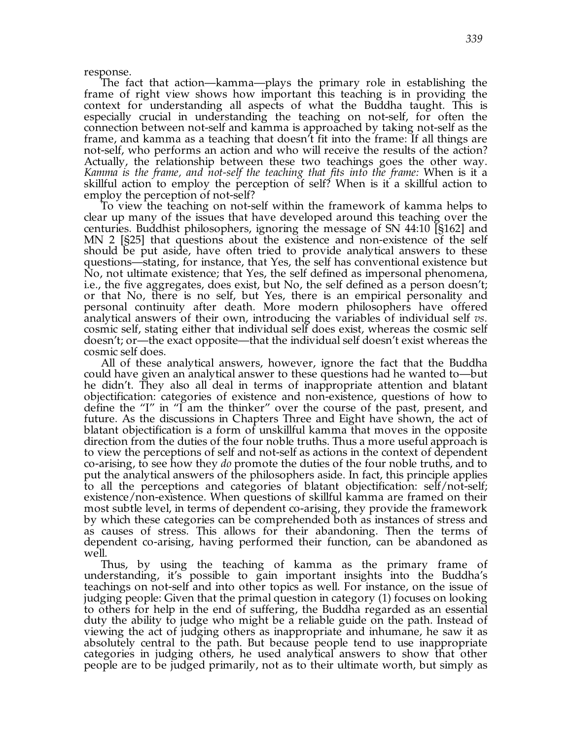response.

The fact that action—kamma—plays the primary role in establishing the frame of right view shows how important this teaching is in providing the context for understanding all aspects of what the Buddha taught. This is especially crucial in understanding the teaching on not-self, for often the connection between not-self and kamma is approached by taking not-self as the frame, and kamma as a teaching that doesn't fit into the frame: If all things are not-self, who performs an action and who will receive the results of the action? Actually, the relationship between these two teachings goes the other way. *Kamma is the frame, and not-self the teaching that fits into the frame:* When is it a skillful action to employ the perception of self? When is it a skillful action to employ the perception of not-self?

To view the teaching on not-self within the framework of kamma helps to clear up many of the issues that have developed around this teaching over the centuries. Buddhist philosophers, ignoring the message of SN 44:10 [§162] and MN 2 [§25] that questions about the existence and non-existence of the self should be put aside, have often tried to provide analytical answers to these questions—stating, for instance, that Yes, the self has conventional existence but No, not ultimate existence; that Yes, the self defined as impersonal phenomena, i.e., the five aggregates, does exist, but No, the self defined as a person doesn't; or that No, there is no self, but Yes, there is an empirical personality and personal continuity after death. More modern philosophers have offered analytical answers of their own, introducing the variables of individual self *vs.* cosmic self, stating either that individual self does exist, whereas the cosmic self doesn't; or—the exact opposite—that the individual self doesn't exist whereas the cosmic self does.

All of these analytical answers, however, ignore the fact that the Buddha could have given an analytical answer to these questions had he wanted to—but he didn't. They also all deal in terms of inappropriate attention and blatant objectification: categories of existence and non-existence, questions of how to define the "I" in "I am the thinker" over the course of the past, present, and future. As the discussions in Chapters Three and Eight have shown, the act of blatant objectification is a form of unskillful kamma that moves in the opposite direction from the duties of the four noble truths. Thus a more useful approach is to view the perceptions of self and not-self as actions in the context of dependent co-arising, to see how they *do* promote the duties of the four noble truths, and to put the analytical answers of the philosophers aside. In fact, this principle applies to all the perceptions and categories of blatant objectification: self/not-self; existence/non-existence. When questions of skillful kamma are framed on their most subtle level, in terms of dependent co-arising, they provide the framework by which these categories can be comprehended both as instances of stress and as causes of stress. This allows for their abandoning. Then the terms of dependent co-arising, having performed their function, can be abandoned as well.

Thus, by using the teaching of kamma as the primary frame of understanding, it's possible to gain important insights into the Buddha's teachings on not-self and into other topics as well. For instance, on the issue of judging people: Given that the primal question in category (1) focuses on looking to others for help in the end of suffering, the Buddha regarded as an essential duty the ability to judge who might be a reliable guide on the path. Instead of viewing the act of judging others as inappropriate and inhumane, he saw it as absolutely central to the path. But because people tend to use inappropriate categories in judging others, he used analytical answers to show that other people are to be judged primarily, not as to their ultimate worth, but simply as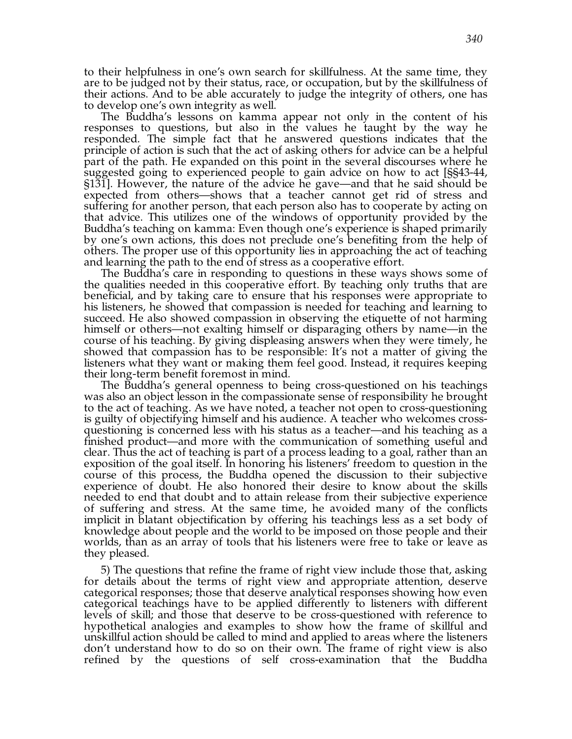to their helpfulness in one's own search for skillfulness. At the same time, they are to be judged not by their status, race, or occupation, but by the skillfulness of their actions. And to be able accurately to judge the integrity of others, one has to develop one's own integrity as well.

The Buddha's lessons on kamma appear not only in the content of his responses to questions, but also in the values he taught by the way he responded. The simple fact that he answered questions indicates that the principle of action is such that the act of asking others for advice can be a helpful part of the path. He expanded on this point in the several discourses where he suggested going to experienced people to gain advice on how to act [§§43-44, §131]. However, the nature of the advice he gave—and that he said should be expected from others—shows that a teacher cannot get rid of stress and suffering for another person, that each person also has to cooperate by acting on that advice. This utilizes one of the windows of opportunity provided by the Buddha's teaching on kamma: Even though one's experience is shaped primarily by one's own actions, this does not preclude one's benefiting from the help of others. The proper use of this opportunity lies in approaching the act of teaching and learning the path to the end of stress as a cooperative effort.

The Buddha's care in responding to questions in these ways shows some of the qualities needed in this cooperative effort. By teaching only truths that are beneficial, and by taking care to ensure that his responses were appropriate to his listeners, he showed that compassion is needed for teaching and learning to succeed. He also showed compassion in observing the etiquette of not harming himself or others—not exalting himself or disparaging others by name—in the course of his teaching. By giving displeasing answers when they were timely, he showed that compassion has to be responsible: It's not a matter of giving the listeners what they want or making them feel good. Instead, it requires keeping their long-term benefit foremost in mind.

The Buddha's general openness to being cross-questioned on his teachings was also an object lesson in the compassionate sense of responsibility he brought to the act of teaching. As we have noted, a teacher not open to cross-questioning is guilty of objectifying himself and his audience. A teacher who welcomes crossquestioning is concerned less with his status as a teacher—and his teaching as a finished product—and more with the communication of something useful and clear. Thus the act of teaching is part of a process leading to a goal, rather than an exposition of the goal itself. In honoring his listeners' freedom to question in the course of this process, the Buddha opened the discussion to their subjective experience of doubt. He also honored their desire to know about the skills needed to end that doubt and to attain release from their subjective experience of suffering and stress. At the same time, he avoided many of the conflicts implicit in blatant objectification by offering his teachings less as a set body of knowledge about people and the world to be imposed on those people and their worlds, than as an array of tools that his listeners were free to take or leave as they pleased.

5) The questions that refine the frame of right view include those that, asking for details about the terms of right view and appropriate attention, deserve categorical responses; those that deserve analytical responses showing how even categorical teachings have to be applied differently to listeners with different levels of skill; and those that deserve to be cross-questioned with reference to hypothetical analogies and examples to show how the frame of skillful and unskillful action should be called to mind and applied to areas where the listeners don't understand how to do so on their own. The frame of right view is also refined by the questions of self cross-examination that the Buddha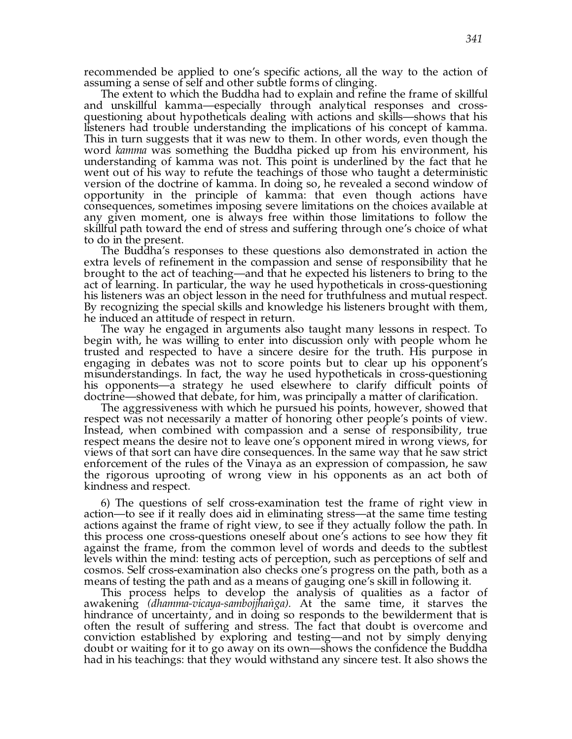recommended be applied to one's specific actions, all the way to the action of assuming a sense of self and other subtle forms of clinging.

The extent to which the Buddha had to explain and refine the frame of skillful and unskillful kamma—especially through analytical responses and cross- questioning about hypotheticals dealing with actions and skills—shows that his listeners had trouble understanding the implications of his concept of kamma. This in turn suggests that it was new to them. In other words, even though the word *kamma* was something the Buddha picked up from his environment, his understanding of kamma was not. This point is underlined by the fact that he went out of his way to refute the teachings of those who taught a deterministic version of the doctrine of kamma. In doing so, he revealed a second window of opportunity in the principle of kamma: that even though actions have consequences, sometimes imposing severe limitations on the choices available at any given moment, one is always free within those limitations to follow the skillful path toward the end of stress and suffering through one's choice of what to do in the present.

The Buddha's responses to these questions also demonstrated in action the extra levels of refinement in the compassion and sense of responsibility that he brought to the act of teaching—and that he expected his listeners to bring to the act of learning. In particular, the way he used hypotheticals in cross-questioning his listeners was an object lesson in the need for truthfulness and mutual respect. By recognizing the special skills and knowledge his listeners brought with them, he induced an attitude of respect in return.

The way he engaged in arguments also taught many lessons in respect. To begin with, he was willing to enter into discussion only with people whom he trusted and respected to have a sincere desire for the truth. His purpose in engaging in debates was not to score points but to clear up his opponent's misunderstandings. In fact, the way he used hypotheticals in cross-questioning his opponents—a strategy he used elsewhere to clarify difficult points of doctrine—showed that debate, for him, was principally a matter of clarification.

The aggressiveness with which he pursued his points, however, showed that respect was not necessarily a matter of honoring other people's points of view. Instead, when combined with compassion and a sense of responsibility, true respect means the desire not to leave one's opponent mired in wrong views, for views of that sort can have dire consequences. In the same way that he saw strict enforcement of the rules of the Vinaya as an expression of compassion, he saw the rigorous uprooting of wrong view in his opponents as an act both of kindness and respect.

6) The questions of self cross-examination test the frame of right view in action—to see if it really does aid in eliminating stress—at the same time testing actions against the frame of right view, to see if they actually follow the path. In this process one cross-questions oneself about one's actions to see how they fit against the frame, from the common level of words and deeds to the subtlest levels within the mind: testing acts of perception, such as perceptions of self and cosmos. Self cross-examination also checks one's progress on the path, both as a means of testing the path and as a means of gauging one's skill in following it.

This process helps to develop the analysis of qualities as a factor of awakening *(dhamma-vicaya-sambojjhanga)*. At the same time, it starves the hindrance of uncertainty, and in doing so responds to the bewilderment that is often the result of suffering and stress. The fact that doubt is overcome and conviction established by exploring and testing—and not by simply denying doubt or waiting for it to go away on its own—shows the confidence the Buddha had in his teachings: that they would withstand any sincere test. It also shows the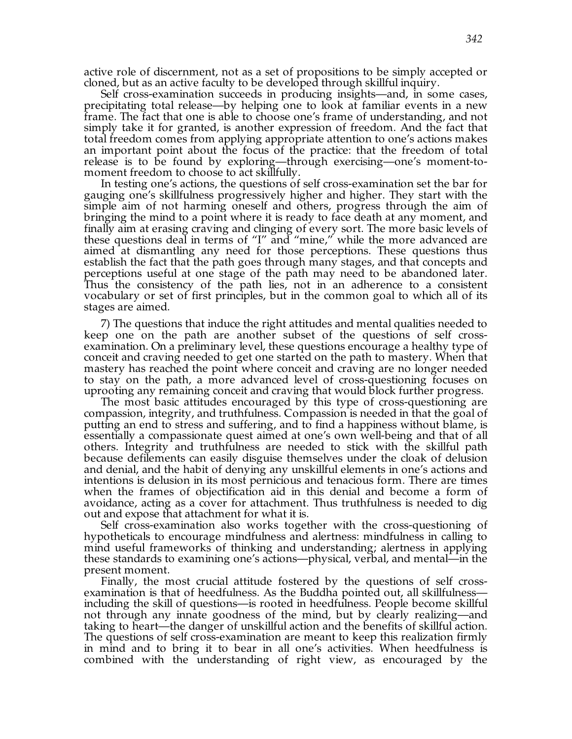active role of discernment, not as a set of propositions to be simply accepted or cloned, but as an active faculty to be developed through skillful inquiry.

Self cross-examination succeeds in producing insights—and, in some cases, precipitating total release—by helping one to look at familiar events in a new frame. The fact that one is able to choose one's frame of understanding, and not simply take it for granted, is another expression of freedom. And the fact that total freedom comes from applying appropriate attention to one's actions makes an important point about the focus of the practice: that the freedom of total release is to be found by exploring—through exercising—one's moment-to- moment freedom to choose to act skillfully.

In testing one's actions, the questions of self cross-examination set the bar for gauging one's skillfulness progressively higher and higher. They start with the simple aim of not harming oneself and others, progress through the aim of bringing the mind to a point where it is ready to face death at any moment, and finally aim at erasing craving and clinging of every sort. The more basic levels of these questions deal in terms of "I" and "mine," while the more advanced are aimed at dismantling any need for those perceptions. These questions thus establish the fact that the path goes through many stages, and that concepts and perceptions useful at one stage of the path may need to be abandoned later. Thus the consistency of the path lies, not in an adherence to a consistent vocabulary or set of first principles, but in the common goal to which all of its stages are aimed.

7) The questions that induce the right attitudes and mental qualities needed to keep one on the path are another subset of the questions of self cross- examination. On a preliminary level, these questions encourage a healthy type of conceit and craving needed to get one started on the path to mastery. When that mastery has reached the point where conceit and craving are no longer needed to stay on the path, a more advanced level of cross-questioning focuses on uprooting any remaining conceit and craving that would block further progress.

The most basic attitudes encouraged by this type of cross-questioning are compassion, integrity, and truthfulness. Compassion is needed in that the goal of putting an end to stress and suffering, and to find a happiness without blame, is essentially a compassionate quest aimed at one's own well-being and that of all others. Integrity and truthfulness are needed to stick with the skillful path because defilements can easily disguise themselves under the cloak of delusion and denial, and the habit of denying any unskillful elements in one's actions and intentions is delusion in its most pernicious and tenacious form. There are times when the frames of objectification aid in this denial and become a form of avoidance, acting as a cover for attachment. Thus truthfulness is needed to dig out and expose that attachment for what it is.

Self cross-examination also works together with the cross-questioning of hypotheticals to encourage mindfulness and alertness: mindfulness in calling to mind useful frameworks of thinking and understanding; alertness in applying these standards to examining one's actions—physical, verbal, and mental—in the present moment.

Finally, the most crucial attitude fostered by the questions of self crossexamination is that of heedfulness. As the Buddha pointed out, all skillfulness including the skill of questions—is rooted in heedfulness. People become skillful not through any innate goodness of the mind, but by clearly realizing—and taking to heart—the danger of unskillful action and the benefits of skillful action. The questions of self cross-examination are meant to keep this realization firmly in mind and to bring it to bear in all one's activities. When heedfulness is combined with the understanding of right view, as encouraged by the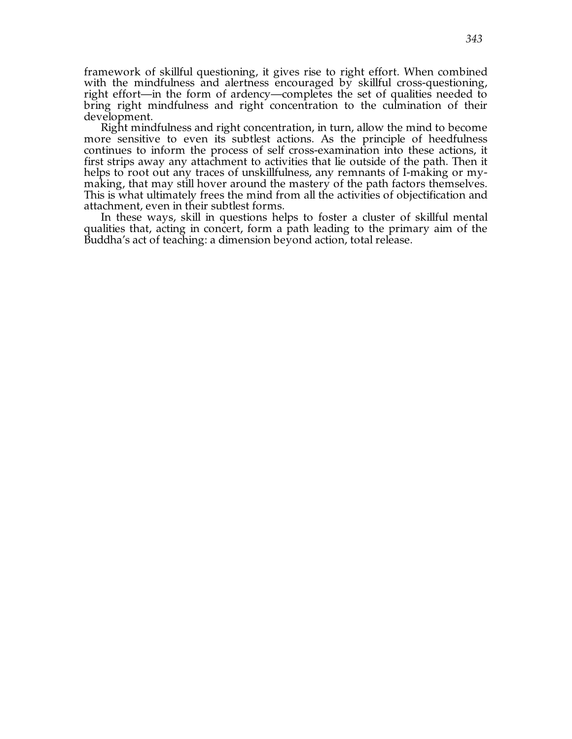framework of skillful questioning, it gives rise to right effort. When combined with the mindfulness and alertness encouraged by skillful cross-questioning, right effort—in the form of ardency—completes the set of qualities needed to bring right mindfulness and right concentration to the culmination of their development.

Right mindfulness and right concentration, in turn, allow the mind to become more sensitive to even its subtlest actions. As the principle of heedfulness continues to inform the process of self cross-examination into these actions, it first strips away any attachment to activities that lie outside of the path. Then it helps to root out any traces of unskillfulness, any remnants of I-making or my-<br>making, that may still hover around the mastery of the path factors themselves. This is what ultimately frees the mind from all the activities of objectification and attachment, even in their subtlest forms.

In these ways, skill in questions helps to foster a cluster of skillful mental qualities that, acting in concert, form a path leading to the primary aim of the Buddha's act of teaching: a dimension beyond action, total release.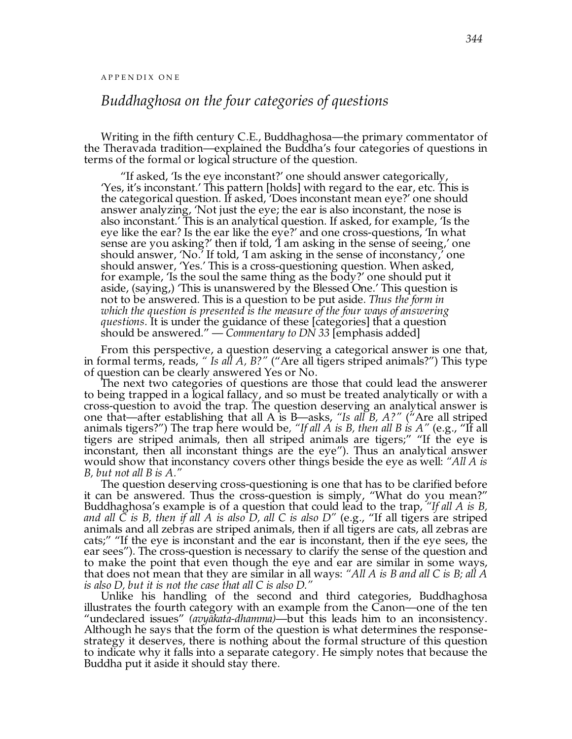### *Buddhaghosa on the four categories of questions*

Writing in the fifth century C.E., Buddhaghosa—the primary commentator of the Theravada tradition—explained the Buddha's four categories of questions in terms of the formal or logical structure of the question.

 "If asked, 'Is the eye inconstant?' one should answer categorically, 'Yes, it's inconstant.' This pattern [holds] with regard to the ear, etc. This is the categorical question. If asked, 'Does inconstant mean eye?' one should answer analyzing, 'Not just the eye; the ear is also inconstant, the nose is also inconstant.' This is an analytical question. If asked, for example, 'Is the eye like the ear? Is the ear like the eye?' and one cross-questions, 'In what sense are you asking?' then if told, 'I am asking in the sense of seeing,' one should answer, 'No.' If told, 'I am asking in the sense of inconstancy,' one should answer, 'Yes.' This is a cross-questioning question. When asked, for example, 'Is the soul the same thing as the body?' one should put it aside, (saying,) 'This is unanswered by the Blessed One.' This question is not to be answered. This is a question to be put aside. *Thus the form in which the question is presented is the measure of the four ways of answering questions.* It is under the guidance of these [categories] that a question should be answered." — *Commentary to DN 33* [emphasis added]

From this perspective, a question deserving a categorical answer is one that, in formal terms, reads, *" Is all A, B?"* ("Are all tigers striped animals?") This type of question can be clearly answered Yes or No.

The next two categories of questions are those that could lead the answerer to being trapped in a logical fallacy, and so must be treated analytically or with a cross-question to avoid the trap. The question deserving an analytical answer is one that—after establishing that all A is B—asks, *"Is all B, A?"* ("Are all striped animals tigers?") The trap here would be*, "If all A is B, then all B is A"* (e.g., "If all tigers are striped animals, then all striped animals are tigers;" "If the eye is inconstant, then all inconstant things are the eye"). Thus an analytical answer would show that inconstancy covers other things beside the eye as well: *"All A is B, but not all B is A."*

The question deserving cross-questioning is one that has to be clarified before it can be answered. Thus the cross-question is simply, "What do you mean?" Buddhaghosa's example is of a question that could lead to the trap, *"If all A is B, and all C is B, then if all A is also D, all C is also D"* (e.g., "If all tigers are striped animals and all zebras are striped animals, then if all tigers are cats, all zebras are cats;" "If the eye is inconstant and the ear is inconstant, then if the eye sees, the ear sees"). The cross-question is necessary to clarify the sense of the question and to make the point that even though the eye and ear are similar in some ways, that does not mean that they are similar in all ways: *"All A is B and all C is B; all A is also D, but it is not the case that all C is also D."*

Unlike his handling of the second and third categories, Buddhaghosa illustrates the fourth category with an example from the Canon—one of the ten "undeclared issues" *(avyākata-dhamma)*—but this leads him to an inconsistency. Although he says that the form of the question is what determines the responsestrategy it deserves, there is nothing about the formal structure of this question to indicate why it falls into a separate category. He simply notes that because the Buddha put it aside it should stay there.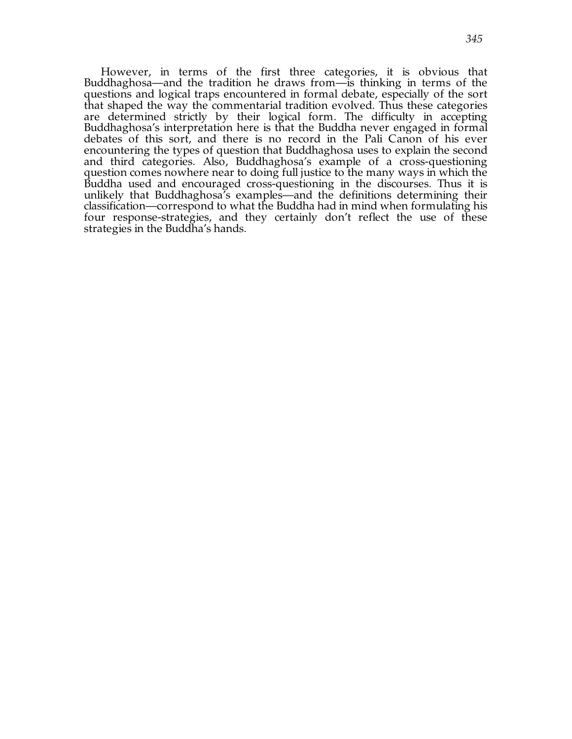However, in terms of the first three categories, it is obvious that Buddhaghosa—and the tradition he draws from—is thinking in terms of the questions and logical traps encountered in formal debate, especially of the sort that shaped the way the commentarial tradition evolved. Thus these categories are determined strictly by their logical form. The difficulty in accepting Buddhaghosa's interpretation here is that the Buddha never engaged in formal debates of this sort, and there is no record in the Pali Canon of his ever encountering the types of question that Buddhaghosa uses to explain the second and third categories. Also, Buddhaghosa's example of a cross-questioning question comes nowhere near to doing full justice to the many ways in which the Buddha used and encouraged cross-questioning in the discourses. Thus it is unlikely that Buddhaghosa<sup>7</sup>s examples—and the definitions determining their classification—correspond to what the Buddha had in mind when formulating his four response-strategies, and they certainly don't reflect the use of these strategies in the Buddha's hands.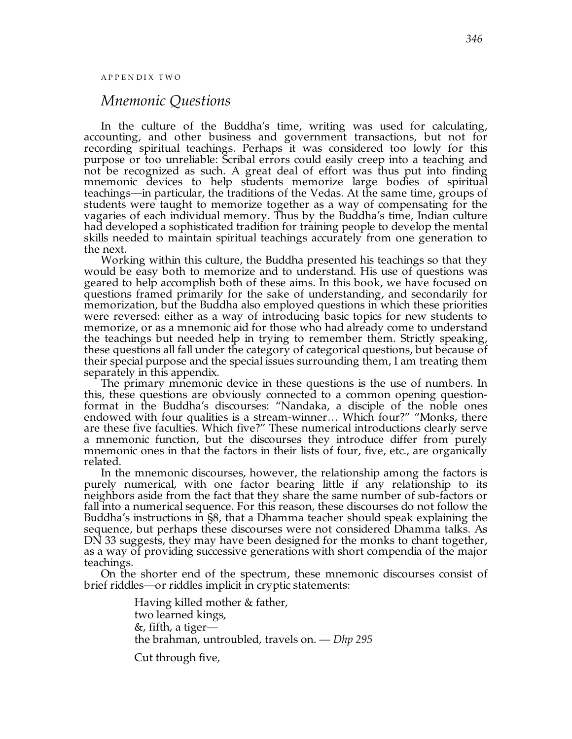## *Mnemonic Questions*

In the culture of the Buddha's time, writing was used for calculating, accounting, and other business and government transactions, but not for recording spiritual teachings. Perhaps it was considered too lowly for this purpose or too unreliable: Scribal errors could easily creep into a teaching and not be recognized as such. A great deal of effort was thus put into finding mnemonic devices to help students memorize large bodies of spiritual teachings—in particular, the traditions of the Vedas. At the same time, groups of students were taught to memorize together as a way of compensating for the vagaries of each individual memory. Thus by the Buddha's time, Indian culture had developed a sophisticated tradition for training people to develop the mental skills needed to maintain spiritual teachings accurately from one generation to the next.

Working within this culture, the Buddha presented his teachings so that they would be easy both to memorize and to understand. His use of questions was geared to help accomplish both of these aims. In this book, we have focused on questions framed primarily for the sake of understanding, and secondarily for memorization, but the Buddha also employed questions in which these priorities were reversed: either as a way of introducing basic topics for new students to memorize, or as a mnemonic aid for those who had already come to understand the teachings but needed help in trying to remember them. Strictly speaking, these questions all fall under the category of categorical questions, but because of their special purpose and the special issues surrounding them, I am treating them separately in this appendix.

The primary mnemonic device in these questions is the use of numbers. In this, these questions are obviously connected to a common opening question- format in the Buddha's discourses: "Nandaka, a disciple of the noble ones endowed with four qualities is a stream-winner… Which four?" "Monks, there are these five faculties. Which five?" These numerical introductions clearly serve a mnemonic function, but the discourses they introduce differ from purely mnemonic ones in that the factors in their lists of four, five, etc., are organically related.

In the mnemonic discourses, however, the relationship among the factors is purely numerical, with one factor bearing little if any relationship to its neighbors aside from the fact that they share the same number of sub-factors or fall into a numerical sequence. For this reason, these discourses do not follow the Buddha's instructions in §8, that a Dhamma teacher should speak explaining the sequence, but perhaps these discourses were not considered Dhamma talks. As DN 33 suggests, they may have been designed for the monks to chant together, as a way of providing successive generations with short compendia of the major teachings.

On the shorter end of the spectrum, these mnemonic discourses consist of brief riddles—or riddles implicit in cryptic statements:

> Having killed mother & father, two learned kings, &, fifth, a tiger the brahman, untroubled, travels on. — *Dhp 295*

Cut through five,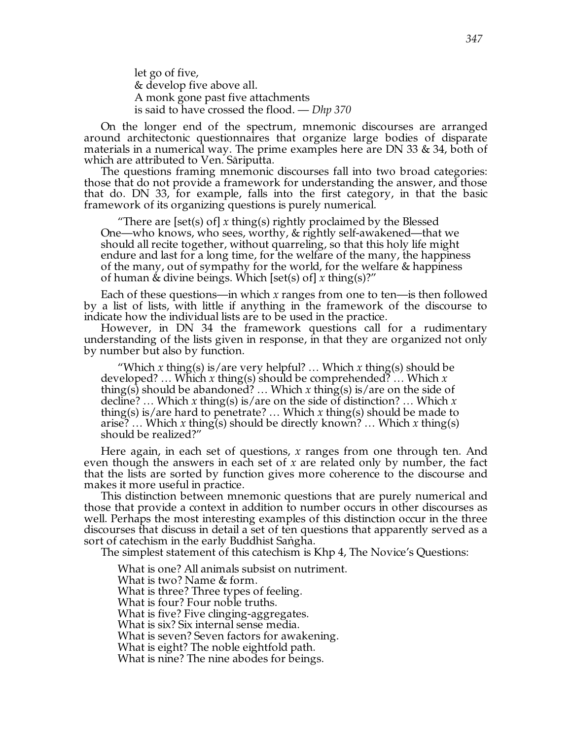let go of five, & develop five above all. A monk gone past five attachments is said to have crossed the flood. — *Dhp 370*

On the longer end of the spectrum, mnemonic discourses are arranged around architectonic questionnaires that organize large bodies of disparate materials in a numerical way. The prime examples here are DN 33 & 34, both of which are attributed to Ven. Sariputta.

The questions framing mnemonic discourses fall into two broad categories: those that do not provide a framework for understanding the answer, and those that do. DN 33, for example, falls into the first category, in that the basic framework of its organizing questions is purely numerical.

"There are [set(s) of] *x* thing(s) rightly proclaimed by the Blessed One—who knows, who sees, worthy, & rightly self-awakened—that we should all recite together, without quarreling, so that this holy life might endure and last for a long time, for the welfare of the many, the happiness of the many, out of sympathy for the world, for the welfare & happiness of human & divine beings. Which [set(s) of] *x* thing(s)?"

Each of these questions—in which *x* ranges from one to ten—is then followed by a list of lists, with little if anything in the framework of the discourse to indicate how the individual lists are to be used in the practice.

However, in DN 34 the framework questions call for a rudimentary understanding of the lists given in response, in that they are organized not only by number but also by function.

"Which *x* thing(s) is/are very helpful? … Which *x* thing(s) should be developed? … Which *x* thing(s) should be comprehended? … Which *x* thing(s) should be abandoned? ... Which x thing(s) is/are on the side of decline? … Which *x* thing(s) is/are on the side of distinction? … Which *x* thing(s) is/are hard to penetrate? … Which *x* thing(s) should be made to arise? … Which *x* thing(s) should be directly known? … Which *x* thing(s) should be realized?"

Here again, in each set of questions, *x* ranges from one through ten. And even though the answers in each set of *x* are related only by number, the fact that the lists are sorted by function gives more coherence to the discourse and makes it more useful in practice.

This distinction between mnemonic questions that are purely numerical and those that provide a context in addition to number occurs in other discourses as well. Perhaps the most interesting examples of this distinction occur in the three discourses that discuss in detail a set of ten questions that apparently served as a sort of catechism in the early Buddhist Sangha.

The simplest statement of this catechism is Khp 4, The Novice's Questions:

What is one? All animals subsist on nutriment.

What is two? Name & form.

What is three? Three types of feeling.

What is four? Four noble truths.

What is five? Five clinging-aggregates.

What is six? Six internal sense media.

What is seven? Seven factors for awakening.

What is eight? The noble eightfold path.

What is nine? The nine abodes for beings.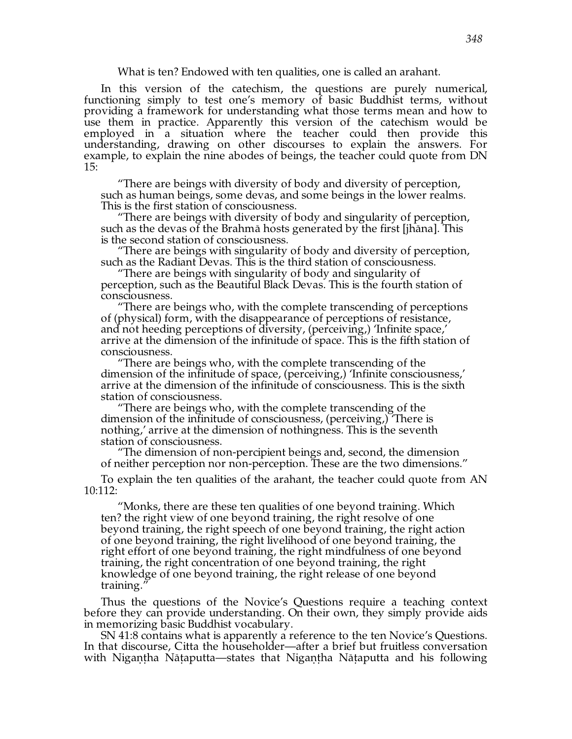What is ten? Endowed with ten qualities, one is called an arahant.

In this version of the catechism, the questions are purely numerical, functioning simply to test one's memory of basic Buddhist terms, without providing a framework for understanding what those terms mean and how to use them in practice. Apparently this version of the catechism would be employed in a situation where the teacher could then provide this understanding, drawing on other discourses to explain the answers. For example, to explain the nine abodes of beings, the teacher could quote from DN 15:

"There are beings with diversity of body and diversity of perception, such as human beings, some devas, and some beings in the lower realms. This is the first station of consciousness.

"There are beings with diversity of body and singularity of perception, such as the devas of the Brahma hosts generated by the first [jhāna]. This is the second station of consciousness.

"There are beings with singularity of body and diversity of perception, such as the Radiant Devas. This is the third station of consciousness.

"There are beings with singularity of body and singularity of perception, such as the Beautiful Black Devas. This is the fourth station of consciousness.

"There are beings who, with the complete transcending of perceptions of (physical) form, with the disappearance of perceptions of resistance, and not heeding perceptions of diversity, (perceiving,) 'Infinite space,' arrive at the dimension of the infinitude of space. This is the fifth station of consciousness.

"There are beings who, with the complete transcending of the dimension of the infinitude of space, (perceiving,) 'Infinite consciousness,' arrive at the dimension of the infinitude of consciousness. This is the sixth station of consciousness.

"There are beings who, with the complete transcending of the dimension of the infinitude of consciousness, (perceiving,) 'There is nothing,' arrive at the dimension of nothingness. This is the seventh station of consciousness.

"The dimension of non-percipient beings and, second, the dimension of neither perception nor non-perception. These are the two dimensions."

To explain the ten qualities of the arahant, the teacher could quote from AN 10:112:

"Monks, there are these ten qualities of one beyond training. Which ten? the right view of one beyond training, the right resolve of one beyond training, the right speech of one beyond training, the right action of one beyond training, the right livelihood of one beyond training, the right effort of one beyond training, the right mindfulness of one beyond training, the right concentration of one beyond training, the right knowledge of one beyond training, the right release of one beyond training."

Thus the questions of the Novice's Questions require a teaching context before they can provide understanding. On their own, they simply provide aids in memorizing basic Buddhist vocabulary.

SN 41:8 contains what is apparently a reference to the ten Novice's Questions. In that discourse, Citta the householder—after a brief but fruitless conversation with Nigantha Nātaputta—states that Nigantha Nātaputta and his following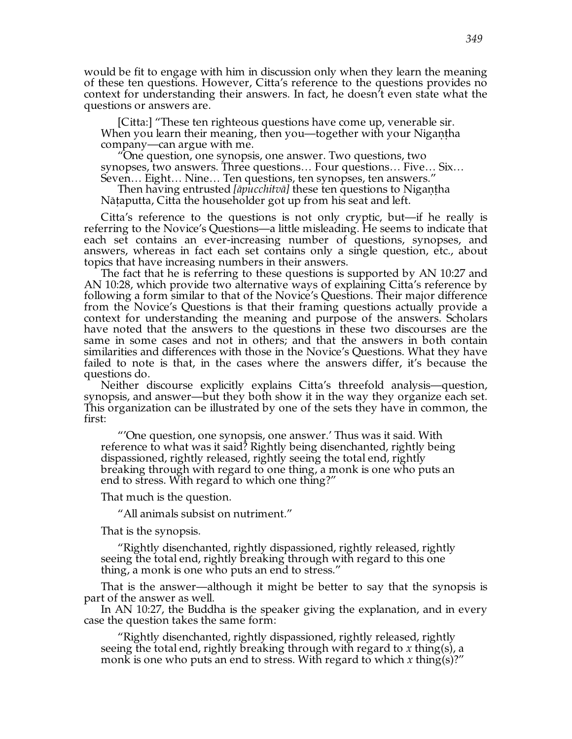would be fit to engage with him in discussion only when they learn the meaning of these ten questions. However, Citta's reference to the questions provides no context for understanding their answers. In fact, he doesn't even state what the questions or answers are.

[Citta:] "These ten righteous questions have come up, venerable sir. When you learn their meaning, then you—together with your Nigantha company—can argue with me.

"One question, one synopsis, one answer. Two questions, two synopses, two answers. Three questions… Four questions… Five… Six… Seven… Eight… Nine… Ten questions, ten synopses, ten answers."

Then having entrusted *[āpucchitvā]* these ten questions to Nigantha Nataputta, Citta the householder got up from his seat and left.

Citta's reference to the questions is not only cryptic, but—if he really is referring to the Novice's Questions—a little misleading. He seems to indicate that each set contains an ever-increasing number of questions, synopses, and answers, whereas in fact each set contains only a single question, etc., about topics that have increasing numbers in their answers.

The fact that he is referring to these questions is supported by AN 10:27 and AN 10:28, which provide two alternative ways of explaining Citta's reference by following a form similar to that of the Novice's Questions. Their major difference from the Novice's Questions is that their framing questions actually provide a context for understanding the meaning and purpose of the answers. Scholars have noted that the answers to the questions in these two discourses are the same in some cases and not in others; and that the answers in both contain similarities and differences with those in the Novice's Questions. What they have failed to note is that, in the cases where the answers differ, it's because the questions do.

Neither discourse explicitly explains Citta's threefold analysis—question, synopsis, and answer—but they both show it in the way they organize each set. This organization can be illustrated by one of the sets they have in common, the first:

"'One question, one synopsis, one answer.' Thus was it said. With reference to what was it said? Rightly being disenchanted, rightly being dispassioned, rightly released, rightly seeing the total end, rightly breaking through with regard to one thing, a monk is one who puts an end to stress. With regard to which one thing?"

That much is the question.

"All animals subsist on nutriment."

That is the synopsis.

"Rightly disenchanted, rightly dispassioned, rightly released, rightly seeing the total end, rightly breaking through with regard to this one thing, a monk is one who puts an end to stress."

That is the answer—although it might be better to say that the synopsis is part of the answer as well.

In AN 10:27, the Buddha is the speaker giving the explanation, and in every case the question takes the same form:

"Rightly disenchanted, rightly dispassioned, rightly released, rightly seeing the total end, rightly breaking through with regard to *x* thing(s), a monk is one who puts an end to stress. With regard to which x thing(s)?"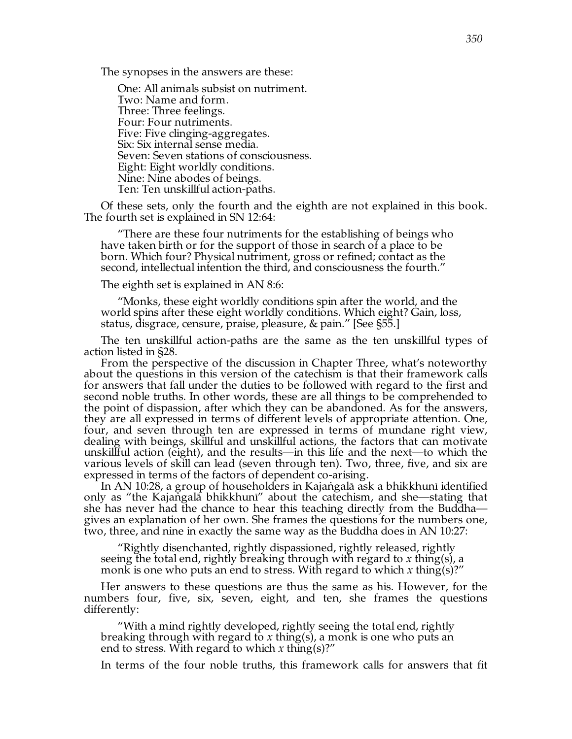The synopses in the answers are these:

One: All animals subsist on nutriment. Two: Name and form. Three: Three feelings. Four: Four nutriments. Five: Five clinging-aggregates. Six: Six internal sense media. Seven: Seven stations of consciousness. Eight: Eight worldly conditions. Nine: Nine abodes of beings. Ten: Ten unskillful action-paths.

Of these sets, only the fourth and the eighth are not explained in this book. The fourth set is explained in SN 12:64:

"There are these four nutriments for the establishing of beings who have taken birth or for the support of those in search of a place to be born. Which four? Physical nutriment, gross or refined; contact as the second, intellectual intention the third, and consciousness the fourth."

The eighth set is explained in AN 8:6:

"Monks, these eight worldly conditions spin after the world, and the world spins after these eight worldly conditions. Which eight? Gain, loss, status, disgrace, censure, praise, pleasure, & pain." [See §55.]

The ten unskillful action-paths are the same as the ten unskillful types of action listed in §28.

From the perspective of the discussion in Chapter Three, what's noteworthy about the questions in this version of the catechism is that their framework calls for answers that fall under the duties to be followed with regard to the first and second noble truths. In other words, these are all things to be comprehended to the point of dispassion, after which they can be abandoned. As for the answers, they are all expressed in terms of different levels of appropriate attention. One, four, and seven through ten are expressed in terms of mundane right view, dealing with beings, skillful and unskillful actions, the factors that can motivate unskillful action (eight), and the results—in this life and the next—to which the various levels of skill can lead (seven through ten). Two, three, five, and six are expressed in terms of the factors of dependent co-arising.

In AN 10:28, a group of householders in Kajangalā ask a bhikkhuni identified only as "the Kajangala bhikkhuni" about the catechism, and she—stating that she has never had the chance to hear this teaching directly from the Buddha gives an explanation of her own. She frames the questions for the numbers one, two, three, and nine in exactly the same way as the Buddha does in AN 10:27:

"Rightly disenchanted, rightly dispassioned, rightly released, rightly seeing the total end, rightly breaking through with regard to *x* thing(s), a monk is one who puts an end to stress. With regard to which *x* thing(s)?"

Her answers to these questions are thus the same as his. However, for the numbers four, five, six, seven, eight, and ten, she frames the questions differently:

"With a mind rightly developed, rightly seeing the total end, rightly breaking through with regard to *x* thing(s), a monk is one who puts an end to stress. With regard to which *x* thing(s)?"

In terms of the four noble truths, this framework calls for answers that fit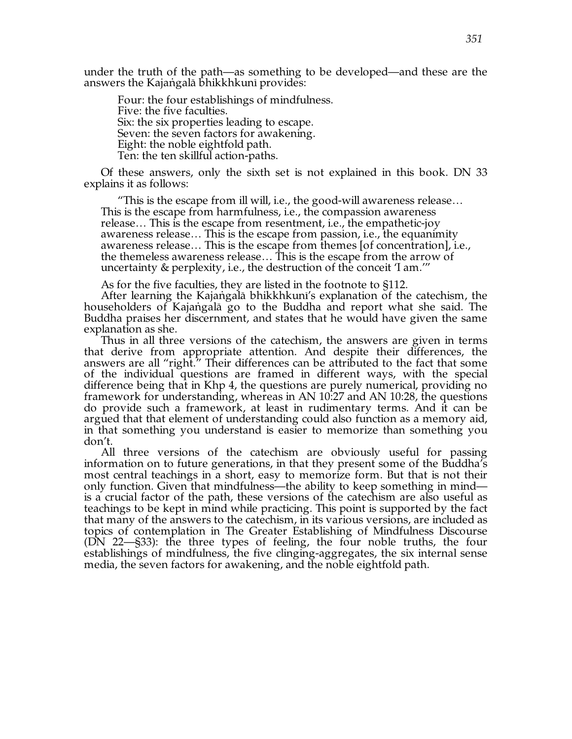under the truth of the path—as something to be developed—and these are the answers the Kajangalā bhikkhkunī provides:

Four: the four establishings of mindfulness. Five: the five faculties. Six: the six properties leading to escape. Seven: the seven factors for awakening. Eight: the noble eightfold path. Ten: the ten skillful action-paths.

Of these answers, only the sixth set is not explained in this book. DN 33 explains it as follows:

"This is the escape from ill will, i.e., the good-will awareness release… This is the escape from harmfulness, i.e., the compassion awareness release… This is the escape from resentment, i.e., the empathetic-joy awareness release… This is the escape from passion, i.e., the equanimity awareness release… This is the escape from themes [of concentration], i.e., the themeless awareness release… This is the escape from the arrow of uncertainty & perplexity, i.e., the destruction of the conceit 'I am.'"

As for the five faculties, they are listed in the footnote to §112.

After learning the Kajangala bhikkhkuni's explanation of the catechism, the householders of Kajangala go to the Buddha and report what she said. The Buddha praises her discernment, and states that he would have given the same explanation as she.

Thus in all three versions of the catechism, the answers are given in terms that derive from appropriate attention. And despite their differences, the answers are all "right." Their differences can be attributed to the fact that some of the individual questions are framed in different ways, with the special difference being that in Khp 4, the questions are purely numerical, providing no framework for understanding, whereas in AN 10:27 and AN 10:28, the questions do provide such a framework, at least in rudimentary terms. And it can be argued that that element of understanding could also function as a memory aid, in that something you understand is easier to memorize than something you don't.

All three versions of the catechism are obviously useful for passing information on to future generations, in that they present some of the Buddha's most central teachings in a short, easy to memorize form. But that is not their only function. Given that mindfulness—the ability to keep something in mind— is a crucial factor of the path, these versions of the catechism are also useful as teachings to be kept in mind while practicing. This point is supported by the fact that many of the answers to the catechism, in its various versions, are included as topics of contemplation in The Greater Establishing of Mindfulness Discourse (DN 22—§33): the three types of feeling, the four noble truths, the four establishings of mindfulness, the five clinging-aggregates, the six internal sense media, the seven factors for awakening, and the noble eightfold path.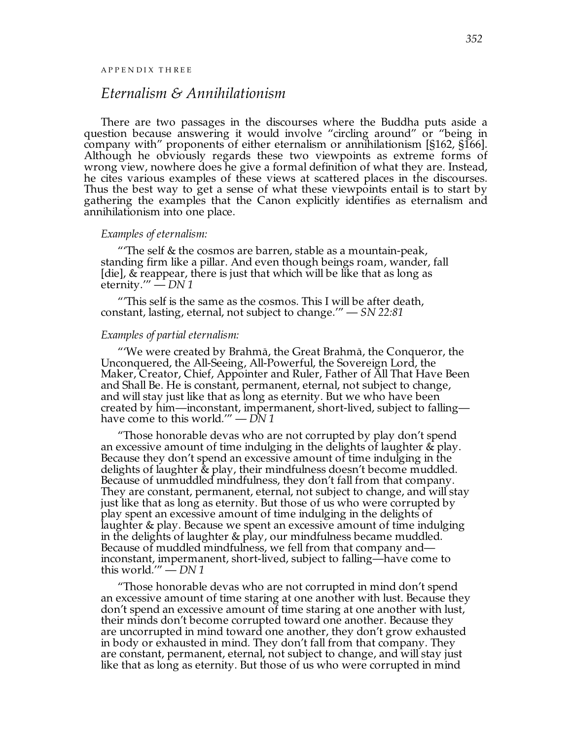### APPENDIX THREE

### *Eternalism & Annihilationism*

There are two passages in the discourses where the Buddha puts aside a question because answering it would involve "circling around" or "being in company with" proponents of either eternalism or annihilationism [§162, §166]. Although he obviously regards these two viewpoints as extreme forms of wrong view, nowhere does he give a formal definition of what they are. Instead, he cites various examples of these views at scattered places in the discourses. Thus the best way to get a sense of what these viewpoints entail is to start by gathering the examples that the Canon explicitly identifies as eternalism and annihilationism into one place.

### *Examples of eternalism:*

"'The self & the cosmos are barren, stable as a mountain-peak, standing firm like a pillar. And even though beings roam, wander, fall [die], & reappear, there is just that which will be like that as long as eternity.'" $-DN1$ 

"'This self is the same as the cosmos. This I will be after death, constant, lasting, eternal, not subject to change.'" — *SN 22:81*

### *Examples of partial eternalism:*

"We were created by Brahm $\bar{a}$ , the Great Brahm $\bar{a}$ , the Conqueror, the Unconquered, the All-Seeing, All-Powerful, the Sovereign Lord, the Maker, Creator, Chief, Appointer and Ruler, Father of All That Have Been and Shall Be. He is constant, permanent, eternal, not subject to change, and will stay just like that as long as eternity. But we who have been created by him—inconstant, impermanent, short-lived, subject to falling have come to this world.'" — *DN 1*

"Those honorable devas who are not corrupted by play don't spend an excessive amount of time indulging in the delights of laughter & play. Because they don't spend an excessive amount of time indulging in the delights of laughter & play, their mindfulness doesn't become muddled. Because of unmuddled mindfulness, they don't fall from that company. They are constant, permanent, eternal, not subject to change, and will stay just like that as long as eternity. But those of us who were corrupted by play spent an excessive amount of time indulging in the delights of laughter & play. Because we spent an excessive amount of time indulging in the delights of laughter & play, our mindfulness became muddled. Because of muddled mindfulness, we fell from that company and inconstant, impermanent, short-lived, subject to falling—have come to this world.'''  $-DN1$ 

"Those honorable devas who are not corrupted in mind don't spend an excessive amount of time staring at one another with lust. Because they don't spend an excessive amount of time staring at one another with lust, their minds don't become corrupted toward one another. Because they are uncorrupted in mind toward one another, they don't grow exhausted in body or exhausted in mind. They don't fall from that company. They are constant, permanent, eternal, not subject to change, and will stay just like that as long as eternity. But those of us who were corrupted in mind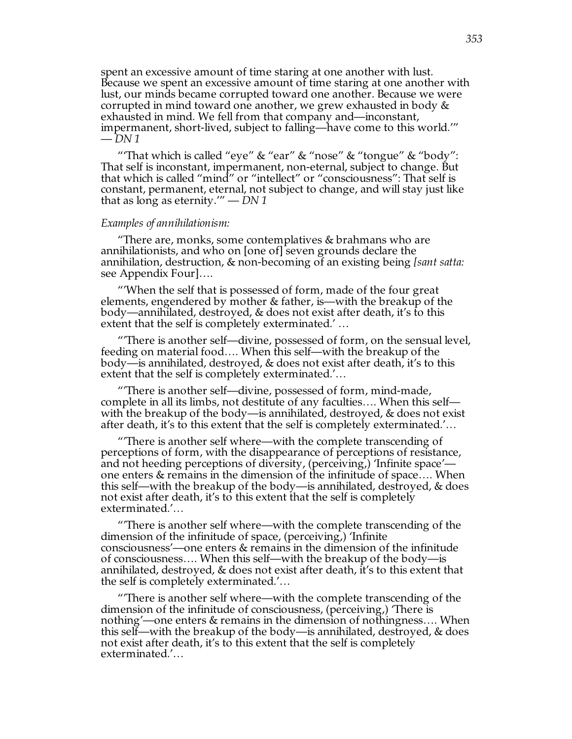spent an excessive amount of time staring at one another with lust. Because we spent an excessive amount of time staring at one another with lust, our minds became corrupted toward one another. Because we were corrupted in mind toward one another, we grew exhausted in body & exhausted in mind. We fell from that company and—inconstant, impermanent, short-lived, subject to falling—have come to this world.'" — *DN 1*

"That which is called "eye"  $\&$  "ear"  $\&$  "nose"  $\&$  "tongue"  $\&$  "body": That self is inconstant, impermanent, non-eternal, subject to change. But that which is called "mind" or "intellect" or "consciousness": That self is constant, permanent, eternal, not subject to change, and will stay just like that as long as eternity.'" — *DN 1*

### *Examples of annihilationism:*

"There are, monks, some contemplatives & brahmans who are annihilationists, and who on [one of] seven grounds declare the annihilation, destruction, & non-becoming of an existing being *[sant satta:* see Appendix Four]….

"'When the self that is possessed of form, made of the four great elements, engendered by mother & father, is—with the breakup of the body—annihilated, destroyed, & does not exist after death, it's to this extent that the self is completely exterminated.' …

"'There is another self—divine, possessed of form, on the sensual level, feeding on material food…. When this self—with the breakup of the body—is annihilated, destroyed, & does not exist after death, it's to this extent that the self is completely exterminated.'…

"'There is another self—divine, possessed of form, mind-made, complete in all its limbs, not destitute of any faculties…. When this self with the breakup of the body—is annihilated, destroyed, & does not exist after death, it's to this extent that the self is completely exterminated.'…

"'There is another self where—with the complete transcending of perceptions of form, with the disappearance of perceptions of resistance, and not heeding perceptions of diversity, (perceiving,) 'Infinite space' one enters & remains in the dimension of the infinitude of space…. When this self—with the breakup of the body—is annihilated, destroyed, & does not exist after death, it's to this extent that the self is completely exterminated.'…

"'There is another self where—with the complete transcending of the dimension of the infinitude of space, (perceiving,) 'Infinite consciousness'—one enters & remains in the dimension of the infinitude of consciousness…. When this self—with the breakup of the body—is annihilated, destroyed, & does not exist after death, it's to this extent that the self is completely exterminated.'…

"'There is another self where—with the complete transcending of the dimension of the infinitude of consciousness, (perceiving,) 'There is nothing'—one enters & remains in the dimension of nothingness…. When this self—with the breakup of the body—is annihilated, destroyed, & does not exist after death, it's to this extent that the self is completely exterminated.'…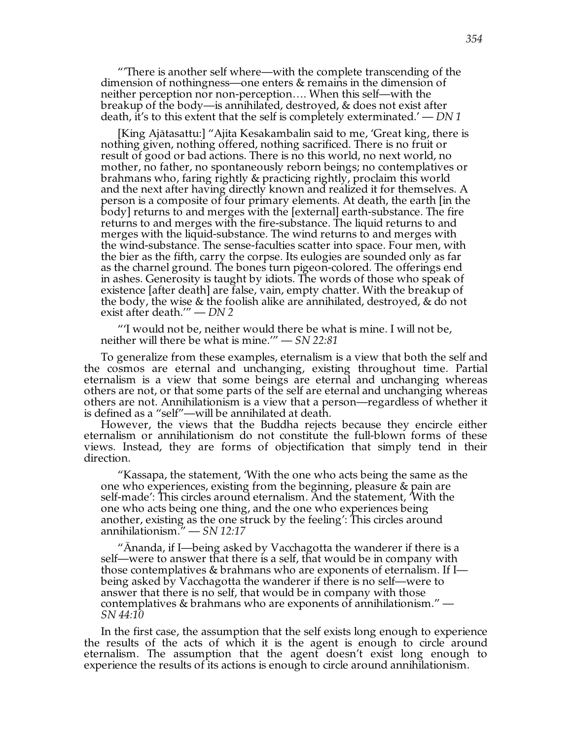"'There is another self where—with the complete transcending of the dimension of nothingness—one enters & remains in the dimension of neither perception nor non-perception…. When this self—with the breakup of the body—is annihilated, destroyed, & does not exist after death, it's to this extent that the self is completely exterminated.' — *DN 1*

[King Ajātasattu:] "Ajita Kesakambalin said to me, 'Great king, there is nothing given, nothing offered, nothing sacrificed. There is no fruit or result of good or bad actions. There is no this world, no next world, no mother, no father, no spontaneously reborn beings; no contemplatives or brahmans who, faring rightly & practicing rightly, proclaim this world and the next after having directly known and realized it for themselves. A person is a composite of four primary elements. At death, the earth [in the body] returns to and merges with the [external] earth-substance. The fire returns to and merges with the fire-substance. The liquid returns to and merges with the liquid-substance. The wind returns to and merges with the wind-substance. The sense-faculties scatter into space. Four men, with the bier as the fifth, carry the corpse. Its eulogies are sounded only as far as the charnel ground. The bones turn pigeon-colored. The offerings end in ashes. Generosity is taught by idiots. The words of those who speak of existence [after death] are false, vain, empty chatter. With the breakup of the body, the wise & the foolish alike are annihilated, destroyed,  $\&$  do not exist after death.'" — *DN 2*

"'I would not be, neither would there be what is mine. I will not be, neither will there be what is mine.'" — *SN 22:81*

To generalize from these examples, eternalism is a view that both the self and the cosmos are eternal and unchanging, existing throughout time. Partial eternalism is a view that some beings are eternal and unchanging whereas others are not, or that some parts of the self are eternal and unchanging whereas others are not. Annihilationism is a view that a person—regardless of whether it is defined as a "self"—will be annihilated at death.

However, the views that the Buddha rejects because they encircle either eternalism or annihilationism do not constitute the full-blown forms of these views. Instead, they are forms of objectification that simply tend in their direction.

"Kassapa, the statement, 'With the one who acts being the same as the one who experiences, existing from the beginning, pleasure & pain are self-made': This circles around eternalism. And the statement, 'With the one who acts being one thing, and the one who experiences being another, existing as the one struck by the feeling': This circles around annihilationism." — *SN 12:17*

"Ananda, if I—being asked by Vacchagotta the wanderer if there is a self—were to answer that there is a self, that would be in company with those contemplatives & brahmans who are exponents of eternalism. If I being asked by Vacchagotta the wanderer if there is no self—were to answer that there is no self, that would be in company with those contemplatives & brahmans who are exponents of annihilationism." — *SN 44:10*

In the first case, the assumption that the self exists long enough to experience the results of the acts of which it is the agent is enough to circle around eternalism. The assumption that the agent doesn't exist long enough to experience the results of its actions is enough to circle around annihilationism.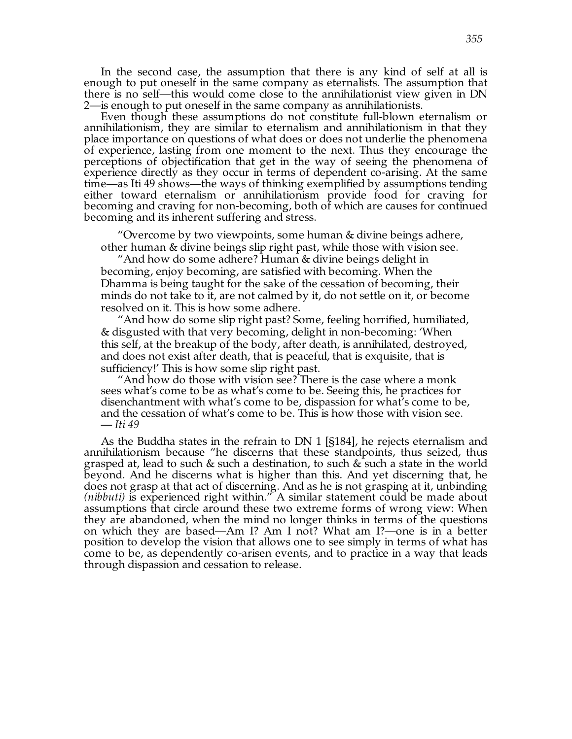In the second case, the assumption that there is any kind of self at all is enough to put oneself in the same company as eternalists. The assumption that there is no self—this would come close to the annihilationist view given in DN 2—is enough to put oneself in the same company as annihilationists.

Even though these assumptions do not constitute full-blown eternalism or annihilationism, they are similar to eternalism and annihilationism in that they place importance on questions of what does or does not underlie the phenomena of experience, lasting from one moment to the next. Thus they encourage the perceptions of objectification that get in the way of seeing the phenomena of experience directly as they occur in terms of dependent co-arising. At the same time—as Iti 49 shows—the ways of thinking exemplified by assumptions tending either toward eternalism or annihilationism provide food for craving for becoming and craving for non-becoming, both of which are causes for continued becoming and its inherent suffering and stress.

"Overcome by two viewpoints, some human & divine beings adhere, other human & divine beings slip right past, while those with vision see.

"And how do some adhere? Human & divine beings delight in becoming, enjoy becoming, are satisfied with becoming. When the Dhamma is being taught for the sake of the cessation of becoming, their minds do not take to it, are not calmed by it, do not settle on it, or become resolved on it. This is how some adhere.

"And how do some slip right past? Some, feeling horrified, humiliated, & disgusted with that very becoming, delight in non-becoming: 'When this self, at the breakup of the body, after death, is annihilated, destroyed, and does not exist after death, that is peaceful, that is exquisite, that is sufficiency!' This is how some slip right past.

"And how do those with vision see? There is the case where a monk sees what's come to be as what's come to be. Seeing this, he practices for disenchantment with what's come to be, dispassion for what's come to be, and the cessation of what's come to be. This is how those with vision see. — *Iti 49*

As the Buddha states in the refrain to DN 1 [§184], he rejects eternalism and annihilationism because "he discerns that these standpoints, thus seized, thus grasped at, lead to such & such a destination, to such & such a state in the world beyond. And he discerns what is higher than this. And yet discerning that, he does not grasp at that act of discerning. And as he is not grasping at it, unbinding *(nibbuti)* is experienced right within." A similar statement could be made about assumptions that circle around these two extreme forms of wrong view: When they are abandoned, when the mind no longer thinks in terms of the questions on which they are based—Am I? Am I not? What am I?—one is in a better position to develop the vision that allows one to see simply in terms of what has come to be, as dependently co-arisen events, and to practice in a way that leads through dispassion and cessation to release.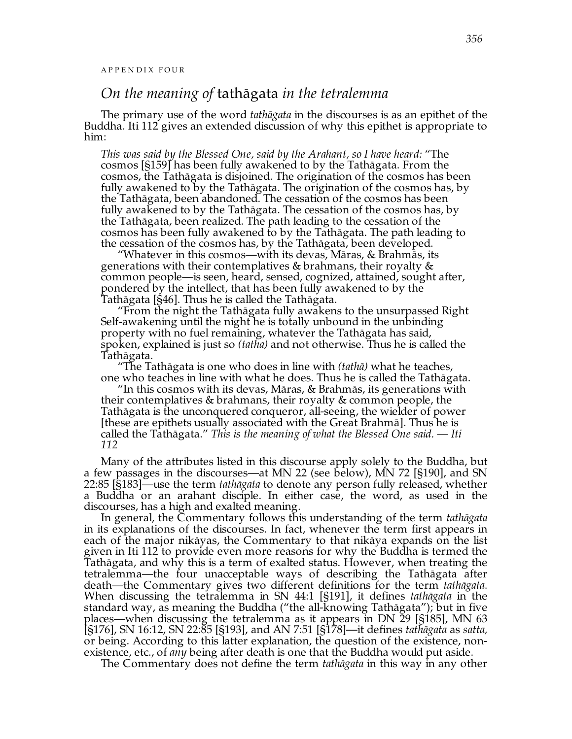## *On the meaning of tathagata in the tetralemma*

The primary use of the word *tathagata* in the discourses is as an epithet of the Buddha. Iti 112 gives an extended discussion of why this epithet is appropriate to him:

*This was said by the Blessed One, said by the Arahant, so I have heard:* "The cosmos [§159] has been fully awakened to by the Tathagata. From the cosmos, the Tathagata is disjoined. The origination of the cosmos has been fully awakened to by the Tathagata. The origination of the cosmos has, by the Tathagata, been abandoned. The cessation of the cosmos has been fully awakened to by the Tathagata. The cessation of the cosmos has, by the Tathagata, been realized. The path leading to the cessation of the cosmos has been fully awakened to by the Tathagata. The path leading to the cessation of the cosmos has, by the Tathagata, been developed.

"Whatever in this cosmos—with its devas, Māras, & Brahmās, its generations with their contemplatives & brahmans, their royalty & common people—is seen, heard, sensed, cognized, attained, sought after, pondered by the intellect, that has been fully awakened to by the Tathāgata [§46]. Thus he is called the Tathāgata.

"From the night the Tathagata fully awakens to the unsurpassed Right Self-awakening until the night he is totally unbound in the unbinding property with no fuel remaining, whatever the Tathagata has said, spoken, explained is just so *(tatha)* and not otherwise. Thus he is called the Tathāgata.

"The Tath<sub>agata</sub> is one who does in line with *(tatha*) what he teaches, one who teaches in line with what he does. Thus he is called the Tathagata.

"In this cosmos with its devas, Māras,  $\&$  Brahmās, its generations with their contemplatives & brahmans, their royalty & common people, the Tathāgata is the unconquered conqueror, all-seeing, the wielder of power [these are epithets usually associated with the Great Brahma]. Thus he is called the Tathagata." *This is the meaning of what the Blessed One said.* — *Iti 112*

Many of the attributes listed in this discourse apply solely to the Buddha, but a few passages in the discourses—at MN 22 (see below), MN 72 [§190], and SN 22:85 [§183]—use the term *tathagata* to denote any person fully released, whether a Buddha or an arahant disciple. In either case, the word, as used in the discourses, has a high and exalted meaning.

In general, the Commentary follows this understanding of the term *tathagata* in its explanations of the discourses. In fact, whenever the term first appears in each of the major nikayas, the Commentary to that nikaya expands on the list given in Iti 112 to provide even more reasons for why the Buddha is termed the Tathagata, and why this is a term of exalted status. However, when treating the tetralemma—the four unacceptable ways of describing the Tathagata after death—the Commentary gives two different definitions for the term *tathagata*. When discussing the tetralemma in SN 44:1 [§191], it defines *tathāgata* in the standard way, as meaning the Buddha ("the all-knowing Tathāgata"); but in five places—when discussing the tetralemma as it appears in DN 29 [§185], MN 63 [§176], SN 16:12, SN 22:85 [§193], and AN 7:51 [§178]—it defines *tath›gata* as *satta,* or being. According to this latter explanation, the question of the existence, non- existence, etc., of *any* being after death is one that the Buddha would put aside.

The Commentary does not define the term *tathagata* in this way in any other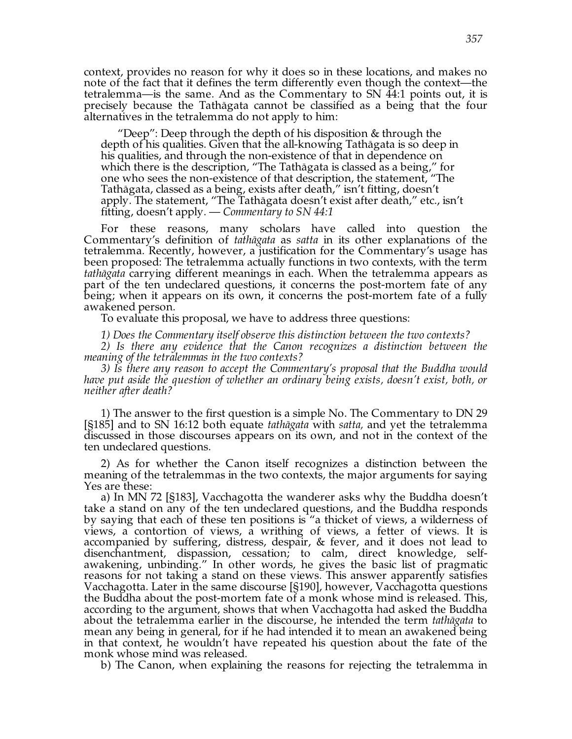context, provides no reason for why it does so in these locations, and makes no note of the fact that it defines the term differently even though the context—the tetralemma—is the same. And as the Commentary to SN 44:1 points out, it is precisely because the Tathagata cannot be classified as a being that the four alternatives in the tetralemma do not apply to him:

"Deep": Deep through the depth of his disposition & through the depth of his qualities. Given that the all-knowing Tathāgata is so deep in his qualities, and through the non-existence of that in dependence on which there is the description, "The Tathagata is classed as a being," for one who sees the non-existence of that description, the statement, "The Tathāgata, classed as a being, exists after death," isn't fitting, doesn't apply. The statement, "The Tathagata doesn't exist after death," etc., isn't fitting, doesn't apply. — *Commentary to SN 44:1*

For these reasons, many scholars have called into question the Commentary's definition of *tathagata* as *satta* in its other explanations of the tetralemma. Recently, however, a justification for the Commentary's usage has been proposed: The tetralemma actually functions in two contexts, with the term *tathāgata* carrying different meanings in each. When the tetralemma appears as part of the ten undeclared questions, it concerns the post-mortem fate of any being; when it appears on its own, it concerns the post-mortem fate of a fully awakened person.

To evaluate this proposal, we have to address three questions:

*1) Does the Commentary itself observe this distinction between the two contexts?*

*2) Is there any evidence that the Canon recognizes a distinction between the* 

meaning of the tetralemmas in the two contexts?<br>3) Is there any reason to accept the Commentary's proposal that the Buddha would<br>have put aside the question of whether an ordinary being exists, doesn't exist, both, or *neither after death?*

1) The answer to the first question is a simple No. The Commentary to DN 29 [§185] and to SN 16:12 both equate *tathagata* with *satta*, and yet the tetralemma discussed in those discourses appears on its own, and not in the context of the ten undeclared questions.

2) As for whether the Canon itself recognizes a distinction between the meaning of the tetralemmas in the two contexts, the major arguments for saying Yes are these:

a) In MN 72 [§183], Vacchagotta the wanderer asks why the Buddha doesn't take a stand on any of the ten undeclared questions, and the Buddha responds by saying that each of these ten positions is "a thicket of views, a wilderness of views, a contortion of views, a writhing of views, a fetter of views. It is accompanied by suffering, distress, despair, & fever, and it does not lead to disenchantment, dispassion, cessation; to calm, direct knowledge, selfawakening, unbinding." In other words, he gives the basic list of pragmatic reasons for not taking a stand on these views. This answer apparently satisfies Vacchagotta. Later in the same discourse [§190], however, Vacchagotta questions the Buddha about the post-mortem fate of a monk whose mind is released. This, according to the argument, shows that when Vacchagotta had asked the Buddha about the tetralemma earlier in the discourse, he intended the term *tathagata* to mean any being in general, for if he had intended it to mean an awakened being in that context, he wouldn't have repeated his question about the fate of the monk whose mind was released.

b) The Canon, when explaining the reasons for rejecting the tetralemma in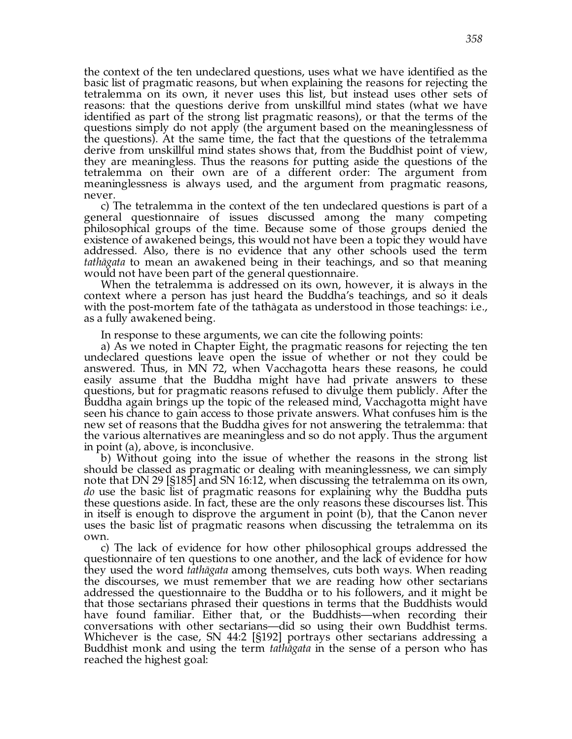the context of the ten undeclared questions, uses what we have identified as the basic list of pragmatic reasons, but when explaining the reasons for rejecting the tetralemma on its own, it never uses this list, but instead uses other sets of reasons: that the questions derive from unskillful mind states (what we have identified as part of the strong list pragmatic reasons), or that the terms of the questions simply do not apply (the argument based on the meaninglessness of the questions). At the same time, the fact that the questions of the tetralemma derive from unskillful mind states shows that, from the Buddhist point of view, they are meaningless. Thus the reasons for putting aside the questions of the tetralemma on their own are of a different order: The argument from meaninglessness is always used, and the argument from pragmatic reasons, never.

c) The tetralemma in the context of the ten undeclared questions is part of a general questionnaire of issues discussed among the many competing philosophical groups of the time. Because some of those groups denied the existence of awakened beings, this would not have been a topic they would have addressed. Also, there is no evidence that any other schools used the term *tathāgata* to mean an awakened being in their teachings, and so that meaning would not have been part of the general questionnaire.

When the tetralemma is addressed on its own, however, it is always in the context where a person has just heard the Buddha's teachings, and so it deals with the post-mortem fate of the tathagata as understood in those teachings: i.e., as a fully awakened being.

In response to these arguments, we can cite the following points:

a) As we noted in Chapter Eight, the pragmatic reasons for rejecting the ten undeclared questions leave open the issue of whether or not they could be answered. Thus, in MN 72, when Vacchagotta hears these reasons, he could easily assume that the Buddha might have had private answers to these questions, but for pragmatic reasons refused to divulge them publicly. After the Buddha again brings up the topic of the released mind, Vacchagotta might have seen his chance to gain access to those private answers. What confuses him is the new set of reasons that the Buddha gives for not answering the tetralemma: that the various alternatives are meaningless and so do not apply. Thus the argument in point (a), above, is inconclusive.

b) Without going into the issue of whether the reasons in the strong list should be classed as pragmatic or dealing with meaninglessness, we can simply note that DN 29 [§185] and SN 16:12, when discussing the tetralemma on its own, *do* use the basic list of pragmatic reasons for explaining why the Buddha puts these questions aside. In fact, these are the only reasons these discourses list. This in itself is enough to disprove the argument in point (b), that the Canon never uses the basic list of pragmatic reasons when discussing the tetralemma on its own.

c) The lack of evidence for how other philosophical groups addressed the questionnaire of ten questions to one another, and the lack of evidence for how they used the word *tathagata* among themselves, cuts both ways. When reading the discourses, we must remember that we are reading how other sectarians addressed the questionnaire to the Buddha or to his followers, and it might be that those sectarians phrased their questions in terms that the Buddhists would have found familiar. Either that, or the Buddhists—when recording their conversations with other sectarians—did so using their own Buddhist terms. Whichever is the case, SN 44:2 [§192] portrays other sectarians addressing a Buddhist monk and using the term *tathagata* in the sense of a person who has reached the highest goal: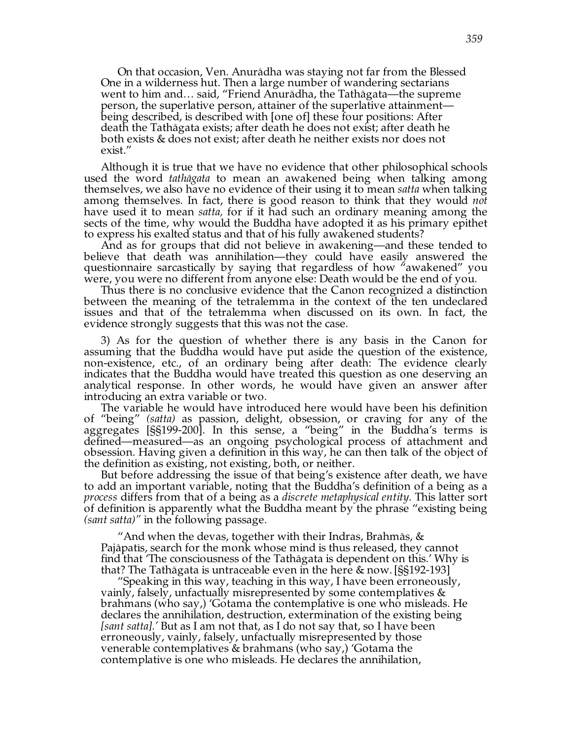On that occasion, Ven. Anuradha was staying not far from the Blessed One in a wilderness hut. Then a large number of wandering sectarians went to him and... said, "Friend Anurādha, the Tathāgata—the supreme person, the superlative person, attainer of the superlative attainment— being described, is described with [one of] these four positions: After death the Tathāgata exists; after death he does not exist; after death he both exists & does not exist; after death he neither exists nor does not exist."

Although it is true that we have no evidence that other philosophical schools used the word *tathagata* to mean an awakened being when talking among themselves, we also have no evidence of their using it to mean *satta* when talking among themselves. In fact, there is good reason to think that they would *not* have used it to mean *satta,* for if it had such an ordinary meaning among the sects of the time, why would the Buddha have adopted it as his primary epithet to express his exalted status and that of his fully awakened students?

And as for groups that did not believe in awakening—and these tended to believe that death was annihilation—they could have easily answered the questionnaire sarcastically by saying that regardless of how "awakened" you were, you were no different from anyone else: Death would be the end of you.

Thus there is no conclusive evidence that the Canon recognized a distinction between the meaning of the tetralemma in the context of the ten undeclared issues and that of the tetralemma when discussed on its own. In fact, the evidence strongly suggests that this was not the case.

3) As for the question of whether there is any basis in the Canon for assuming that the Buddha would have put aside the question of the existence, non-existence, etc., of an ordinary being after death: The evidence clearly indicates that the Buddha would have treated this question as one deserving an analytical response. In other words, he would have given an answer after introducing an extra variable or two.

The variable he would have introduced here would have been his definition of "being" *(satta)* as passion, delight, obsession, or craving for any of the aggregates [§§199-200]. In this sense, a "being" in the Buddha's terms is defined—measured—as an ongoing psychological process of attachment and obsession. Having given a definition in this way, he can then talk of the object of the definition as existing, not existing, both, or neither.

But before addressing the issue of that being's existence after death, we have to add an important variable, noting that the Buddha's definition of a being as a *process* differs from that of a being as a *discrete metaphysical entity.* This latter sort of definition is apparently what the Buddha meant by the phrase "existing being *(sant satta)"* in the following passage.

"And when the devas, together with their Indras, Brahmas,  $\&$ Pajāpatis, search for the monk whose mind is thus released, they cannot find that 'The consciousness of the Tathagata is dependent on this.' Why is that? The Tathāgata is untraceable even in the here & now.  $\left[ \frac{8}{3}192 - 193 \right]$ 

"Speaking in this way, teaching in this way, I have been erroneously, vainly, falsely, unfactually misrepresented by some contemplatives & brahmans (who say,) 'Gotama the contemplative is one who misleads. He declares the annihilation, destruction, extermination of the existing being *[sant satta].'* But as I am not that, as I do not say that, so I have been erroneously, vainly, falsely, unfactually misrepresented by those venerable contemplatives & brahmans (who say,) 'Gotama the contemplative is one who misleads. He declares the annihilation,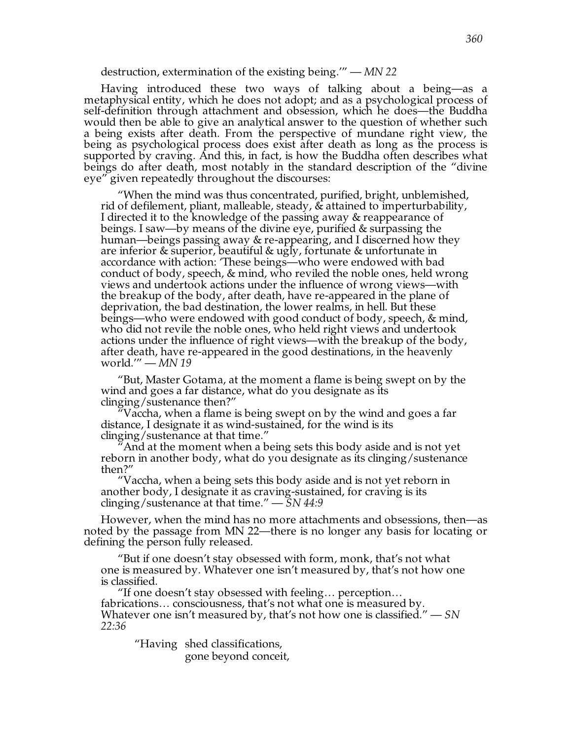destruction, extermination of the existing being.'" — *MN 22* 

Having introduced these two ways of talking about a being—as a metaphysical entity, which he does not adopt; and as a psychological process of self-definition through attachment and obsession, which he does—the Buddha would then be able to give an analytical answer to the question of whether such a being exists after death. From the perspective of mundane right view, the being as psychological process does exist after death as long as the process is supported by craving. And this, in fact, is how the Buddha often describes what beings do after death, most notably in the standard description of the "divine eye" given repeatedly throughout the discourses:

"When the mind was thus concentrated, purified, bright, unblemished, rid of defilement, pliant, malleable, steady, & attained to imperturbability, I directed it to the knowledge of the passing away & reappearance of beings. I saw—by means of the divine eye, purified & surpassing the human—beings passing away & re-appearing, and I discerned how they are inferior & superior, beautiful & ugly, fortunate & unfortunate in accordance with action: 'These beings—who were endowed with bad conduct of body, speech, & mind, who reviled the noble ones, held wrong views and undertook actions under the influence of wrong views—with the breakup of the body, after death, have re-appeared in the plane of deprivation, the bad destination, the lower realms, in hell. But these beings—who were endowed with good conduct of body, speech, & mind, who did not revile the noble ones, who held right views and undertook actions under the influence of right views—with the breakup of the body, after death, have re-appeared in the good destinations, in the heavenly world.'" — *MN 19*

"But, Master Gotama, at the moment a flame is being swept on by the wind and goes a far distance, what do you designate as its clinging/sustenance then?"

"Vaccha, when a flame is being swept on by the wind and goes a far distance, I designate it as wind-sustained, for the wind is its clinging/sustenance at that time."

"And at the moment when a being sets this body aside and is not yet reborn in another body, what do you designate as its clinging/sustenance then?"

"Vaccha, when a being sets this body aside and is not yet reborn in another body, I designate it as craving-sustained, for craving is its clinging/sustenance at that time." — *SN 44:9*

However, when the mind has no more attachments and obsessions, then—as noted by the passage from MN 22—there is no longer any basis for locating or defining the person fully released.

"But if one doesn't stay obsessed with form, monk, that's not what one is measured by. Whatever one isn't measured by, that's not how one is classified.

"If one doesn't stay obsessed with feeling… perception… fabrications… consciousness, that's not what one is measured by. Whatever one isn't measured by, that's not how one is classified." — *SN 22:36*

"Having shed classifications, gone beyond conceit,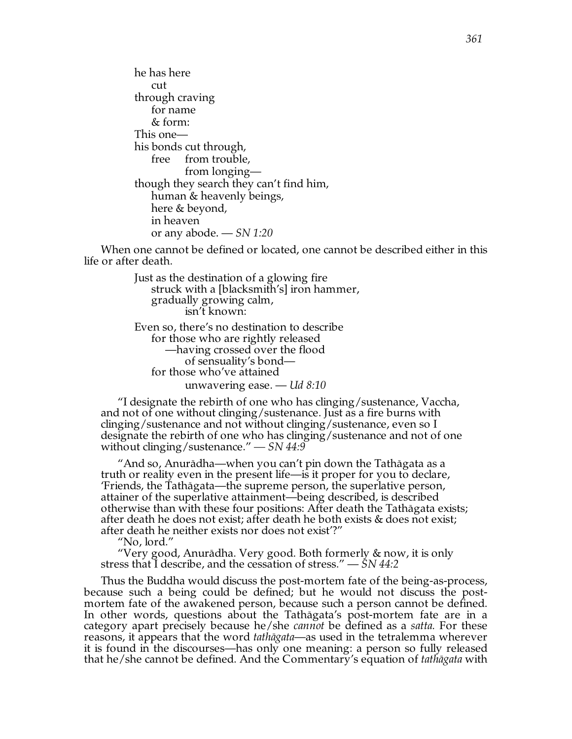he has here cut through craving for name & form: This one his bonds cut through, free from trouble, from longing though they search they can't find him, human & heavenly beings, here & beyond, in heaven or any abode. — *SN 1:20*

When one cannot be defined or located, one cannot be described either in this life or after death.

> Just as the destination of a glowing fire struck with a [blacksmith's] iron hammer, gradually growing calm, isn't known: Even so, there's no destination to describe

for those who are rightly released —having crossed over the flood of sensuality's bond— for those who've attained unwavering ease. — *Ud 8:10*

"I designate the rebirth of one who has clinging/sustenance, Vaccha, and not of one without clinging/sustenance. Just as a fire burns with clinging/sustenance and not without clinging/sustenance, even so I designate the rebirth of one who has clinging/sustenance and not of one without clinging/sustenance." *— SN 44:9*

"And so, Anurādha—when you can't pin down the Tathāgata as a truth or reality even in the present life—is it proper for you to declare, 'Friends, the Tathāgata—the supreme person, the superlative person, attainer of the superlative attainment—being described, is described otherwise than with these four positions: After death the Tath<sub>agata</sub> exists; after death he does not exist; after death he both exists & does not exist; after death he neither exists nor does not exist'?"

"No, lord."

"Very good, Anurādha. Very good. Both formerly  $\&$  now, it is only stress that I describe, and the cessation of stress." — *SN 44:2*

Thus the Buddha would discuss the post-mortem fate of the being-as-process, because such a being could be defined; but he would not discuss the postmortem fate of the awakened person, because such a person cannot be defined. In other words, questions about the Tathāgata's post-mortem fate are in a category apart precisely because he/she *cannot* be defined as a *satta.* For these reasons, it appears that the word *tathāgata*—as used in the tetralemma wherever it is found in the discourses—has only one meaning: a person so fully released that he/she cannot be defined. And the Commentary's equation of *tathagata* with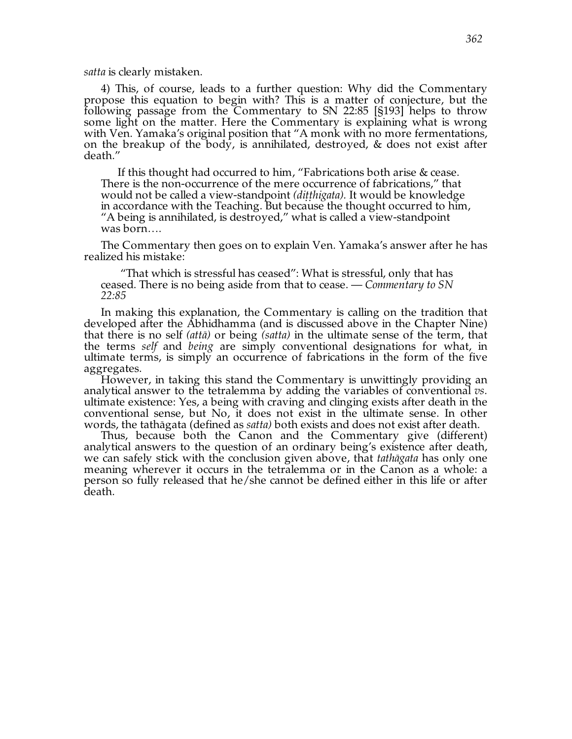*satta* is clearly mistaken.

4) This, of course, leads to a further question: Why did the Commentary propose this equation to begin with? This is a matter of conjecture, but the following passage from the Commentary to SN 22:85 [§193] helps to throw some light on the matter. Here the Commentary is explaining what is wrong with Ven. Yamaka's original position that "A monk with no more fermentations, on the breakup of the body, is annihilated, destroyed, & does not exist after death."

If this thought had occurred to him, "Fabrications both arise & cease. There is the non-occurrence of the mere occurrence of fabrications," that would not be called a view-standpoint *(ditthigata)*. It would be knowledge in accordance with the Teaching. But because the thought occurred to him, "A being is annihilated, is destroyed," what is called a view-standpoint was born….

The Commentary then goes on to explain Ven. Yamaka's answer after he has realized his mistake:

 "That which is stressful has ceased": What is stressful, only that has ceased. There is no being aside from that to cease. — *Commentary to SN 22:85* 

In making this explanation, the Commentary is calling on the tradition that developed after the Abhidhamma (and is discussed above in the Chapter Nine) that there is no self *(atta)* or being *(satta)* in the ultimate sense of the term, that the terms *self* and *being* are simply conventional designations for what, in ultimate terms, is simply an occurrence of fabrications in the form of the five aggregates.

However, in taking this stand the Commentary is unwittingly providing an analytical answer to the tetralemma by adding the variables of conventional *vs.* ultimate existence: Yes, a being with craving and clinging exists after death in the conventional sense, but No, it does not exist in the ultimate sense. In other words, the tath*agata* (defined as *satta*) both exists and does not exist after death.

Thus, because both the Canon and the Commentary give (different) analytical answers to the question of an ordinary being's existence after death, we can safely stick with the conclusion given above, that *tathagata* has only one meaning wherever it occurs in the tetralemma or in the Canon as a whole: a person so fully released that he/she cannot be defined either in this life or after death.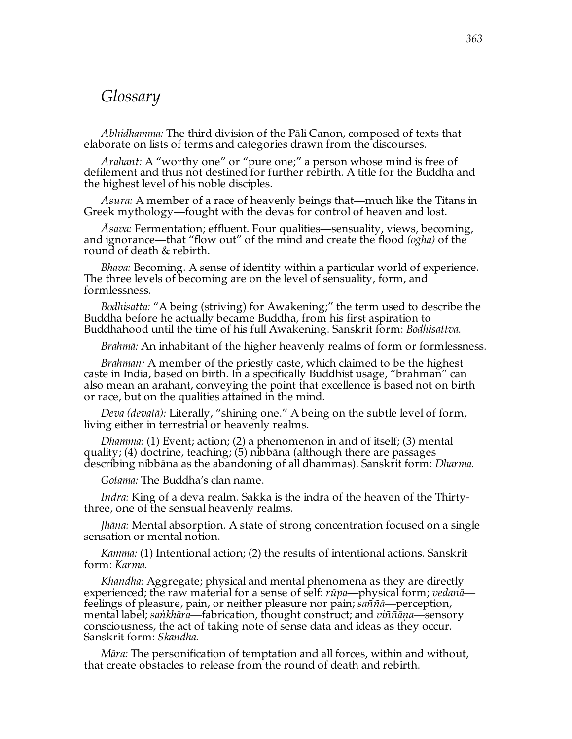## *Glossary*

*Abhidhamma:* The third division of the Pali Canon, composed of texts that elaborate on lists of terms and categories drawn from the discourses.

*Arahant:* A "worthy one" or "pure one;" a person whose mind is free of defilement and thus not destined for further rebirth. A title for the Buddha and the highest level of his noble disciples.

*Asura:* A member of a race of heavenly beings that—much like the Titans in Greek mythology—fought with the devas for control of heaven and lost.

*fisava:* Fermentation; effluent. Four qualities—sensuality, views, becoming, and ignorance—that "flow out" of the mind and create the flood *(ogha)* of the round of death & rebirth.

*Bhava:* Becoming. A sense of identity within a particular world of experience. The three levels of becoming are on the level of sensuality, form, and formlessness.

*Bodhisatta:* "A being (striving) for Awakening;" the term used to describe the Buddha before he actually became Buddha, from his first aspiration to Buddhahood until the time of his full Awakening. Sanskrit form: *Bodhisattva.*

*Brahmā:* An inhabitant of the higher heavenly realms of form or formlessness.

*Brahman:* A member of the priestly caste, which claimed to be the highest caste in India, based on birth. In a specifically Buddhist usage, "brahman" can also mean an arahant, conveying the point that excellence is based not on birth or race, but on the qualities attained in the mind.

*Deva (devatā):* Literally, "shining one." A being on the subtle level of form, living either in terrestrial or heavenly realms.

*Dhamma:* (1) Event; action; (2) a phenomenon in and of itself; (3) mental quality; (4) doctrine, teaching; (5) nibbāna (although there are passages describing nibbāna as the abandoning of all dhammas). Sanskrit form: *Dharma.* 

*Gotama:* The Buddha's clan name.

*Indra:* King of a deva realm. Sakka is the indra of the heaven of the Thirtythree, one of the sensual heavenly realms.

*Jhāna:* Mental absorption. A state of strong concentration focused on a single sensation or mental notion.

*Kamma:* (1) Intentional action; (2) the results of intentional actions. Sanskrit form: *Karma.*

*Khandha:* Aggregate; physical and mental phenomena as they are directly experienced; the raw material for a sense of self: *rūpa*—physical form; *vedan* $\bar{a}$  feelings of pleasure, pain, or neither pleasure nor pain; *sañña*—perception, mental label; *sankhāra*—fabrication, thought construct; and *viññāna*—sensory consciousness, the act of taking note of sense data and ideas as they occur. Sanskrit form: *Skandha.*

*Mara:* The personification of temptation and all forces, within and without, that create obstacles to release from the round of death and rebirth.